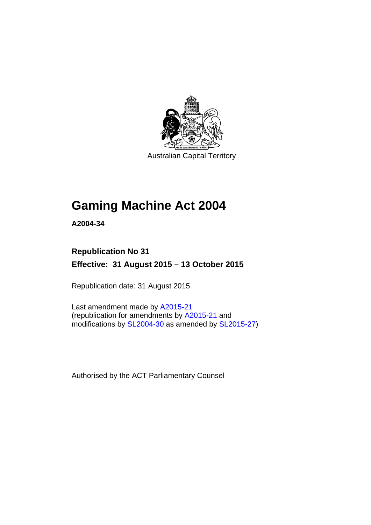

Australian Capital Territory

# **Gaming Machine Act 2004**

**A2004-34** 

# **Republication No 31 Effective: 31 August 2015 – 13 October 2015**

Republication date: 31 August 2015

Last amendment made by [A2015-21](http://www.legislation.act.gov.au/a/2015-21) (republication for amendments by [A2015-21](http://www.legislation.act.gov.au/a/2015-21) and modifications by [SL2004-30](http://www.legislation.act.gov.au/sl/2004-30) as amended by [SL2015-27\)](http://www.legislation.act.gov.au/sl/2015-27)

Authorised by the ACT Parliamentary Counsel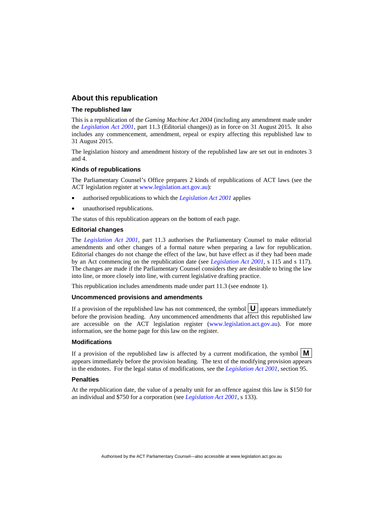### **About this republication**

### **The republished law**

This is a republication of the *Gaming Machine Act 2004* (including any amendment made under the *[Legislation Act 2001](http://www.legislation.act.gov.au/a/2001-14)*, part 11.3 (Editorial changes)) as in force on 31 August 2015*.* It also includes any commencement, amendment, repeal or expiry affecting this republished law to 31 August 2015.

The legislation history and amendment history of the republished law are set out in endnotes 3 and 4.

### **Kinds of republications**

The Parliamentary Counsel's Office prepares 2 kinds of republications of ACT laws (see the ACT legislation register at [www.legislation.act.gov.au](http://www.legislation.act.gov.au/)):

- authorised republications to which the *[Legislation Act 2001](http://www.legislation.act.gov.au/a/2001-14)* applies
- unauthorised republications.

The status of this republication appears on the bottom of each page.

#### **Editorial changes**

The *[Legislation Act 2001](http://www.legislation.act.gov.au/a/2001-14)*, part 11.3 authorises the Parliamentary Counsel to make editorial amendments and other changes of a formal nature when preparing a law for republication. Editorial changes do not change the effect of the law, but have effect as if they had been made by an Act commencing on the republication date (see *[Legislation Act 2001](http://www.legislation.act.gov.au/a/2001-14)*, s 115 and s 117). The changes are made if the Parliamentary Counsel considers they are desirable to bring the law into line, or more closely into line, with current legislative drafting practice.

This republication includes amendments made under part 11.3 (see endnote 1).

#### **Uncommenced provisions and amendments**

If a provision of the republished law has not commenced, the symbol  $\mathbf{U}$  appears immediately before the provision heading. Any uncommenced amendments that affect this republished law are accessible on the ACT legislation register [\(www.legislation.act.gov.au\)](http://www.legislation.act.gov.au/). For more information, see the home page for this law on the register.

#### **Modifications**

If a provision of the republished law is affected by a current modification, the symbol  $\mathbf{M}$ appears immediately before the provision heading. The text of the modifying provision appears in the endnotes. For the legal status of modifications, see the *[Legislation Act 2001](http://www.legislation.act.gov.au/a/2001-14)*, section 95.

#### **Penalties**

At the republication date, the value of a penalty unit for an offence against this law is \$150 for an individual and \$750 for a corporation (see *[Legislation Act 2001](http://www.legislation.act.gov.au/a/2001-14)*, s 133).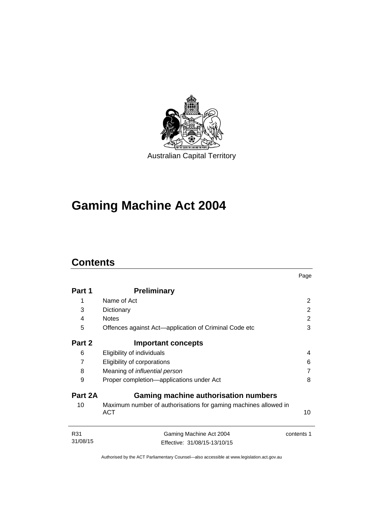

# **Gaming Machine Act 2004**

# **Contents**

|                 |                                                                               | Page       |
|-----------------|-------------------------------------------------------------------------------|------------|
| Part 1          | <b>Preliminary</b>                                                            |            |
| 1               | Name of Act                                                                   | 2          |
| 3               | Dictionary                                                                    | 2          |
| 4               | <b>Notes</b>                                                                  | 2          |
| 5               | Offences against Act-application of Criminal Code etc                         | 3          |
| Part 2          | <b>Important concepts</b>                                                     |            |
| 6               | Eligibility of individuals                                                    | 4          |
| $\overline{7}$  | Eligibility of corporations                                                   | 6          |
| 8               | Meaning of <i>influential</i> person                                          | 7          |
| 9               | Proper completion-applications under Act                                      | 8          |
| Part 2A         | <b>Gaming machine authorisation numbers</b>                                   |            |
| 10              | Maximum number of authorisations for gaming machines allowed in<br><b>ACT</b> | 10         |
| R31<br>31/08/15 | Gaming Machine Act 2004                                                       | contents 1 |
|                 | Effective: 31/08/15-13/10/15                                                  |            |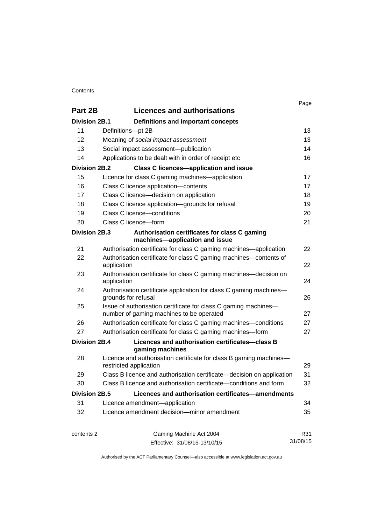### **Contents**

|                      |                                                                                                             | Page     |
|----------------------|-------------------------------------------------------------------------------------------------------------|----------|
| Part 2B              | <b>Licences and authorisations</b>                                                                          |          |
| <b>Division 2B.1</b> | Definitions and important concepts                                                                          |          |
| 11                   | Definitions-pt 2B                                                                                           | 13       |
| 12                   | Meaning of social impact assessment                                                                         | 13       |
| 13                   | Social impact assessment-publication                                                                        | 14       |
| 14                   | Applications to be dealt with in order of receipt etc                                                       | 16       |
| <b>Division 2B.2</b> | <b>Class C licences-application and issue</b>                                                               |          |
| 15                   | Licence for class C gaming machines—application                                                             | 17       |
| 16                   | Class C licence application-contents                                                                        | 17       |
| 17                   | Class C licence-decision on application                                                                     | 18       |
| 18                   | Class C licence application-grounds for refusal                                                             | 19       |
| 19                   | Class C licence-conditions                                                                                  | 20       |
| 20                   | Class C licence-form                                                                                        | 21       |
| Division 2B.3        | Authorisation certificates for class C gaming<br>machines-application and issue                             |          |
| 21                   | Authorisation certificate for class C gaming machines—application                                           | 22       |
| 22                   | Authorisation certificate for class C gaming machines—contents of<br>application                            | 22       |
| 23                   | Authorisation certificate for class C gaming machines—decision on<br>application                            | 24       |
| 24                   | Authorisation certificate application for class C gaming machines-<br>grounds for refusal                   | 26       |
| 25                   | Issue of authorisation certificate for class C gaming machines-<br>number of gaming machines to be operated | 27       |
| 26                   | Authorisation certificate for class C gaming machines—conditions                                            | 27       |
| 27                   | Authorisation certificate for class C gaming machines-form                                                  | 27       |
| Division 2B.4        | Licences and authorisation certificates-class B<br>gaming machines                                          |          |
| 28                   | Licence and authorisation certificate for class B gaming machines-<br>restricted application                | 29       |
| 29                   | Class B licence and authorisation certificate-decision on application                                       | 31       |
| 30                   | Class B licence and authorisation certificate—conditions and form                                           | 32       |
| <b>Division 2B.5</b> | Licences and authorisation certificates-amendments                                                          |          |
| 31                   | Licence amendment-application                                                                               | 34       |
| 32                   | Licence amendment decision-minor amendment                                                                  | 35       |
| contents 2           | Gaming Machine Act 2004                                                                                     | R31      |
|                      | Effective: 31/08/15-13/10/15                                                                                | 31/08/15 |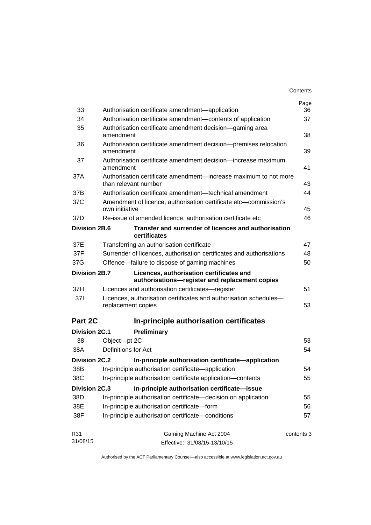|                      |                                                                                            | Contents   |
|----------------------|--------------------------------------------------------------------------------------------|------------|
|                      |                                                                                            | Page       |
| 33                   | Authorisation certificate amendment-application                                            | 36         |
| 34                   | Authorisation certificate amendment-contents of application                                | 37         |
| 35                   | Authorisation certificate amendment decision—gaming area<br>amendment                      | 38         |
| 36                   | Authorisation certificate amendment decision-premises relocation<br>amendment              | 39         |
| 37                   | Authorisation certificate amendment decision—increase maximum<br>amendment                 | 41         |
| 37A                  | Authorisation certificate amendment—increase maximum to not more<br>than relevant number   | 43         |
| 37B                  | Authorisation certificate amendment—technical amendment                                    | 44         |
| 37C                  | Amendment of licence, authorisation certificate etc—commission's<br>own initiative         | 45         |
| 37D                  | Re-issue of amended licence, authorisation certificate etc                                 | 46         |
| <b>Division 2B.6</b> | Transfer and surrender of licences and authorisation<br>certificates                       |            |
| 37E                  | Transferring an authorisation certificate                                                  | 47         |
| 37F                  | Surrender of licences, authorisation certificates and authorisations                       | 48         |
| 37G                  | Offence-failure to dispose of gaming machines                                              | 50         |
| Division 2B.7        | Licences, authorisation certificates and<br>authorisations-register and replacement copies |            |
| 37H                  | Licences and authorisation certificates—register                                           | 51         |
| 371                  | Licences, authorisation certificates and authorisation schedules-<br>replacement copies    | 53         |
| Part 2C              | In-principle authorisation certificates                                                    |            |
| <b>Division 2C.1</b> | Preliminary                                                                                |            |
| 38                   | Object-pt 2C                                                                               | 53         |
| 38A                  | Definitions for Act                                                                        | 54         |
| Division 2C.2        | In-principle authorisation certificate—application                                         |            |
| 38B                  | In-principle authorisation certificate-application                                         | 54         |
| 38C                  | In-principle authorisation certificate application-contents                                | 55         |
| <b>Division 2C.3</b> | In-principle authorisation certificate-issue                                               |            |
| 38D                  | In-principle authorisation certificate-decision on application                             | 55         |
| 38E                  | In-principle authorisation certificate-form                                                | 56         |
| 38F                  | In-principle authorisation certificate-conditions                                          | 57         |
| R31                  | Gaming Machine Act 2004                                                                    | contents 3 |
| 31/08/15             | Effective: 31/08/15-13/10/15                                                               |            |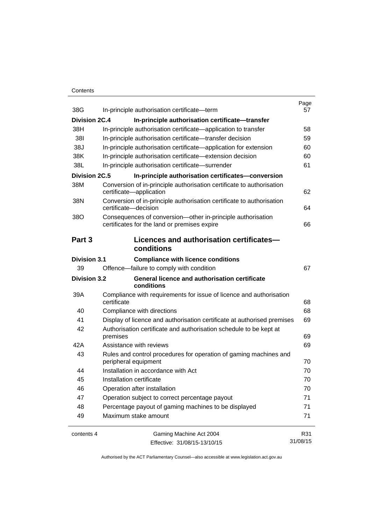### **Contents**

| 38G                  | In-principle authorisation certificate-term                                                                 | Page<br>57 |
|----------------------|-------------------------------------------------------------------------------------------------------------|------------|
| <b>Division 2C.4</b> | In-principle authorisation certificate-transfer                                                             |            |
| 38H                  | In-principle authorisation certificate—application to transfer                                              | 58         |
| 381                  | In-principle authorisation certificate-transfer decision                                                    | 59         |
| 38J                  | In-principle authorisation certificate—application for extension                                            | 60         |
| 38K                  | In-principle authorisation certificate-extension decision                                                   | 60         |
| 38L                  | In-principle authorisation certificate-surrender                                                            | 61         |
| <b>Division 2C.5</b> | In-principle authorisation certificates-conversion                                                          |            |
| 38M                  | Conversion of in-principle authorisation certificate to authorisation                                       |            |
|                      | certificate-application                                                                                     | 62         |
| 38N                  | Conversion of in-principle authorisation certificate to authorisation<br>certificate-decision               | 64         |
| 38O                  | Consequences of conversion-other in-principle authorisation<br>certificates for the land or premises expire | 66         |
| Part 3               | Licences and authorisation certificates-                                                                    |            |
|                      | conditions                                                                                                  |            |
| <b>Division 3.1</b>  | <b>Compliance with licence conditions</b>                                                                   |            |
| 39                   | Offence-failure to comply with condition                                                                    | 67         |
| <b>Division 3.2</b>  | <b>General licence and authorisation certificate</b><br>conditions                                          |            |
| 39A                  | Compliance with requirements for issue of licence and authorisation<br>certificate                          | 68         |
| 40                   | Compliance with directions                                                                                  | 68         |
| 41                   | Display of licence and authorisation certificate at authorised premises                                     | 69         |
| 42                   | Authorisation certificate and authorisation schedule to be kept at                                          |            |
|                      | premises                                                                                                    | 69         |
| 42A                  | Assistance with reviews                                                                                     | 69         |
| 43                   | Rules and control procedures for operation of gaming machines and<br>peripheral equipment                   | 70         |
| 44                   | Installation in accordance with Act                                                                         | 70         |
| 45                   | Installation certificate                                                                                    | 70         |
| 46                   | Operation after installation                                                                                | 70         |
| 47                   | Operation subject to correct percentage payout                                                              | 71         |
| 48                   | Percentage payout of gaming machines to be displayed                                                        | 71         |
| 49                   | Maximum stake amount                                                                                        | 71         |
| contents 4           | Gaming Machine Act 2004                                                                                     | R31        |
|                      | Effective: 31/08/15-13/10/15                                                                                | 31/08/15   |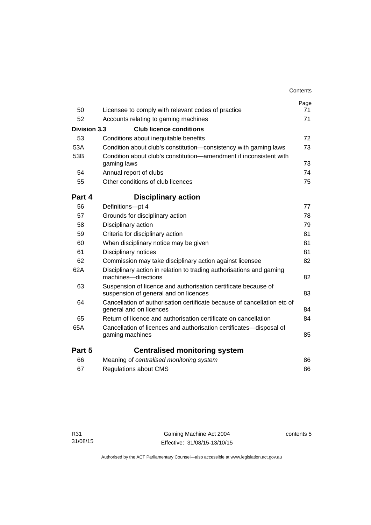|                                                                                                         | Contents                                                                                                                                                                                                                                                                                                                                                                                                           |
|---------------------------------------------------------------------------------------------------------|--------------------------------------------------------------------------------------------------------------------------------------------------------------------------------------------------------------------------------------------------------------------------------------------------------------------------------------------------------------------------------------------------------------------|
|                                                                                                         | Page<br>71                                                                                                                                                                                                                                                                                                                                                                                                         |
|                                                                                                         | 71                                                                                                                                                                                                                                                                                                                                                                                                                 |
|                                                                                                         |                                                                                                                                                                                                                                                                                                                                                                                                                    |
|                                                                                                         |                                                                                                                                                                                                                                                                                                                                                                                                                    |
|                                                                                                         | 72                                                                                                                                                                                                                                                                                                                                                                                                                 |
|                                                                                                         | 73                                                                                                                                                                                                                                                                                                                                                                                                                 |
| gaming laws                                                                                             | 73                                                                                                                                                                                                                                                                                                                                                                                                                 |
| Annual report of clubs                                                                                  | 74                                                                                                                                                                                                                                                                                                                                                                                                                 |
| Other conditions of club licences                                                                       | 75                                                                                                                                                                                                                                                                                                                                                                                                                 |
| Part 4<br><b>Disciplinary action</b>                                                                    |                                                                                                                                                                                                                                                                                                                                                                                                                    |
| Definitions-pt 4                                                                                        | 77                                                                                                                                                                                                                                                                                                                                                                                                                 |
| Grounds for disciplinary action                                                                         | 78                                                                                                                                                                                                                                                                                                                                                                                                                 |
| Disciplinary action                                                                                     | 79                                                                                                                                                                                                                                                                                                                                                                                                                 |
| Criteria for disciplinary action                                                                        | 81                                                                                                                                                                                                                                                                                                                                                                                                                 |
| When disciplinary notice may be given                                                                   | 81                                                                                                                                                                                                                                                                                                                                                                                                                 |
| Disciplinary notices                                                                                    | 81                                                                                                                                                                                                                                                                                                                                                                                                                 |
| Commission may take disciplinary action against licensee                                                | 82                                                                                                                                                                                                                                                                                                                                                                                                                 |
| Disciplinary action in relation to trading authorisations and gaming<br>machines-directions             | 82                                                                                                                                                                                                                                                                                                                                                                                                                 |
| Suspension of licence and authorisation certificate because of<br>suspension of general and on licences | 83                                                                                                                                                                                                                                                                                                                                                                                                                 |
| general and on licences                                                                                 | 84                                                                                                                                                                                                                                                                                                                                                                                                                 |
| Return of licence and authorisation certificate on cancellation                                         | 84                                                                                                                                                                                                                                                                                                                                                                                                                 |
| Cancellation of licences and authorisation certificates-disposal of<br>gaming machines                  | 85                                                                                                                                                                                                                                                                                                                                                                                                                 |
| Part 5<br><b>Centralised monitoring system</b>                                                          |                                                                                                                                                                                                                                                                                                                                                                                                                    |
| Meaning of centralised monitoring system                                                                | 86                                                                                                                                                                                                                                                                                                                                                                                                                 |
| Regulations about CMS                                                                                   | 86                                                                                                                                                                                                                                                                                                                                                                                                                 |
|                                                                                                         | Licensee to comply with relevant codes of practice<br>Accounts relating to gaming machines<br><b>Division 3.3</b><br><b>Club licence conditions</b><br>Conditions about inequitable benefits<br>Condition about club's constitution-consistency with gaming laws<br>Condition about club's constitution-amendment if inconsistent with<br>Cancellation of authorisation certificate because of cancellation etc of |

contents 5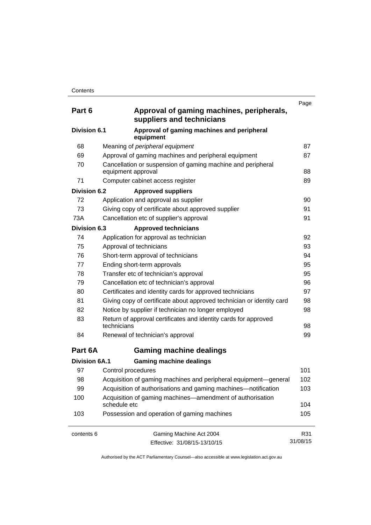| Part 6               | Approval of gaming machines, peripherals,<br>suppliers and technicians            | Page     |
|----------------------|-----------------------------------------------------------------------------------|----------|
| Division 6.1         | Approval of gaming machines and peripheral<br>equipment                           |          |
| 68                   | Meaning of peripheral equipment                                                   | 87       |
| 69                   | Approval of gaming machines and peripheral equipment                              | 87       |
| 70                   | Cancellation or suspension of gaming machine and peripheral<br>equipment approval | 88       |
| 71                   | Computer cabinet access register                                                  | 89       |
| Division 6.2         | <b>Approved suppliers</b>                                                         |          |
| 72                   | Application and approval as supplier                                              | 90       |
| 73                   | Giving copy of certificate about approved supplier                                | 91       |
| 73A                  | Cancellation etc of supplier's approval                                           | 91       |
| <b>Division 6.3</b>  | <b>Approved technicians</b>                                                       |          |
| 74                   | Application for approval as technician                                            | 92       |
| 75                   | Approval of technicians                                                           | 93       |
| 76                   | Short-term approval of technicians                                                | 94       |
| 77                   | Ending short-term approvals                                                       | 95       |
| 78                   | Transfer etc of technician's approval                                             | 95       |
| 79                   | Cancellation etc of technician's approval                                         | 96       |
| 80                   | Certificates and identity cards for approved technicians                          | 97       |
| 81                   | Giving copy of certificate about approved technician or identity card             | 98       |
| 82                   | Notice by supplier if technician no longer employed                               | 98       |
| 83                   | Return of approval certificates and identity cards for approved<br>technicians    | 98       |
| 84                   | Renewal of technician's approval                                                  | 99       |
| Part 6A              | <b>Gaming machine dealings</b>                                                    |          |
| <b>Division 6A.1</b> | <b>Gaming machine dealings</b>                                                    |          |
| 97                   | Control procedures                                                                | 101      |
| 98                   | Acquisition of gaming machines and peripheral equipment-general                   | 102      |
| 99                   | Acquisition of authorisations and gaming machines—notification                    | 103      |
| 100                  | Acquisition of gaming machines—amendment of authorisation<br>schedule etc         | 104      |
| 103                  | Possession and operation of gaming machines                                       | 105      |
| contents 6           | Gaming Machine Act 2004                                                           | R31      |
|                      | Effective: 31/08/15-13/10/15                                                      | 31/08/15 |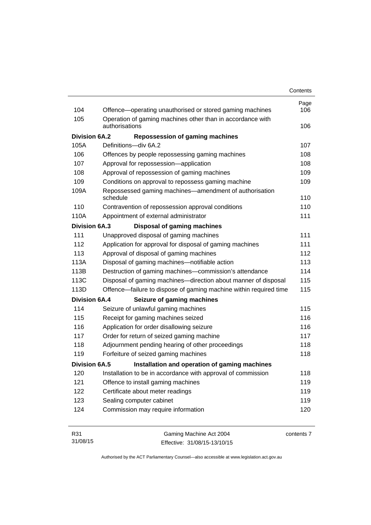| Contents |
|----------|
|----------|

| 104                  | Offence-operating unauthorised or stored gaming machines           | Page<br>106 |
|----------------------|--------------------------------------------------------------------|-------------|
| 105                  | Operation of gaming machines other than in accordance with         |             |
|                      | authorisations                                                     | 106         |
| <b>Division 6A.2</b> | <b>Repossession of gaming machines</b>                             |             |
| 105A                 | Definitions-div 6A.2                                               | 107         |
| 106                  | Offences by people repossessing gaming machines                    | 108         |
| 107                  | Approval for repossession-application                              | 108         |
| 108                  | Approval of repossession of gaming machines                        | 109         |
| 109                  | Conditions on approval to repossess gaming machine                 | 109         |
| 109A                 | Repossessed gaming machines—amendment of authorisation<br>schedule | 110         |
| 110                  | Contravention of repossession approval conditions                  | 110         |
| 110A                 | Appointment of external administrator                              | 111         |
| <b>Division 6A.3</b> | <b>Disposal of gaming machines</b>                                 |             |
| 111                  | Unapproved disposal of gaming machines                             | 111         |
| 112                  | Application for approval for disposal of gaming machines           | 111         |
| 113                  | Approval of disposal of gaming machines                            | 112         |
| 113A                 | Disposal of gaming machines-notifiable action                      | 113         |
| 113B                 | Destruction of gaming machines-commission's attendance             | 114         |
| 113C                 | Disposal of gaming machines—direction about manner of disposal     | 115         |
| 113D                 | Offence—failure to dispose of gaming machine within required time  | 115         |
| <b>Division 6A.4</b> | Seizure of gaming machines                                         |             |
| 114                  | Seizure of unlawful gaming machines                                | 115         |
| 115                  | Receipt for gaming machines seized                                 | 116         |
| 116                  | Application for order disallowing seizure                          | 116         |
| 117                  | Order for return of seized gaming machine                          | 117         |
| 118                  | Adjournment pending hearing of other proceedings                   | 118         |
| 119                  | Forfeiture of seized gaming machines                               | 118         |
| Division 6A.5        | Installation and operation of gaming machines                      |             |
| 120                  | Installation to be in accordance with approval of commission       | 118         |
| 121                  | Offence to install gaming machines                                 | 119         |
| 122                  | Certificate about meter readings                                   | 119         |
| 123                  | Sealing computer cabinet                                           | 119         |
| 124                  | Commission may require information                                 | 120         |

| R31      | Gaming Machine Act 2004      | contents 7 |
|----------|------------------------------|------------|
| 31/08/15 | Effective: 31/08/15-13/10/15 |            |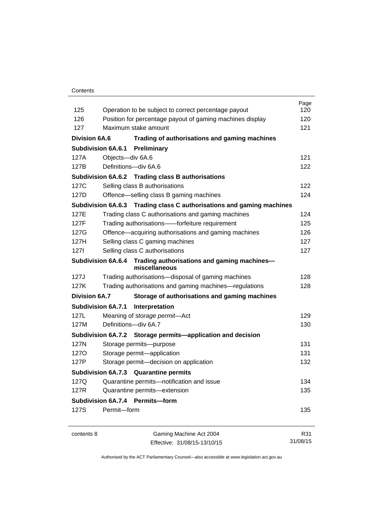### **Contents**

| 125                  |                                                                                                                   | Page<br>120 |
|----------------------|-------------------------------------------------------------------------------------------------------------------|-------------|
| 126                  | Operation to be subject to correct percentage payout<br>Position for percentage payout of gaming machines display | 120         |
| 127                  | Maximum stake amount                                                                                              | 121         |
|                      |                                                                                                                   |             |
| <b>Division 6A.6</b> | Trading of authorisations and gaming machines                                                                     |             |
|                      | <b>Subdivision 6A.6.1 Preliminary</b>                                                                             |             |
| 127A                 | Objects-div 6A.6                                                                                                  | 121         |
| 127B                 | Definitions-div 6A.6                                                                                              | 122         |
|                      | Subdivision 6A.6.2 Trading class B authorisations                                                                 |             |
| 127C                 | Selling class B authorisations                                                                                    | 122         |
| 127D                 | Offence-selling class B gaming machines                                                                           | 124         |
|                      | Subdivision 6A.6.3 Trading class C authorisations and gaming machines                                             |             |
| 127E                 | Trading class C authorisations and gaming machines                                                                | 124         |
| 127F                 | Trading authorisations--forfeiture requirement                                                                    | 125         |
| 127G                 | Offence-acquiring authorisations and gaming machines                                                              | 126         |
| 127H                 | Selling class C gaming machines                                                                                   | 127         |
| 1271                 | Selling class C authorisations                                                                                    | 127         |
|                      | Subdivision 6A.6.4 Trading authorisations and gaming machines-<br>miscellaneous                                   |             |
| 127J                 | Trading authorisations-disposal of gaming machines                                                                | 128         |
| 127K                 | Trading authorisations and gaming machines—regulations                                                            | 128         |
| <b>Division 6A.7</b> | Storage of authorisations and gaming machines                                                                     |             |
|                      | <b>Subdivision 6A.7.1</b><br>Interpretation                                                                       |             |
| 127L                 | Meaning of storage permit-Act                                                                                     | 129         |
| 127M                 | Definitions-div 6A.7                                                                                              | 130         |
|                      | Subdivision 6A.7.2 Storage permits—application and decision                                                       |             |
| 127N                 | Storage permits-purpose                                                                                           | 131         |
| <b>1270</b>          | Storage permit-application                                                                                        | 131         |
| 127P                 | Storage permit-decision on application                                                                            | 132         |
|                      | Subdivision 6A.7.3 Quarantine permits                                                                             |             |
| 127Q                 | Quarantine permits-notification and issue                                                                         | 134         |
| 127R                 | Quarantine permits-extension                                                                                      | 135         |
|                      | Subdivision 6A.7.4 Permits-form                                                                                   |             |
| 127S                 | Permit-form                                                                                                       | 135         |
| contents 8           | Gaming Machine Act 2004                                                                                           | R31         |
|                      | Effective: 31/08/15-13/10/15                                                                                      | 31/08/15    |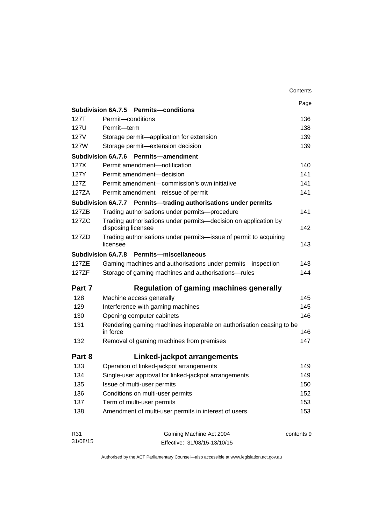|          |                                                                                                  | Contents   |
|----------|--------------------------------------------------------------------------------------------------|------------|
|          |                                                                                                  | Page       |
|          | Subdivision 6A.7.5 Permits-conditions                                                            |            |
| 127T     | Permit-conditions                                                                                | 136        |
| 127U     | Permit-term                                                                                      | 138        |
| 127V     | Storage permit-application for extension                                                         | 139        |
| 127W     | Storage permit-extension decision                                                                | 139        |
|          | <b>Subdivision 6A.7.6</b><br><b>Permits-amendment</b>                                            |            |
| 127X     | Permit amendment-notification                                                                    | 140        |
| 127Y     | Permit amendment-decision                                                                        | 141        |
| 127Z     | Permit amendment-commission's own initiative                                                     | 141        |
| 127ZA    | Permit amendment-reissue of permit                                                               | 141        |
|          | Subdivision 6A.7.7 Permits-trading authorisations under permits                                  |            |
| 127ZB    | Trading authorisations under permits-procedure                                                   | 141        |
| 127ZC    | Trading authorisations under permits-decision on application by<br>disposing licensee            | 142        |
| 127ZD    | Trading authorisations under permits-issue of permit to acquiring<br>licensee                    | 143        |
|          | Subdivision 6A.7.8 Permits-miscellaneous                                                         |            |
| 127ZE    | Gaming machines and authorisations under permits-inspection                                      | 143        |
| 127ZF    | Storage of gaming machines and authorisations-rules                                              | 144        |
| Part 7   | <b>Regulation of gaming machines generally</b>                                                   |            |
| 128      | Machine access generally                                                                         | 145        |
| 129      | Interference with gaming machines                                                                | 145        |
| 130      | Opening computer cabinets                                                                        | 146        |
| 131      | Rendering gaming machines inoperable on authorisation ceasing to be<br>in force                  | 146        |
| 132      | Removal of gaming machines from premises                                                         | 147        |
| Part 8   | Linked-jackpot arrangements                                                                      |            |
| 133      |                                                                                                  | 149        |
| 134      | Operation of linked-jackpot arrangements<br>Single-user approval for linked-jackpot arrangements | 149        |
| 135      | Issue of multi-user permits                                                                      | 150        |
| 136      | Conditions on multi-user permits                                                                 | 152        |
| 137      | Term of multi-user permits                                                                       | 153        |
|          |                                                                                                  |            |
| 138      | Amendment of multi-user permits in interest of users                                             | 153        |
| R31      | Gaming Machine Act 2004                                                                          | contents 9 |
| 31/08/15 | Effective: 31/08/15-13/10/15                                                                     |            |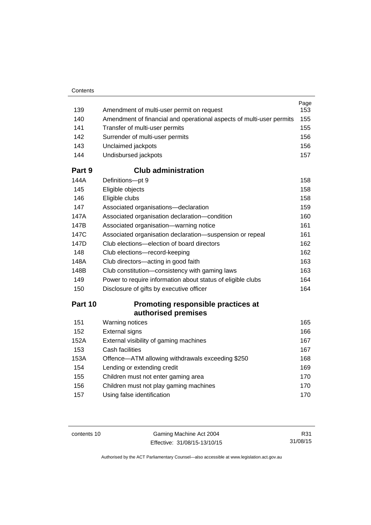| 139    | Amendment of multi-user permit on request                            | Page<br>153 |
|--------|----------------------------------------------------------------------|-------------|
| 140    | Amendment of financial and operational aspects of multi-user permits | 155         |
| 141    | Transfer of multi-user permits                                       | 155         |
| 142    | Surrender of multi-user permits                                      | 156         |
| 143    | Unclaimed jackpots                                                   | 156         |
| 144    | Undisbursed jackpots                                                 | 157         |
| Part 9 | <b>Club administration</b>                                           |             |
| 144A   | Definitions-pt 9                                                     | 158         |
| 145    | Eligible objects                                                     | 158         |
| 146    | Eligible clubs                                                       | 158         |
| 147    | Associated organisations-declaration                                 | 159         |
| 147A   | Associated organisation declaration-condition                        | 160         |
| 147B   | Associated organisation-warning notice                               | 161         |
| 147C   | Associated organisation declaration-suspension or repeal             | 161         |
| 147D   | Club elections-election of board directors                           | 162         |
| 148    | Club elections-record-keeping                                        | 162         |
| 148A   | Club directors-acting in good faith                                  | 163         |
| 148B   | Club constitution—consistency with gaming laws                       | 163         |
| 149    | Power to require information about status of eligible clubs          | 164         |
| 150    | Disclosure of gifts by executive officer                             | 164         |
|        |                                                                      |             |

# **Part 10 [Promoting responsible practices at](#page-180-0)  [authorised premises](#page-180-0)**

| 151  | Warning notices                                  | 165 |
|------|--------------------------------------------------|-----|
| 152  | <b>External signs</b>                            | 166 |
| 152A | External visibility of gaming machines           | 167 |
| 153  | Cash facilities                                  | 167 |
| 153A | Offence-ATM allowing withdrawals exceeding \$250 | 168 |
| 154  | Lending or extending credit                      | 169 |
| 155  | Children must not enter gaming area              | 170 |
| 156  | Children must not play gaming machines           | 170 |
| 157  | Using false identification                       | 170 |
|      |                                                  |     |

contents 10 Gaming Machine Act 2004 Effective: 31/08/15-13/10/15

R31 31/08/15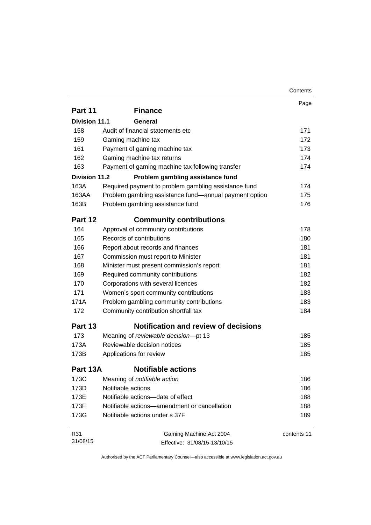|                      |                                                        | Contents    |
|----------------------|--------------------------------------------------------|-------------|
|                      |                                                        | Page        |
| Part 11              | <b>Finance</b>                                         |             |
| <b>Division 11.1</b> | General                                                |             |
| 158                  | Audit of financial statements etc                      | 171         |
| 159                  | Gaming machine tax                                     | 172         |
| 161                  | Payment of gaming machine tax                          | 173         |
| 162                  | Gaming machine tax returns                             | 174         |
| 163                  | Payment of gaming machine tax following transfer       | 174         |
| Division 11.2        | Problem gambling assistance fund                       |             |
| 163A                 | Required payment to problem gambling assistance fund   | 174         |
| 163AA                | Problem gambling assistance fund—annual payment option | 175         |
| 163B                 | Problem gambling assistance fund                       | 176         |
| Part 12              | <b>Community contributions</b>                         |             |
| 164                  | Approval of community contributions                    | 178         |
| 165                  | Records of contributions                               | 180         |
| 166                  | Report about records and finances                      | 181         |
| 167                  | Commission must report to Minister                     | 181         |
| 168                  | Minister must present commission's report              | 181         |
| 169                  | Required community contributions                       | 182         |
| 170                  | Corporations with several licences                     | 182         |
| 171                  | Women's sport community contributions                  | 183         |
| 171A                 | Problem gambling community contributions               | 183         |
| 172                  | Community contribution shortfall tax                   | 184         |
| <b>Part 13</b>       | <b>Notification and review of decisions</b>            |             |
| 173                  | Meaning of reviewable decision-pt 13                   | 185         |
| 173A                 | Reviewable decision notices                            | 185         |
| 173B                 | Applications for review                                | 185         |
| Part 13A             | <b>Notifiable actions</b>                              |             |
| 173C                 | Meaning of notifiable action                           | 186         |
| 173D                 | Notifiable actions                                     | 186         |
| 173E                 | Notifiable actions-date of effect                      | 188         |
| 173F                 | Notifiable actions—amendment or cancellation           | 188         |
| 173G                 | Notifiable actions under s 37F                         | 189         |
| R31                  | Gaming Machine Act 2004                                | contents 11 |
| 31/08/15             | Effective: 31/08/15-13/10/15                           |             |

Effective: 31/08/15-13/10/15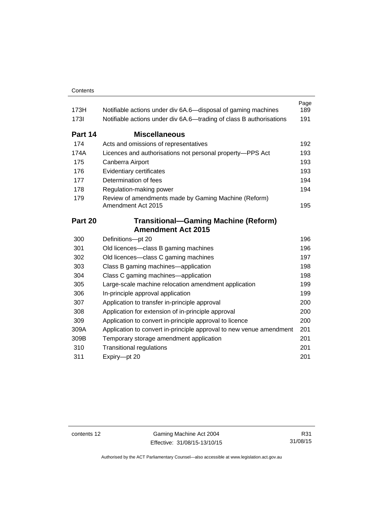| 173H    | Notifiable actions under div 6A.6-disposal of gaming machines              | Page<br>189 |
|---------|----------------------------------------------------------------------------|-------------|
| 1731    | Notifiable actions under div 6A.6—trading of class B authorisations        | 191         |
| Part 14 | <b>Miscellaneous</b>                                                       |             |
| 174     | Acts and omissions of representatives                                      | 192         |
| 174A    | Licences and authorisations not personal property-PPS Act                  | 193         |
| 175     | Canberra Airport                                                           | 193         |
| 176     | Evidentiary certificates                                                   | 193         |
| 177     | Determination of fees                                                      | 194         |
| 178     | Regulation-making power                                                    | 194         |
| 179     | Review of amendments made by Gaming Machine (Reform)<br>Amendment Act 2015 | 195         |
| Part 20 | <b>Transitional-Gaming Machine (Reform)</b>                                |             |
|         | <b>Amendment Act 2015</b>                                                  |             |
| 300     | Definitions-pt 20                                                          | 196         |
| 301     | Old licences—class B gaming machines                                       | 196         |
| 302     | Old licences-class C gaming machines                                       | 197         |
| 303     | Class B gaming machines—application                                        | 198         |
| 304     | Class C gaming machines—application                                        | 198         |
| 305     | Large-scale machine relocation amendment application                       | 199         |
| 306     | In-principle approval application                                          | 199         |
| 307     | Application to transfer in-principle approval                              | 200         |
| 308     | Application for extension of in-principle approval                         | 200         |
| 309     | Application to convert in-principle approval to licence                    | 200         |
| 309A    | Application to convert in-principle approval to new venue amendment        | 201         |
| 309B    | Temporary storage amendment application                                    | 201         |
| 310     | <b>Transitional regulations</b>                                            | 201         |
| 311     | Expiry-pt 20                                                               | 201         |

contents 12 Gaming Machine Act 2004 Effective: 31/08/15-13/10/15

R31 31/08/15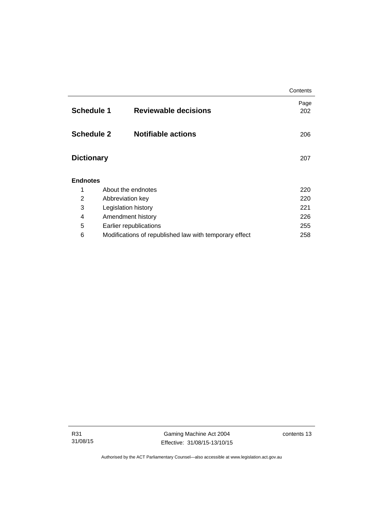|                                                  |                                                        | Contents    |
|--------------------------------------------------|--------------------------------------------------------|-------------|
| <b>Schedule 1</b><br><b>Reviewable decisions</b> |                                                        | Page<br>202 |
| <b>Schedule 2</b>                                | <b>Notifiable actions</b>                              | 206         |
| <b>Dictionary</b>                                | 207                                                    |             |
| <b>Endnotes</b>                                  |                                                        |             |
| 1                                                | About the endnotes                                     | 220         |
| $\overline{2}$                                   | Abbreviation key                                       | 220         |
| 3                                                | Legislation history                                    | 221         |
| 4                                                | Amendment history                                      | 226         |
| 5                                                | Earlier republications                                 | 255         |
| 6                                                | Modifications of republished law with temporary effect | 258         |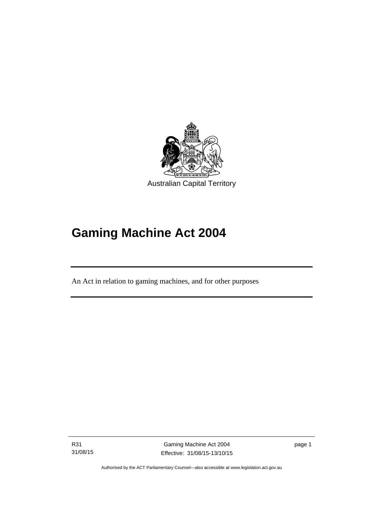

# **Gaming Machine Act 2004**

An Act in relation to gaming machines, and for other purposes

R31 31/08/15

l

Gaming Machine Act 2004 Effective: 31/08/15-13/10/15 page 1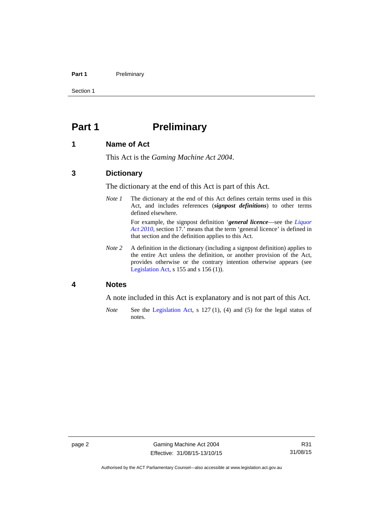### Part 1 **Preliminary**

Section 1

# <span id="page-17-0"></span>**Part 1** Preliminary

### <span id="page-17-1"></span>**1 Name of Act**

This Act is the *Gaming Machine Act 2004*.

### <span id="page-17-2"></span>**3 Dictionary**

The dictionary at the end of this Act is part of this Act.

*Note 1* The dictionary at the end of this Act defines certain terms used in this Act, and includes references (*signpost definitions*) to other terms defined elsewhere.

> For example, the signpost definition '*general licence*—see the *[Liquor](http://www.legislation.act.gov.au/a/2010-35)  [Act 2010](http://www.legislation.act.gov.au/a/2010-35)*, section 17.' means that the term 'general licence' is defined in that section and the definition applies to this Act.

*Note* 2 A definition in the dictionary (including a signpost definition) applies to the entire Act unless the definition, or another provision of the Act, provides otherwise or the contrary intention otherwise appears (see [Legislation Act,](http://www.legislation.act.gov.au/a/2001-14) s 155 and s 156 (1)).

## <span id="page-17-3"></span>**4 Notes**

A note included in this Act is explanatory and is not part of this Act.

*Note* See the [Legislation Act,](http://www.legislation.act.gov.au/a/2001-14) s 127 (1), (4) and (5) for the legal status of notes.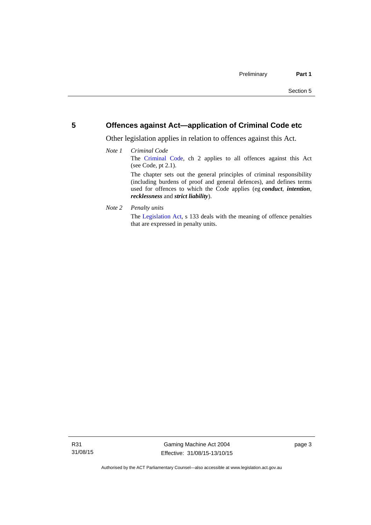# <span id="page-18-0"></span>**5 Offences against Act—application of Criminal Code etc**

Other legislation applies in relation to offences against this Act.

## *Note 1 Criminal Code* The [Criminal Code,](http://www.legislation.act.gov.au/a/2002-51) ch 2 applies to all offences against this Act (see Code, pt 2.1). The chapter sets out the general principles of criminal responsibility (including burdens of proof and general defences), and defines terms used for offences to which the Code applies (eg *conduct*, *intention*, *recklessness* and *strict liability*).

*Note 2 Penalty units* 

The [Legislation Act](http://www.legislation.act.gov.au/a/2001-14), s 133 deals with the meaning of offence penalties that are expressed in penalty units.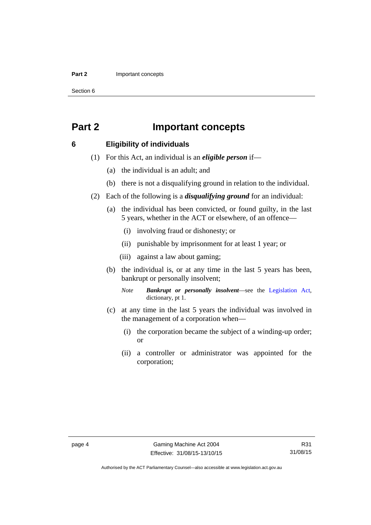### **Part 2 Important concepts**

Section 6

# <span id="page-19-0"></span>**Part 2 Important concepts**

## <span id="page-19-1"></span>**6 Eligibility of individuals**

- (1) For this Act, an individual is an *eligible person* if—
	- (a) the individual is an adult; and
	- (b) there is not a disqualifying ground in relation to the individual.
- (2) Each of the following is a *disqualifying ground* for an individual:
	- (a) the individual has been convicted, or found guilty, in the last 5 years, whether in the ACT or elsewhere, of an offence—
		- (i) involving fraud or dishonesty; or
		- (ii) punishable by imprisonment for at least 1 year; or
		- (iii) against a law about gaming;
	- (b) the individual is, or at any time in the last 5 years has been, bankrupt or personally insolvent;

*Note Bankrupt or personally insolvent*—see the [Legislation Act,](http://www.legislation.act.gov.au/a/2001-14) dictionary, pt 1.

- (c) at any time in the last 5 years the individual was involved in the management of a corporation when—
	- (i) the corporation became the subject of a winding-up order; or
	- (ii) a controller or administrator was appointed for the corporation;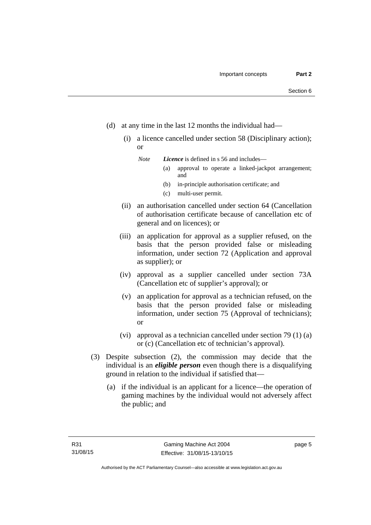- (d) at any time in the last 12 months the individual had—
	- (i) a licence cancelled under section 58 (Disciplinary action); or

*Note Licence* is defined in s 56 and includes—

- (a) approval to operate a linked-jackpot arrangement; and
- (b) in-principle authorisation certificate; and
- (c) multi-user permit.
- (ii) an authorisation cancelled under section 64 (Cancellation of authorisation certificate because of cancellation etc of general and on licences); or
- (iii) an application for approval as a supplier refused, on the basis that the person provided false or misleading information, under section 72 (Application and approval as supplier); or
- (iv) approval as a supplier cancelled under section 73A (Cancellation etc of supplier's approval); or
- (v) an application for approval as a technician refused, on the basis that the person provided false or misleading information, under section 75 (Approval of technicians); or
- (vi) approval as a technician cancelled under section 79 (1) (a) or (c) (Cancellation etc of technician's approval).
- (3) Despite subsection (2), the commission may decide that the individual is an *eligible person* even though there is a disqualifying ground in relation to the individual if satisfied that—
	- (a) if the individual is an applicant for a licence—the operation of gaming machines by the individual would not adversely affect the public; and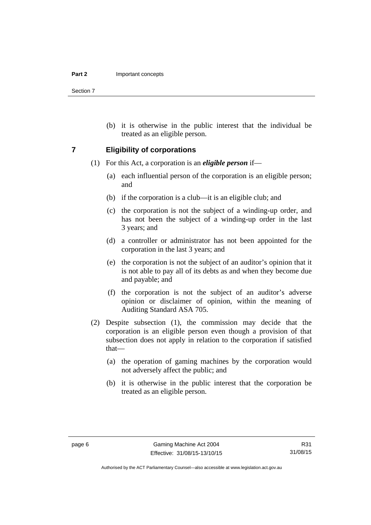Section 7

 (b) it is otherwise in the public interest that the individual be treated as an eligible person.

### <span id="page-21-0"></span>**7 Eligibility of corporations**

- (1) For this Act, a corporation is an *eligible person* if—
	- (a) each influential person of the corporation is an eligible person; and
	- (b) if the corporation is a club—it is an eligible club; and
	- (c) the corporation is not the subject of a winding-up order, and has not been the subject of a winding-up order in the last 3 years; and
	- (d) a controller or administrator has not been appointed for the corporation in the last 3 years; and
	- (e) the corporation is not the subject of an auditor's opinion that it is not able to pay all of its debts as and when they become due and payable; and
	- (f) the corporation is not the subject of an auditor's adverse opinion or disclaimer of opinion, within the meaning of Auditing Standard ASA 705.
- (2) Despite subsection (1), the commission may decide that the corporation is an eligible person even though a provision of that subsection does not apply in relation to the corporation if satisfied that—
	- (a) the operation of gaming machines by the corporation would not adversely affect the public; and
	- (b) it is otherwise in the public interest that the corporation be treated as an eligible person.

R31 31/08/15

Authorised by the ACT Parliamentary Counsel—also accessible at www.legislation.act.gov.au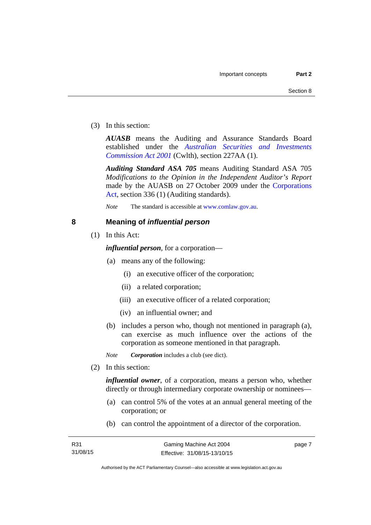(3) In this section:

*AUASB* means the Auditing and Assurance Standards Board established under the *[Australian Securities and Investments](http://www.comlaw.gov.au/Series/C2004A00819)  [Commission Act 2001](http://www.comlaw.gov.au/Series/C2004A00819)* (Cwlth), section 227AA (1).

*Auditing Standard ASA 705* means Auditing Standard ASA 705 *Modifications to the Opinion in the Independent Auditor's Report* made by the AUASB on 27 October 2009 under the [Corporations](http://www.comlaw.gov.au/Series/C2004A00818)  [Act](http://www.comlaw.gov.au/Series/C2004A00818), section 336 (1) (Auditing standards).

*Note* The standard is accessible at [www.comlaw.gov.au.](http://www.comlaw.gov.au/)

# <span id="page-22-0"></span>**8 Meaning of** *influential person*

(1) In this Act:

*influential person*, for a corporation—

- (a) means any of the following:
	- (i) an executive officer of the corporation;
	- (ii) a related corporation;
	- (iii) an executive officer of a related corporation;
	- (iv) an influential owner; and
- (b) includes a person who, though not mentioned in paragraph (a), can exercise as much influence over the actions of the corporation as someone mentioned in that paragraph.

*Note Corporation* includes a club (see dict).

(2) In this section:

*influential owner*, of a corporation, means a person who, whether directly or through intermediary corporate ownership or nominees—

- (a) can control 5% of the votes at an annual general meeting of the corporation; or
- (b) can control the appointment of a director of the corporation.

page 7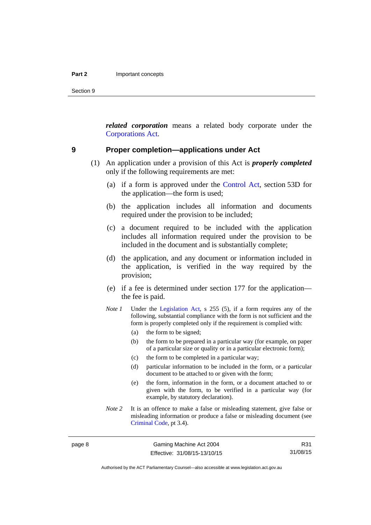Section 9

*related corporation* means a related body corporate under the [Corporations Act](http://www.comlaw.gov.au/Series/C2004A00818).

### <span id="page-23-0"></span>**9 Proper completion—applications under Act**

- (1) An application under a provision of this Act is *properly completed* only if the following requirements are met:
	- (a) if a form is approved under the [Control Act,](http://www.legislation.act.gov.au/a/1999-46/default.asp) section 53D for the application—the form is used;
	- (b) the application includes all information and documents required under the provision to be included;
	- (c) a document required to be included with the application includes all information required under the provision to be included in the document and is substantially complete;
	- (d) the application, and any document or information included in the application, is verified in the way required by the provision;
	- (e) if a fee is determined under section 177 for the application the fee is paid.
	- *Note 1* Under the [Legislation Act,](http://www.legislation.act.gov.au/a/2001-14) s 255 (5), if a form requires any of the following, substantial compliance with the form is not sufficient and the form is properly completed only if the requirement is complied with:
		- (a) the form to be signed;
		- (b) the form to be prepared in a particular way (for example, on paper of a particular size or quality or in a particular electronic form);
		- (c) the form to be completed in a particular way;
		- (d) particular information to be included in the form, or a particular document to be attached to or given with the form;
		- (e) the form, information in the form, or a document attached to or given with the form, to be verified in a particular way (for example, by statutory declaration).
	- *Note* 2 It is an offence to make a false or misleading statement, give false or misleading information or produce a false or misleading document (see [Criminal Code](http://www.legislation.act.gov.au/a/2002-51), pt 3.4).

R31 31/08/15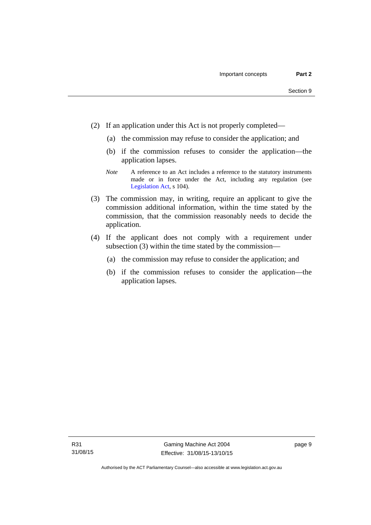- (2) If an application under this Act is not properly completed—
	- (a) the commission may refuse to consider the application; and
	- (b) if the commission refuses to consider the application—the application lapses.
	- *Note* A reference to an Act includes a reference to the statutory instruments made or in force under the Act, including any regulation (see [Legislation Act,](http://www.legislation.act.gov.au/a/2001-14) s 104).
- (3) The commission may, in writing, require an applicant to give the commission additional information, within the time stated by the commission, that the commission reasonably needs to decide the application.
- (4) If the applicant does not comply with a requirement under subsection (3) within the time stated by the commission—
	- (a) the commission may refuse to consider the application; and
	- (b) if the commission refuses to consider the application—the application lapses.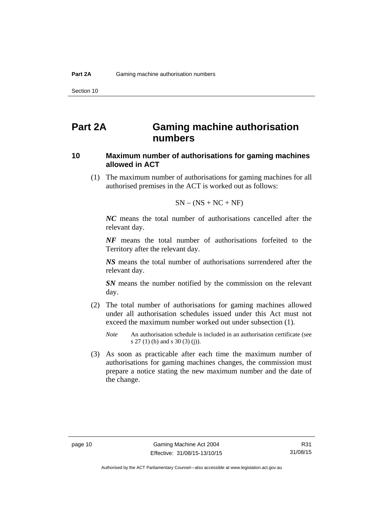# <span id="page-25-0"></span>**Part 2A Gaming machine authorisation numbers**

# <span id="page-25-1"></span>**10 Maximum number of authorisations for gaming machines allowed in ACT**

 (1) The maximum number of authorisations for gaming machines for all authorised premises in the ACT is worked out as follows:

$$
SN - (NS + NC + NF)
$$

*NC* means the total number of authorisations cancelled after the relevant day.

*NF* means the total number of authorisations forfeited to the Territory after the relevant day.

*NS* means the total number of authorisations surrendered after the relevant day.

*SN* means the number notified by the commission on the relevant day.

- (2) The total number of authorisations for gaming machines allowed under all authorisation schedules issued under this Act must not exceed the maximum number worked out under subsection (1).
	- *Note* An authorisation schedule is included in an authorisation certificate (see s 27 (1) (h) and s 30 (3) (j)).
- (3) As soon as practicable after each time the maximum number of authorisations for gaming machines changes, the commission must prepare a notice stating the new maximum number and the date of the change.

R31 31/08/15

Authorised by the ACT Parliamentary Counsel—also accessible at www.legislation.act.gov.au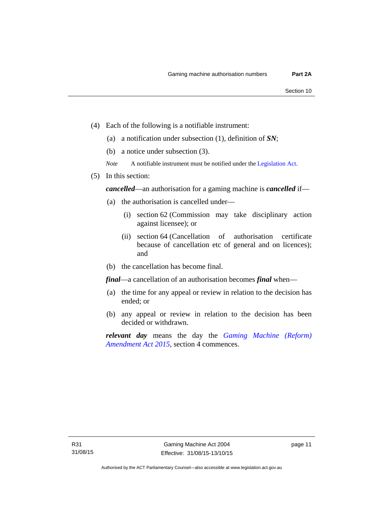- (4) Each of the following is a notifiable instrument:
	- (a) a notification under subsection (1), definition of *SN*;
	- (b) a notice under subsection (3).
	- *Note* A notifiable instrument must be notified under the [Legislation Act](http://www.legislation.act.gov.au/a/2001-14).
- (5) In this section:

*cancelled*—an authorisation for a gaming machine is *cancelled* if—

- (a) the authorisation is cancelled under—
	- (i) section 62 (Commission may take disciplinary action against licensee); or
	- (ii) section 64 (Cancellation of authorisation certificate because of cancellation etc of general and on licences); and
- (b) the cancellation has become final.

*final*—a cancellation of an authorisation becomes *final* when—

- (a) the time for any appeal or review in relation to the decision has ended; or
- (b) any appeal or review in relation to the decision has been decided or withdrawn.

*relevant day* means the day the *[Gaming Machine \(Reform\)](http://www.legislation.act.gov.au/a/2015-21/default.asp)  [Amendment Act 2015](http://www.legislation.act.gov.au/a/2015-21/default.asp)*, section 4 commences.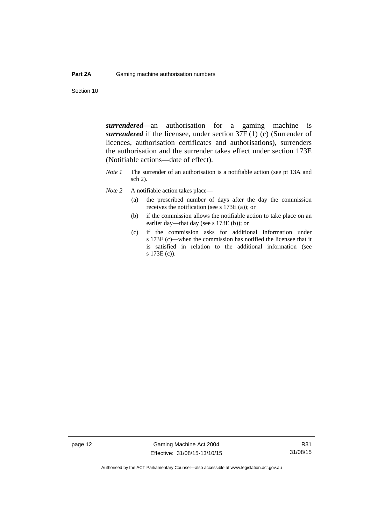Section 10

*surrendered*—an authorisation for a gaming machine is *surrendered* if the licensee, under section 37F (1) (c) (Surrender of licences, authorisation certificates and authorisations), surrenders the authorisation and the surrender takes effect under section 173E (Notifiable actions—date of effect).

- *Note 1* The surrender of an authorisation is a notifiable action (see pt 13A and sch 2).
- *Note* 2 A notifiable action takes place—
	- (a) the prescribed number of days after the day the commission receives the notification (see s 173E (a)); or
	- (b) if the commission allows the notifiable action to take place on an earlier day—that day (see s 173E (b)); or
	- (c) if the commission asks for additional information under s 173E (c)—when the commission has notified the licensee that it is satisfied in relation to the additional information (see s 173E (c)).

page 12 Gaming Machine Act 2004 Effective: 31/08/15-13/10/15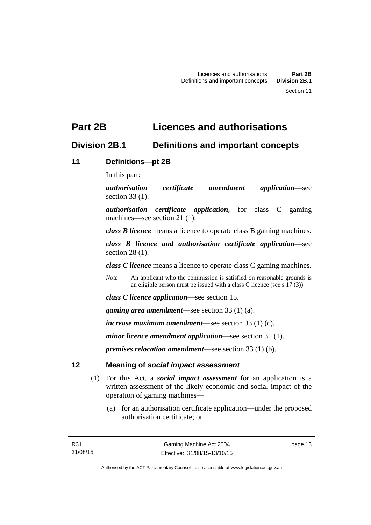# <span id="page-28-0"></span>**Part 2B Licences and authorisations**

# <span id="page-28-1"></span>**Division 2B.1 Definitions and important concepts**

# <span id="page-28-2"></span>**11 Definitions—pt 2B**

In this part:

*authorisation certificate amendment application*—see section 33 (1).

*authorisation certificate application*, for class C gaming machines—see section 21 (1).

*class B licence* means a licence to operate class B gaming machines.

*class B licence and authorisation certificate application*—see section 28 (1).

*class C licence* means a licence to operate class C gaming machines.

*Note* An applicant who the commission is satisfied on reasonable grounds is an eligible person must be issued with a class C licence (see s 17 (3)).

*class C licence application*—see section 15.

*gaming area amendment*—see section 33 (1) (a).

*increase maximum amendment*—see section 33 (1) (c).

*minor licence amendment application*—see section 31 (1).

*premises relocation amendment*—see section 33 (1) (b).

# <span id="page-28-3"></span>**12 Meaning of** *social impact assessment*

- (1) For this Act, a *social impact assessment* for an application is a written assessment of the likely economic and social impact of the operation of gaming machines—
	- (a) for an authorisation certificate application—under the proposed authorisation certificate; or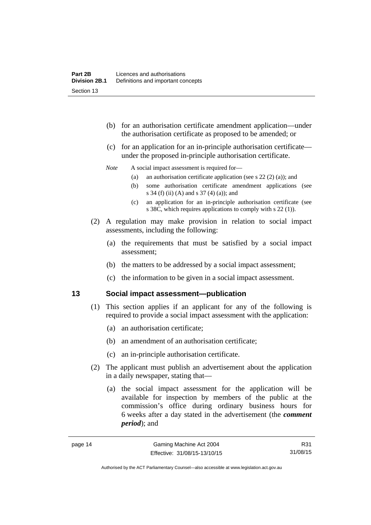- (b) for an authorisation certificate amendment application—under the authorisation certificate as proposed to be amended; or
- (c) for an application for an in-principle authorisation certificate under the proposed in-principle authorisation certificate.

### *Note* A social impact assessment is required for—

- (a) an authorisation certificate application (see s 22 (2) (a)); and
- (b) some authorisation certificate amendment applications (see s 34 (f) (ii) (A) and s 37 (4) (a)); and
- (c) an application for an in-principle authorisation certificate (see s 38C, which requires applications to comply with s 22 (1)).
- (2) A regulation may make provision in relation to social impact assessments, including the following:
	- (a) the requirements that must be satisfied by a social impact assessment;
	- (b) the matters to be addressed by a social impact assessment;
	- (c) the information to be given in a social impact assessment.

## <span id="page-29-0"></span>**13 Social impact assessment—publication**

- (1) This section applies if an applicant for any of the following is required to provide a social impact assessment with the application:
	- (a) an authorisation certificate;
	- (b) an amendment of an authorisation certificate;
	- (c) an in-principle authorisation certificate.
- (2) The applicant must publish an advertisement about the application in a daily newspaper, stating that—
	- (a) the social impact assessment for the application will be available for inspection by members of the public at the commission's office during ordinary business hours for 6 weeks after a day stated in the advertisement (the *comment period*); and

R31 31/08/15

Authorised by the ACT Parliamentary Counsel—also accessible at www.legislation.act.gov.au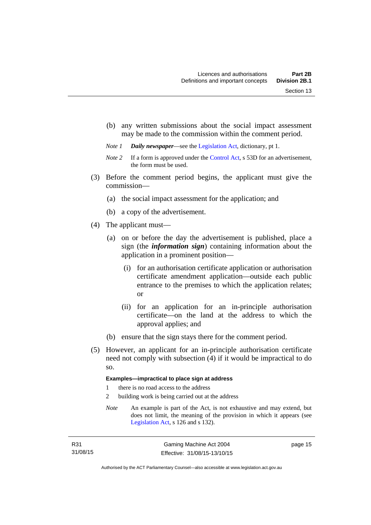- (b) any written submissions about the social impact assessment may be made to the commission within the comment period.
- *Note 1 Daily newspaper*—see the [Legislation Act,](http://www.legislation.act.gov.au/a/2001-14) dictionary, pt 1.
- *Note 2* If a form is approved under the [Control Act,](http://www.legislation.act.gov.au/a/1999-46/default.asp) s 53D for an advertisement, the form must be used.
- (3) Before the comment period begins, the applicant must give the commission—
	- (a) the social impact assessment for the application; and
	- (b) a copy of the advertisement.
- (4) The applicant must—
	- (a) on or before the day the advertisement is published, place a sign (the *information sign*) containing information about the application in a prominent position—
		- (i) for an authorisation certificate application or authorisation certificate amendment application—outside each public entrance to the premises to which the application relates; or
		- (ii) for an application for an in-principle authorisation certificate—on the land at the address to which the approval applies; and
	- (b) ensure that the sign stays there for the comment period.
- (5) However, an applicant for an in-principle authorisation certificate need not comply with subsection (4) if it would be impractical to do so.

### **Examples—impractical to place sign at address**

- 1 there is no road access to the address
- 2 building work is being carried out at the address
- *Note* An example is part of the Act, is not exhaustive and may extend, but does not limit, the meaning of the provision in which it appears (see [Legislation Act,](http://www.legislation.act.gov.au/a/2001-14) s 126 and s 132).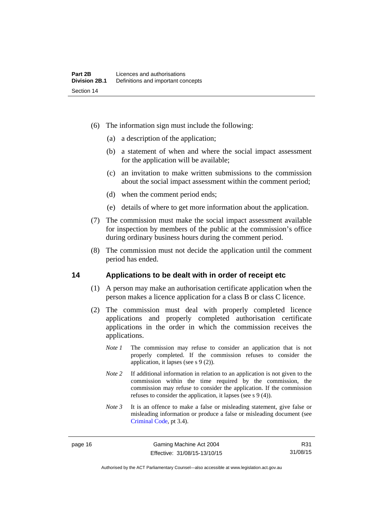- (6) The information sign must include the following:
	- (a) a description of the application;
	- (b) a statement of when and where the social impact assessment for the application will be available;
	- (c) an invitation to make written submissions to the commission about the social impact assessment within the comment period;
	- (d) when the comment period ends;
	- (e) details of where to get more information about the application.
- (7) The commission must make the social impact assessment available for inspection by members of the public at the commission's office during ordinary business hours during the comment period.
- (8) The commission must not decide the application until the comment period has ended.

### <span id="page-31-0"></span>**14 Applications to be dealt with in order of receipt etc**

- (1) A person may make an authorisation certificate application when the person makes a licence application for a class B or class C licence.
- (2) The commission must deal with properly completed licence applications and properly completed authorisation certificate applications in the order in which the commission receives the applications.
	- *Note 1* The commission may refuse to consider an application that is not properly completed. If the commission refuses to consider the application, it lapses (see s 9 (2)).
	- *Note 2* If additional information in relation to an application is not given to the commission within the time required by the commission, the commission may refuse to consider the application. If the commission refuses to consider the application, it lapses (see s 9 (4)).
	- *Note 3* It is an offence to make a false or misleading statement, give false or misleading information or produce a false or misleading document (see [Criminal Code](http://www.legislation.act.gov.au/a/2002-51), pt 3.4).

page 16 Gaming Machine Act 2004 Effective: 31/08/15-13/10/15

R31 31/08/15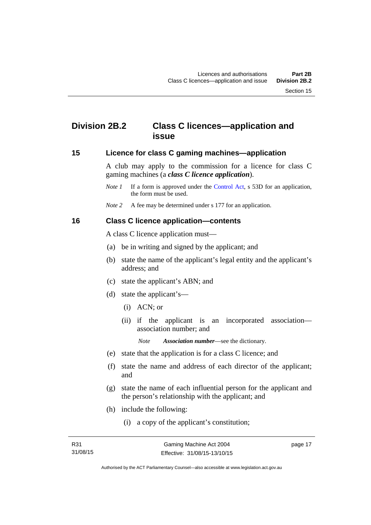# <span id="page-32-0"></span>**Division 2B.2 Class C licences—application and issue**

### <span id="page-32-1"></span>**15 Licence for class C gaming machines—application**

A club may apply to the commission for a licence for class C gaming machines (a *class C licence application*).

- *Note 1* If a form is approved under the [Control Act,](http://www.legislation.act.gov.au/a/1999-46/default.asp) s 53D for an application, the form must be used.
- *Note* 2 A fee may be determined under s 177 for an application.

### <span id="page-32-2"></span>**16 Class C licence application—contents**

A class C licence application must—

- (a) be in writing and signed by the applicant; and
- (b) state the name of the applicant's legal entity and the applicant's address; and
- (c) state the applicant's ABN; and
- (d) state the applicant's—
	- (i) ACN; or
	- (ii) if the applicant is an incorporated association association number; and

*Note Association number*—see the dictionary.

- (e) state that the application is for a class C licence; and
- (f) state the name and address of each director of the applicant; and
- (g) state the name of each influential person for the applicant and the person's relationship with the applicant; and
- (h) include the following:
	- (i) a copy of the applicant's constitution;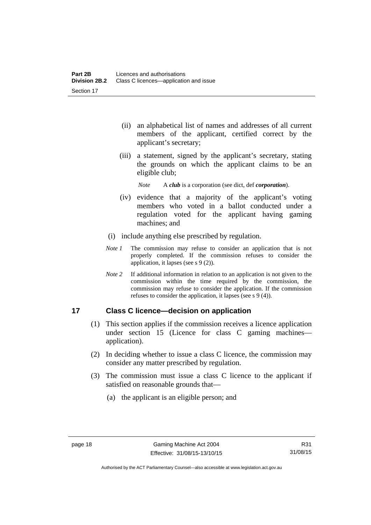- (ii) an alphabetical list of names and addresses of all current members of the applicant, certified correct by the applicant's secretary;
- (iii) a statement, signed by the applicant's secretary, stating the grounds on which the applicant claims to be an eligible club;

*Note* A *club* is a corporation (see dict, def *corporation*).

- (iv) evidence that a majority of the applicant's voting members who voted in a ballot conducted under a regulation voted for the applicant having gaming machines; and
- (i) include anything else prescribed by regulation.
- *Note 1* The commission may refuse to consider an application that is not properly completed. If the commission refuses to consider the application, it lapses (see s 9 (2)).
- *Note 2* If additional information in relation to an application is not given to the commission within the time required by the commission, the commission may refuse to consider the application. If the commission refuses to consider the application, it lapses (see s 9 (4)).

# <span id="page-33-0"></span>**17 Class C licence—decision on application**

- (1) This section applies if the commission receives a licence application under section 15 (Licence for class C gaming machines application).
- (2) In deciding whether to issue a class C licence, the commission may consider any matter prescribed by regulation.
- (3) The commission must issue a class C licence to the applicant if satisfied on reasonable grounds that—
	- (a) the applicant is an eligible person; and

Authorised by the ACT Parliamentary Counsel—also accessible at www.legislation.act.gov.au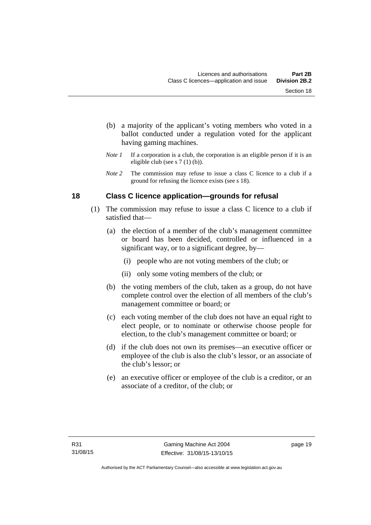- (b) a majority of the applicant's voting members who voted in a ballot conducted under a regulation voted for the applicant having gaming machines.
- *Note 1* If a corporation is a club, the corporation is an eligible person if it is an eligible club (see s 7 (1) (b)).
- *Note* 2 The commission may refuse to issue a class C licence to a club if a ground for refusing the licence exists (see s 18).

# <span id="page-34-0"></span>**18 Class C licence application—grounds for refusal**

- (1) The commission may refuse to issue a class C licence to a club if satisfied that—
	- (a) the election of a member of the club's management committee or board has been decided, controlled or influenced in a significant way, or to a significant degree, by—
		- (i) people who are not voting members of the club; or
		- (ii) only some voting members of the club; or
	- (b) the voting members of the club, taken as a group, do not have complete control over the election of all members of the club's management committee or board; or
	- (c) each voting member of the club does not have an equal right to elect people, or to nominate or otherwise choose people for election, to the club's management committee or board; or
	- (d) if the club does not own its premises—an executive officer or employee of the club is also the club's lessor, or an associate of the club's lessor; or
	- (e) an executive officer or employee of the club is a creditor, or an associate of a creditor, of the club; or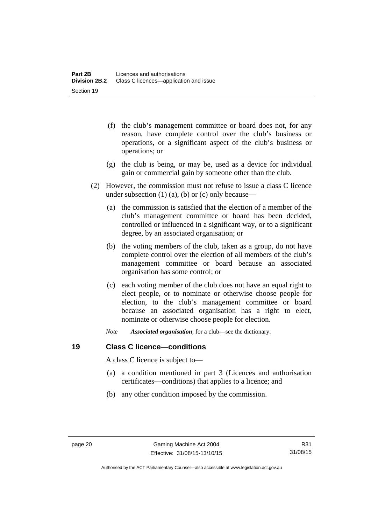- (f) the club's management committee or board does not, for any reason, have complete control over the club's business or operations, or a significant aspect of the club's business or operations; or
- (g) the club is being, or may be, used as a device for individual gain or commercial gain by someone other than the club.
- (2) However, the commission must not refuse to issue a class C licence under subsection  $(1)$   $(a)$ ,  $(b)$  or  $(c)$  only because—
	- (a) the commission is satisfied that the election of a member of the club's management committee or board has been decided, controlled or influenced in a significant way, or to a significant degree, by an associated organisation; or
	- (b) the voting members of the club, taken as a group, do not have complete control over the election of all members of the club's management committee or board because an associated organisation has some control; or
	- (c) each voting member of the club does not have an equal right to elect people, or to nominate or otherwise choose people for election, to the club's management committee or board because an associated organisation has a right to elect, nominate or otherwise choose people for election.
	- *Note Associated organisation*, for a club—see the dictionary.

# <span id="page-35-0"></span>**19 Class C licence—conditions**

A class C licence is subject to—

- (a) a condition mentioned in part 3 (Licences and authorisation certificates—conditions) that applies to a licence; and
- (b) any other condition imposed by the commission.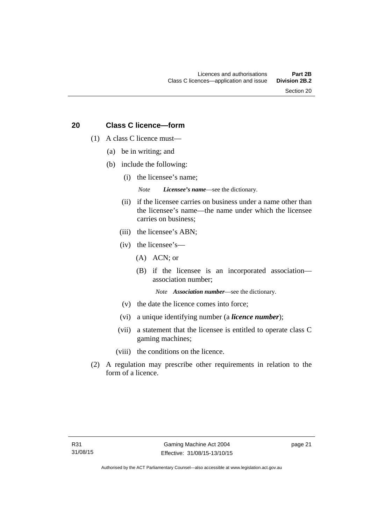Section 20

# **20 Class C licence—form**

- (1) A class C licence must—
	- (a) be in writing; and
	- (b) include the following:
		- (i) the licensee's name;

*Note Licensee's name*—see the dictionary.

- (ii) if the licensee carries on business under a name other than the licensee's name—the name under which the licensee carries on business;
- (iii) the licensee's ABN;
- (iv) the licensee's—
	- (A) ACN; or
	- (B) if the licensee is an incorporated association association number;

*Note Association number*—see the dictionary.

- (v) the date the licence comes into force;
- (vi) a unique identifying number (a *licence number*);
- (vii) a statement that the licensee is entitled to operate class C gaming machines;
- (viii) the conditions on the licence.
- (2) A regulation may prescribe other requirements in relation to the form of a licence.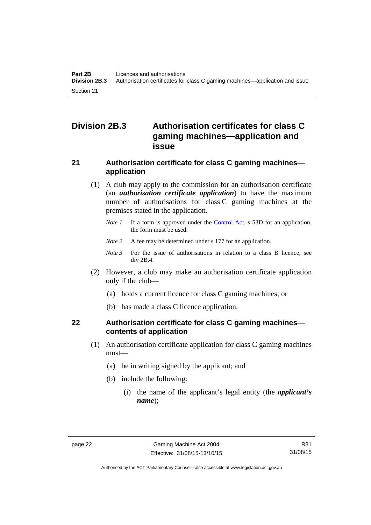# **Division 2B.3 Authorisation certificates for class C gaming machines—application and issue**

# **21 Authorisation certificate for class C gaming machines application**

- (1) A club may apply to the commission for an authorisation certificate (an *authorisation certificate application*) to have the maximum number of authorisations for class C gaming machines at the premises stated in the application.
	- *Note 1* If a form is approved under the [Control Act,](http://www.legislation.act.gov.au/a/1999-46/default.asp) s 53D for an application, the form must be used.
	- *Note* 2 A fee may be determined under s 177 for an application.
	- *Note 3* For the issue of authorisations in relation to a class B licence, see div 2B.4.
- (2) However, a club may make an authorisation certificate application only if the club—
	- (a) holds a current licence for class C gaming machines; or
	- (b) has made a class C licence application.

# **22 Authorisation certificate for class C gaming machines contents of application**

- (1) An authorisation certificate application for class C gaming machines must—
	- (a) be in writing signed by the applicant; and
	- (b) include the following:
		- (i) the name of the applicant's legal entity (the *applicant's name*);

Authorised by the ACT Parliamentary Counsel—also accessible at www.legislation.act.gov.au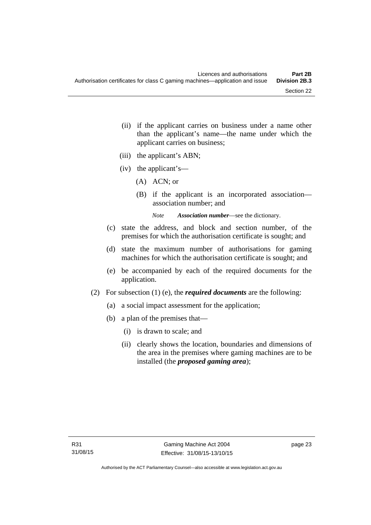- (ii) if the applicant carries on business under a name other than the applicant's name—the name under which the applicant carries on business;
- (iii) the applicant's ABN;
- (iv) the applicant's—
	- (A) ACN; or
	- (B) if the applicant is an incorporated association association number; and

*Note Association number*—see the dictionary.

- (c) state the address, and block and section number, of the premises for which the authorisation certificate is sought; and
- (d) state the maximum number of authorisations for gaming machines for which the authorisation certificate is sought; and
- (e) be accompanied by each of the required documents for the application.
- (2) For subsection (1) (e), the *required documents* are the following:
	- (a) a social impact assessment for the application;
	- (b) a plan of the premises that—
		- (i) is drawn to scale; and
		- (ii) clearly shows the location, boundaries and dimensions of the area in the premises where gaming machines are to be installed (the *proposed gaming area*);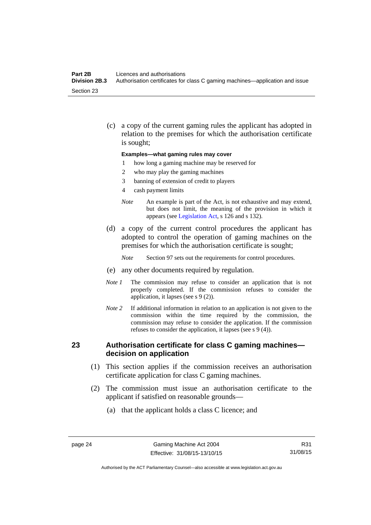#### **Part 2B Licences and authorisations**<br>**Division 2B.3** Authorisation certificates for **Division 2B.3** Authorisation certificates for class C gaming machines—application and issue Section 23

 (c) a copy of the current gaming rules the applicant has adopted in relation to the premises for which the authorisation certificate is sought;

#### **Examples—what gaming rules may cover**

- 1 how long a gaming machine may be reserved for
- 2 who may play the gaming machines
- 3 banning of extension of credit to players
- 4 cash payment limits
- *Note* An example is part of the Act, is not exhaustive and may extend, but does not limit, the meaning of the provision in which it appears (see [Legislation Act,](http://www.legislation.act.gov.au/a/2001-14) s 126 and s 132).
- (d) a copy of the current control procedures the applicant has adopted to control the operation of gaming machines on the premises for which the authorisation certificate is sought;
	- *Note* Section 97 sets out the requirements for control procedures.
- (e) any other documents required by regulation.
- *Note 1* The commission may refuse to consider an application that is not properly completed. If the commission refuses to consider the application, it lapses (see s 9 (2)).
- *Note 2* If additional information in relation to an application is not given to the commission within the time required by the commission, the commission may refuse to consider the application. If the commission refuses to consider the application, it lapses (see s 9 (4)).

### **23 Authorisation certificate for class C gaming machines decision on application**

- (1) This section applies if the commission receives an authorisation certificate application for class C gaming machines.
- (2) The commission must issue an authorisation certificate to the applicant if satisfied on reasonable grounds—
	- (a) that the applicant holds a class C licence; and

R31 31/08/15

Authorised by the ACT Parliamentary Counsel—also accessible at www.legislation.act.gov.au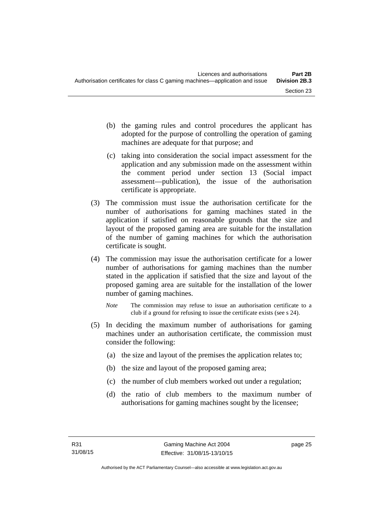- (b) the gaming rules and control procedures the applicant has adopted for the purpose of controlling the operation of gaming machines are adequate for that purpose; and
- (c) taking into consideration the social impact assessment for the application and any submission made on the assessment within the comment period under section 13 (Social impact assessment—publication), the issue of the authorisation certificate is appropriate.
- (3) The commission must issue the authorisation certificate for the number of authorisations for gaming machines stated in the application if satisfied on reasonable grounds that the size and layout of the proposed gaming area are suitable for the installation of the number of gaming machines for which the authorisation certificate is sought.
- (4) The commission may issue the authorisation certificate for a lower number of authorisations for gaming machines than the number stated in the application if satisfied that the size and layout of the proposed gaming area are suitable for the installation of the lower number of gaming machines.
	- *Note* The commission may refuse to issue an authorisation certificate to a club if a ground for refusing to issue the certificate exists (see s 24).
- (5) In deciding the maximum number of authorisations for gaming machines under an authorisation certificate, the commission must consider the following:
	- (a) the size and layout of the premises the application relates to;
	- (b) the size and layout of the proposed gaming area;
	- (c) the number of club members worked out under a regulation;
	- (d) the ratio of club members to the maximum number of authorisations for gaming machines sought by the licensee;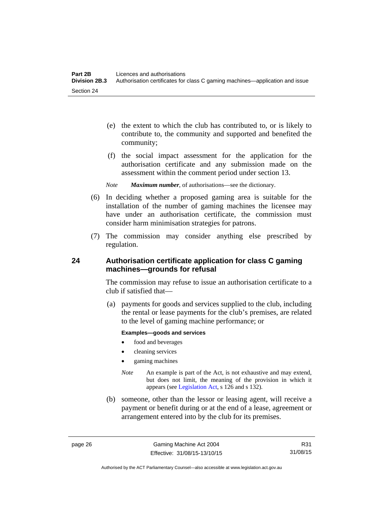- (e) the extent to which the club has contributed to, or is likely to contribute to, the community and supported and benefited the community;
- (f) the social impact assessment for the application for the authorisation certificate and any submission made on the assessment within the comment period under section 13.
- *Note Maximum number*, of authorisations—see the dictionary.
- (6) In deciding whether a proposed gaming area is suitable for the installation of the number of gaming machines the licensee may have under an authorisation certificate, the commission must consider harm minimisation strategies for patrons.
- (7) The commission may consider anything else prescribed by regulation.

# **24 Authorisation certificate application for class C gaming machines—grounds for refusal**

The commission may refuse to issue an authorisation certificate to a club if satisfied that—

 (a) payments for goods and services supplied to the club, including the rental or lease payments for the club's premises, are related to the level of gaming machine performance; or

#### **Examples—goods and services**

- food and beverages
- cleaning services
- gaming machines
- *Note* An example is part of the Act, is not exhaustive and may extend, but does not limit, the meaning of the provision in which it appears (see [Legislation Act,](http://www.legislation.act.gov.au/a/2001-14) s 126 and s 132).
- (b) someone, other than the lessor or leasing agent, will receive a payment or benefit during or at the end of a lease, agreement or arrangement entered into by the club for its premises.

R31 31/08/15

Authorised by the ACT Parliamentary Counsel—also accessible at www.legislation.act.gov.au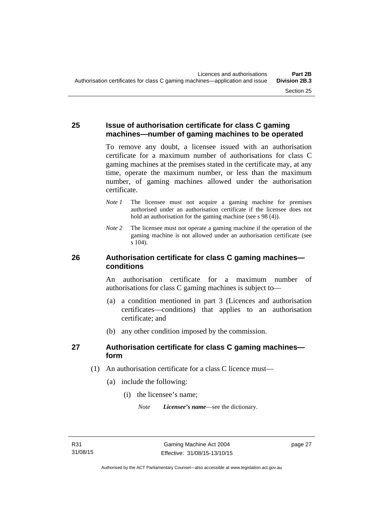## **25 Issue of authorisation certificate for class C gaming machines—number of gaming machines to be operated**

To remove any doubt, a licensee issued with an authorisation certificate for a maximum number of authorisations for class C gaming machines at the premises stated in the certificate may, at any time, operate the maximum number, or less than the maximum number, of gaming machines allowed under the authorisation certificate.

- *Note 1* The licensee must not acquire a gaming machine for premises authorised under an authorisation certificate if the licensee does not hold an authorisation for the gaming machine (see s 98 (4)).
- *Note 2* The licensee must not operate a gaming machine if the operation of the gaming machine is not allowed under an authorisation certificate (see s 104).

# **26 Authorisation certificate for class C gaming machines conditions**

An authorisation certificate for a maximum number of authorisations for class C gaming machines is subject to—

- (a) a condition mentioned in part 3 (Licences and authorisation certificates—conditions) that applies to an authorisation certificate; and
- (b) any other condition imposed by the commission.

# **27 Authorisation certificate for class C gaming machines form**

- (1) An authorisation certificate for a class C licence must—
	- (a) include the following:
		- (i) the licensee's name;

*Note Licensee's name*—see the dictionary.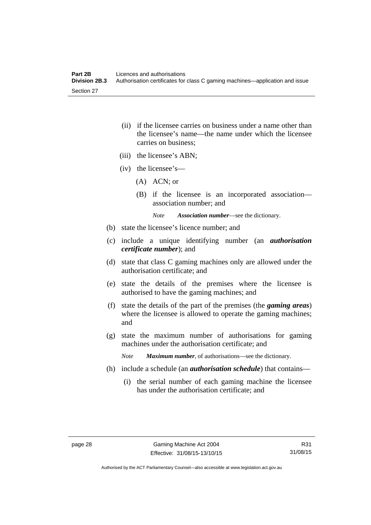- (ii) if the licensee carries on business under a name other than the licensee's name—the name under which the licensee carries on business;
- (iii) the licensee's ABN;
- (iv) the licensee's—
	- (A) ACN; or
	- (B) if the licensee is an incorporated association association number; and

*Note Association number*—see the dictionary.

- (b) state the licensee's licence number; and
- (c) include a unique identifying number (an *authorisation certificate number*); and
- (d) state that class C gaming machines only are allowed under the authorisation certificate; and
- (e) state the details of the premises where the licensee is authorised to have the gaming machines; and
- (f) state the details of the part of the premises (the *gaming areas*) where the licensee is allowed to operate the gaming machines; and
- (g) state the maximum number of authorisations for gaming machines under the authorisation certificate; and

*Note Maximum number*, of authorisations—see the dictionary.

- (h) include a schedule (an *authorisation schedule*) that contains—
	- (i) the serial number of each gaming machine the licensee has under the authorisation certificate; and

R31 31/08/15

Authorised by the ACT Parliamentary Counsel—also accessible at www.legislation.act.gov.au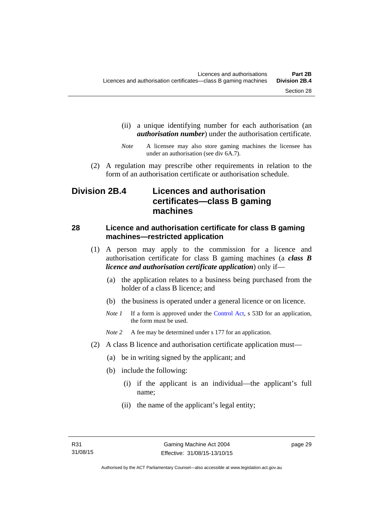- (ii) a unique identifying number for each authorisation (an *authorisation number*) under the authorisation certificate.
- *Note* A licensee may also store gaming machines the licensee has under an authorisation (see div 6A.7).
- (2) A regulation may prescribe other requirements in relation to the form of an authorisation certificate or authorisation schedule.

# **Division 2B.4 Licences and authorisation certificates—class B gaming machines**

# **28 Licence and authorisation certificate for class B gaming machines—restricted application**

- (1) A person may apply to the commission for a licence and authorisation certificate for class B gaming machines (a *class B licence and authorisation certificate application*) only if—
	- (a) the application relates to a business being purchased from the holder of a class B licence; and
	- (b) the business is operated under a general licence or on licence.
	- *Note 1* If a form is approved under the [Control Act,](http://www.legislation.act.gov.au/a/1999-46/default.asp) s 53D for an application, the form must be used.

*Note* 2 A fee may be determined under s 177 for an application.

- (2) A class B licence and authorisation certificate application must—
	- (a) be in writing signed by the applicant; and
	- (b) include the following:
		- (i) if the applicant is an individual—the applicant's full name;
		- (ii) the name of the applicant's legal entity;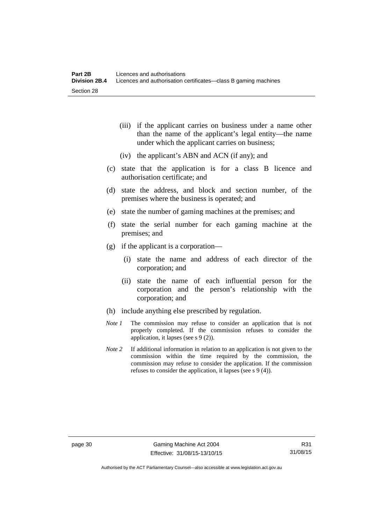- (iii) if the applicant carries on business under a name other than the name of the applicant's legal entity—the name under which the applicant carries on business;
- (iv) the applicant's ABN and ACN (if any); and
- (c) state that the application is for a class B licence and authorisation certificate; and
- (d) state the address, and block and section number, of the premises where the business is operated; and
- (e) state the number of gaming machines at the premises; and
- (f) state the serial number for each gaming machine at the premises; and
- (g) if the applicant is a corporation—
	- (i) state the name and address of each director of the corporation; and
	- (ii) state the name of each influential person for the corporation and the person's relationship with the corporation; and
- (h) include anything else prescribed by regulation.
- *Note 1* The commission may refuse to consider an application that is not properly completed. If the commission refuses to consider the application, it lapses (see s 9 (2)).
- *Note 2* If additional information in relation to an application is not given to the commission within the time required by the commission, the commission may refuse to consider the application. If the commission refuses to consider the application, it lapses (see s 9 (4)).

Authorised by the ACT Parliamentary Counsel—also accessible at www.legislation.act.gov.au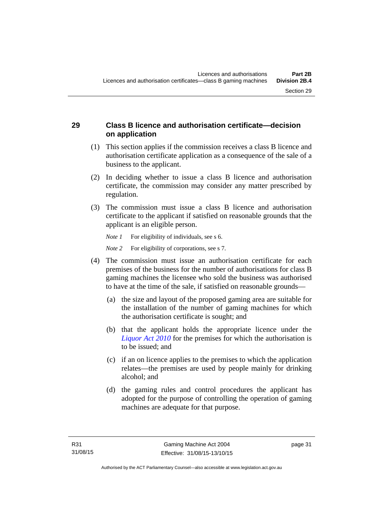# **29 Class B licence and authorisation certificate—decision on application**

- (1) This section applies if the commission receives a class B licence and authorisation certificate application as a consequence of the sale of a business to the applicant.
- (2) In deciding whether to issue a class B licence and authorisation certificate, the commission may consider any matter prescribed by regulation.
- (3) The commission must issue a class B licence and authorisation certificate to the applicant if satisfied on reasonable grounds that the applicant is an eligible person.

*Note 1* For eligibility of individuals, see s 6.

*Note* 2 For eligibility of corporations, see s 7.

- (4) The commission must issue an authorisation certificate for each premises of the business for the number of authorisations for class B gaming machines the licensee who sold the business was authorised to have at the time of the sale, if satisfied on reasonable grounds—
	- (a) the size and layout of the proposed gaming area are suitable for the installation of the number of gaming machines for which the authorisation certificate is sought; and
	- (b) that the applicant holds the appropriate licence under the *[Liquor Act 2010](http://www.legislation.act.gov.au/a/2010-35)* for the premises for which the authorisation is to be issued; and
	- (c) if an on licence applies to the premises to which the application relates—the premises are used by people mainly for drinking alcohol; and
	- (d) the gaming rules and control procedures the applicant has adopted for the purpose of controlling the operation of gaming machines are adequate for that purpose.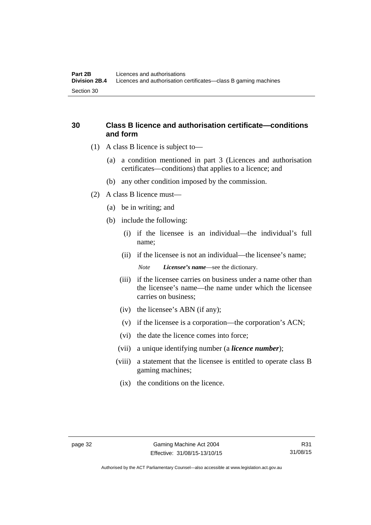# **30 Class B licence and authorisation certificate—conditions and form**

- (1) A class B licence is subject to—
	- (a) a condition mentioned in part 3 (Licences and authorisation certificates—conditions) that applies to a licence; and
	- (b) any other condition imposed by the commission.
- (2) A class B licence must—
	- (a) be in writing; and
	- (b) include the following:
		- (i) if the licensee is an individual—the individual's full name;
		- (ii) if the licensee is not an individual—the licensee's name; *Note Licensee's name*—see the dictionary.
		- (iii) if the licensee carries on business under a name other than the licensee's name—the name under which the licensee carries on business;
		- (iv) the licensee's ABN (if any);
		- (v) if the licensee is a corporation—the corporation's ACN;
		- (vi) the date the licence comes into force;
		- (vii) a unique identifying number (a *licence number*);
		- (viii) a statement that the licensee is entitled to operate class B gaming machines;
			- (ix) the conditions on the licence.

Authorised by the ACT Parliamentary Counsel—also accessible at www.legislation.act.gov.au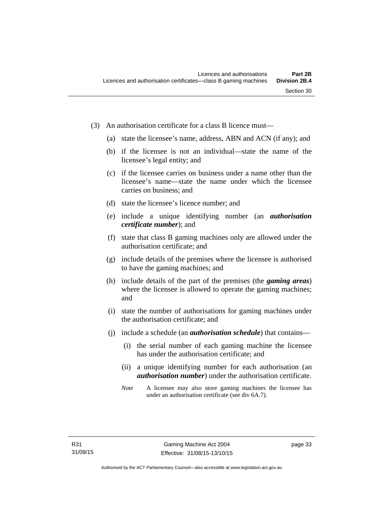- (3) An authorisation certificate for a class B licence must—
	- (a) state the licensee's name, address, ABN and ACN (if any); and
	- (b) if the licensee is not an individual—state the name of the licensee's legal entity; and
	- (c) if the licensee carries on business under a name other than the licensee's name—state the name under which the licensee carries on business; and
	- (d) state the licensee's licence number; and
	- (e) include a unique identifying number (an *authorisation certificate number*); and
	- (f) state that class B gaming machines only are allowed under the authorisation certificate; and
	- (g) include details of the premises where the licensee is authorised to have the gaming machines; and
	- (h) include details of the part of the premises (the *gaming areas*) where the licensee is allowed to operate the gaming machines; and
	- (i) state the number of authorisations for gaming machines under the authorisation certificate; and
	- (j) include a schedule (an *authorisation schedule*) that contains—
		- (i) the serial number of each gaming machine the licensee has under the authorisation certificate; and
		- (ii) a unique identifying number for each authorisation (an *authorisation number*) under the authorisation certificate.
		- *Note* A licensee may also store gaming machines the licensee has under an authorisation certificate (see div 6A.7).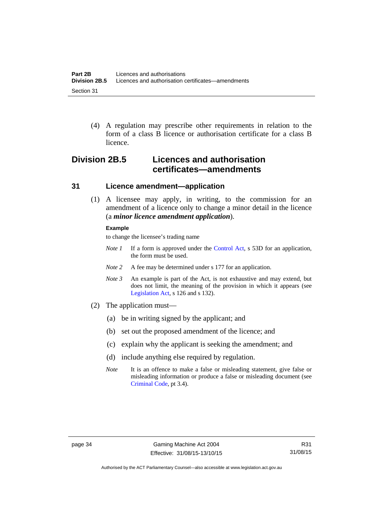(4) A regulation may prescribe other requirements in relation to the form of a class B licence or authorisation certificate for a class B licence.

# **Division 2B.5 Licences and authorisation certificates—amendments**

### **31 Licence amendment—application**

 (1) A licensee may apply, in writing, to the commission for an amendment of a licence only to change a minor detail in the licence (a *minor licence amendment application*).

#### **Example**

to change the licensee's trading name

- *Note 1* If a form is approved under the [Control Act,](http://www.legislation.act.gov.au/a/1999-46/default.asp) s 53D for an application, the form must be used.
- *Note* 2 A fee may be determined under s 177 for an application.
- *Note 3* An example is part of the Act, is not exhaustive and may extend, but does not limit, the meaning of the provision in which it appears (see [Legislation Act,](http://www.legislation.act.gov.au/a/2001-14) s 126 and s 132).
- (2) The application must—
	- (a) be in writing signed by the applicant; and
	- (b) set out the proposed amendment of the licence; and
	- (c) explain why the applicant is seeking the amendment; and
	- (d) include anything else required by regulation.
	- *Note* It is an offence to make a false or misleading statement, give false or misleading information or produce a false or misleading document (see [Criminal Code](http://www.legislation.act.gov.au/a/2002-51), pt 3.4).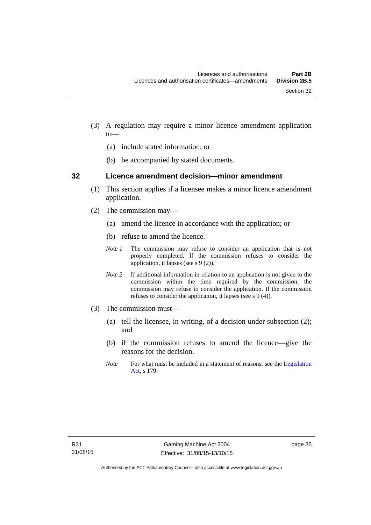- (3) A regulation may require a minor licence amendment application to—
	- (a) include stated information; or
	- (b) be accompanied by stated documents.

#### **32 Licence amendment decision—minor amendment**

- (1) This section applies if a licensee makes a minor licence amendment application.
- (2) The commission may—
	- (a) amend the licence in accordance with the application; or
	- (b) refuse to amend the licence.
	- *Note 1* The commission may refuse to consider an application that is not properly completed. If the commission refuses to consider the application, it lapses (see s 9 (2)).
	- *Note 2* If additional information in relation to an application is not given to the commission within the time required by the commission, the commission may refuse to consider the application. If the commission refuses to consider the application, it lapses (see s 9 (4)).
- (3) The commission must—
	- (a) tell the licensee, in writing, of a decision under subsection (2); and
	- (b) if the commission refuses to amend the licence—give the reasons for the decision.
	- *Note* For what must be included in a statement of reasons, see the Legislation [Act](http://www.legislation.act.gov.au/a/2001-14), s 179.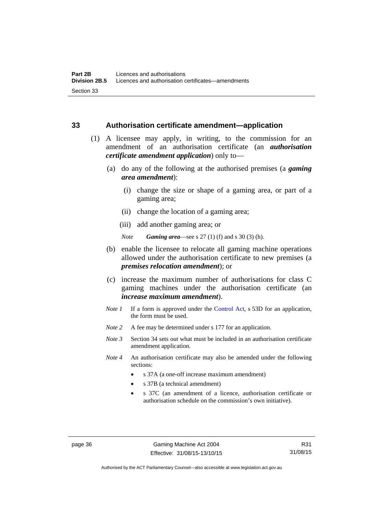### **33 Authorisation certificate amendment—application**

- (1) A licensee may apply, in writing, to the commission for an amendment of an authorisation certificate (an *authorisation certificate amendment application*) only to—
	- (a) do any of the following at the authorised premises (a *gaming area amendment*):
		- (i) change the size or shape of a gaming area, or part of a gaming area;
		- (ii) change the location of a gaming area;
		- (iii) add another gaming area; or

*Note Gaming area*—see s 27 (1) (f) and s 30 (3) (h).

- (b) enable the licensee to relocate all gaming machine operations allowed under the authorisation certificate to new premises (a *premises relocation amendment*); or
- (c) increase the maximum number of authorisations for class C gaming machines under the authorisation certificate (an *increase maximum amendment*).
- *Note 1* If a form is approved under the [Control Act](http://www.legislation.act.gov.au/a/1999-46/default.asp), s 53D for an application, the form must be used.
- *Note* 2 A fee may be determined under s 177 for an application.
- *Note 3* Section 34 sets out what must be included in an authorisation certificate amendment application.
- *Note 4* An authorisation certificate may also be amended under the following sections:
	- s 37A (a one-off increase maximum amendment)
	- s 37B (a technical amendment)
	- s 37C (an amendment of a licence, authorisation certificate or authorisation schedule on the commission's own initiative).

page 36 Gaming Machine Act 2004 Effective: 31/08/15-13/10/15

R31 31/08/15

Authorised by the ACT Parliamentary Counsel—also accessible at www.legislation.act.gov.au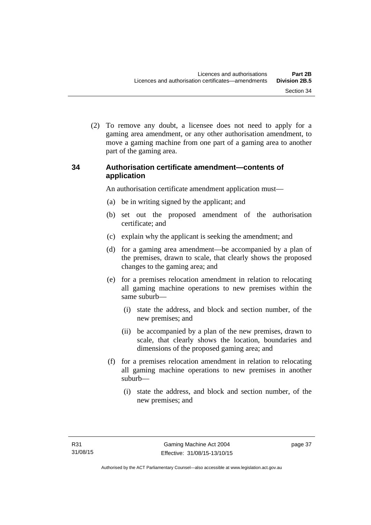(2) To remove any doubt, a licensee does not need to apply for a gaming area amendment, or any other authorisation amendment, to move a gaming machine from one part of a gaming area to another part of the gaming area.

# **34 Authorisation certificate amendment—contents of application**

An authorisation certificate amendment application must—

- (a) be in writing signed by the applicant; and
- (b) set out the proposed amendment of the authorisation certificate; and
- (c) explain why the applicant is seeking the amendment; and
- (d) for a gaming area amendment—be accompanied by a plan of the premises, drawn to scale, that clearly shows the proposed changes to the gaming area; and
- (e) for a premises relocation amendment in relation to relocating all gaming machine operations to new premises within the same suburb—
	- (i) state the address, and block and section number, of the new premises; and
	- (ii) be accompanied by a plan of the new premises, drawn to scale, that clearly shows the location, boundaries and dimensions of the proposed gaming area; and
- (f) for a premises relocation amendment in relation to relocating all gaming machine operations to new premises in another suburb—
	- (i) state the address, and block and section number, of the new premises; and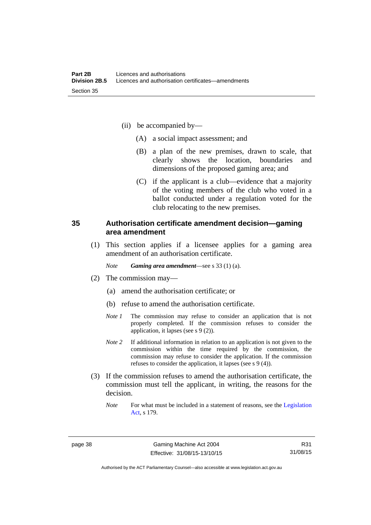- (ii) be accompanied by—
	- (A) a social impact assessment; and
	- (B) a plan of the new premises, drawn to scale, that clearly shows the location, boundaries and dimensions of the proposed gaming area; and
	- (C) if the applicant is a club—evidence that a majority of the voting members of the club who voted in a ballot conducted under a regulation voted for the club relocating to the new premises.

### **35 Authorisation certificate amendment decision—gaming area amendment**

 (1) This section applies if a licensee applies for a gaming area amendment of an authorisation certificate.

*Note Gaming area amendment*—see s 33 (1) (a).

- (2) The commission may—
	- (a) amend the authorisation certificate; or
	- (b) refuse to amend the authorisation certificate.
	- *Note 1* The commission may refuse to consider an application that is not properly completed. If the commission refuses to consider the application, it lapses (see s 9 (2)).
	- *Note 2* If additional information in relation to an application is not given to the commission within the time required by the commission, the commission may refuse to consider the application. If the commission refuses to consider the application, it lapses (see s 9 (4)).
- (3) If the commission refuses to amend the authorisation certificate, the commission must tell the applicant, in writing, the reasons for the decision.
	- *Note* For what must be included in a statement of reasons, see the Legislation [Act](http://www.legislation.act.gov.au/a/2001-14), s 179.

R31 31/08/15

Authorised by the ACT Parliamentary Counsel—also accessible at www.legislation.act.gov.au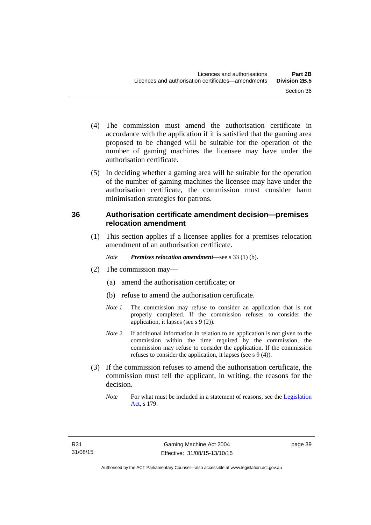- (4) The commission must amend the authorisation certificate in accordance with the application if it is satisfied that the gaming area proposed to be changed will be suitable for the operation of the number of gaming machines the licensee may have under the
- (5) In deciding whether a gaming area will be suitable for the operation of the number of gaming machines the licensee may have under the authorisation certificate, the commission must consider harm minimisation strategies for patrons.

# **36 Authorisation certificate amendment decision—premises relocation amendment**

(1) This section applies if a licensee applies for a premises relocation amendment of an authorisation certificate.

*Note Premises relocation amendment*—see s 33 (1) (b).

(2) The commission may—

authorisation certificate.

- (a) amend the authorisation certificate; or
- (b) refuse to amend the authorisation certificate.
- *Note 1* The commission may refuse to consider an application that is not properly completed. If the commission refuses to consider the application, it lapses (see s 9 (2)).
- *Note* 2 If additional information in relation to an application is not given to the commission within the time required by the commission, the commission may refuse to consider the application. If the commission refuses to consider the application, it lapses (see s 9 (4)).
- (3) If the commission refuses to amend the authorisation certificate, the commission must tell the applicant, in writing, the reasons for the decision.
	- *Note* For what must be included in a statement of reasons, see the Legislation [Act](http://www.legislation.act.gov.au/a/2001-14), s 179.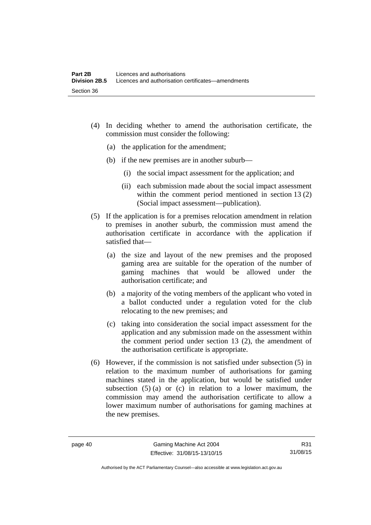- (4) In deciding whether to amend the authorisation certificate, the commission must consider the following:
	- (a) the application for the amendment;
	- (b) if the new premises are in another suburb—
		- (i) the social impact assessment for the application; and
		- (ii) each submission made about the social impact assessment within the comment period mentioned in section 13 (2) (Social impact assessment—publication).
- (5) If the application is for a premises relocation amendment in relation to premises in another suburb, the commission must amend the authorisation certificate in accordance with the application if satisfied that—
	- (a) the size and layout of the new premises and the proposed gaming area are suitable for the operation of the number of gaming machines that would be allowed under the authorisation certificate; and
	- (b) a majority of the voting members of the applicant who voted in a ballot conducted under a regulation voted for the club relocating to the new premises; and
	- (c) taking into consideration the social impact assessment for the application and any submission made on the assessment within the comment period under section 13 (2), the amendment of the authorisation certificate is appropriate.
- (6) However, if the commission is not satisfied under subsection (5) in relation to the maximum number of authorisations for gaming machines stated in the application, but would be satisfied under subsection  $(5)$  (a) or (c) in relation to a lower maximum, the commission may amend the authorisation certificate to allow a lower maximum number of authorisations for gaming machines at the new premises.

Authorised by the ACT Parliamentary Counsel—also accessible at www.legislation.act.gov.au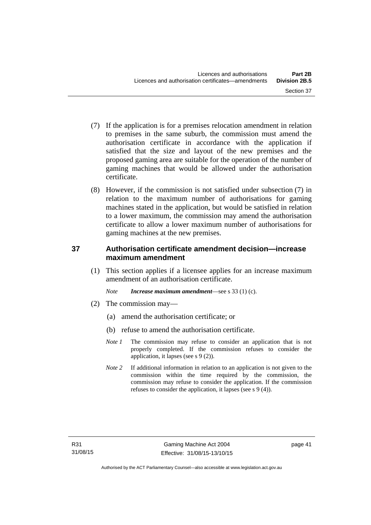- (7) If the application is for a premises relocation amendment in relation to premises in the same suburb, the commission must amend the authorisation certificate in accordance with the application if satisfied that the size and layout of the new premises and the proposed gaming area are suitable for the operation of the number of gaming machines that would be allowed under the authorisation certificate.
- (8) However, if the commission is not satisfied under subsection (7) in relation to the maximum number of authorisations for gaming machines stated in the application, but would be satisfied in relation to a lower maximum, the commission may amend the authorisation certificate to allow a lower maximum number of authorisations for gaming machines at the new premises.

# **37 Authorisation certificate amendment decision—increase maximum amendment**

(1) This section applies if a licensee applies for an increase maximum amendment of an authorisation certificate.

*Note Increase maximum amendment*—see s 33 (1) (c).

- (2) The commission may—
	- (a) amend the authorisation certificate; or
	- (b) refuse to amend the authorisation certificate.
	- *Note 1* The commission may refuse to consider an application that is not properly completed. If the commission refuses to consider the application, it lapses (see s 9 (2)).
	- *Note* 2 If additional information in relation to an application is not given to the commission within the time required by the commission, the commission may refuse to consider the application. If the commission refuses to consider the application, it lapses (see s 9 (4)).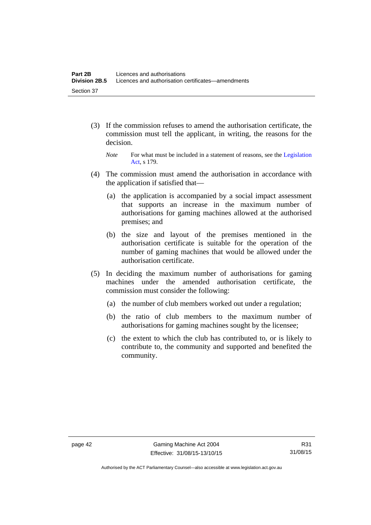- (3) If the commission refuses to amend the authorisation certificate, the commission must tell the applicant, in writing, the reasons for the decision.
	- *Note* For what must be included in a statement of reasons, see the Legislation [Act](http://www.legislation.act.gov.au/a/2001-14), s 179.
- (4) The commission must amend the authorisation in accordance with the application if satisfied that—
	- (a) the application is accompanied by a social impact assessment that supports an increase in the maximum number of authorisations for gaming machines allowed at the authorised premises; and
	- (b) the size and layout of the premises mentioned in the authorisation certificate is suitable for the operation of the number of gaming machines that would be allowed under the authorisation certificate.
- (5) In deciding the maximum number of authorisations for gaming machines under the amended authorisation certificate, the commission must consider the following:
	- (a) the number of club members worked out under a regulation;
	- (b) the ratio of club members to the maximum number of authorisations for gaming machines sought by the licensee;
	- (c) the extent to which the club has contributed to, or is likely to contribute to, the community and supported and benefited the community.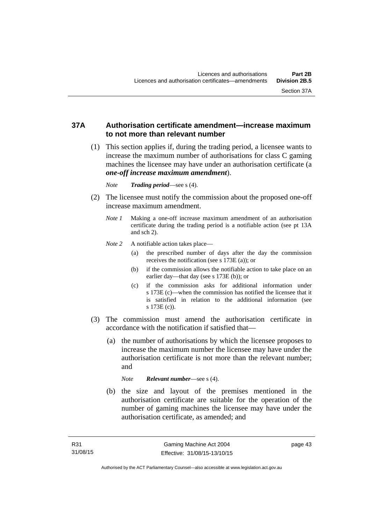## **37A Authorisation certificate amendment—increase maximum to not more than relevant number**

- (1) This section applies if, during the trading period, a licensee wants to increase the maximum number of authorisations for class C gaming machines the licensee may have under an authorisation certificate (a *one-off increase maximum amendment*).
	- *Note Trading period*—see s (4).
- (2) The licensee must notify the commission about the proposed one-off increase maximum amendment.
	- *Note 1* Making a one-off increase maximum amendment of an authorisation certificate during the trading period is a notifiable action (see pt 13A and sch 2).
	- *Note* 2 A notifiable action takes place—
		- (a) the prescribed number of days after the day the commission receives the notification (see s 173E (a)); or
		- (b) if the commission allows the notifiable action to take place on an earlier day—that day (see s 173E (b)); or
		- (c) if the commission asks for additional information under s 173E (c)—when the commission has notified the licensee that it is satisfied in relation to the additional information (see s 173E (c)).
- (3) The commission must amend the authorisation certificate in accordance with the notification if satisfied that—
	- (a) the number of authorisations by which the licensee proposes to increase the maximum number the licensee may have under the authorisation certificate is not more than the relevant number; and

*Note Relevant number*—see s (4).

 (b) the size and layout of the premises mentioned in the authorisation certificate are suitable for the operation of the number of gaming machines the licensee may have under the authorisation certificate, as amended; and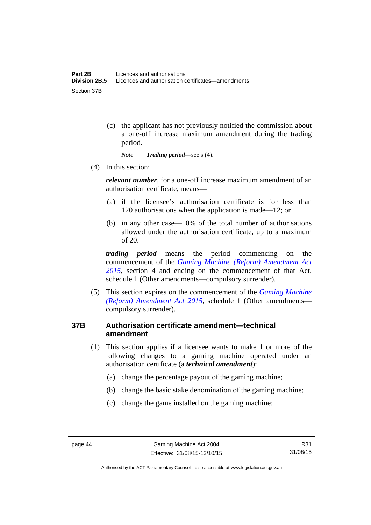(c) the applicant has not previously notified the commission about a one-off increase maximum amendment during the trading period.

*Note Trading period*—see s (4).

(4) In this section:

*relevant number*, for a one-off increase maximum amendment of an authorisation certificate, means—

- (a) if the licensee's authorisation certificate is for less than 120 authorisations when the application is made—12; or
- (b) in any other case—10% of the total number of authorisations allowed under the authorisation certificate, up to a maximum of 20.

*trading period* means the period commencing on the commencement of the *[Gaming Machine \(Reform\) Amendment Act](http://www.legislation.act.gov.au/a/2015-21/default.asp)  [2015](http://www.legislation.act.gov.au/a/2015-21/default.asp)*, section 4 and ending on the commencement of that Act, schedule 1 (Other amendments—compulsory surrender).

 (5) This section expires on the commencement of the *[Gaming Machine](http://www.legislation.act.gov.au/a/2015-21/default.asp)  [\(Reform\) Amendment Act 2015](http://www.legislation.act.gov.au/a/2015-21/default.asp)*, schedule 1 (Other amendments compulsory surrender).

# **37B Authorisation certificate amendment—technical amendment**

- (1) This section applies if a licensee wants to make 1 or more of the following changes to a gaming machine operated under an authorisation certificate (a *technical amendment*):
	- (a) change the percentage payout of the gaming machine;
	- (b) change the basic stake denomination of the gaming machine;
	- (c) change the game installed on the gaming machine;

Authorised by the ACT Parliamentary Counsel—also accessible at www.legislation.act.gov.au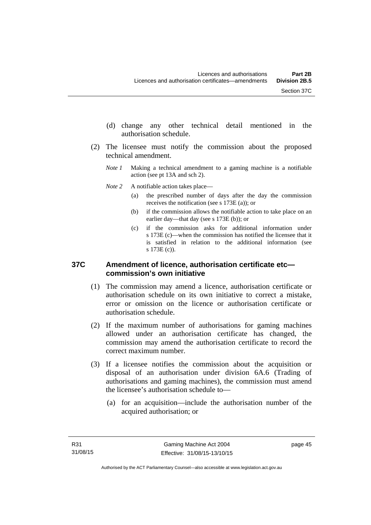- (d) change any other technical detail mentioned in the authorisation schedule.
- (2) The licensee must notify the commission about the proposed technical amendment.
	- *Note 1* Making a technical amendment to a gaming machine is a notifiable action (see pt 13A and sch 2).
	- *Note* 2 A notifiable action takes place—
		- (a) the prescribed number of days after the day the commission receives the notification (see s 173E (a)); or
		- (b) if the commission allows the notifiable action to take place on an earlier day—that day (see s 173E (b)); or
		- (c) if the commission asks for additional information under s 173E (c)—when the commission has notified the licensee that it is satisfied in relation to the additional information (see s 173E (c)).

### **37C Amendment of licence, authorisation certificate etc commission's own initiative**

- (1) The commission may amend a licence, authorisation certificate or authorisation schedule on its own initiative to correct a mistake, error or omission on the licence or authorisation certificate or authorisation schedule.
- (2) If the maximum number of authorisations for gaming machines allowed under an authorisation certificate has changed, the commission may amend the authorisation certificate to record the correct maximum number.
- (3) If a licensee notifies the commission about the acquisition or disposal of an authorisation under division 6A.6 (Trading of authorisations and gaming machines), the commission must amend the licensee's authorisation schedule to—
	- (a) for an acquisition—include the authorisation number of the acquired authorisation; or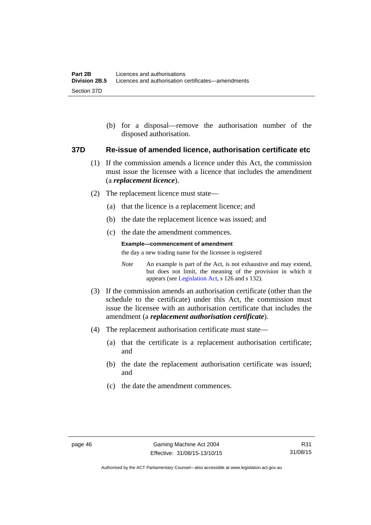(b) for a disposal—remove the authorisation number of the disposed authorisation.

#### **37D Re-issue of amended licence, authorisation certificate etc**

- (1) If the commission amends a licence under this Act, the commission must issue the licensee with a licence that includes the amendment (a *replacement licence*).
- (2) The replacement licence must state—
	- (a) that the licence is a replacement licence; and
	- (b) the date the replacement licence was issued; and
	- (c) the date the amendment commences.

#### **Example—commencement of amendment**

the day a new trading name for the licensee is registered

*Note* An example is part of the Act, is not exhaustive and may extend, but does not limit, the meaning of the provision in which it appears (see [Legislation Act,](http://www.legislation.act.gov.au/a/2001-14) s 126 and s 132).

- (3) If the commission amends an authorisation certificate (other than the schedule to the certificate) under this Act, the commission must issue the licensee with an authorisation certificate that includes the amendment (a *replacement authorisation certificate*).
- (4) The replacement authorisation certificate must state—
	- (a) that the certificate is a replacement authorisation certificate; and
	- (b) the date the replacement authorisation certificate was issued; and
	- (c) the date the amendment commences.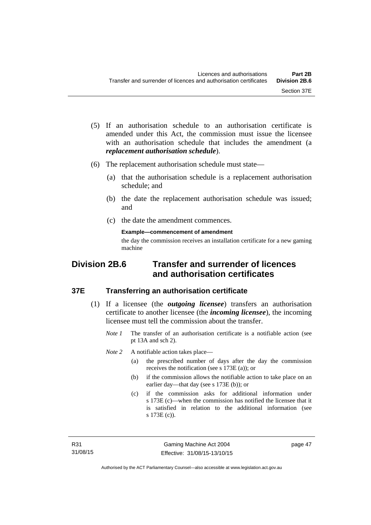- (5) If an authorisation schedule to an authorisation certificate is amended under this Act, the commission must issue the licensee with an authorisation schedule that includes the amendment (a *replacement authorisation schedule*).
- (6) The replacement authorisation schedule must state—
	- (a) that the authorisation schedule is a replacement authorisation schedule; and
	- (b) the date the replacement authorisation schedule was issued; and
	- (c) the date the amendment commences.

**Example—commencement of amendment** 

the day the commission receives an installation certificate for a new gaming machine

# **Division 2B.6 Transfer and surrender of licences and authorisation certificates**

### **37E Transferring an authorisation certificate**

- (1) If a licensee (the *outgoing licensee*) transfers an authorisation certificate to another licensee (the *incoming licensee*), the incoming licensee must tell the commission about the transfer.
	- *Note 1* The transfer of an authorisation certificate is a notifiable action (see pt 13A and sch 2).

*Note* 2 A notifiable action takes place—

- (a) the prescribed number of days after the day the commission receives the notification (see s 173E (a)); or
- (b) if the commission allows the notifiable action to take place on an earlier day—that day (see s 173E (b)); or
- (c) if the commission asks for additional information under s 173E (c)—when the commission has notified the licensee that it is satisfied in relation to the additional information (see s 173E (c)).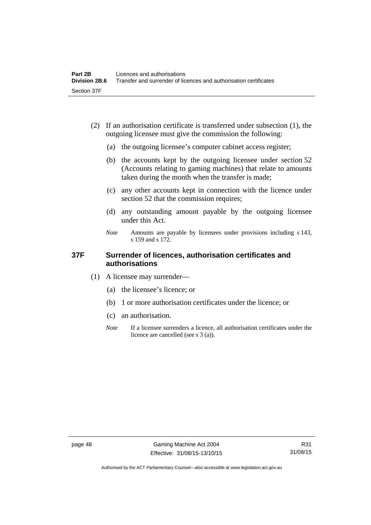- (2) If an authorisation certificate is transferred under subsection (1), the outgoing licensee must give the commission the following:
	- (a) the outgoing licensee's computer cabinet access register;
	- (b) the accounts kept by the outgoing licensee under section 52 (Accounts relating to gaming machines) that relate to amounts taken during the month when the transfer is made;
	- (c) any other accounts kept in connection with the licence under section 52 that the commission requires;
	- (d) any outstanding amount payable by the outgoing licensee under this Act.
	- *Note* Amounts are payable by licensees under provisions including s 143, s 159 and s 172.

## **37F Surrender of licences, authorisation certificates and authorisations**

- (1) A licensee may surrender—
	- (a) the licensee's licence; or
	- (b) 1 or more authorisation certificates under the licence; or
	- (c) an authorisation.
	- *Note* If a licensee surrenders a licence, all authorisation certificates under the licence are cancelled (see s 3 (a)).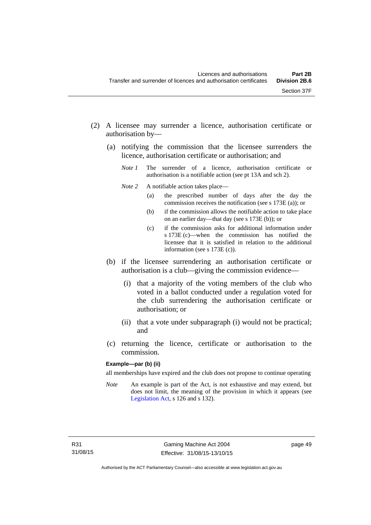- (2) A licensee may surrender a licence, authorisation certificate or authorisation by—
	- (a) notifying the commission that the licensee surrenders the licence, authorisation certificate or authorisation; and
		- *Note 1* The surrender of a licence, authorisation certificate or authorisation is a notifiable action (see pt 13A and sch 2).
		- *Note* 2 A notifiable action takes place—
			- (a) the prescribed number of days after the day the commission receives the notification (see s 173E (a)); or
			- (b) if the commission allows the notifiable action to take place on an earlier day—that day (see s 173E (b)); or
			- (c) if the commission asks for additional information under s 173E (c)—when the commission has notified the licensee that it is satisfied in relation to the additional information (see s 173E (c)).
	- (b) if the licensee surrendering an authorisation certificate or authorisation is a club—giving the commission evidence—
		- (i) that a majority of the voting members of the club who voted in a ballot conducted under a regulation voted for the club surrendering the authorisation certificate or authorisation; or
		- (ii) that a vote under subparagraph (i) would not be practical; and
	- (c) returning the licence, certificate or authorisation to the commission.

#### **Example—par (b) (ii)**

all memberships have expired and the club does not propose to continue operating

*Note* An example is part of the Act, is not exhaustive and may extend, but does not limit, the meaning of the provision in which it appears (see [Legislation Act,](http://www.legislation.act.gov.au/a/2001-14) s 126 and s 132).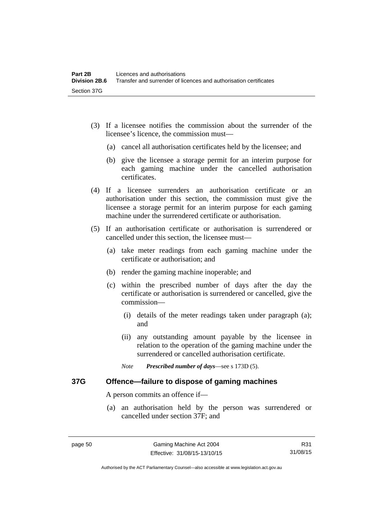- (3) If a licensee notifies the commission about the surrender of the licensee's licence, the commission must—
	- (a) cancel all authorisation certificates held by the licensee; and
	- (b) give the licensee a storage permit for an interim purpose for each gaming machine under the cancelled authorisation certificates.
- (4) If a licensee surrenders an authorisation certificate or an authorisation under this section, the commission must give the licensee a storage permit for an interim purpose for each gaming machine under the surrendered certificate or authorisation.
- (5) If an authorisation certificate or authorisation is surrendered or cancelled under this section, the licensee must—
	- (a) take meter readings from each gaming machine under the certificate or authorisation; and
	- (b) render the gaming machine inoperable; and
	- (c) within the prescribed number of days after the day the certificate or authorisation is surrendered or cancelled, give the commission—
		- (i) details of the meter readings taken under paragraph (a); and
		- (ii) any outstanding amount payable by the licensee in relation to the operation of the gaming machine under the surrendered or cancelled authorisation certificate.
		- *Note Prescribed number of days*—see s 173D (5).

### **37G Offence—failure to dispose of gaming machines**

A person commits an offence if—

 (a) an authorisation held by the person was surrendered or cancelled under section 37F; and

R31 31/08/15

Authorised by the ACT Parliamentary Counsel—also accessible at www.legislation.act.gov.au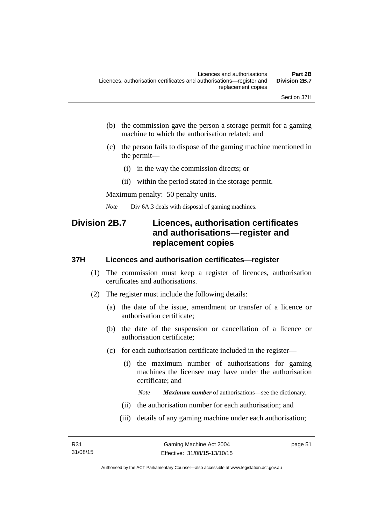- (b) the commission gave the person a storage permit for a gaming machine to which the authorisation related; and
- (c) the person fails to dispose of the gaming machine mentioned in the permit—
	- (i) in the way the commission directs; or
	- (ii) within the period stated in the storage permit.

Maximum penalty: 50 penalty units.

*Note* Div 6A.3 deals with disposal of gaming machines.

# **Division 2B.7 Licences, authorisation certificates and authorisations—register and replacement copies**

### **37H Licences and authorisation certificates—register**

- (1) The commission must keep a register of licences, authorisation certificates and authorisations.
- (2) The register must include the following details:
	- (a) the date of the issue, amendment or transfer of a licence or authorisation certificate;
	- (b) the date of the suspension or cancellation of a licence or authorisation certificate;
	- (c) for each authorisation certificate included in the register—
		- (i) the maximum number of authorisations for gaming machines the licensee may have under the authorisation certificate; and

*Note Maximum number* of authorisations—see the dictionary.

- (ii) the authorisation number for each authorisation; and
- (iii) details of any gaming machine under each authorisation;

page 51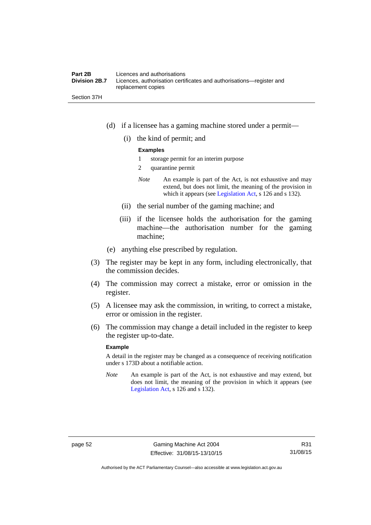### **Part 2B Licences and authorisations**<br>**Division 2B.7** Licences, authorisation certi Licences, authorisation certificates and authorisations—register and replacement copies

- (d) if a licensee has a gaming machine stored under a permit—
	- (i) the kind of permit; and

#### **Examples**

- 1 storage permit for an interim purpose
- 2 quarantine permit
- *Note* An example is part of the Act, is not exhaustive and may extend, but does not limit, the meaning of the provision in which it appears (see [Legislation Act,](http://www.legislation.act.gov.au/a/2001-14) s 126 and s 132).
- (ii) the serial number of the gaming machine; and
- (iii) if the licensee holds the authorisation for the gaming machine—the authorisation number for the gaming machine;
- (e) anything else prescribed by regulation.
- (3) The register may be kept in any form, including electronically, that the commission decides.
- (4) The commission may correct a mistake, error or omission in the register.
- (5) A licensee may ask the commission, in writing, to correct a mistake, error or omission in the register.
- (6) The commission may change a detail included in the register to keep the register up-to-date.

#### **Example**

A detail in the register may be changed as a consequence of receiving notification under s 173D about a notifiable action.

*Note* An example is part of the Act, is not exhaustive and may extend, but does not limit, the meaning of the provision in which it appears (see [Legislation Act,](http://www.legislation.act.gov.au/a/2001-14) s 126 and s 132).

Section 37H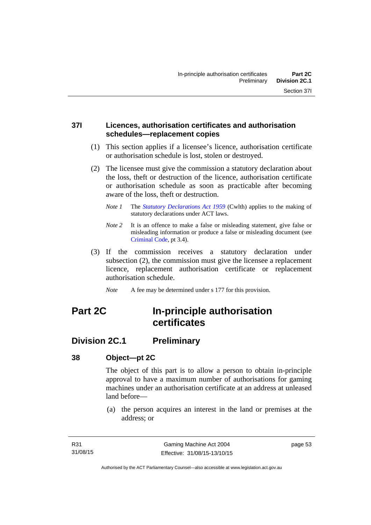## **37I Licences, authorisation certificates and authorisation schedules—replacement copies**

- (1) This section applies if a licensee's licence, authorisation certificate or authorisation schedule is lost, stolen or destroyed.
- (2) The licensee must give the commission a statutory declaration about the loss, theft or destruction of the licence, authorisation certificate or authorisation schedule as soon as practicable after becoming aware of the loss, theft or destruction.
	- *Note 1* The *[Statutory Declarations Act 1959](http://www.comlaw.gov.au/Series/C2004A07365)* (Cwlth) applies to the making of statutory declarations under ACT laws.
	- *Note 2* It is an offence to make a false or misleading statement, give false or misleading information or produce a false or misleading document (see [Criminal Code](http://www.legislation.act.gov.au/a/2002-51), pt 3.4).
- (3) If the commission receives a statutory declaration under subsection (2), the commission must give the licensee a replacement licence, replacement authorisation certificate or replacement authorisation schedule.
	- *Note* A fee may be determined under s 177 for this provision.

# **Part 2C In-principle authorisation certificates**

# **Division 2C.1 Preliminary**

# **38 Object—pt 2C**

The object of this part is to allow a person to obtain in-principle approval to have a maximum number of authorisations for gaming machines under an authorisation certificate at an address at unleased land before—

 (a) the person acquires an interest in the land or premises at the address; or

page 53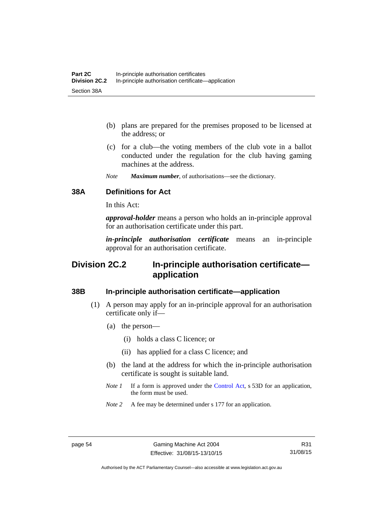- (b) plans are prepared for the premises proposed to be licensed at the address; or
- (c) for a club—the voting members of the club vote in a ballot conducted under the regulation for the club having gaming machines at the address.
- *Note Maximum number*, of authorisations—see the dictionary.

## **38A Definitions for Act**

In this Act:

*approval-holder* means a person who holds an in-principle approval for an authorisation certificate under this part.

*in-principle authorisation certificate* means an in-principle approval for an authorisation certificate.

# **Division 2C.2 In-principle authorisation certificate application**

### **38B In-principle authorisation certificate—application**

- (1) A person may apply for an in-principle approval for an authorisation certificate only if—
	- (a) the person—
		- (i) holds a class C licence; or
		- (ii) has applied for a class C licence; and
	- (b) the land at the address for which the in-principle authorisation certificate is sought is suitable land.
	- *Note 1* If a form is approved under the [Control Act](http://www.legislation.act.gov.au/a/1999-46/default.asp), s 53D for an application, the form must be used.
	- *Note* 2 A fee may be determined under s 177 for an application.

R31 31/08/15

Authorised by the ACT Parliamentary Counsel—also accessible at www.legislation.act.gov.au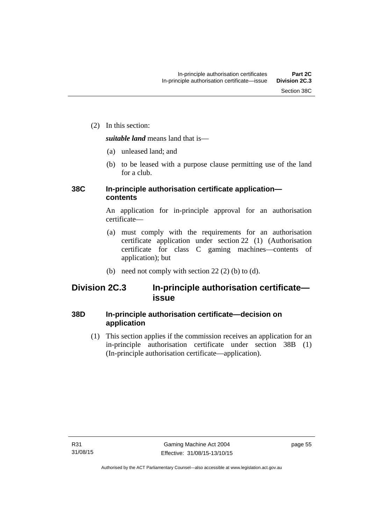(2) In this section:

*suitable land* means land that is—

- (a) unleased land; and
- (b) to be leased with a purpose clause permitting use of the land for a club.

# **38C In-principle authorisation certificate application contents**

An application for in-principle approval for an authorisation certificate—

- (a) must comply with the requirements for an authorisation certificate application under section 22 (1) (Authorisation certificate for class C gaming machines—contents of application); but
- (b) need not comply with section  $22(2)$  (b) to (d).

# **Division 2C.3 In-principle authorisation certificate issue**

# **38D In-principle authorisation certificate—decision on application**

 (1) This section applies if the commission receives an application for an in-principle authorisation certificate under section 38B (1) (In-principle authorisation certificate—application).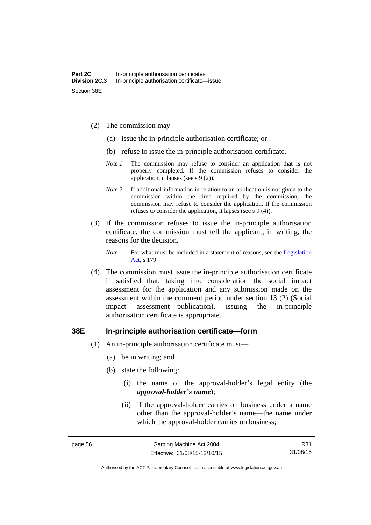- (2) The commission may—
	- (a) issue the in-principle authorisation certificate; or
	- (b) refuse to issue the in-principle authorisation certificate.
	- *Note 1* The commission may refuse to consider an application that is not properly completed. If the commission refuses to consider the application, it lapses (see s 9 (2)).
	- *Note 2* If additional information in relation to an application is not given to the commission within the time required by the commission, the commission may refuse to consider the application. If the commission refuses to consider the application, it lapses (see s 9 (4)).
- (3) If the commission refuses to issue the in-principle authorisation certificate, the commission must tell the applicant, in writing, the reasons for the decision.

*Note* For what must be included in a statement of reasons, see the Legislation [Act](http://www.legislation.act.gov.au/a/2001-14), s 179.

 (4) The commission must issue the in-principle authorisation certificate if satisfied that, taking into consideration the social impact assessment for the application and any submission made on the assessment within the comment period under section 13 (2) (Social impact assessment—publication), issuing the in-principle authorisation certificate is appropriate.

#### **38E In-principle authorisation certificate—form**

- (1) An in-principle authorisation certificate must—
	- (a) be in writing; and
	- (b) state the following:
		- (i) the name of the approval-holder's legal entity (the *approval-holder's name*);
		- (ii) if the approval-holder carries on business under a name other than the approval-holder's name—the name under which the approval-holder carries on business;

R31 31/08/15

Authorised by the ACT Parliamentary Counsel—also accessible at www.legislation.act.gov.au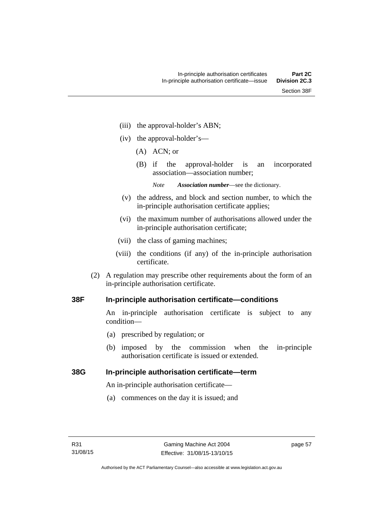- (iii) the approval-holder's ABN;
- (iv) the approval-holder's—
	- (A) ACN; or
	- (B) if the approval-holder is an incorporated association—association number;
		- *Note Association number*—see the dictionary.
- (v) the address, and block and section number, to which the in-principle authorisation certificate applies;
- (vi) the maximum number of authorisations allowed under the in-principle authorisation certificate;
- (vii) the class of gaming machines;
- (viii) the conditions (if any) of the in-principle authorisation certificate.
- (2) A regulation may prescribe other requirements about the form of an in-principle authorisation certificate.

## **38F In-principle authorisation certificate—conditions**

An in-principle authorisation certificate is subject to any condition—

- (a) prescribed by regulation; or
- (b) imposed by the commission when the in-principle authorisation certificate is issued or extended.

## **38G In-principle authorisation certificate—term**

An in-principle authorisation certificate—

(a) commences on the day it is issued; and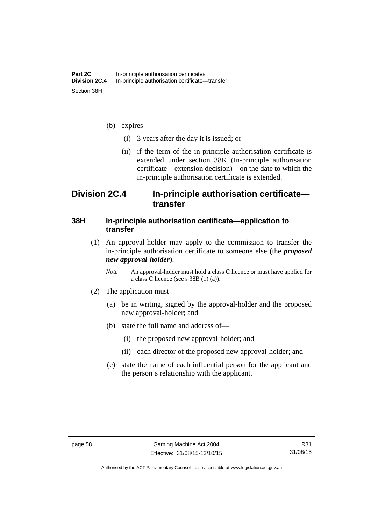- (b) expires—
	- (i) 3 years after the day it is issued; or
	- (ii) if the term of the in-principle authorisation certificate is extended under section 38K (In-principle authorisation certificate—extension decision)—on the date to which the in-principle authorisation certificate is extended.

# **Division 2C.4 In-principle authorisation certificate transfer**

## **38H In-principle authorisation certificate—application to transfer**

- (1) An approval-holder may apply to the commission to transfer the in-principle authorisation certificate to someone else (the *proposed new approval-holder*).
	- *Note* An approval-holder must hold a class C licence or must have applied for a class C licence (see s 38B (1) (a)).
- (2) The application must—
	- (a) be in writing, signed by the approval-holder and the proposed new approval-holder; and
	- (b) state the full name and address of—
		- (i) the proposed new approval-holder; and
		- (ii) each director of the proposed new approval-holder; and
	- (c) state the name of each influential person for the applicant and the person's relationship with the applicant.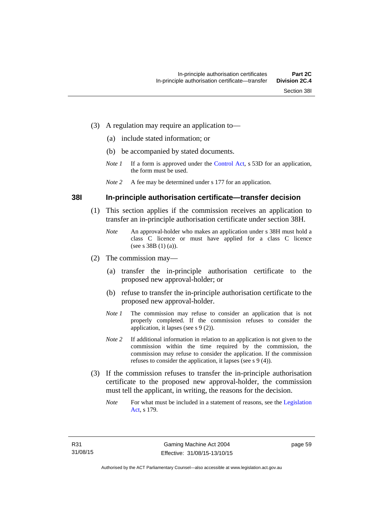- (3) A regulation may require an application to—
	- (a) include stated information; or
	- (b) be accompanied by stated documents.
	- *Note 1* If a form is approved under the [Control Act](http://www.legislation.act.gov.au/a/1999-46/default.asp), s 53D for an application, the form must be used.
	- *Note 2* A fee may be determined under s 177 for an application.

#### **38I In-principle authorisation certificate—transfer decision**

- (1) This section applies if the commission receives an application to transfer an in-principle authorisation certificate under section 38H.
	- *Note* An approval-holder who makes an application under s 38H must hold a class C licence or must have applied for a class C licence (see s 38B (1) (a)).
- (2) The commission may—
	- (a) transfer the in-principle authorisation certificate to the proposed new approval-holder; or
	- (b) refuse to transfer the in-principle authorisation certificate to the proposed new approval-holder.
	- *Note 1* The commission may refuse to consider an application that is not properly completed. If the commission refuses to consider the application, it lapses (see s 9 (2)).
	- *Note* 2 If additional information in relation to an application is not given to the commission within the time required by the commission, the commission may refuse to consider the application. If the commission refuses to consider the application, it lapses (see s 9 (4)).
- (3) If the commission refuses to transfer the in-principle authorisation certificate to the proposed new approval-holder, the commission must tell the applicant, in writing, the reasons for the decision.
	- *Note* For what must be included in a statement of reasons, see the Legislation [Act](http://www.legislation.act.gov.au/a/2001-14), s 179.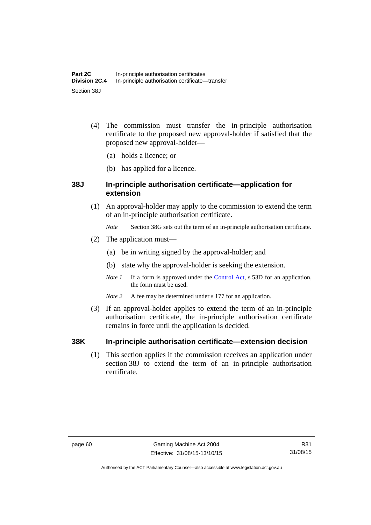- (4) The commission must transfer the in-principle authorisation certificate to the proposed new approval-holder if satisfied that the proposed new approval-holder—
	- (a) holds a licence; or
	- (b) has applied for a licence.

## **38J In-principle authorisation certificate—application for extension**

- (1) An approval-holder may apply to the commission to extend the term of an in-principle authorisation certificate.
	- *Note* Section 38G sets out the term of an in-principle authorisation certificate.
- (2) The application must—
	- (a) be in writing signed by the approval-holder; and
	- (b) state why the approval-holder is seeking the extension.
	- *Note 1* If a form is approved under the [Control Act](http://www.legislation.act.gov.au/a/1999-46/default.asp), s 53D for an application, the form must be used.
	- *Note* 2 A fee may be determined under s 177 for an application.
- (3) If an approval-holder applies to extend the term of an in-principle authorisation certificate, the in-principle authorisation certificate remains in force until the application is decided.

## **38K In-principle authorisation certificate—extension decision**

(1) This section applies if the commission receives an application under section 38J to extend the term of an in-principle authorisation certificate.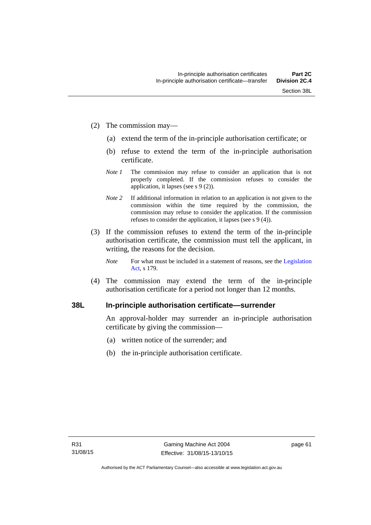- (2) The commission may—
	- (a) extend the term of the in-principle authorisation certificate; or
	- (b) refuse to extend the term of the in-principle authorisation certificate.
	- *Note 1* The commission may refuse to consider an application that is not properly completed. If the commission refuses to consider the application, it lapses (see s 9 (2)).
	- *Note 2* If additional information in relation to an application is not given to the commission within the time required by the commission, the commission may refuse to consider the application. If the commission refuses to consider the application, it lapses (see s 9 (4)).
- (3) If the commission refuses to extend the term of the in-principle authorisation certificate, the commission must tell the applicant, in writing, the reasons for the decision.
	- *Note* For what must be included in a statement of reasons, see the Legislation [Act](http://www.legislation.act.gov.au/a/2001-14), s 179.
- (4) The commission may extend the term of the in-principle authorisation certificate for a period not longer than 12 months.

## **38L In-principle authorisation certificate—surrender**

An approval-holder may surrender an in-principle authorisation certificate by giving the commission—

- (a) written notice of the surrender; and
- (b) the in-principle authorisation certificate.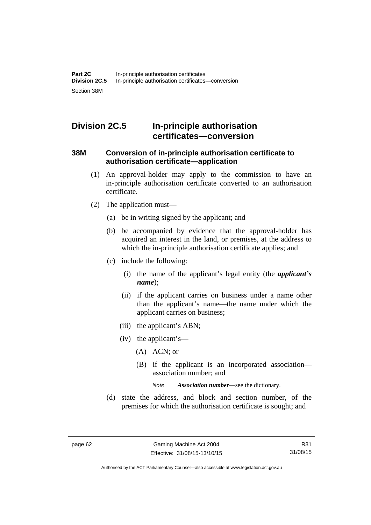# **Division 2C.5 In-principle authorisation certificates—conversion**

## **38M Conversion of in-principle authorisation certificate to authorisation certificate—application**

- (1) An approval-holder may apply to the commission to have an in-principle authorisation certificate converted to an authorisation certificate.
- (2) The application must—
	- (a) be in writing signed by the applicant; and
	- (b) be accompanied by evidence that the approval-holder has acquired an interest in the land, or premises, at the address to which the in-principle authorisation certificate applies; and
	- (c) include the following:
		- (i) the name of the applicant's legal entity (the *applicant's name*);
		- (ii) if the applicant carries on business under a name other than the applicant's name—the name under which the applicant carries on business;
		- (iii) the applicant's ABN;
		- (iv) the applicant's—
			- (A) ACN; or
			- (B) if the applicant is an incorporated association association number; and

*Note Association number*—see the dictionary.

 (d) state the address, and block and section number, of the premises for which the authorisation certificate is sought; and

Authorised by the ACT Parliamentary Counsel—also accessible at www.legislation.act.gov.au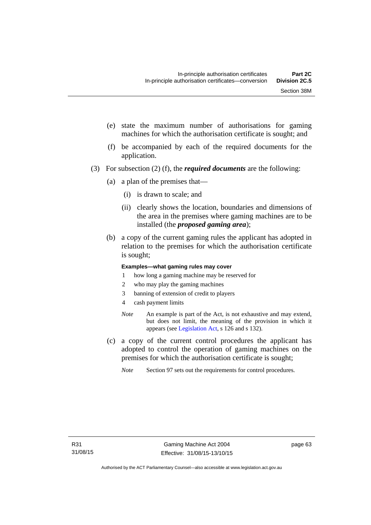- (e) state the maximum number of authorisations for gaming machines for which the authorisation certificate is sought; and
- (f) be accompanied by each of the required documents for the application.
- (3) For subsection (2) (f), the *required documents* are the following:
	- (a) a plan of the premises that—
		- (i) is drawn to scale; and
		- (ii) clearly shows the location, boundaries and dimensions of the area in the premises where gaming machines are to be installed (the *proposed gaming area*);
	- (b) a copy of the current gaming rules the applicant has adopted in relation to the premises for which the authorisation certificate is sought;

#### **Examples—what gaming rules may cover**

- 1 how long a gaming machine may be reserved for
- 2 who may play the gaming machines
- 3 banning of extension of credit to players
- 4 cash payment limits
- *Note* An example is part of the Act, is not exhaustive and may extend, but does not limit, the meaning of the provision in which it appears (see [Legislation Act,](http://www.legislation.act.gov.au/a/2001-14) s 126 and s 132).
- (c) a copy of the current control procedures the applicant has adopted to control the operation of gaming machines on the premises for which the authorisation certificate is sought;
	- *Note* Section 97 sets out the requirements for control procedures.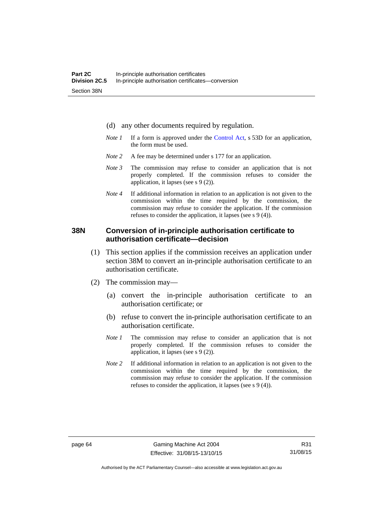- (d) any other documents required by regulation.
- *Note 1* If a form is approved under the [Control Act](http://www.legislation.act.gov.au/a/1999-46/default.asp), s 53D for an application, the form must be used.
- *Note* 2 A fee may be determined under s 177 for an application.
- *Note 3* The commission may refuse to consider an application that is not properly completed. If the commission refuses to consider the application, it lapses (see s 9 (2)).
- *Note 4* If additional information in relation to an application is not given to the commission within the time required by the commission, the commission may refuse to consider the application. If the commission refuses to consider the application, it lapses (see s 9 (4)).

## **38N Conversion of in-principle authorisation certificate to authorisation certificate—decision**

- (1) This section applies if the commission receives an application under section 38M to convert an in-principle authorisation certificate to an authorisation certificate.
- (2) The commission may—
	- (a) convert the in-principle authorisation certificate to an authorisation certificate; or
	- (b) refuse to convert the in-principle authorisation certificate to an authorisation certificate.
	- *Note 1* The commission may refuse to consider an application that is not properly completed. If the commission refuses to consider the application, it lapses (see s 9 (2)).
	- *Note 2* If additional information in relation to an application is not given to the commission within the time required by the commission, the commission may refuse to consider the application. If the commission refuses to consider the application, it lapses (see s 9 (4)).

R31 31/08/15

Authorised by the ACT Parliamentary Counsel—also accessible at www.legislation.act.gov.au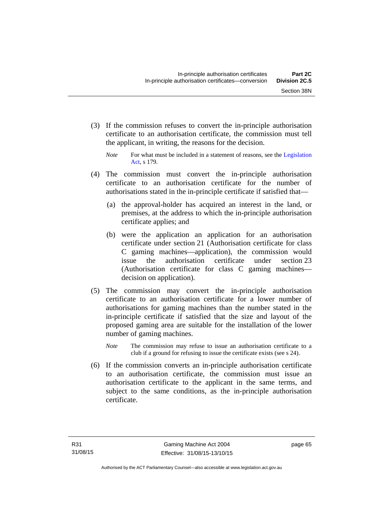(3) If the commission refuses to convert the in-principle authorisation certificate to an authorisation certificate, the commission must tell the applicant, in writing, the reasons for the decision.

- (4) The commission must convert the in-principle authorisation certificate to an authorisation certificate for the number of authorisations stated in the in-principle certificate if satisfied that—
	- (a) the approval-holder has acquired an interest in the land, or premises, at the address to which the in-principle authorisation certificate applies; and
	- (b) were the application an application for an authorisation certificate under section 21 (Authorisation certificate for class C gaming machines—application), the commission would issue the authorisation certificate under section 23 (Authorisation certificate for class C gaming machines decision on application).
- (5) The commission may convert the in-principle authorisation certificate to an authorisation certificate for a lower number of authorisations for gaming machines than the number stated in the in-principle certificate if satisfied that the size and layout of the proposed gaming area are suitable for the installation of the lower number of gaming machines.
	- *Note* The commission may refuse to issue an authorisation certificate to a club if a ground for refusing to issue the certificate exists (see s 24).
- (6) If the commission converts an in-principle authorisation certificate to an authorisation certificate, the commission must issue an authorisation certificate to the applicant in the same terms, and subject to the same conditions, as the in-principle authorisation certificate.

*Note* For what must be included in a statement of reasons, see the Legislation [Act](http://www.legislation.act.gov.au/a/2001-14), s 179.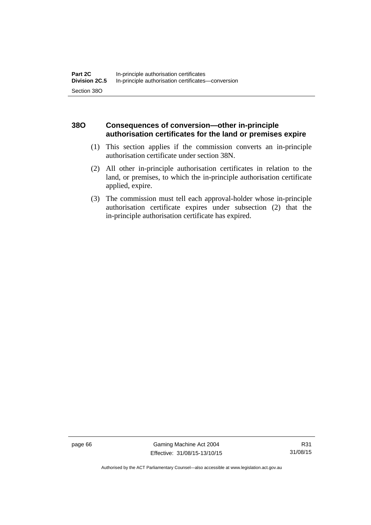## **38O Consequences of conversion—other in-principle authorisation certificates for the land or premises expire**

- (1) This section applies if the commission converts an in-principle authorisation certificate under section 38N.
- (2) All other in-principle authorisation certificates in relation to the land, or premises, to which the in-principle authorisation certificate applied, expire.
- (3) The commission must tell each approval-holder whose in-principle authorisation certificate expires under subsection (2) that the in-principle authorisation certificate has expired.

page 66 Gaming Machine Act 2004 Effective: 31/08/15-13/10/15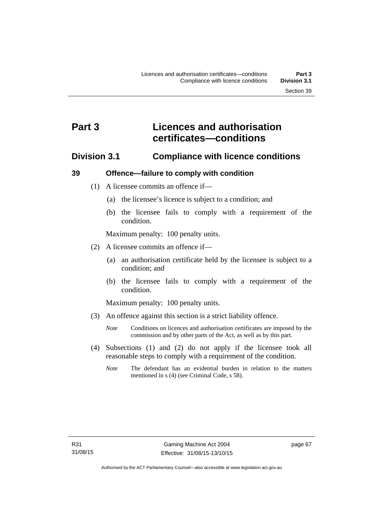# **Part 3 Licences and authorisation certificates—conditions**

## **Division 3.1 Compliance with licence conditions**

## **39 Offence—failure to comply with condition**

- (1) A licensee commits an offence if—
	- (a) the licensee's licence is subject to a condition; and
	- (b) the licensee fails to comply with a requirement of the condition.

Maximum penalty: 100 penalty units.

- (2) A licensee commits an offence if—
	- (a) an authorisation certificate held by the licensee is subject to a condition; and
	- (b) the licensee fails to comply with a requirement of the condition.

Maximum penalty: 100 penalty units.

- (3) An offence against this section is a strict liability offence.
	- *Note* Conditions on licences and authorisation certificates are imposed by the commission and by other parts of the Act, as well as by this part.
- (4) Subsections (1) and (2) do not apply if the licensee took all reasonable steps to comply with a requirement of the condition.
	- *Note* The defendant has an evidential burden in relation to the matters mentioned in s (4) (see Criminal Code, s 58).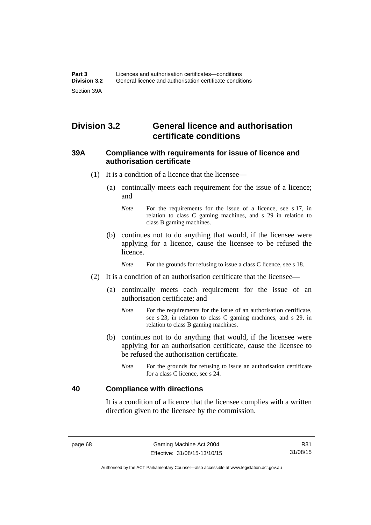# **Division 3.2 General licence and authorisation certificate conditions**

## **39A Compliance with requirements for issue of licence and authorisation certificate**

- (1) It is a condition of a licence that the licensee—
	- (a) continually meets each requirement for the issue of a licence; and
		- *Note* For the requirements for the issue of a licence, see s 17, in relation to class C gaming machines, and s 29 in relation to class B gaming machines.
	- (b) continues not to do anything that would, if the licensee were applying for a licence, cause the licensee to be refused the licence.

*Note* For the grounds for refusing to issue a class C licence, see s 18.

- (2) It is a condition of an authorisation certificate that the licensee—
	- (a) continually meets each requirement for the issue of an authorisation certificate; and
		- *Note* For the requirements for the issue of an authorisation certificate, see s 23, in relation to class C gaming machines, and s 29, in relation to class B gaming machines.
	- (b) continues not to do anything that would, if the licensee were applying for an authorisation certificate, cause the licensee to be refused the authorisation certificate.
		- *Note* For the grounds for refusing to issue an authorisation certificate for a class C licence, see s 24.

## **40 Compliance with directions**

It is a condition of a licence that the licensee complies with a written direction given to the licensee by the commission.

R31 31/08/15

Authorised by the ACT Parliamentary Counsel—also accessible at www.legislation.act.gov.au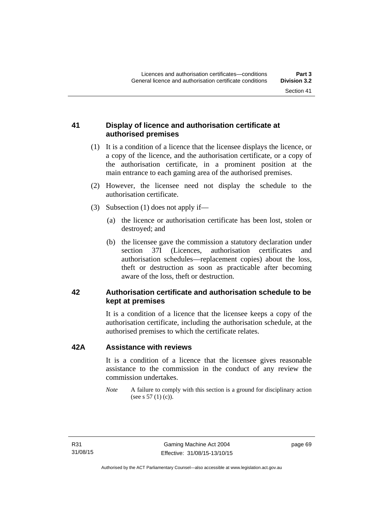## **41 Display of licence and authorisation certificate at authorised premises**

- (1) It is a condition of a licence that the licensee displays the licence, or a copy of the licence, and the authorisation certificate, or a copy of the authorisation certificate, in a prominent position at the main entrance to each gaming area of the authorised premises.
- (2) However, the licensee need not display the schedule to the authorisation certificate.
- (3) Subsection (1) does not apply if—
	- (a) the licence or authorisation certificate has been lost, stolen or destroyed; and
	- (b) the licensee gave the commission a statutory declaration under section 37I (Licences, authorisation certificates and authorisation schedules—replacement copies) about the loss, theft or destruction as soon as practicable after becoming aware of the loss, theft or destruction.

## **42 Authorisation certificate and authorisation schedule to be kept at premises**

It is a condition of a licence that the licensee keeps a copy of the authorisation certificate, including the authorisation schedule, at the authorised premises to which the certificate relates.

## **42A Assistance with reviews**

It is a condition of a licence that the licensee gives reasonable assistance to the commission in the conduct of any review the commission undertakes.

*Note* A failure to comply with this section is a ground for disciplinary action (see s 57 (1) (c)).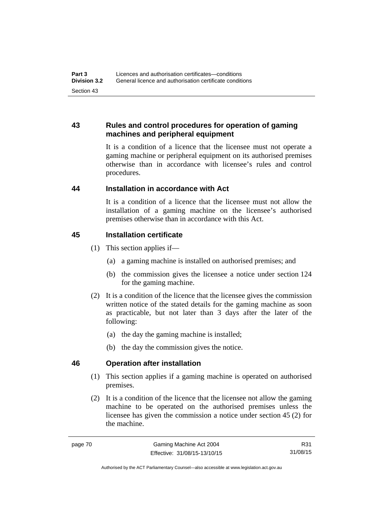## **43 Rules and control procedures for operation of gaming machines and peripheral equipment**

It is a condition of a licence that the licensee must not operate a gaming machine or peripheral equipment on its authorised premises otherwise than in accordance with licensee's rules and control procedures.

## **44 Installation in accordance with Act**

It is a condition of a licence that the licensee must not allow the installation of a gaming machine on the licensee's authorised premises otherwise than in accordance with this Act.

## **45 Installation certificate**

- (1) This section applies if—
	- (a) a gaming machine is installed on authorised premises; and
	- (b) the commission gives the licensee a notice under section 124 for the gaming machine.
- (2) It is a condition of the licence that the licensee gives the commission written notice of the stated details for the gaming machine as soon as practicable, but not later than 3 days after the later of the following:
	- (a) the day the gaming machine is installed;
	- (b) the day the commission gives the notice.

## **46 Operation after installation**

- (1) This section applies if a gaming machine is operated on authorised premises.
- (2) It is a condition of the licence that the licensee not allow the gaming machine to be operated on the authorised premises unless the licensee has given the commission a notice under section 45 (2) for the machine.

R31 31/08/15

Authorised by the ACT Parliamentary Counsel—also accessible at www.legislation.act.gov.au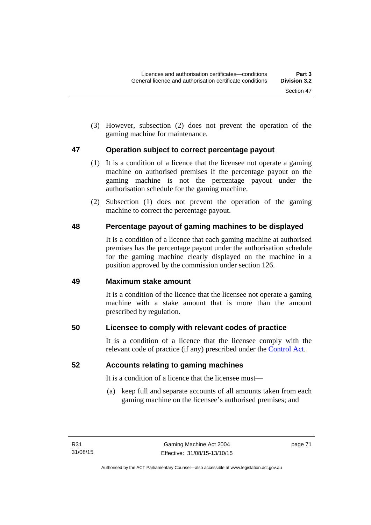(3) However, subsection (2) does not prevent the operation of the gaming machine for maintenance.

## **47 Operation subject to correct percentage payout**

- (1) It is a condition of a licence that the licensee not operate a gaming machine on authorised premises if the percentage payout on the gaming machine is not the percentage payout under the authorisation schedule for the gaming machine.
- (2) Subsection (1) does not prevent the operation of the gaming machine to correct the percentage payout.

# **48 Percentage payout of gaming machines to be displayed**

It is a condition of a licence that each gaming machine at authorised premises has the percentage payout under the authorisation schedule for the gaming machine clearly displayed on the machine in a position approved by the commission under section 126.

## **49 Maximum stake amount**

It is a condition of the licence that the licensee not operate a gaming machine with a stake amount that is more than the amount prescribed by regulation.

# **50 Licensee to comply with relevant codes of practice**

It is a condition of a licence that the licensee comply with the relevant code of practice (if any) prescribed under the [Control Act.](http://www.legislation.act.gov.au/a/1999-46)

## **52 Accounts relating to gaming machines**

It is a condition of a licence that the licensee must—

 (a) keep full and separate accounts of all amounts taken from each gaming machine on the licensee's authorised premises; and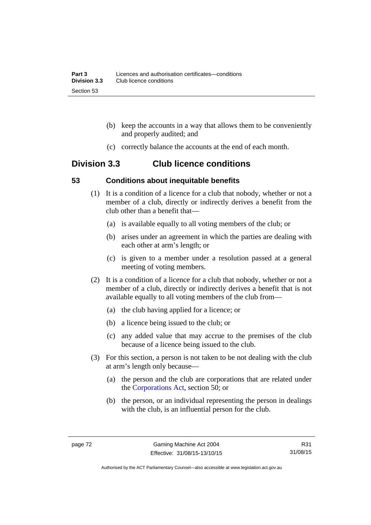- (b) keep the accounts in a way that allows them to be conveniently and properly audited; and
- (c) correctly balance the accounts at the end of each month.

# **Division 3.3 Club licence conditions**

## **53 Conditions about inequitable benefits**

- (1) It is a condition of a licence for a club that nobody, whether or not a member of a club, directly or indirectly derives a benefit from the club other than a benefit that—
	- (a) is available equally to all voting members of the club; or
	- (b) arises under an agreement in which the parties are dealing with each other at arm's length; or
	- (c) is given to a member under a resolution passed at a general meeting of voting members.
- (2) It is a condition of a licence for a club that nobody, whether or not a member of a club, directly or indirectly derives a benefit that is not available equally to all voting members of the club from—
	- (a) the club having applied for a licence; or
	- (b) a licence being issued to the club; or
	- (c) any added value that may accrue to the premises of the club because of a licence being issued to the club.
- (3) For this section, a person is not taken to be not dealing with the club at arm's length only because—
	- (a) the person and the club are corporations that are related under the [Corporations Act,](http://www.comlaw.gov.au/Series/C2004A00818) section 50; or
	- (b) the person, or an individual representing the person in dealings with the club, is an influential person for the club.

R31 31/08/15

Authorised by the ACT Parliamentary Counsel—also accessible at www.legislation.act.gov.au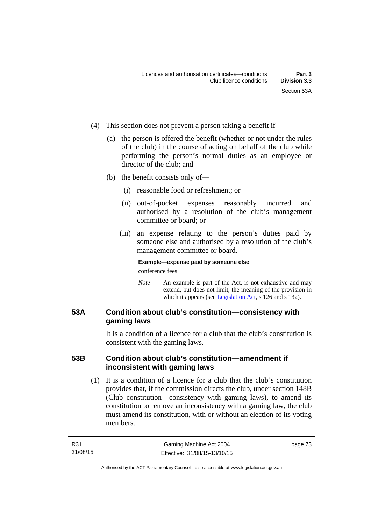- (4) This section does not prevent a person taking a benefit if—
	- (a) the person is offered the benefit (whether or not under the rules of the club) in the course of acting on behalf of the club while performing the person's normal duties as an employee or director of the club; and
	- (b) the benefit consists only of—
		- (i) reasonable food or refreshment; or
		- (ii) out-of-pocket expenses reasonably incurred and authorised by a resolution of the club's management committee or board; or
		- (iii) an expense relating to the person's duties paid by someone else and authorised by a resolution of the club's management committee or board.

## **Example—expense paid by someone else**

conference fees

*Note* An example is part of the Act, is not exhaustive and may extend, but does not limit, the meaning of the provision in which it appears (see [Legislation Act,](http://www.legislation.act.gov.au/a/2001-14) s 126 and s 132).

## **53A Condition about club's constitution—consistency with gaming laws**

It is a condition of a licence for a club that the club's constitution is consistent with the gaming laws.

## **53B Condition about club's constitution—amendment if inconsistent with gaming laws**

 (1) It is a condition of a licence for a club that the club's constitution provides that, if the commission directs the club, under section 148B (Club constitution—consistency with gaming laws), to amend its constitution to remove an inconsistency with a gaming law, the club must amend its constitution, with or without an election of its voting members.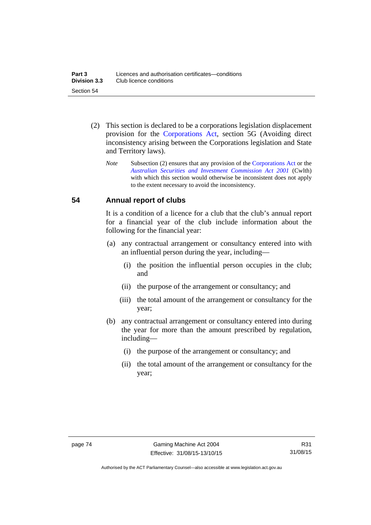- (2) This section is declared to be a corporations legislation displacement provision for the [Corporations Act](http://www.comlaw.gov.au/Series/C2004A00818), section 5G (Avoiding direct inconsistency arising between the Corporations legislation and State and Territory laws).
	- *Note* Subsection (2) ensures that any provision of the [Corporations Act](http://www.comlaw.gov.au/Series/C2004A00818) or the *[Australian Securities and Investment Commission Act 2001](http://www.comlaw.gov.au/Series/C2004A00819)* (Cwlth) with which this section would otherwise be inconsistent does not apply to the extent necessary to avoid the inconsistency.

## **54 Annual report of clubs**

It is a condition of a licence for a club that the club's annual report for a financial year of the club include information about the following for the financial year:

- (a) any contractual arrangement or consultancy entered into with an influential person during the year, including—
	- (i) the position the influential person occupies in the club; and
	- (ii) the purpose of the arrangement or consultancy; and
	- (iii) the total amount of the arrangement or consultancy for the year;
- (b) any contractual arrangement or consultancy entered into during the year for more than the amount prescribed by regulation, including—
	- (i) the purpose of the arrangement or consultancy; and
	- (ii) the total amount of the arrangement or consultancy for the year;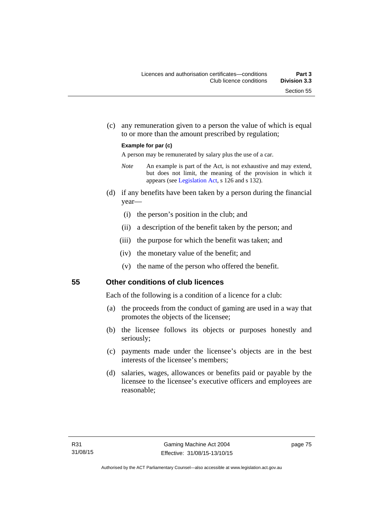(c) any remuneration given to a person the value of which is equal to or more than the amount prescribed by regulation;

#### **Example for par (c)**

A person may be remunerated by salary plus the use of a car.

- *Note* An example is part of the Act, is not exhaustive and may extend, but does not limit, the meaning of the provision in which it appears (see [Legislation Act,](http://www.legislation.act.gov.au/a/2001-14) s 126 and s 132).
- (d) if any benefits have been taken by a person during the financial year—
	- (i) the person's position in the club; and
	- (ii) a description of the benefit taken by the person; and
	- (iii) the purpose for which the benefit was taken; and
	- (iv) the monetary value of the benefit; and
	- (v) the name of the person who offered the benefit.

## **55 Other conditions of club licences**

Each of the following is a condition of a licence for a club:

- (a) the proceeds from the conduct of gaming are used in a way that promotes the objects of the licensee;
- (b) the licensee follows its objects or purposes honestly and seriously;
- (c) payments made under the licensee's objects are in the best interests of the licensee's members;
- (d) salaries, wages, allowances or benefits paid or payable by the licensee to the licensee's executive officers and employees are reasonable;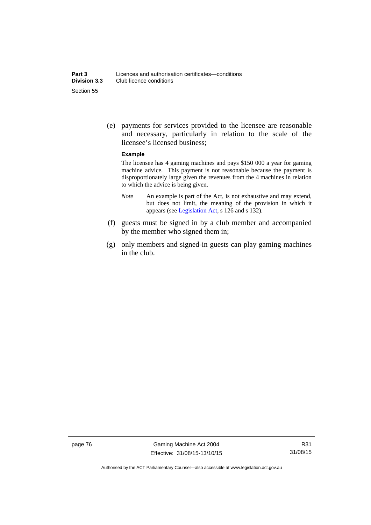(e) payments for services provided to the licensee are reasonable and necessary, particularly in relation to the scale of the licensee's licensed business;

#### **Example**

The licensee has 4 gaming machines and pays \$150 000 a year for gaming machine advice. This payment is not reasonable because the payment is disproportionately large given the revenues from the 4 machines in relation to which the advice is being given.

- *Note* An example is part of the Act, is not exhaustive and may extend, but does not limit, the meaning of the provision in which it appears (see [Legislation Act,](http://www.legislation.act.gov.au/a/2001-14) s 126 and s 132).
- (f) guests must be signed in by a club member and accompanied by the member who signed them in;
- (g) only members and signed-in guests can play gaming machines in the club.

page 76 Gaming Machine Act 2004 Effective: 31/08/15-13/10/15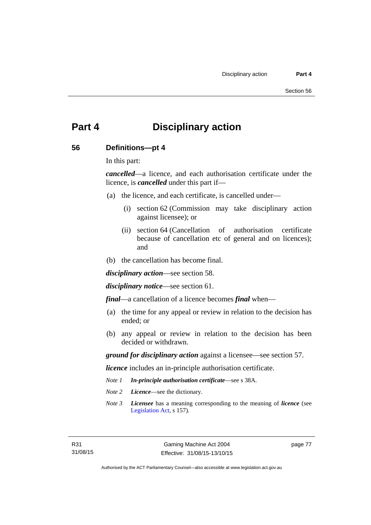# **Part 4 Disciplinary action**

## **56 Definitions—pt 4**

In this part:

*cancelled*—a licence, and each authorisation certificate under the licence, is *cancelled* under this part if—

- (a) the licence, and each certificate, is cancelled under—
	- (i) section 62 (Commission may take disciplinary action against licensee); or
	- (ii) section 64 (Cancellation of authorisation certificate because of cancellation etc of general and on licences); and
- (b) the cancellation has become final.

*disciplinary action*—see section 58.

*disciplinary notice*—see section 61.

*final*—a cancellation of a licence becomes *final* when—

- (a) the time for any appeal or review in relation to the decision has ended; or
- (b) any appeal or review in relation to the decision has been decided or withdrawn.

*ground for disciplinary action* against a licensee—see section 57.

*licence* includes an in-principle authorisation certificate.

- *Note 1 In-principle authorisation certificate*—see s 38A.
- *Note 2 Licence*—see the dictionary.
- *Note 3 Licensee* has a meaning corresponding to the meaning of *licence* (see [Legislation Act,](http://www.legislation.act.gov.au/a/2001-14) s 157).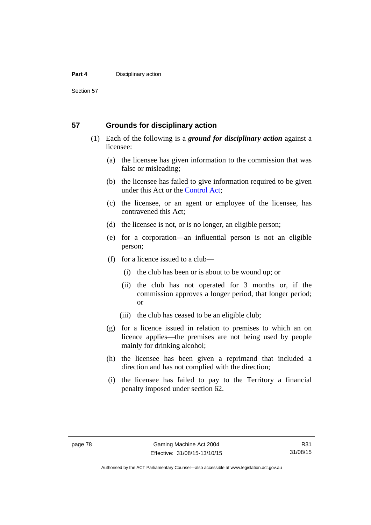#### **Part 4 Disciplinary action**

Section 57

## **57 Grounds for disciplinary action**

- (1) Each of the following is a *ground for disciplinary action* against a licensee:
	- (a) the licensee has given information to the commission that was false or misleading;
	- (b) the licensee has failed to give information required to be given under this Act or the [Control Act;](http://www.legislation.act.gov.au/a/1999-46)
	- (c) the licensee, or an agent or employee of the licensee, has contravened this Act;
	- (d) the licensee is not, or is no longer, an eligible person;
	- (e) for a corporation—an influential person is not an eligible person;
	- (f) for a licence issued to a club—
		- (i) the club has been or is about to be wound up; or
		- (ii) the club has not operated for 3 months or, if the commission approves a longer period, that longer period; or
		- (iii) the club has ceased to be an eligible club;
	- (g) for a licence issued in relation to premises to which an on licence applies—the premises are not being used by people mainly for drinking alcohol;
	- (h) the licensee has been given a reprimand that included a direction and has not complied with the direction;
	- (i) the licensee has failed to pay to the Territory a financial penalty imposed under section 62.

R31 31/08/15

Authorised by the ACT Parliamentary Counsel—also accessible at www.legislation.act.gov.au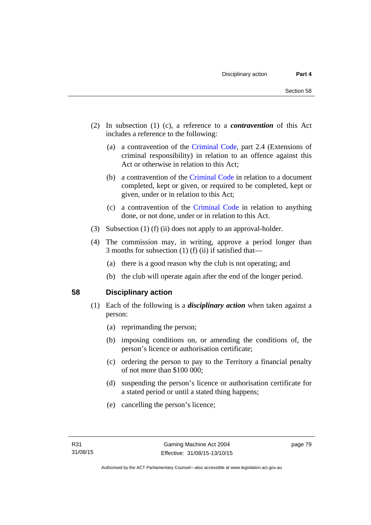- (2) In subsection (1) (c), a reference to a *contravention* of this Act includes a reference to the following:
	- (a) a contravention of the [Criminal Code](http://www.legislation.act.gov.au/a/2002-51), part 2.4 (Extensions of criminal responsibility) in relation to an offence against this Act or otherwise in relation to this Act;
	- (b) a contravention of the [Criminal Code](http://www.legislation.act.gov.au/a/2002-51) in relation to a document completed, kept or given, or required to be completed, kept or given, under or in relation to this Act;
	- (c) a contravention of the [Criminal Code](http://www.legislation.act.gov.au/a/2002-51) in relation to anything done, or not done, under or in relation to this Act.
- (3) Subsection (1) (f) (ii) does not apply to an approval-holder.
- (4) The commission may, in writing, approve a period longer than 3 months for subsection (1) (f) (ii) if satisfied that—
	- (a) there is a good reason why the club is not operating; and
	- (b) the club will operate again after the end of the longer period.

## **58 Disciplinary action**

- (1) Each of the following is a *disciplinary action* when taken against a person:
	- (a) reprimanding the person;
	- (b) imposing conditions on, or amending the conditions of, the person's licence or authorisation certificate;
	- (c) ordering the person to pay to the Territory a financial penalty of not more than \$100 000;
	- (d) suspending the person's licence or authorisation certificate for a stated period or until a stated thing happens;
	- (e) cancelling the person's licence;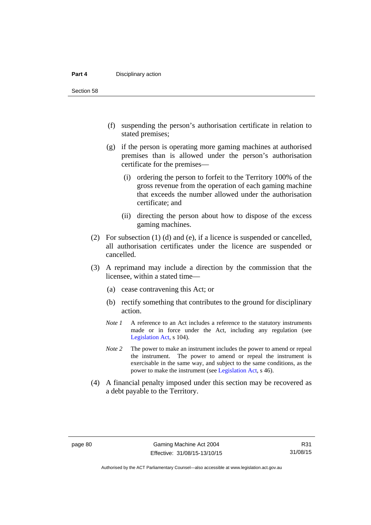#### **Part 4 Disciplinary action**

Section 58

- (f) suspending the person's authorisation certificate in relation to stated premises;
- (g) if the person is operating more gaming machines at authorised premises than is allowed under the person's authorisation certificate for the premises—
	- (i) ordering the person to forfeit to the Territory 100% of the gross revenue from the operation of each gaming machine that exceeds the number allowed under the authorisation certificate; and
	- (ii) directing the person about how to dispose of the excess gaming machines.
- (2) For subsection (1) (d) and (e), if a licence is suspended or cancelled, all authorisation certificates under the licence are suspended or cancelled.
- (3) A reprimand may include a direction by the commission that the licensee, within a stated time—
	- (a) cease contravening this Act; or
	- (b) rectify something that contributes to the ground for disciplinary action.
	- *Note 1* A reference to an Act includes a reference to the statutory instruments made or in force under the Act, including any regulation (see [Legislation Act,](http://www.legislation.act.gov.au/a/2001-14) s 104).
	- *Note 2* The power to make an instrument includes the power to amend or repeal the instrument. The power to amend or repeal the instrument is exercisable in the same way, and subject to the same conditions, as the power to make the instrument (see [Legislation Act,](http://www.legislation.act.gov.au/a/2001-14) s 46).
- (4) A financial penalty imposed under this section may be recovered as a debt payable to the Territory.

R31 31/08/15

Authorised by the ACT Parliamentary Counsel—also accessible at www.legislation.act.gov.au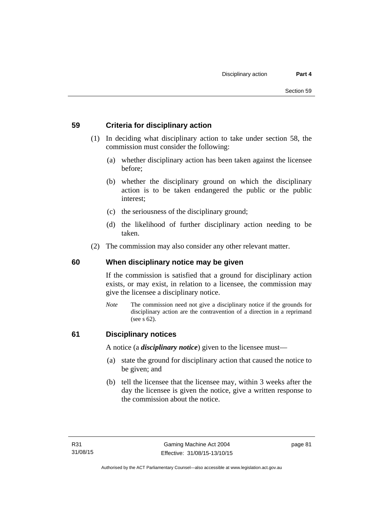## **59 Criteria for disciplinary action**

- (1) In deciding what disciplinary action to take under section 58, the commission must consider the following:
	- (a) whether disciplinary action has been taken against the licensee before;
	- (b) whether the disciplinary ground on which the disciplinary action is to be taken endangered the public or the public interest;
	- (c) the seriousness of the disciplinary ground;
	- (d) the likelihood of further disciplinary action needing to be taken.
- (2) The commission may also consider any other relevant matter.

## **60 When disciplinary notice may be given**

If the commission is satisfied that a ground for disciplinary action exists, or may exist, in relation to a licensee, the commission may give the licensee a disciplinary notice.

*Note* The commission need not give a disciplinary notice if the grounds for disciplinary action are the contravention of a direction in a reprimand (see s 62).

## **61 Disciplinary notices**

A notice (a *disciplinary notice*) given to the licensee must—

- (a) state the ground for disciplinary action that caused the notice to be given; and
- (b) tell the licensee that the licensee may, within 3 weeks after the day the licensee is given the notice, give a written response to the commission about the notice.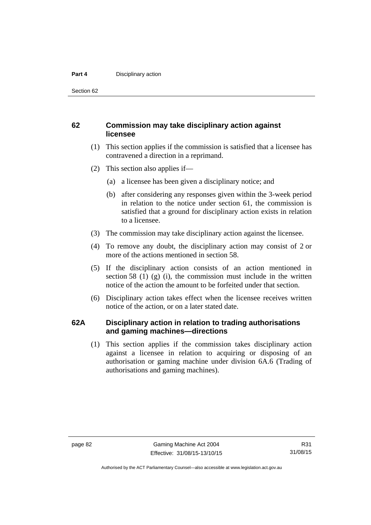#### **Part 4 Disciplinary action**

Section 62

## **62 Commission may take disciplinary action against licensee**

- (1) This section applies if the commission is satisfied that a licensee has contravened a direction in a reprimand.
- (2) This section also applies if—
	- (a) a licensee has been given a disciplinary notice; and
	- (b) after considering any responses given within the 3-week period in relation to the notice under section 61, the commission is satisfied that a ground for disciplinary action exists in relation to a licensee.
- (3) The commission may take disciplinary action against the licensee.
- (4) To remove any doubt, the disciplinary action may consist of 2 or more of the actions mentioned in section 58.
- (5) If the disciplinary action consists of an action mentioned in section 58 (1) (g) (i), the commission must include in the written notice of the action the amount to be forfeited under that section.
- (6) Disciplinary action takes effect when the licensee receives written notice of the action, or on a later stated date.

## **62A Disciplinary action in relation to trading authorisations and gaming machines—directions**

(1) This section applies if the commission takes disciplinary action against a licensee in relation to acquiring or disposing of an authorisation or gaming machine under division 6A.6 (Trading of authorisations and gaming machines).

R31 31/08/15

Authorised by the ACT Parliamentary Counsel—also accessible at www.legislation.act.gov.au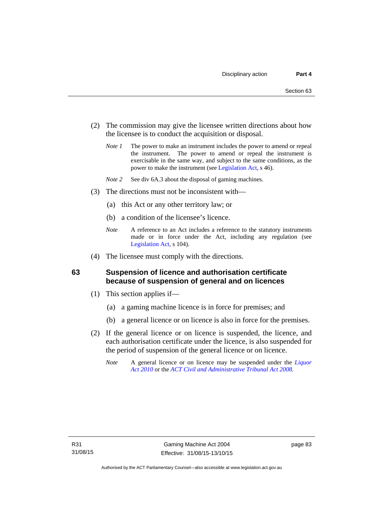- (2) The commission may give the licensee written directions about how the licensee is to conduct the acquisition or disposal.
	- *Note 1* The power to make an instrument includes the power to amend or repeal the instrument. The power to amend or repeal the instrument is exercisable in the same way, and subject to the same conditions, as the power to make the instrument (see [Legislation Act,](http://www.legislation.act.gov.au/a/2001-14) s 46).
	- *Note 2* See div 6A.3 about the disposal of gaming machines.
- (3) The directions must not be inconsistent with—
	- (a) this Act or any other territory law; or
	- (b) a condition of the licensee's licence.
	- *Note* A reference to an Act includes a reference to the statutory instruments made or in force under the Act, including any regulation (see [Legislation Act,](http://www.legislation.act.gov.au/a/2001-14) s 104).
- (4) The licensee must comply with the directions.

## **63 Suspension of licence and authorisation certificate because of suspension of general and on licences**

- (1) This section applies if—
	- (a) a gaming machine licence is in force for premises; and
	- (b) a general licence or on licence is also in force for the premises.
- (2) If the general licence or on licence is suspended, the licence, and each authorisation certificate under the licence, is also suspended for the period of suspension of the general licence or on licence.
	- *Note* A general licence or on licence may be suspended under the *[Liquor](http://www.legislation.act.gov.au/a/2010-35)  [Act 2010](http://www.legislation.act.gov.au/a/2010-35)* or the *[ACT Civil and Administrative Tribunal Act 2008.](http://www.legislation.act.gov.au/a/2008-35)*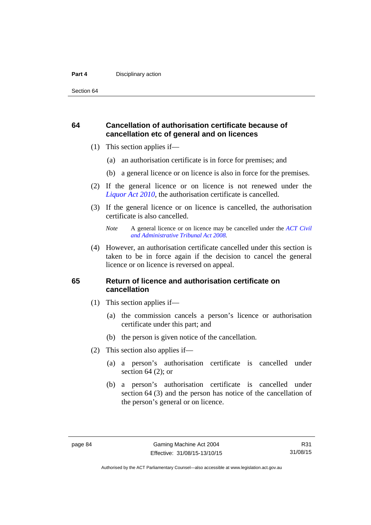#### **Part 4 Disciplinary action**

Section 64

## **64 Cancellation of authorisation certificate because of cancellation etc of general and on licences**

- (1) This section applies if—
	- (a) an authorisation certificate is in force for premises; and
	- (b) a general licence or on licence is also in force for the premises.
- (2) If the general licence or on licence is not renewed under the *[Liquor Act 2010](http://www.legislation.act.gov.au/a/2010-35)*, the authorisation certificate is cancelled.
- (3) If the general licence or on licence is cancelled, the authorisation certificate is also cancelled.

 (4) However, an authorisation certificate cancelled under this section is taken to be in force again if the decision to cancel the general licence or on licence is reversed on appeal.

## **65 Return of licence and authorisation certificate on cancellation**

- (1) This section applies if—
	- (a) the commission cancels a person's licence or authorisation certificate under this part; and
	- (b) the person is given notice of the cancellation.
- (2) This section also applies if—
	- (a) a person's authorisation certificate is cancelled under section  $64$  (2); or
	- (b) a person's authorisation certificate is cancelled under section 64 (3) and the person has notice of the cancellation of the person's general or on licence.

*Note* A general licence or on licence may be cancelled under the *[ACT Civil](http://www.legislation.act.gov.au/a/2008-35)  [and Administrative Tribunal Act 2008](http://www.legislation.act.gov.au/a/2008-35).*

Authorised by the ACT Parliamentary Counsel—also accessible at www.legislation.act.gov.au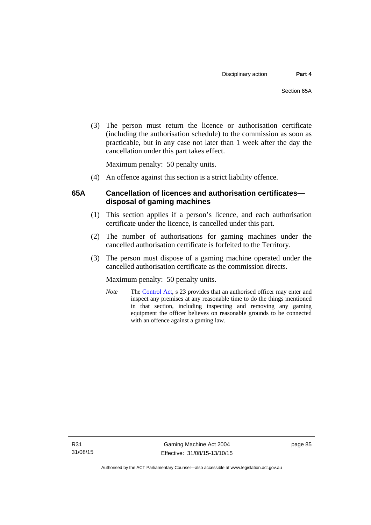(3) The person must return the licence or authorisation certificate (including the authorisation schedule) to the commission as soon as practicable, but in any case not later than 1 week after the day the cancellation under this part takes effect.

Maximum penalty: 50 penalty units.

(4) An offence against this section is a strict liability offence.

## **65A Cancellation of licences and authorisation certificates disposal of gaming machines**

- (1) This section applies if a person's licence, and each authorisation certificate under the licence, is cancelled under this part.
- (2) The number of authorisations for gaming machines under the cancelled authorisation certificate is forfeited to the Territory.
- (3) The person must dispose of a gaming machine operated under the cancelled authorisation certificate as the commission directs.

Maximum penalty: 50 penalty units.

*Note* The [Control Act](http://www.legislation.act.gov.au/a/1999-46/default.asp), s 23 provides that an authorised officer may enter and inspect any premises at any reasonable time to do the things mentioned in that section, including inspecting and removing any gaming equipment the officer believes on reasonable grounds to be connected with an offence against a gaming law.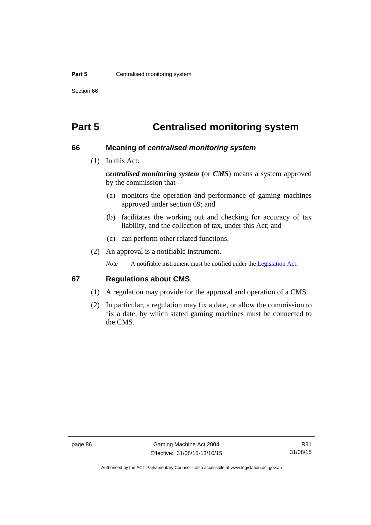#### **Part 5 Centralised monitoring system**

Section 66

# **Part 5 Centralised monitoring system**

## **66 Meaning of** *centralised monitoring system*

(1) In this Act:

*centralised monitoring system* (or *CMS*) means a system approved by the commission that—

- (a) monitors the operation and performance of gaming machines approved under section 69; and
- (b) facilitates the working out and checking for accuracy of tax liability, and the collection of tax, under this Act; and
- (c) can perform other related functions.
- (2) An approval is a notifiable instrument.

*Note* A notifiable instrument must be notified under the [Legislation Act](http://www.legislation.act.gov.au/a/2001-14).

## **67 Regulations about CMS**

- (1) A regulation may provide for the approval and operation of a CMS.
- (2) In particular, a regulation may fix a date, or allow the commission to fix a date, by which stated gaming machines must be connected to the CMS.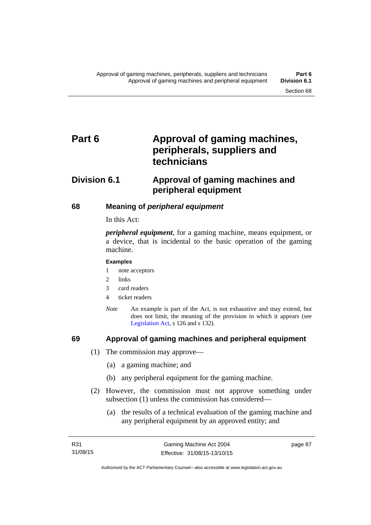# Part 6 **Approval of gaming machines, peripherals, suppliers and technicians**

# **Division 6.1 Approval of gaming machines and peripheral equipment**

## **68 Meaning of** *peripheral equipment*

In this Act:

*peripheral equipment*, for a gaming machine, means equipment, or a device, that is incidental to the basic operation of the gaming machine.

#### **Examples**

- 1 note acceptors
- 2 links
- 3 card readers
- 4 ticket readers
- *Note* An example is part of the Act, is not exhaustive and may extend, but does not limit, the meaning of the provision in which it appears (see [Legislation Act,](http://www.legislation.act.gov.au/a/2001-14) s 126 and s 132).

## **69 Approval of gaming machines and peripheral equipment**

- (1) The commission may approve—
	- (a) a gaming machine; and
	- (b) any peripheral equipment for the gaming machine.
- (2) However, the commission must not approve something under subsection (1) unless the commission has considered—
	- (a) the results of a technical evaluation of the gaming machine and any peripheral equipment by an approved entity; and

page 87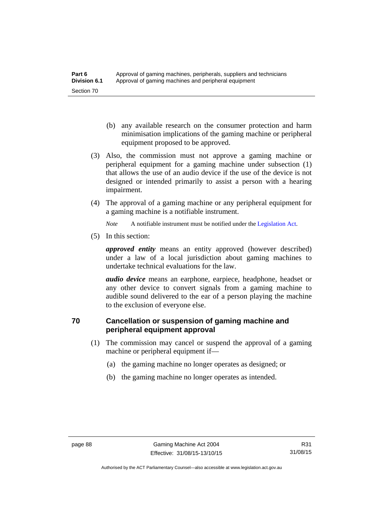- (b) any available research on the consumer protection and harm minimisation implications of the gaming machine or peripheral equipment proposed to be approved.
- (3) Also, the commission must not approve a gaming machine or peripheral equipment for a gaming machine under subsection (1) that allows the use of an audio device if the use of the device is not designed or intended primarily to assist a person with a hearing impairment.
- (4) The approval of a gaming machine or any peripheral equipment for a gaming machine is a notifiable instrument.

*Note* A notifiable instrument must be notified under the [Legislation Act](http://www.legislation.act.gov.au/a/2001-14).

(5) In this section:

*approved entity* means an entity approved (however described) under a law of a local jurisdiction about gaming machines to undertake technical evaluations for the law.

*audio device* means an earphone, earpiece, headphone, headset or any other device to convert signals from a gaming machine to audible sound delivered to the ear of a person playing the machine to the exclusion of everyone else.

# **70 Cancellation or suspension of gaming machine and peripheral equipment approval**

- (1) The commission may cancel or suspend the approval of a gaming machine or peripheral equipment if—
	- (a) the gaming machine no longer operates as designed; or
	- (b) the gaming machine no longer operates as intended.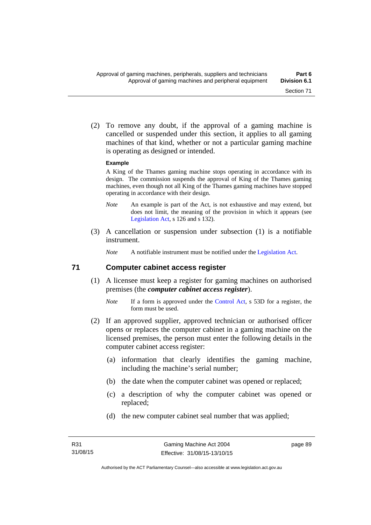(2) To remove any doubt, if the approval of a gaming machine is cancelled or suspended under this section, it applies to all gaming machines of that kind, whether or not a particular gaming machine is operating as designed or intended.

#### **Example**

A King of the Thames gaming machine stops operating in accordance with its design. The commission suspends the approval of King of the Thames gaming machines, even though not all King of the Thames gaming machines have stopped operating in accordance with their design.

- *Note* An example is part of the Act, is not exhaustive and may extend, but does not limit, the meaning of the provision in which it appears (see [Legislation Act,](http://www.legislation.act.gov.au/a/2001-14) s 126 and s 132).
- (3) A cancellation or suspension under subsection (1) is a notifiable instrument.

*Note* A notifiable instrument must be notified under the [Legislation Act](http://www.legislation.act.gov.au/a/2001-14).

## **71 Computer cabinet access register**

- (1) A licensee must keep a register for gaming machines on authorised premises (the *computer cabinet access register*).
	- *Note* If a form is approved under the [Control Act,](http://www.legislation.act.gov.au/a/1999-46/) s 53D for a register, the form must be used.
- (2) If an approved supplier, approved technician or authorised officer opens or replaces the computer cabinet in a gaming machine on the licensed premises, the person must enter the following details in the computer cabinet access register:
	- (a) information that clearly identifies the gaming machine, including the machine's serial number;
	- (b) the date when the computer cabinet was opened or replaced;
	- (c) a description of why the computer cabinet was opened or replaced;
	- (d) the new computer cabinet seal number that was applied;

page 89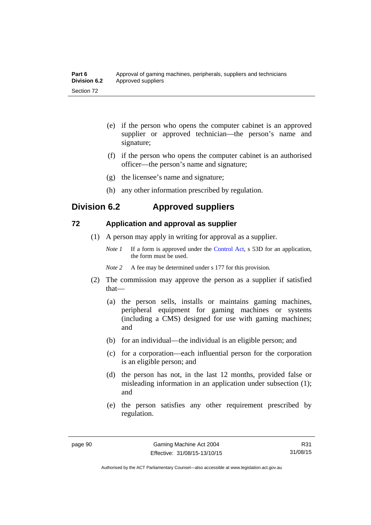| Part 6       | Approval of gaming machines, peripherals, suppliers and technicians |
|--------------|---------------------------------------------------------------------|
| Division 6.2 | Approved suppliers                                                  |
| Section 72   |                                                                     |

- (e) if the person who opens the computer cabinet is an approved supplier or approved technician—the person's name and signature;
- (f) if the person who opens the computer cabinet is an authorised officer—the person's name and signature;
- (g) the licensee's name and signature;
- (h) any other information prescribed by regulation.

# **Division 6.2 Approved suppliers**

## **72 Application and approval as supplier**

- (1) A person may apply in writing for approval as a supplier.
	- *Note 1* If a form is approved under the [Control Act,](http://www.legislation.act.gov.au/a/1999-46) s 53D for an application, the form must be used.
	- *Note* 2 A fee may be determined under s 177 for this provision.
- (2) The commission may approve the person as a supplier if satisfied that—
	- (a) the person sells, installs or maintains gaming machines, peripheral equipment for gaming machines or systems (including a CMS) designed for use with gaming machines; and
	- (b) for an individual—the individual is an eligible person; and
	- (c) for a corporation—each influential person for the corporation is an eligible person; and
	- (d) the person has not, in the last 12 months, provided false or misleading information in an application under subsection (1); and
	- (e) the person satisfies any other requirement prescribed by regulation.

R31 31/08/15

Authorised by the ACT Parliamentary Counsel—also accessible at www.legislation.act.gov.au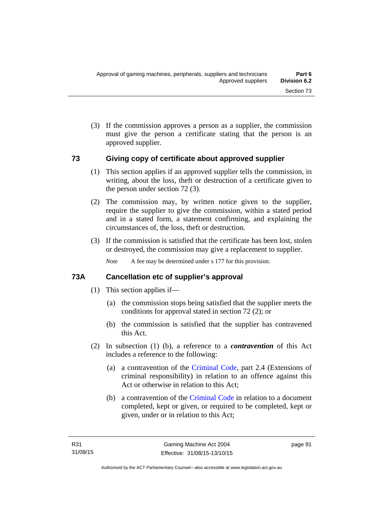(3) If the commission approves a person as a supplier, the commission must give the person a certificate stating that the person is an approved supplier.

## **73 Giving copy of certificate about approved supplier**

- (1) This section applies if an approved supplier tells the commission, in writing, about the loss, theft or destruction of a certificate given to the person under section 72 (3).
- (2) The commission may, by written notice given to the supplier, require the supplier to give the commission, within a stated period and in a stated form, a statement confirming, and explaining the circumstances of, the loss, theft or destruction.
- (3) If the commission is satisfied that the certificate has been lost, stolen or destroyed, the commission may give a replacement to supplier.

*Note* A fee may be determined under s 177 for this provision.

## **73A Cancellation etc of supplier's approval**

- (1) This section applies if—
	- (a) the commission stops being satisfied that the supplier meets the conditions for approval stated in section 72 (2); or
	- (b) the commission is satisfied that the supplier has contravened this Act.
- (2) In subsection (1) (b), a reference to a *contravention* of this Act includes a reference to the following:
	- (a) a contravention of the [Criminal Code](http://www.legislation.act.gov.au/a/2002-51), part 2.4 (Extensions of criminal responsibility) in relation to an offence against this Act or otherwise in relation to this Act;
	- (b) a contravention of the [Criminal Code](http://www.legislation.act.gov.au/a/2002-51) in relation to a document completed, kept or given, or required to be completed, kept or given, under or in relation to this Act;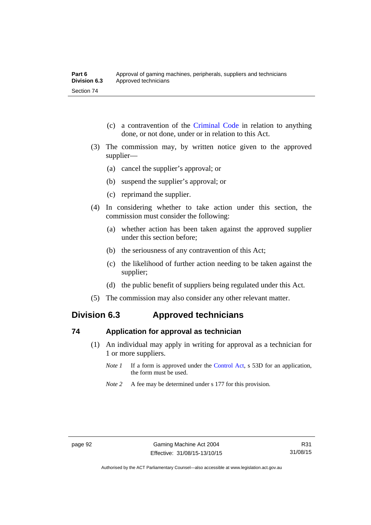- (c) a contravention of the [Criminal Code](http://www.legislation.act.gov.au/a/2002-51) in relation to anything done, or not done, under or in relation to this Act.
- (3) The commission may, by written notice given to the approved supplier—
	- (a) cancel the supplier's approval; or
	- (b) suspend the supplier's approval; or
	- (c) reprimand the supplier.
- (4) In considering whether to take action under this section, the commission must consider the following:
	- (a) whether action has been taken against the approved supplier under this section before;
	- (b) the seriousness of any contravention of this Act;
	- (c) the likelihood of further action needing to be taken against the supplier;
	- (d) the public benefit of suppliers being regulated under this Act.
- (5) The commission may also consider any other relevant matter.

# **Division 6.3 Approved technicians**

## **74 Application for approval as technician**

- (1) An individual may apply in writing for approval as a technician for 1 or more suppliers.
	- *Note 1* If a form is approved under the [Control Act,](http://www.legislation.act.gov.au/a/1999-46) s 53D for an application, the form must be used.
	- *Note* 2 A fee may be determined under s 177 for this provision.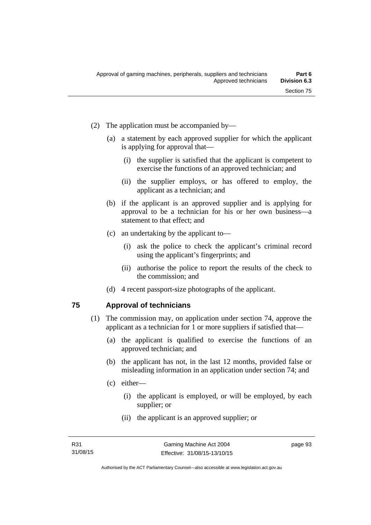- (2) The application must be accompanied by—
	- (a) a statement by each approved supplier for which the applicant is applying for approval that—
		- (i) the supplier is satisfied that the applicant is competent to exercise the functions of an approved technician; and
		- (ii) the supplier employs, or has offered to employ, the applicant as a technician; and
	- (b) if the applicant is an approved supplier and is applying for approval to be a technician for his or her own business—a statement to that effect; and
	- (c) an undertaking by the applicant to—
		- (i) ask the police to check the applicant's criminal record using the applicant's fingerprints; and
		- (ii) authorise the police to report the results of the check to the commission; and
	- (d) 4 recent passport-size photographs of the applicant.

# **75 Approval of technicians**

- (1) The commission may, on application under section 74, approve the applicant as a technician for 1 or more suppliers if satisfied that—
	- (a) the applicant is qualified to exercise the functions of an approved technician; and
	- (b) the applicant has not, in the last 12 months, provided false or misleading information in an application under section 74; and
	- (c) either—
		- (i) the applicant is employed, or will be employed, by each supplier; or
		- (ii) the applicant is an approved supplier; or

page 93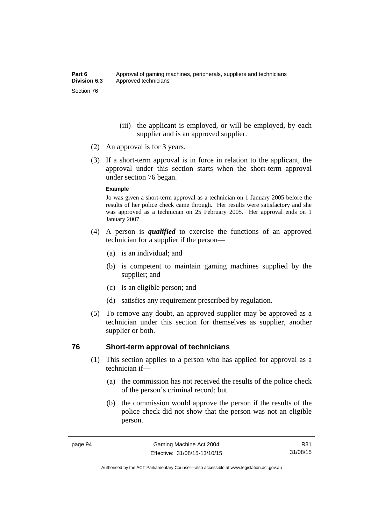- (iii) the applicant is employed, or will be employed, by each supplier and is an approved supplier.
- (2) An approval is for 3 years.
- (3) If a short-term approval is in force in relation to the applicant, the approval under this section starts when the short-term approval under section 76 began.

#### **Example**

Jo was given a short-term approval as a technician on 1 January 2005 before the results of her police check came through. Her results were satisfactory and she was approved as a technician on 25 February 2005. Her approval ends on 1 January 2007.

- (4) A person is *qualified* to exercise the functions of an approved technician for a supplier if the person—
	- (a) is an individual; and
	- (b) is competent to maintain gaming machines supplied by the supplier; and
	- (c) is an eligible person; and
	- (d) satisfies any requirement prescribed by regulation.
- (5) To remove any doubt, an approved supplier may be approved as a technician under this section for themselves as supplier, another supplier or both.

### **76 Short-term approval of technicians**

- (1) This section applies to a person who has applied for approval as a technician if—
	- (a) the commission has not received the results of the police check of the person's criminal record; but
	- (b) the commission would approve the person if the results of the police check did not show that the person was not an eligible person.

R31 31/08/15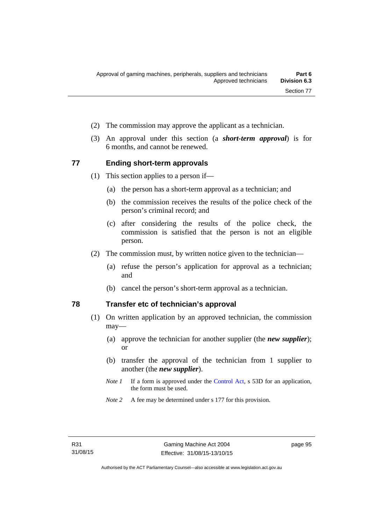- (2) The commission may approve the applicant as a technician.
- (3) An approval under this section (a *short-term approval*) is for 6 months, and cannot be renewed.

#### **77 Ending short-term approvals**

- (1) This section applies to a person if—
	- (a) the person has a short-term approval as a technician; and
	- (b) the commission receives the results of the police check of the person's criminal record; and
	- (c) after considering the results of the police check, the commission is satisfied that the person is not an eligible person.
- (2) The commission must, by written notice given to the technician—
	- (a) refuse the person's application for approval as a technician; and
	- (b) cancel the person's short-term approval as a technician.

# **78 Transfer etc of technician's approval**

- (1) On written application by an approved technician, the commission may—
	- (a) approve the technician for another supplier (the *new supplier*); or
	- (b) transfer the approval of the technician from 1 supplier to another (the *new supplier*).
	- *Note 1* If a form is approved under the [Control Act,](http://www.legislation.act.gov.au/a/1999-46) s 53D for an application, the form must be used.
	- *Note 2* A fee may be determined under s 177 for this provision.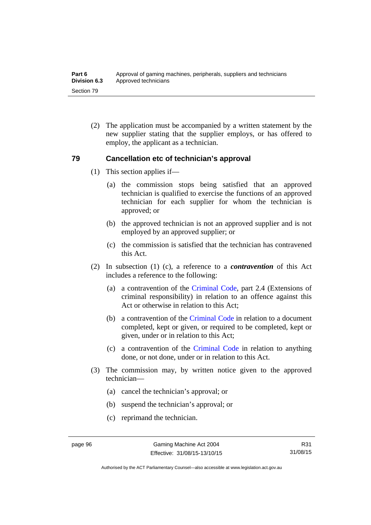(2) The application must be accompanied by a written statement by the new supplier stating that the supplier employs, or has offered to employ, the applicant as a technician.

### **79 Cancellation etc of technician's approval**

- (1) This section applies if—
	- (a) the commission stops being satisfied that an approved technician is qualified to exercise the functions of an approved technician for each supplier for whom the technician is approved; or
	- (b) the approved technician is not an approved supplier and is not employed by an approved supplier; or
	- (c) the commission is satisfied that the technician has contravened this Act.
- (2) In subsection (1) (c), a reference to a *contravention* of this Act includes a reference to the following:
	- (a) a contravention of the [Criminal Code](http://www.legislation.act.gov.au/a/2002-51), part 2.4 (Extensions of criminal responsibility) in relation to an offence against this Act or otherwise in relation to this Act:
	- (b) a contravention of the [Criminal Code](http://www.legislation.act.gov.au/a/2002-51) in relation to a document completed, kept or given, or required to be completed, kept or given, under or in relation to this Act;
	- (c) a contravention of the [Criminal Code](http://www.legislation.act.gov.au/a/2002-51) in relation to anything done, or not done, under or in relation to this Act.
- (3) The commission may, by written notice given to the approved technician—
	- (a) cancel the technician's approval; or
	- (b) suspend the technician's approval; or
	- (c) reprimand the technician.

Authorised by the ACT Parliamentary Counsel—also accessible at www.legislation.act.gov.au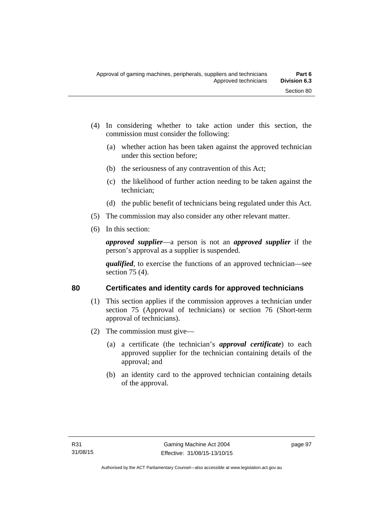- (4) In considering whether to take action under this section, the commission must consider the following:
	- (a) whether action has been taken against the approved technician under this section before;
	- (b) the seriousness of any contravention of this Act;
	- (c) the likelihood of further action needing to be taken against the technician;
	- (d) the public benefit of technicians being regulated under this Act.
- (5) The commission may also consider any other relevant matter.
- (6) In this section:

*approved supplier*—a person is not an *approved supplier* if the person's approval as a supplier is suspended.

*qualified*, to exercise the functions of an approved technician—see section 75 (4).

# **80 Certificates and identity cards for approved technicians**

- (1) This section applies if the commission approves a technician under section 75 (Approval of technicians) or section 76 (Short-term approval of technicians).
- (2) The commission must give—
	- (a) a certificate (the technician's *approval certificate*) to each approved supplier for the technician containing details of the approval; and
	- (b) an identity card to the approved technician containing details of the approval.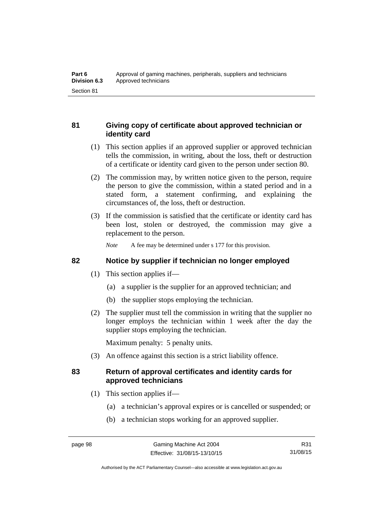# **81 Giving copy of certificate about approved technician or identity card**

- (1) This section applies if an approved supplier or approved technician tells the commission, in writing, about the loss, theft or destruction of a certificate or identity card given to the person under section 80.
- (2) The commission may, by written notice given to the person, require the person to give the commission, within a stated period and in a stated form, a statement confirming, and explaining the circumstances of, the loss, theft or destruction.
- (3) If the commission is satisfied that the certificate or identity card has been lost, stolen or destroyed, the commission may give a replacement to the person.

*Note* A fee may be determined under s 177 for this provision.

# **82 Notice by supplier if technician no longer employed**

- (1) This section applies if—
	- (a) a supplier is the supplier for an approved technician; and
	- (b) the supplier stops employing the technician.
- (2) The supplier must tell the commission in writing that the supplier no longer employs the technician within 1 week after the day the supplier stops employing the technician.

Maximum penalty: 5 penalty units.

(3) An offence against this section is a strict liability offence.

# **83 Return of approval certificates and identity cards for approved technicians**

- (1) This section applies if—
	- (a) a technician's approval expires or is cancelled or suspended; or
	- (b) a technician stops working for an approved supplier.

Authorised by the ACT Parliamentary Counsel—also accessible at www.legislation.act.gov.au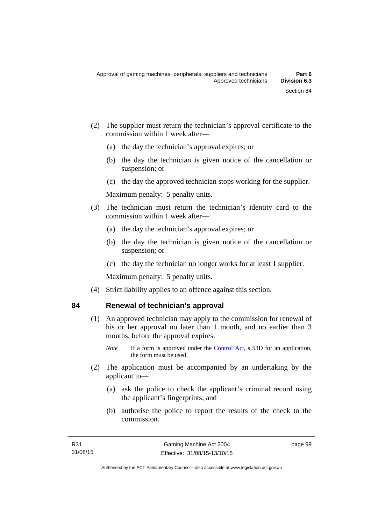- (2) The supplier must return the technician's approval certificate to the commission within 1 week after—
	- (a) the day the technician's approval expires; or
	- (b) the day the technician is given notice of the cancellation or suspension; or
	- (c) the day the approved technician stops working for the supplier.

Maximum penalty: 5 penalty units.

- (3) The technician must return the technician's identity card to the commission within 1 week after—
	- (a) the day the technician's approval expires; or
	- (b) the day the technician is given notice of the cancellation or suspension; or
	- (c) the day the technician no longer works for at least 1 supplier.

Maximum penalty: 5 penalty units.

(4) Strict liability applies to an offence against this section.

# **84 Renewal of technician's approval**

- (1) An approved technician may apply to the commission for renewal of his or her approval no later than 1 month, and no earlier than 3 months, before the approval expires.
	- *Note* If a form is approved under the [Control Act,](http://www.legislation.act.gov.au/a/1999-46) s 53D for an application, the form must be used.
- (2) The application must be accompanied by an undertaking by the applicant to—
	- (a) ask the police to check the applicant's criminal record using the applicant's fingerprints; and
	- (b) authorise the police to report the results of the check to the commission.

page 99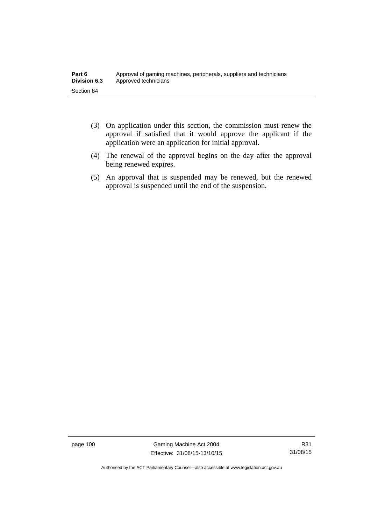- (3) On application under this section, the commission must renew the approval if satisfied that it would approve the applicant if the application were an application for initial approval.
- (4) The renewal of the approval begins on the day after the approval being renewed expires.
- (5) An approval that is suspended may be renewed, but the renewed approval is suspended until the end of the suspension.

page 100 Gaming Machine Act 2004 Effective: 31/08/15-13/10/15

Authorised by the ACT Parliamentary Counsel—also accessible at www.legislation.act.gov.au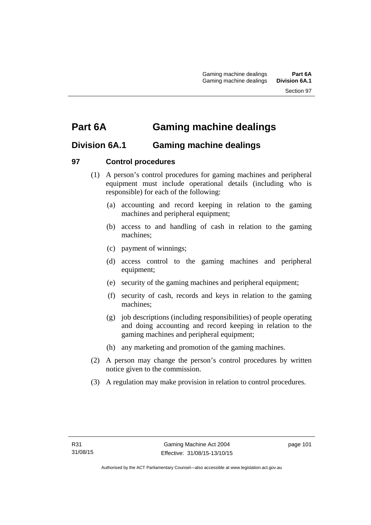# **Part 6A Gaming machine dealings**

# **Division 6A.1 Gaming machine dealings**

# **97 Control procedures**

- (1) A person's control procedures for gaming machines and peripheral equipment must include operational details (including who is responsible) for each of the following:
	- (a) accounting and record keeping in relation to the gaming machines and peripheral equipment;
	- (b) access to and handling of cash in relation to the gaming machines;
	- (c) payment of winnings;
	- (d) access control to the gaming machines and peripheral equipment;
	- (e) security of the gaming machines and peripheral equipment;
	- (f) security of cash, records and keys in relation to the gaming machines;
	- (g) job descriptions (including responsibilities) of people operating and doing accounting and record keeping in relation to the gaming machines and peripheral equipment;
	- (h) any marketing and promotion of the gaming machines.
- (2) A person may change the person's control procedures by written notice given to the commission.
- (3) A regulation may make provision in relation to control procedures.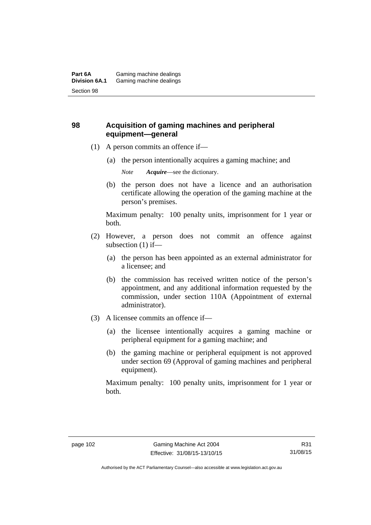# **98 Acquisition of gaming machines and peripheral equipment—general**

- (1) A person commits an offence if—
	- (a) the person intentionally acquires a gaming machine; and

*Note Acquire*—see the dictionary.

 (b) the person does not have a licence and an authorisation certificate allowing the operation of the gaming machine at the person's premises.

Maximum penalty: 100 penalty units, imprisonment for 1 year or both.

- (2) However, a person does not commit an offence against subsection (1) if—
	- (a) the person has been appointed as an external administrator for a licensee; and
	- (b) the commission has received written notice of the person's appointment, and any additional information requested by the commission, under section 110A (Appointment of external administrator).
- (3) A licensee commits an offence if—
	- (a) the licensee intentionally acquires a gaming machine or peripheral equipment for a gaming machine; and
	- (b) the gaming machine or peripheral equipment is not approved under section 69 (Approval of gaming machines and peripheral equipment).

Maximum penalty: 100 penalty units, imprisonment for 1 year or both.

R31 31/08/15

Authorised by the ACT Parliamentary Counsel—also accessible at www.legislation.act.gov.au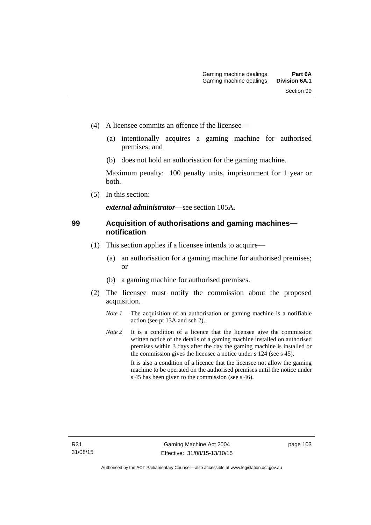- (4) A licensee commits an offence if the licensee—
	- (a) intentionally acquires a gaming machine for authorised premises; and
	- (b) does not hold an authorisation for the gaming machine.

Maximum penalty: 100 penalty units, imprisonment for 1 year or both.

(5) In this section:

*external administrator*—see section 105A.

# **99 Acquisition of authorisations and gaming machines notification**

- (1) This section applies if a licensee intends to acquire—
	- (a) an authorisation for a gaming machine for authorised premises; or
	- (b) a gaming machine for authorised premises.
- (2) The licensee must notify the commission about the proposed acquisition.
	- *Note 1* The acquisition of an authorisation or gaming machine is a notifiable action (see pt 13A and sch 2).
	- *Note* 2 It is a condition of a licence that the licensee give the commission written notice of the details of a gaming machine installed on authorised premises within 3 days after the day the gaming machine is installed or the commission gives the licensee a notice under s 124 (see s 45). It is also a condition of a licence that the licensee not allow the gaming machine to be operated on the authorised premises until the notice under s 45 has been given to the commission (see s 46).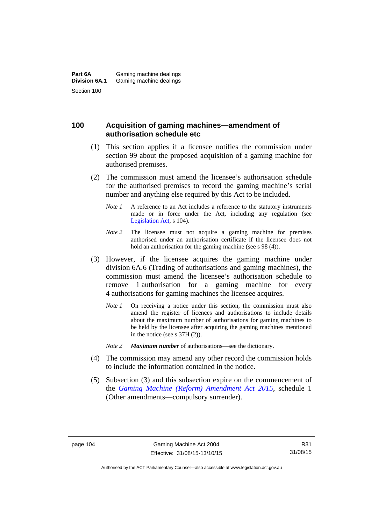# **100 Acquisition of gaming machines—amendment of authorisation schedule etc**

- (1) This section applies if a licensee notifies the commission under section 99 about the proposed acquisition of a gaming machine for authorised premises.
- (2) The commission must amend the licensee's authorisation schedule for the authorised premises to record the gaming machine's serial number and anything else required by this Act to be included.
	- *Note 1* A reference to an Act includes a reference to the statutory instruments made or in force under the Act, including any regulation (see [Legislation Act,](http://www.legislation.act.gov.au/a/2001-14) s 104).
	- *Note* 2 The licensee must not acquire a gaming machine for premises authorised under an authorisation certificate if the licensee does not hold an authorisation for the gaming machine (see s 98 (4)).
- (3) However, if the licensee acquires the gaming machine under division 6A.6 (Trading of authorisations and gaming machines), the commission must amend the licensee's authorisation schedule to remove 1 authorisation for a gaming machine for every 4 authorisations for gaming machines the licensee acquires.
	- *Note 1* On receiving a notice under this section, the commission must also amend the register of licences and authorisations to include details about the maximum number of authorisations for gaming machines to be held by the licensee after acquiring the gaming machines mentioned in the notice (see s 37H (2)).
	- *Note 2 Maximum number* of authorisations—see the dictionary.
- (4) The commission may amend any other record the commission holds to include the information contained in the notice.
- (5) Subsection (3) and this subsection expire on the commencement of the *[Gaming Machine \(Reform\) Amendment Act 2015](http://www.legislation.act.gov.au/a/2015-21/default.asp)*, schedule 1 (Other amendments—compulsory surrender).

R31 31/08/15

Authorised by the ACT Parliamentary Counsel—also accessible at www.legislation.act.gov.au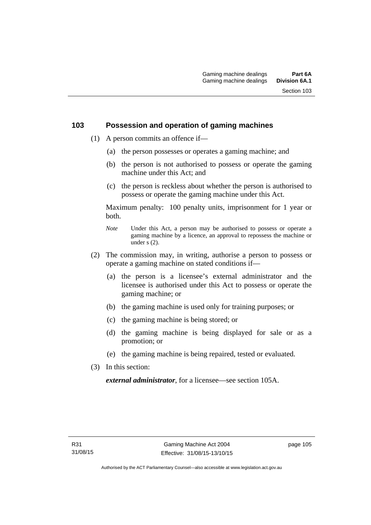# **103 Possession and operation of gaming machines**

- (1) A person commits an offence if—
	- (a) the person possesses or operates a gaming machine; and
	- (b) the person is not authorised to possess or operate the gaming machine under this Act; and
	- (c) the person is reckless about whether the person is authorised to possess or operate the gaming machine under this Act.

Maximum penalty: 100 penalty units, imprisonment for 1 year or both.

- *Note* Under this Act, a person may be authorised to possess or operate a gaming machine by a licence, an approval to repossess the machine or under  $\overline{s}$  (2).
- (2) The commission may, in writing, authorise a person to possess or operate a gaming machine on stated conditions if—
	- (a) the person is a licensee's external administrator and the licensee is authorised under this Act to possess or operate the gaming machine; or
	- (b) the gaming machine is used only for training purposes; or
	- (c) the gaming machine is being stored; or
	- (d) the gaming machine is being displayed for sale or as a promotion; or
	- (e) the gaming machine is being repaired, tested or evaluated.
- (3) In this section:

*external administrator*, for a licensee—see section 105A.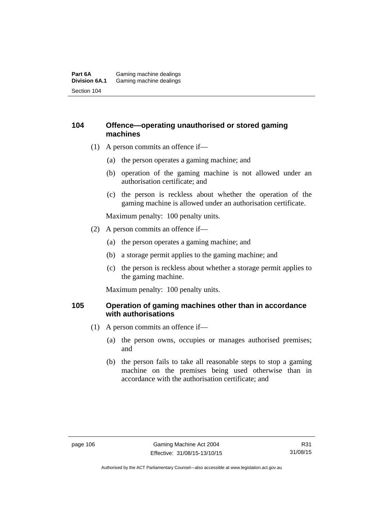#### **Part 6A** Gaming machine dealings<br>**Division 6A.1** Gaming machine dealings Gaming machine dealings Section 104

# **104 Offence—operating unauthorised or stored gaming machines**

- (1) A person commits an offence if—
	- (a) the person operates a gaming machine; and
	- (b) operation of the gaming machine is not allowed under an authorisation certificate; and
	- (c) the person is reckless about whether the operation of the gaming machine is allowed under an authorisation certificate.

Maximum penalty: 100 penalty units.

- (2) A person commits an offence if—
	- (a) the person operates a gaming machine; and
	- (b) a storage permit applies to the gaming machine; and
	- (c) the person is reckless about whether a storage permit applies to the gaming machine.

Maximum penalty: 100 penalty units.

# **105 Operation of gaming machines other than in accordance with authorisations**

- (1) A person commits an offence if—
	- (a) the person owns, occupies or manages authorised premises; and
	- (b) the person fails to take all reasonable steps to stop a gaming machine on the premises being used otherwise than in accordance with the authorisation certificate; and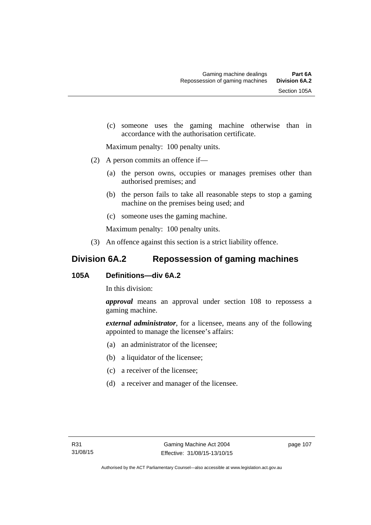(c) someone uses the gaming machine otherwise than in accordance with the authorisation certificate.

Maximum penalty: 100 penalty units.

- (2) A person commits an offence if—
	- (a) the person owns, occupies or manages premises other than authorised premises; and
	- (b) the person fails to take all reasonable steps to stop a gaming machine on the premises being used; and
	- (c) someone uses the gaming machine.

Maximum penalty: 100 penalty units.

(3) An offence against this section is a strict liability offence.

# **Division 6A.2 Repossession of gaming machines**

# **105A Definitions—div 6A.2**

In this division:

*approval* means an approval under section 108 to repossess a gaming machine.

*external administrator*, for a licensee, means any of the following appointed to manage the licensee's affairs:

- (a) an administrator of the licensee;
- (b) a liquidator of the licensee;
- (c) a receiver of the licensee;
- (d) a receiver and manager of the licensee.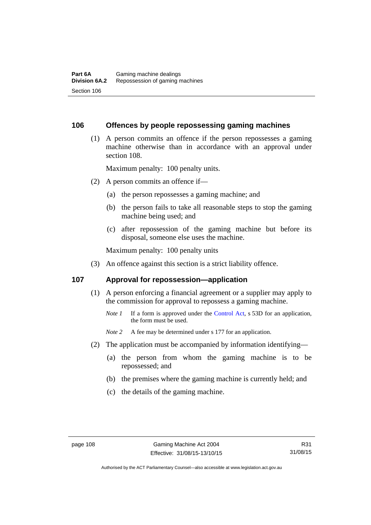### **106 Offences by people repossessing gaming machines**

 (1) A person commits an offence if the person repossesses a gaming machine otherwise than in accordance with an approval under section 108.

Maximum penalty: 100 penalty units.

- (2) A person commits an offence if—
	- (a) the person repossesses a gaming machine; and
	- (b) the person fails to take all reasonable steps to stop the gaming machine being used; and
	- (c) after repossession of the gaming machine but before its disposal, someone else uses the machine.

Maximum penalty: 100 penalty units

(3) An offence against this section is a strict liability offence.

#### **107 Approval for repossession—application**

- (1) A person enforcing a financial agreement or a supplier may apply to the commission for approval to repossess a gaming machine.
	- *Note 1* If a form is approved under the [Control Act](http://www.legislation.act.gov.au/a/1999-46/default.asp), s 53D for an application, the form must be used.

*Note* 2 A fee may be determined under s 177 for an application.

- (2) The application must be accompanied by information identifying—
	- (a) the person from whom the gaming machine is to be repossessed; and
	- (b) the premises where the gaming machine is currently held; and
	- (c) the details of the gaming machine.

Authorised by the ACT Parliamentary Counsel—also accessible at www.legislation.act.gov.au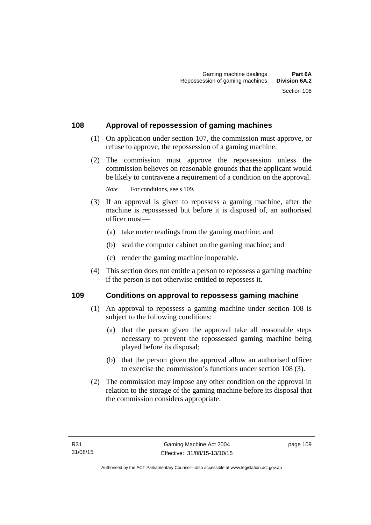# **108 Approval of repossession of gaming machines**

- (1) On application under section 107, the commission must approve, or refuse to approve, the repossession of a gaming machine.
- (2) The commission must approve the repossession unless the commission believes on reasonable grounds that the applicant would be likely to contravene a requirement of a condition on the approval.

*Note* For conditions, see s 109.

- (3) If an approval is given to repossess a gaming machine, after the machine is repossessed but before it is disposed of, an authorised officer must—
	- (a) take meter readings from the gaming machine; and
	- (b) seal the computer cabinet on the gaming machine; and
	- (c) render the gaming machine inoperable.
- (4) This section does not entitle a person to repossess a gaming machine if the person is not otherwise entitled to repossess it.

### **109 Conditions on approval to repossess gaming machine**

- (1) An approval to repossess a gaming machine under section 108 is subject to the following conditions:
	- (a) that the person given the approval take all reasonable steps necessary to prevent the repossessed gaming machine being played before its disposal;
	- (b) that the person given the approval allow an authorised officer to exercise the commission's functions under section 108 (3).
- (2) The commission may impose any other condition on the approval in relation to the storage of the gaming machine before its disposal that the commission considers appropriate.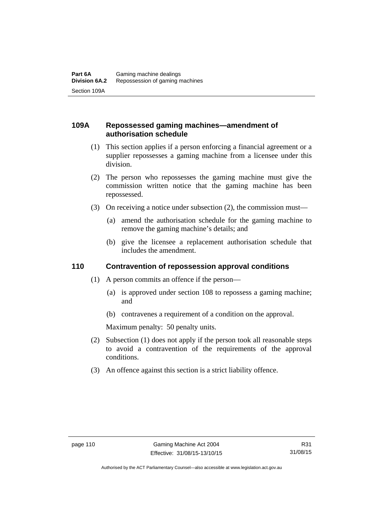# **109A Repossessed gaming machines—amendment of authorisation schedule**

- (1) This section applies if a person enforcing a financial agreement or a supplier repossesses a gaming machine from a licensee under this division.
- (2) The person who repossesses the gaming machine must give the commission written notice that the gaming machine has been repossessed.
- (3) On receiving a notice under subsection (2), the commission must—
	- (a) amend the authorisation schedule for the gaming machine to remove the gaming machine's details; and
	- (b) give the licensee a replacement authorisation schedule that includes the amendment.

# **110 Contravention of repossession approval conditions**

- (1) A person commits an offence if the person—
	- (a) is approved under section 108 to repossess a gaming machine; and
	- (b) contravenes a requirement of a condition on the approval.

Maximum penalty: 50 penalty units.

- (2) Subsection (1) does not apply if the person took all reasonable steps to avoid a contravention of the requirements of the approval conditions.
- (3) An offence against this section is a strict liability offence.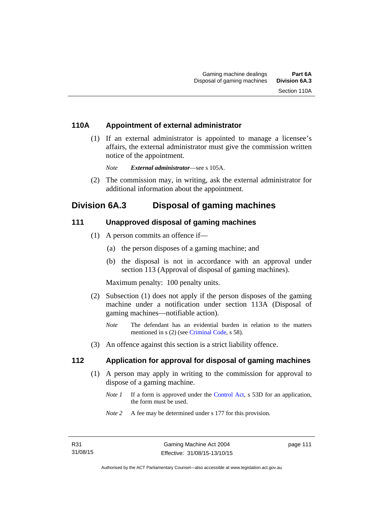# **110A Appointment of external administrator**

 (1) If an external administrator is appointed to manage a licensee's affairs, the external administrator must give the commission written notice of the appointment.

*Note External administrator*—see s 105A.

 (2) The commission may, in writing, ask the external administrator for additional information about the appointment.

# **Division 6A.3 Disposal of gaming machines**

### **111 Unapproved disposal of gaming machines**

- (1) A person commits an offence if—
	- (a) the person disposes of a gaming machine; and
	- (b) the disposal is not in accordance with an approval under section 113 (Approval of disposal of gaming machines).

Maximum penalty: 100 penalty units.

- (2) Subsection (1) does not apply if the person disposes of the gaming machine under a notification under section 113A (Disposal of gaming machines—notifiable action).
	- *Note* The defendant has an evidential burden in relation to the matters mentioned in s (2) (see [Criminal Code](http://www.legislation.act.gov.au/a/2002-51), s 58).
- (3) An offence against this section is a strict liability offence.

# **112 Application for approval for disposal of gaming machines**

- (1) A person may apply in writing to the commission for approval to dispose of a gaming machine.
	- *Note 1* If a form is approved under the [Control Act,](http://www.legislation.act.gov.au/a/1999-46) s 53D for an application, the form must be used.
	- *Note 2* A fee may be determined under s 177 for this provision.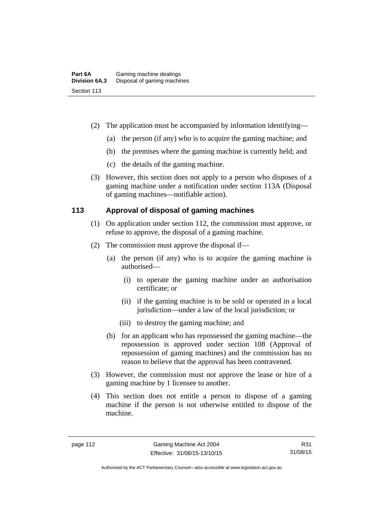- (2) The application must be accompanied by information identifying—
	- (a) the person (if any) who is to acquire the gaming machine; and
	- (b) the premises where the gaming machine is currently held; and
	- (c) the details of the gaming machine.
- (3) However, this section does not apply to a person who disposes of a gaming machine under a notification under section 113A (Disposal of gaming machines—notifiable action).

# **113 Approval of disposal of gaming machines**

- (1) On application under section 112, the commission must approve, or refuse to approve, the disposal of a gaming machine.
- (2) The commission must approve the disposal if—
	- (a) the person (if any) who is to acquire the gaming machine is authorised—
		- (i) to operate the gaming machine under an authorisation certificate; or
		- (ii) if the gaming machine is to be sold or operated in a local jurisdiction—under a law of the local jurisdiction; or
		- (iii) to destroy the gaming machine; and
	- (b) for an applicant who has repossessed the gaming machine—the repossession is approved under section 108 (Approval of repossession of gaming machines) and the commission has no reason to believe that the approval has been contravened.
- (3) However, the commission must not approve the lease or hire of a gaming machine by 1 licensee to another.
- (4) This section does not entitle a person to dispose of a gaming machine if the person is not otherwise entitled to dispose of the machine.

R31 31/08/15

Authorised by the ACT Parliamentary Counsel—also accessible at www.legislation.act.gov.au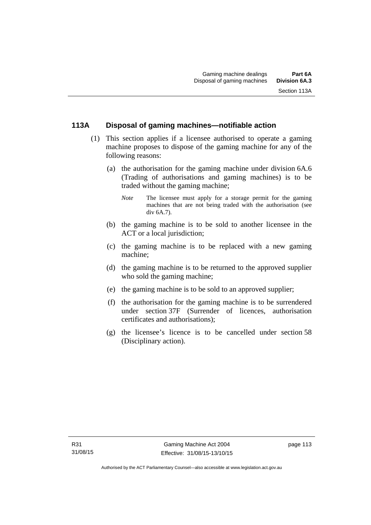# **113A Disposal of gaming machines—notifiable action**

- (1) This section applies if a licensee authorised to operate a gaming machine proposes to dispose of the gaming machine for any of the following reasons:
	- (a) the authorisation for the gaming machine under division 6A.6 (Trading of authorisations and gaming machines) is to be traded without the gaming machine;
		- *Note* The licensee must apply for a storage permit for the gaming machines that are not being traded with the authorisation (see div 6A.7).
	- (b) the gaming machine is to be sold to another licensee in the ACT or a local jurisdiction;
	- (c) the gaming machine is to be replaced with a new gaming machine;
	- (d) the gaming machine is to be returned to the approved supplier who sold the gaming machine;
	- (e) the gaming machine is to be sold to an approved supplier;
	- (f) the authorisation for the gaming machine is to be surrendered under section 37F (Surrender of licences, authorisation certificates and authorisations);
	- (g) the licensee's licence is to be cancelled under section 58 (Disciplinary action).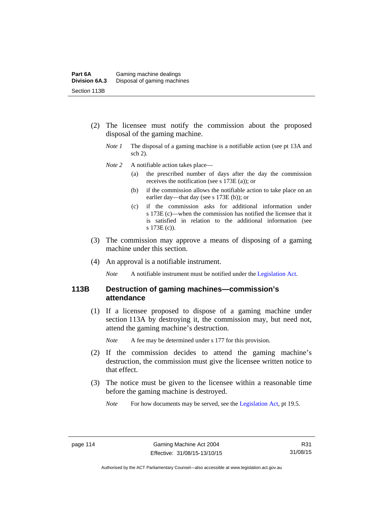- (2) The licensee must notify the commission about the proposed disposal of the gaming machine.
	- *Note 1* The disposal of a gaming machine is a notifiable action (see pt 13A and sch 2).
	- *Note* 2 A notifiable action takes place—
		- (a) the prescribed number of days after the day the commission receives the notification (see s 173E (a)); or
		- (b) if the commission allows the notifiable action to take place on an earlier day—that day (see s 173E (b)); or
		- (c) if the commission asks for additional information under s 173E (c)—when the commission has notified the licensee that it is satisfied in relation to the additional information (see s 173E (c)).
- (3) The commission may approve a means of disposing of a gaming machine under this section.
- (4) An approval is a notifiable instrument.

*Note* A notifiable instrument must be notified under the [Legislation Act](http://www.legislation.act.gov.au/a/2001-14).

### **113B Destruction of gaming machines—commission's attendance**

 (1) If a licensee proposed to dispose of a gaming machine under section 113A by destroying it, the commission may, but need not, attend the gaming machine's destruction.

*Note* A fee may be determined under s 177 for this provision.

- (2) If the commission decides to attend the gaming machine's destruction, the commission must give the licensee written notice to that effect.
- (3) The notice must be given to the licensee within a reasonable time before the gaming machine is destroyed.

*Note* For how documents may be served, see the [Legislation Act,](http://www.legislation.act.gov.au/a/2001-14) pt 19.5.

R31 31/08/15

Authorised by the ACT Parliamentary Counsel—also accessible at www.legislation.act.gov.au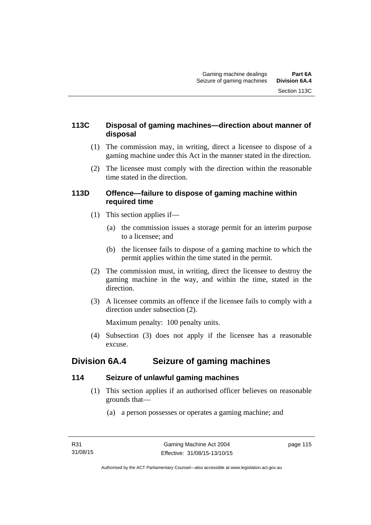# **113C Disposal of gaming machines—direction about manner of disposal**

- (1) The commission may, in writing, direct a licensee to dispose of a gaming machine under this Act in the manner stated in the direction.
- (2) The licensee must comply with the direction within the reasonable time stated in the direction.

# **113D Offence—failure to dispose of gaming machine within required time**

- (1) This section applies if—
	- (a) the commission issues a storage permit for an interim purpose to a licensee; and
	- (b) the licensee fails to dispose of a gaming machine to which the permit applies within the time stated in the permit.
- (2) The commission must, in writing, direct the licensee to destroy the gaming machine in the way, and within the time, stated in the direction.
- (3) A licensee commits an offence if the licensee fails to comply with a direction under subsection (2).

Maximum penalty: 100 penalty units.

 (4) Subsection (3) does not apply if the licensee has a reasonable excuse.

# **Division 6A.4 Seizure of gaming machines**

# **114 Seizure of unlawful gaming machines**

- (1) This section applies if an authorised officer believes on reasonable grounds that—
	- (a) a person possesses or operates a gaming machine; and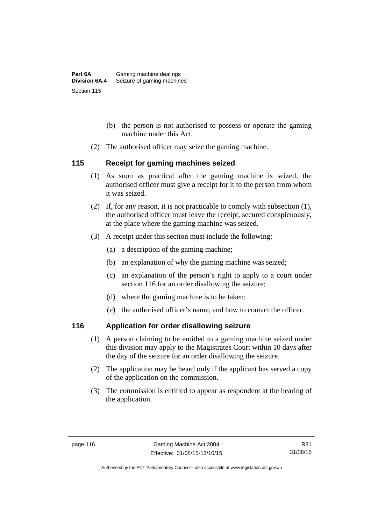- (b) the person is not authorised to possess or operate the gaming machine under this Act.
- (2) The authorised officer may seize the gaming machine.

# **115 Receipt for gaming machines seized**

- (1) As soon as practical after the gaming machine is seized, the authorised officer must give a receipt for it to the person from whom it was seized.
- (2) If, for any reason, it is not practicable to comply with subsection (1), the authorised officer must leave the receipt, secured conspicuously, at the place where the gaming machine was seized.
- (3) A receipt under this section must include the following:
	- (a) a description of the gaming machine;
	- (b) an explanation of why the gaming machine was seized;
	- (c) an explanation of the person's right to apply to a court under section 116 for an order disallowing the seizure;
	- (d) where the gaming machine is to be taken;
	- (e) the authorised officer's name, and how to contact the officer.

# **116 Application for order disallowing seizure**

- (1) A person claiming to be entitled to a gaming machine seized under this division may apply to the Magistrates Court within 10 days after the day of the seizure for an order disallowing the seizure.
- (2) The application may be heard only if the applicant has served a copy of the application on the commission.
- (3) The commission is entitled to appear as respondent at the hearing of the application.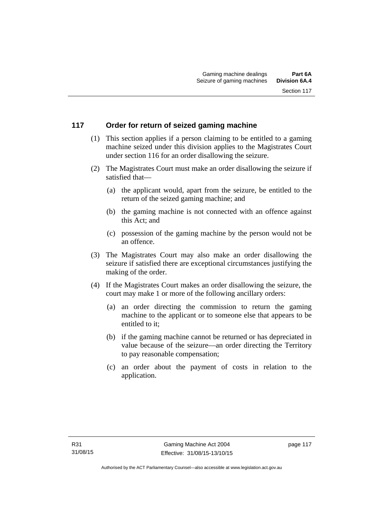# **117 Order for return of seized gaming machine**

- (1) This section applies if a person claiming to be entitled to a gaming machine seized under this division applies to the Magistrates Court under section 116 for an order disallowing the seizure.
- (2) The Magistrates Court must make an order disallowing the seizure if satisfied that—
	- (a) the applicant would, apart from the seizure, be entitled to the return of the seized gaming machine; and
	- (b) the gaming machine is not connected with an offence against this Act; and
	- (c) possession of the gaming machine by the person would not be an offence.
- (3) The Magistrates Court may also make an order disallowing the seizure if satisfied there are exceptional circumstances justifying the making of the order.
- (4) If the Magistrates Court makes an order disallowing the seizure, the court may make 1 or more of the following ancillary orders:
	- (a) an order directing the commission to return the gaming machine to the applicant or to someone else that appears to be entitled to it;
	- (b) if the gaming machine cannot be returned or has depreciated in value because of the seizure—an order directing the Territory to pay reasonable compensation;
	- (c) an order about the payment of costs in relation to the application.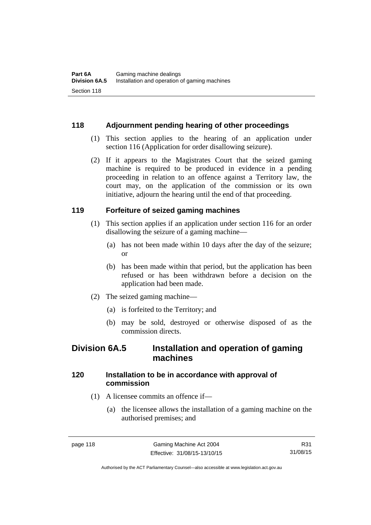# **118 Adjournment pending hearing of other proceedings**

- (1) This section applies to the hearing of an application under section 116 (Application for order disallowing seizure).
- (2) If it appears to the Magistrates Court that the seized gaming machine is required to be produced in evidence in a pending proceeding in relation to an offence against a Territory law, the court may, on the application of the commission or its own initiative, adjourn the hearing until the end of that proceeding.

# **119 Forfeiture of seized gaming machines**

- (1) This section applies if an application under section 116 for an order disallowing the seizure of a gaming machine—
	- (a) has not been made within 10 days after the day of the seizure; or
	- (b) has been made within that period, but the application has been refused or has been withdrawn before a decision on the application had been made.
- (2) The seized gaming machine—
	- (a) is forfeited to the Territory; and
	- (b) may be sold, destroyed or otherwise disposed of as the commission directs.

# **Division 6A.5 Installation and operation of gaming machines**

# **120 Installation to be in accordance with approval of commission**

- (1) A licensee commits an offence if—
	- (a) the licensee allows the installation of a gaming machine on the authorised premises; and

Authorised by the ACT Parliamentary Counsel—also accessible at www.legislation.act.gov.au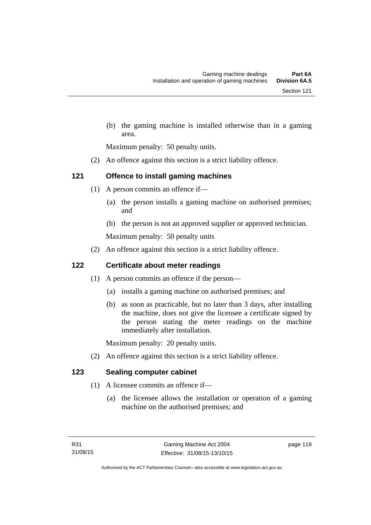(b) the gaming machine is installed otherwise than in a gaming area.

Maximum penalty: 50 penalty units.

(2) An offence against this section is a strict liability offence.

# **121 Offence to install gaming machines**

- (1) A person commits an offence if—
	- (a) the person installs a gaming machine on authorised premises; and
	- (b) the person is not an approved supplier or approved technician.

Maximum penalty: 50 penalty units

(2) An offence against this section is a strict liability offence.

# **122 Certificate about meter readings**

- (1) A person commits an offence if the person—
	- (a) installs a gaming machine on authorised premises; and
	- (b) as soon as practicable, but no later than 3 days, after installing the machine, does not give the licensee a certificate signed by the person stating the meter readings on the machine immediately after installation.

Maximum penalty: 20 penalty units.

(2) An offence against this section is a strict liability offence.

# **123 Sealing computer cabinet**

- (1) A licensee commits an offence if—
	- (a) the licensee allows the installation or operation of a gaming machine on the authorised premises; and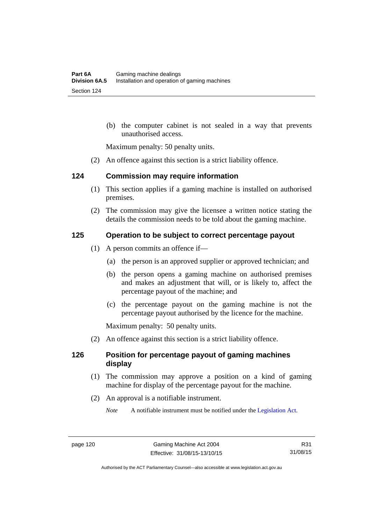(b) the computer cabinet is not sealed in a way that prevents unauthorised access.

Maximum penalty: 50 penalty units.

(2) An offence against this section is a strict liability offence.

#### **124 Commission may require information**

- (1) This section applies if a gaming machine is installed on authorised premises.
- (2) The commission may give the licensee a written notice stating the details the commission needs to be told about the gaming machine.

# **125 Operation to be subject to correct percentage payout**

- (1) A person commits an offence if—
	- (a) the person is an approved supplier or approved technician; and
	- (b) the person opens a gaming machine on authorised premises and makes an adjustment that will, or is likely to, affect the percentage payout of the machine; and
	- (c) the percentage payout on the gaming machine is not the percentage payout authorised by the licence for the machine.

Maximum penalty: 50 penalty units.

(2) An offence against this section is a strict liability offence.

### **126 Position for percentage payout of gaming machines display**

- (1) The commission may approve a position on a kind of gaming machine for display of the percentage payout for the machine.
- (2) An approval is a notifiable instrument.
	- *Note* A notifiable instrument must be notified under the [Legislation Act](http://www.legislation.act.gov.au/a/2001-14).

Authorised by the ACT Parliamentary Counsel—also accessible at www.legislation.act.gov.au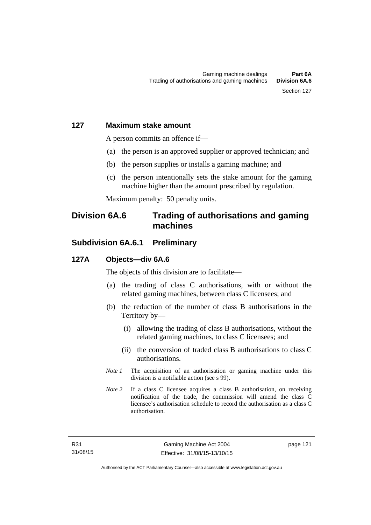#### **127 Maximum stake amount**

A person commits an offence if—

- (a) the person is an approved supplier or approved technician; and
- (b) the person supplies or installs a gaming machine; and
- (c) the person intentionally sets the stake amount for the gaming machine higher than the amount prescribed by regulation.

Maximum penalty: 50 penalty units.

# **Division 6A.6 Trading of authorisations and gaming machines**

# **Subdivision 6A.6.1 Preliminary**

#### **127A Objects—div 6A.6**

The objects of this division are to facilitate—

- (a) the trading of class C authorisations, with or without the related gaming machines, between class C licensees; and
- (b) the reduction of the number of class B authorisations in the Territory by—
	- (i) allowing the trading of class B authorisations, without the related gaming machines, to class C licensees; and
	- (ii) the conversion of traded class B authorisations to class C authorisations.
- *Note 1* The acquisition of an authorisation or gaming machine under this division is a notifiable action (see s 99).
- *Note* 2 If a class C licensee acquires a class B authorisation, on receiving notification of the trade, the commission will amend the class C licensee's authorisation schedule to record the authorisation as a class C authorisation.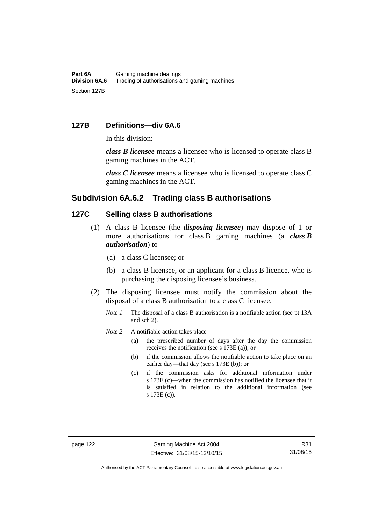#### **127B Definitions—div 6A.6**

In this division:

*class B licensee* means a licensee who is licensed to operate class B gaming machines in the ACT.

*class C licensee* means a licensee who is licensed to operate class C gaming machines in the ACT.

### **Subdivision 6A.6.2 Trading class B authorisations**

# **127C Selling class B authorisations**

- (1) A class B licensee (the *disposing licensee*) may dispose of 1 or more authorisations for class B gaming machines (a *class B authorisation*) to—
	- (a) a class C licensee; or
	- (b) a class B licensee, or an applicant for a class B licence, who is purchasing the disposing licensee's business.
- (2) The disposing licensee must notify the commission about the disposal of a class B authorisation to a class C licensee.
	- *Note 1* The disposal of a class B authorisation is a notifiable action (see pt 13A) and sch 2).
	- *Note* 2 A notifiable action takes place—
		- (a) the prescribed number of days after the day the commission receives the notification (see s 173E (a)); or
		- (b) if the commission allows the notifiable action to take place on an earlier day—that day (see s 173E (b)); or
		- (c) if the commission asks for additional information under s 173E (c)—when the commission has notified the licensee that it is satisfied in relation to the additional information (see s 173E (c)).

Authorised by the ACT Parliamentary Counsel—also accessible at www.legislation.act.gov.au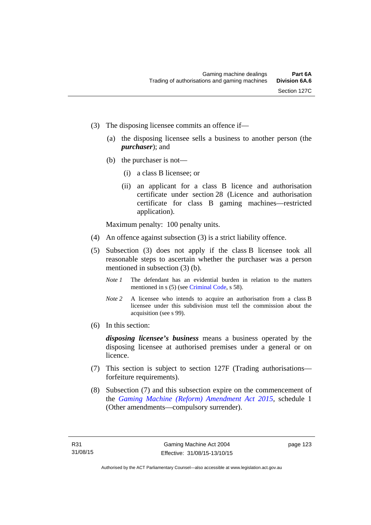- (3) The disposing licensee commits an offence if—
	- (a) the disposing licensee sells a business to another person (the *purchaser*); and
	- (b) the purchaser is not—
		- (i) a class B licensee; or
		- (ii) an applicant for a class B licence and authorisation certificate under section 28 (Licence and authorisation certificate for class B gaming machines—restricted application).

Maximum penalty: 100 penalty units.

- (4) An offence against subsection (3) is a strict liability offence.
- (5) Subsection (3) does not apply if the class B licensee took all reasonable steps to ascertain whether the purchaser was a person mentioned in subsection (3) (b).
	- *Note 1* The defendant has an evidential burden in relation to the matters mentioned in s (5) (see [Criminal Code](http://www.legislation.act.gov.au/a/2002-51), s 58).
	- *Note* 2 A licensee who intends to acquire an authorisation from a class B licensee under this subdivision must tell the commission about the acquisition (see s 99).
- (6) In this section:

*disposing licensee's business* means a business operated by the disposing licensee at authorised premises under a general or on licence.

- (7) This section is subject to section 127F (Trading authorisations forfeiture requirements).
- (8) Subsection (7) and this subsection expire on the commencement of the *[Gaming Machine \(Reform\) Amendment Act 2015](http://www.legislation.act.gov.au/a/2015-21/default.asp)*, schedule 1 (Other amendments—compulsory surrender).

page 123

Authorised by the ACT Parliamentary Counsel—also accessible at www.legislation.act.gov.au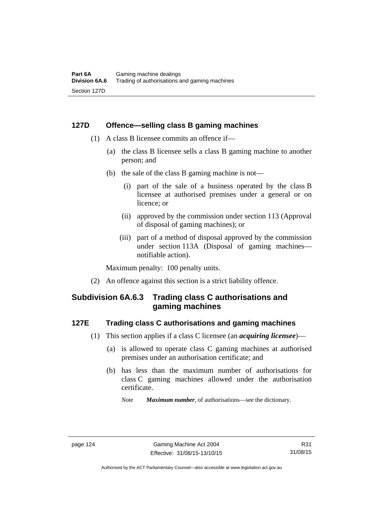### **127D Offence—selling class B gaming machines**

- (1) A class B licensee commits an offence if—
	- (a) the class B licensee sells a class B gaming machine to another person; and
	- (b) the sale of the class B gaming machine is not—
		- (i) part of the sale of a business operated by the class B licensee at authorised premises under a general or on licence; or
		- (ii) approved by the commission under section 113 (Approval of disposal of gaming machines); or
		- (iii) part of a method of disposal approved by the commission under section 113A (Disposal of gaming machines notifiable action).

Maximum penalty: 100 penalty units.

(2) An offence against this section is a strict liability offence.

# **Subdivision 6A.6.3 Trading class C authorisations and gaming machines**

# **127E Trading class C authorisations and gaming machines**

- (1) This section applies if a class C licensee (an *acquiring licensee*)—
	- (a) is allowed to operate class C gaming machines at authorised premises under an authorisation certificate; and
	- (b) has less than the maximum number of authorisations for class C gaming machines allowed under the authorisation certificate.
		- *Note Maximum number*, of authorisations—see the dictionary.

Authorised by the ACT Parliamentary Counsel—also accessible at www.legislation.act.gov.au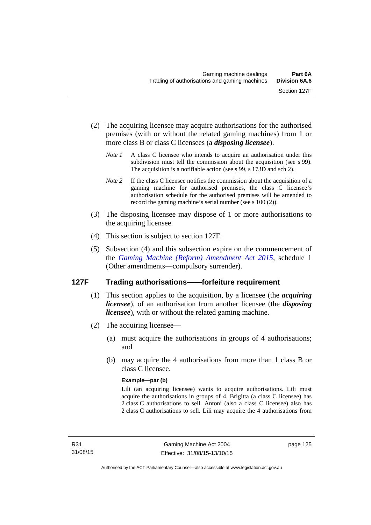- (2) The acquiring licensee may acquire authorisations for the authorised premises (with or without the related gaming machines) from 1 or more class B or class C licensees (a *disposing licensee*).
	- *Note 1* A class C licensee who intends to acquire an authorisation under this subdivision must tell the commission about the acquisition (see s 99). The acquisition is a notifiable action (see s 99, s 173D and sch 2).
	- *Note 2* If the class C licensee notifies the commission about the acquisition of a gaming machine for authorised premises, the class C licensee's authorisation schedule for the authorised premises will be amended to record the gaming machine's serial number (see s 100 (2)).
- (3) The disposing licensee may dispose of 1 or more authorisations to the acquiring licensee.
- (4) This section is subject to section 127F.
- (5) Subsection (4) and this subsection expire on the commencement of the *[Gaming Machine \(Reform\) Amendment Act 2015](http://www.legislation.act.gov.au/a/2015-21/default.asp)*, schedule 1 (Other amendments—compulsory surrender).

### **127F Trading authorisations——forfeiture requirement**

- (1) This section applies to the acquisition, by a licensee (the *acquiring licensee*), of an authorisation from another licensee (the *disposing licensee*), with or without the related gaming machine.
- (2) The acquiring licensee—
	- (a) must acquire the authorisations in groups of 4 authorisations; and
	- (b) may acquire the 4 authorisations from more than 1 class B or class C licensee.

#### **Example—par (b)**

Lili (an acquiring licensee) wants to acquire authorisations. Lili must acquire the authorisations in groups of 4. Brigitta (a class C licensee) has 2 class C authorisations to sell. Antoni (also a class C licensee) also has 2 class C authorisations to sell. Lili may acquire the 4 authorisations from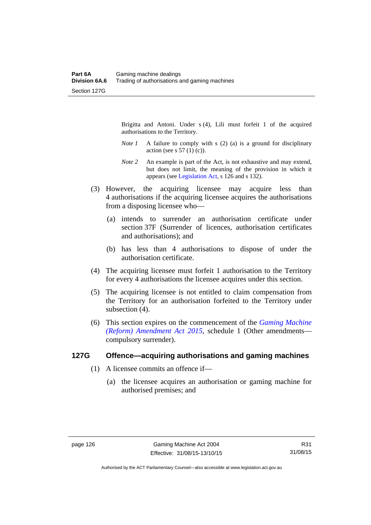Brigitta and Antoni. Under s (4), Lili must forfeit 1 of the acquired authorisations to the Territory.

- *Note 1* A failure to comply with s (2) (a) is a ground for disciplinary action (see s  $57(1)(c)$ ).
- *Note 2* An example is part of the Act, is not exhaustive and may extend, but does not limit, the meaning of the provision in which it appears (see [Legislation Act,](http://www.legislation.act.gov.au/a/2001-14) s 126 and s 132).
- (3) However, the acquiring licensee may acquire less than 4 authorisations if the acquiring licensee acquires the authorisations from a disposing licensee who—
	- (a) intends to surrender an authorisation certificate under section 37F (Surrender of licences, authorisation certificates and authorisations); and
	- (b) has less than 4 authorisations to dispose of under the authorisation certificate.
- (4) The acquiring licensee must forfeit 1 authorisation to the Territory for every 4 authorisations the licensee acquires under this section.
- (5) The acquiring licensee is not entitled to claim compensation from the Territory for an authorisation forfeited to the Territory under subsection  $(4)$ .
- (6) This section expires on the commencement of the *[Gaming Machine](http://www.legislation.act.gov.au/a/2015-21/default.asp)  [\(Reform\) Amendment Act 2015](http://www.legislation.act.gov.au/a/2015-21/default.asp)*, schedule 1 (Other amendments compulsory surrender).

### **127G Offence—acquiring authorisations and gaming machines**

- (1) A licensee commits an offence if—
	- (a) the licensee acquires an authorisation or gaming machine for authorised premises; and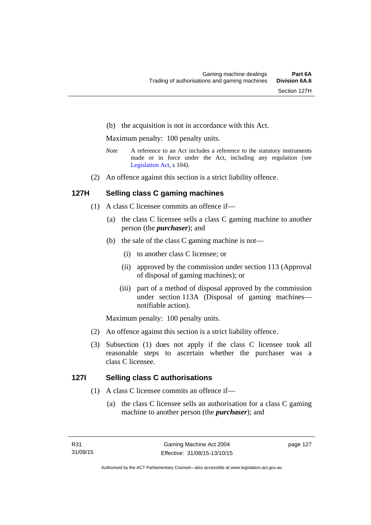(b) the acquisition is not in accordance with this Act.

Maximum penalty: 100 penalty units.

- *Note* A reference to an Act includes a reference to the statutory instruments made or in force under the Act, including any regulation (see [Legislation Act,](http://www.legislation.act.gov.au/a/2001-14) s 104).
- (2) An offence against this section is a strict liability offence.

# **127H Selling class C gaming machines**

- (1) A class C licensee commits an offence if—
	- (a) the class C licensee sells a class C gaming machine to another person (the *purchaser*); and
	- (b) the sale of the class C gaming machine is not—
		- (i) to another class C licensee; or
		- (ii) approved by the commission under section 113 (Approval of disposal of gaming machines); or
		- (iii) part of a method of disposal approved by the commission under section 113A (Disposal of gaming machines notifiable action).

Maximum penalty: 100 penalty units.

- (2) An offence against this section is a strict liability offence.
- (3) Subsection (1) does not apply if the class C licensee took all reasonable steps to ascertain whether the purchaser was a class C licensee.

### **127I Selling class C authorisations**

- (1) A class C licensee commits an offence if—
	- (a) the class C licensee sells an authorisation for a class C gaming machine to another person (the *purchaser*); and

page 127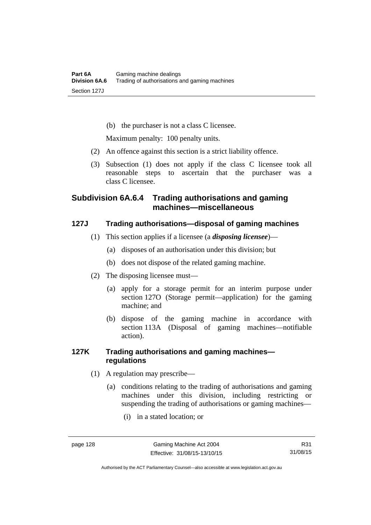(b) the purchaser is not a class C licensee.

Maximum penalty: 100 penalty units.

- (2) An offence against this section is a strict liability offence.
- (3) Subsection (1) does not apply if the class C licensee took all reasonable steps to ascertain that the purchaser was a class C licensee.

# **Subdivision 6A.6.4 Trading authorisations and gaming machines—miscellaneous**

# **127J Trading authorisations—disposal of gaming machines**

- (1) This section applies if a licensee (a *disposing licensee*)—
	- (a) disposes of an authorisation under this division; but
	- (b) does not dispose of the related gaming machine.
- (2) The disposing licensee must—
	- (a) apply for a storage permit for an interim purpose under section 127O (Storage permit—application) for the gaming machine; and
	- (b) dispose of the gaming machine in accordance with section 113A (Disposal of gaming machines—notifiable action).

# **127K Trading authorisations and gaming machines regulations**

- (1) A regulation may prescribe—
	- (a) conditions relating to the trading of authorisations and gaming machines under this division, including restricting or suspending the trading of authorisations or gaming machines—
		- (i) in a stated location; or

Authorised by the ACT Parliamentary Counsel—also accessible at www.legislation.act.gov.au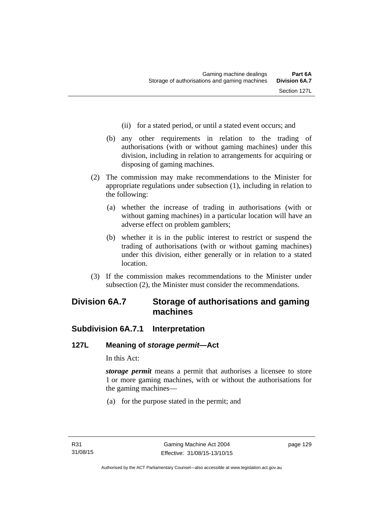- (ii) for a stated period, or until a stated event occurs; and
- (b) any other requirements in relation to the trading of authorisations (with or without gaming machines) under this division, including in relation to arrangements for acquiring or disposing of gaming machines.
- (2) The commission may make recommendations to the Minister for appropriate regulations under subsection (1), including in relation to the following:
	- (a) whether the increase of trading in authorisations (with or without gaming machines) in a particular location will have an adverse effect on problem gamblers;
	- (b) whether it is in the public interest to restrict or suspend the trading of authorisations (with or without gaming machines) under this division, either generally or in relation to a stated location.
- (3) If the commission makes recommendations to the Minister under subsection (2), the Minister must consider the recommendations.

# **Division 6A.7 Storage of authorisations and gaming machines**

## **Subdivision 6A.7.1 Interpretation**

## **127L Meaning of** *storage permit***—Act**

In this Act:

*storage permit* means a permit that authorises a licensee to store 1 or more gaming machines, with or without the authorisations for the gaming machines—

(a) for the purpose stated in the permit; and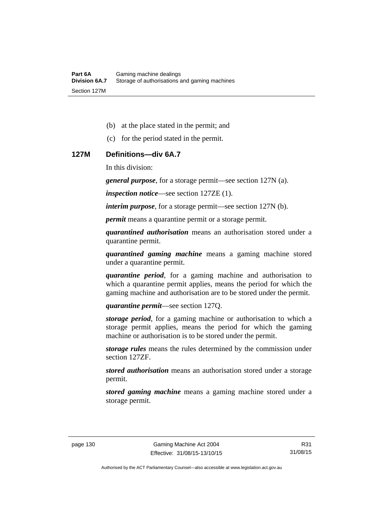- (b) at the place stated in the permit; and
- (c) for the period stated in the permit.

#### **127M Definitions—div 6A.7**

In this division:

*general purpose*, for a storage permit—see section 127N (a).

*inspection notice*—see section 127ZE (1).

*interim purpose*, for a storage permit—see section 127N (b).

*permit* means a quarantine permit or a storage permit.

*quarantined authorisation* means an authorisation stored under a quarantine permit.

*quarantined gaming machine* means a gaming machine stored under a quarantine permit.

*quarantine period*, for a gaming machine and authorisation to which a quarantine permit applies, means the period for which the gaming machine and authorisation are to be stored under the permit.

*quarantine permit*—see section 127Q.

*storage period*, for a gaming machine or authorisation to which a storage permit applies, means the period for which the gaming machine or authorisation is to be stored under the permit.

*storage rules* means the rules determined by the commission under section 127ZF.

*stored authorisation* means an authorisation stored under a storage permit.

*stored gaming machine* means a gaming machine stored under a storage permit.

Authorised by the ACT Parliamentary Counsel—also accessible at www.legislation.act.gov.au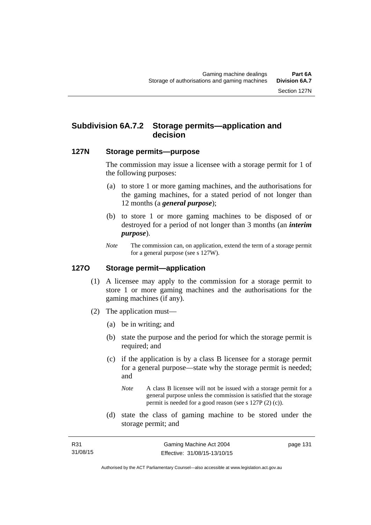# **Subdivision 6A.7.2 Storage permits—application and decision**

#### **127N Storage permits—purpose**

The commission may issue a licensee with a storage permit for 1 of the following purposes:

- (a) to store 1 or more gaming machines, and the authorisations for the gaming machines, for a stated period of not longer than 12 months (a *general purpose*);
- (b) to store 1 or more gaming machines to be disposed of or destroyed for a period of not longer than 3 months (an *interim purpose*).
- *Note* The commission can, on application, extend the term of a storage permit for a general purpose (see s 127W).

#### **127O Storage permit—application**

- (1) A licensee may apply to the commission for a storage permit to store 1 or more gaming machines and the authorisations for the gaming machines (if any).
- (2) The application must—
	- (a) be in writing; and
	- (b) state the purpose and the period for which the storage permit is required; and
	- (c) if the application is by a class B licensee for a storage permit for a general purpose—state why the storage permit is needed; and
		- *Note* A class B licensee will not be issued with a storage permit for a general purpose unless the commission is satisfied that the storage permit is needed for a good reason (see s 127P (2) (c)).
	- (d) state the class of gaming machine to be stored under the storage permit; and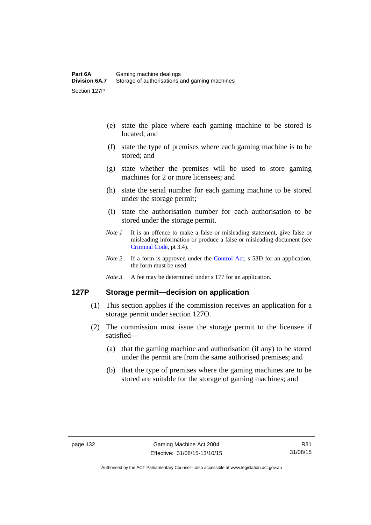- (e) state the place where each gaming machine to be stored is located; and
- (f) state the type of premises where each gaming machine is to be stored; and
- (g) state whether the premises will be used to store gaming machines for 2 or more licensees; and
- (h) state the serial number for each gaming machine to be stored under the storage permit;
- (i) state the authorisation number for each authorisation to be stored under the storage permit.
- *Note 1* It is an offence to make a false or misleading statement, give false or misleading information or produce a false or misleading document (see [Criminal Code](http://www.legislation.act.gov.au/a/2002-51), pt 3.4).
- *Note* 2 If a form is approved under the [Control Act,](http://www.legislation.act.gov.au/a/1999-46/default.asp) s 53D for an application, the form must be used.
- *Note 3* A fee may be determined under s 177 for an application.

## **127P Storage permit—decision on application**

- (1) This section applies if the commission receives an application for a storage permit under section 127O.
- (2) The commission must issue the storage permit to the licensee if satisfied—
	- (a) that the gaming machine and authorisation (if any) to be stored under the permit are from the same authorised premises; and
	- (b) that the type of premises where the gaming machines are to be stored are suitable for the storage of gaming machines; and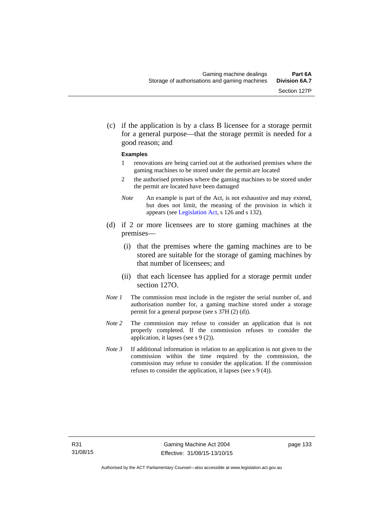(c) if the application is by a class B licensee for a storage permit for a general purpose—that the storage permit is needed for a good reason; and

#### **Examples**

- 1 renovations are being carried out at the authorised premises where the gaming machines to be stored under the permit are located
- 2 the authorised premises where the gaming machines to be stored under the permit are located have been damaged
- *Note* An example is part of the Act, is not exhaustive and may extend, but does not limit, the meaning of the provision in which it appears (see [Legislation Act,](http://www.legislation.act.gov.au/a/2001-14/default.asp) s 126 and s 132).
- (d) if 2 or more licensees are to store gaming machines at the premises—
	- (i) that the premises where the gaming machines are to be stored are suitable for the storage of gaming machines by that number of licensees; and
	- (ii) that each licensee has applied for a storage permit under section 127O.
- *Note 1* The commission must include in the register the serial number of, and authorisation number for, a gaming machine stored under a storage permit for a general purpose (see s 37H (2) (d)).
- *Note 2* The commission may refuse to consider an application that is not properly completed. If the commission refuses to consider the application, it lapses (see s 9 (2)).
- *Note 3* If additional information in relation to an application is not given to the commission within the time required by the commission, the commission may refuse to consider the application. If the commission refuses to consider the application, it lapses (see s 9 (4)).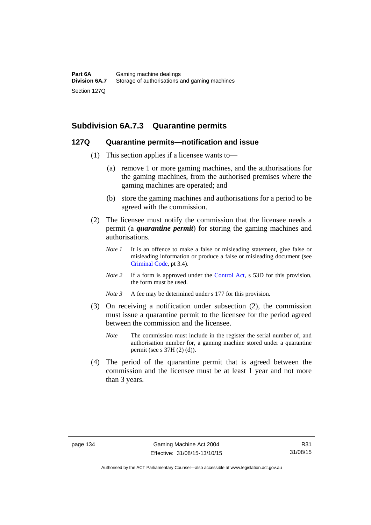## **Subdivision 6A.7.3 Quarantine permits**

#### **127Q Quarantine permits—notification and issue**

- (1) This section applies if a licensee wants to—
	- (a) remove 1 or more gaming machines, and the authorisations for the gaming machines, from the authorised premises where the gaming machines are operated; and
	- (b) store the gaming machines and authorisations for a period to be agreed with the commission.
- (2) The licensee must notify the commission that the licensee needs a permit (a *quarantine permit*) for storing the gaming machines and authorisations.
	- *Note 1* It is an offence to make a false or misleading statement, give false or misleading information or produce a false or misleading document (see [Criminal Code](http://www.legislation.act.gov.au/a/2002-51), pt 3.4).
	- *Note 2* If a form is approved under the [Control Act,](http://www.legislation.act.gov.au/a/1999-46/default.asp) s 53D for this provision, the form must be used.
	- *Note 3* A fee may be determined under s 177 for this provision.
- (3) On receiving a notification under subsection (2), the commission must issue a quarantine permit to the licensee for the period agreed between the commission and the licensee.
	- *Note* The commission must include in the register the serial number of, and authorisation number for, a gaming machine stored under a quarantine permit (see s 37H (2) (d)).
- (4) The period of the quarantine permit that is agreed between the commission and the licensee must be at least 1 year and not more than 3 years.

Authorised by the ACT Parliamentary Counsel—also accessible at www.legislation.act.gov.au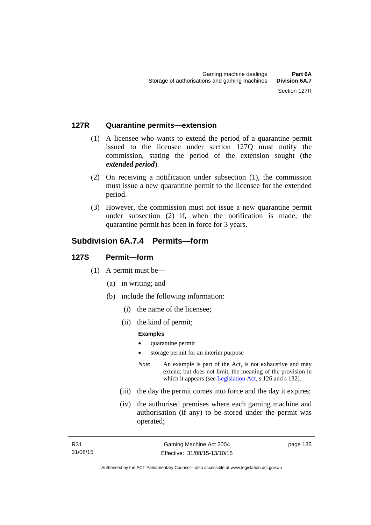#### **127R Quarantine permits—extension**

- (1) A licensee who wants to extend the period of a quarantine permit issued to the licensee under section 127Q must notify the commission, stating the period of the extension sought (the *extended period*).
- (2) On receiving a notification under subsection (1), the commission must issue a new quarantine permit to the licensee for the extended period.
- (3) However, the commission must not issue a new quarantine permit under subsection (2) if, when the notification is made, the quarantine permit has been in force for 3 years.

## **Subdivision 6A.7.4 Permits—form**

#### **127S Permit—form**

- (1) A permit must be—
	- (a) in writing; and
	- (b) include the following information:
		- (i) the name of the licensee;
		- (ii) the kind of permit;

#### **Examples**

- quarantine permit
- storage permit for an interim purpose
- *Note* An example is part of the Act, is not exhaustive and may extend, but does not limit, the meaning of the provision in which it appears (see [Legislation Act,](http://www.legislation.act.gov.au/a/2001-14) s 126 and s 132).
- (iii) the day the permit comes into force and the day it expires;
- (iv) the authorised premises where each gaming machine and authorisation (if any) to be stored under the permit was operated;

page 135

Authorised by the ACT Parliamentary Counsel—also accessible at www.legislation.act.gov.au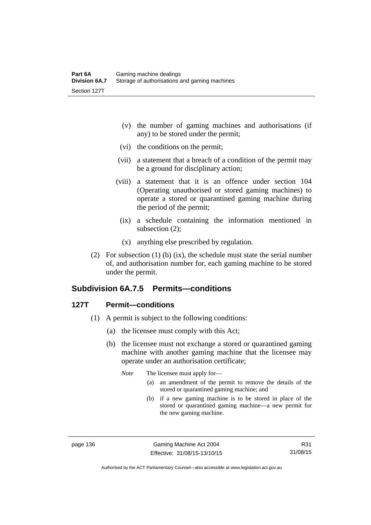- (v) the number of gaming machines and authorisations (if any) to be stored under the permit;
- (vi) the conditions on the permit;
- (vii) a statement that a breach of a condition of the permit may be a ground for disciplinary action;
- (viii) a statement that it is an offence under section 104 (Operating unauthorised or stored gaming machines) to operate a stored or quarantined gaming machine during the period of the permit;
	- (ix) a schedule containing the information mentioned in subsection (2);
	- (x) anything else prescribed by regulation.
- (2) For subsection (1) (b) (ix), the schedule must state the serial number of, and authorisation number for, each gaming machine to be stored under the permit.

# **Subdivision 6A.7.5 Permits—conditions**

#### **127T Permit—conditions**

- (1) A permit is subject to the following conditions:
	- (a) the licensee must comply with this Act;
	- (b) the licensee must not exchange a stored or quarantined gaming machine with another gaming machine that the licensee may operate under an authorisation certificate;

*Note* The licensee must apply for—

- (a) an amendment of the permit to remove the details of the stored or quarantined gaming machine; and
- (b) if a new gaming machine is to be stored in place of the stored or quarantined gaming machine—a new permit for the new gaming machine.

page 136 Gaming Machine Act 2004 Effective: 31/08/15-13/10/15

R31 31/08/15

Authorised by the ACT Parliamentary Counsel—also accessible at www.legislation.act.gov.au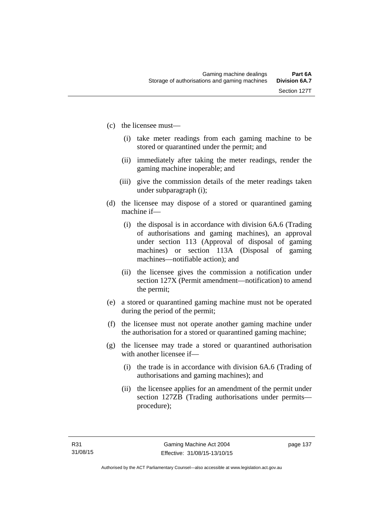- (c) the licensee must—
	- (i) take meter readings from each gaming machine to be stored or quarantined under the permit; and
	- (ii) immediately after taking the meter readings, render the gaming machine inoperable; and
	- (iii) give the commission details of the meter readings taken under subparagraph (i);
- (d) the licensee may dispose of a stored or quarantined gaming machine if—
	- (i) the disposal is in accordance with division 6A.6 (Trading of authorisations and gaming machines), an approval under section 113 (Approval of disposal of gaming machines) or section 113A (Disposal of gaming machines—notifiable action); and
	- (ii) the licensee gives the commission a notification under section 127X (Permit amendment—notification) to amend the permit;
- (e) a stored or quarantined gaming machine must not be operated during the period of the permit;
- (f) the licensee must not operate another gaming machine under the authorisation for a stored or quarantined gaming machine;
- (g) the licensee may trade a stored or quarantined authorisation with another licensee if-
	- (i) the trade is in accordance with division 6A.6 (Trading of authorisations and gaming machines); and
	- (ii) the licensee applies for an amendment of the permit under section 127ZB (Trading authorisations under permits procedure);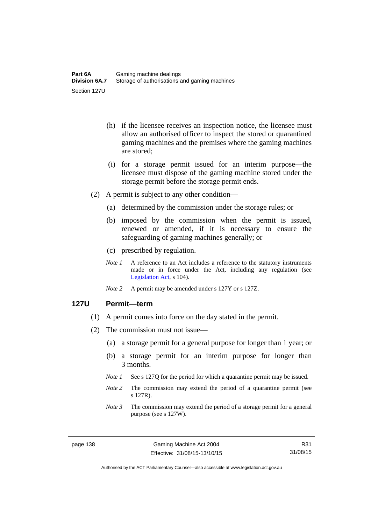- (h) if the licensee receives an inspection notice, the licensee must allow an authorised officer to inspect the stored or quarantined gaming machines and the premises where the gaming machines are stored;
- (i) for a storage permit issued for an interim purpose—the licensee must dispose of the gaming machine stored under the storage permit before the storage permit ends.
- (2) A permit is subject to any other condition—
	- (a) determined by the commission under the storage rules; or
	- (b) imposed by the commission when the permit is issued, renewed or amended, if it is necessary to ensure the safeguarding of gaming machines generally; or
	- (c) prescribed by regulation.
	- *Note 1* A reference to an Act includes a reference to the statutory instruments made or in force under the Act, including any regulation (see [Legislation Act,](http://www.legislation.act.gov.au/a/2001-14) s 104).
	- *Note 2* A permit may be amended under s 127Y or s 127Z.

#### **127U Permit—term**

- (1) A permit comes into force on the day stated in the permit.
- (2) The commission must not issue—
	- (a) a storage permit for a general purpose for longer than 1 year; or
	- (b) a storage permit for an interim purpose for longer than 3 months.
	- *Note 1* See s 127Q for the period for which a quarantine permit may be issued.
	- *Note* 2 The commission may extend the period of a quarantine permit (see s 127R).
	- *Note 3* The commission may extend the period of a storage permit for a general purpose (see s 127W).

R31 31/08/15

Authorised by the ACT Parliamentary Counsel—also accessible at www.legislation.act.gov.au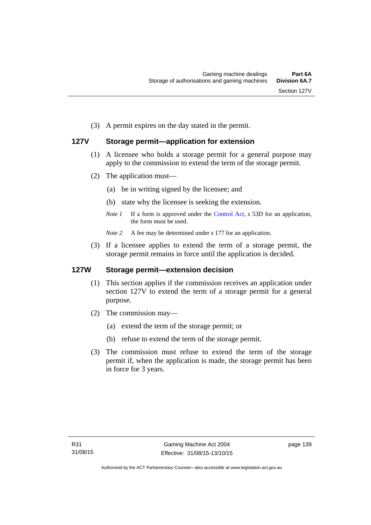(3) A permit expires on the day stated in the permit.

## **127V Storage permit—application for extension**

- (1) A licensee who holds a storage permit for a general purpose may apply to the commission to extend the term of the storage permit.
- (2) The application must—
	- (a) be in writing signed by the licensee; and
	- (b) state why the licensee is seeking the extension.
	- *Note 1* If a form is approved under the [Control Act,](http://www.legislation.act.gov.au/a/1999-46/default.asp) s 53D for an application, the form must be used.

*Note* 2 A fee may be determined under s 177 for an application.

 (3) If a licensee applies to extend the term of a storage permit, the storage permit remains in force until the application is decided.

#### **127W Storage permit—extension decision**

- (1) This section applies if the commission receives an application under section 127V to extend the term of a storage permit for a general purpose.
- (2) The commission may—
	- (a) extend the term of the storage permit; or
	- (b) refuse to extend the term of the storage permit.
- (3) The commission must refuse to extend the term of the storage permit if, when the application is made, the storage permit has been in force for 3 years.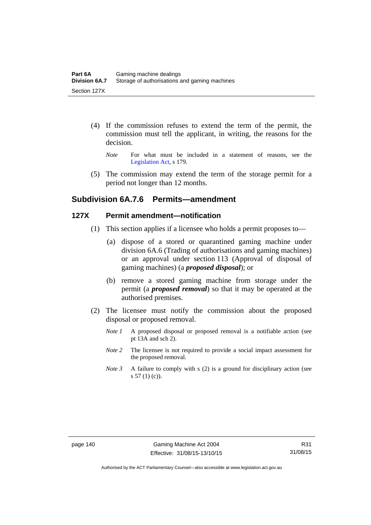- (4) If the commission refuses to extend the term of the permit, the commission must tell the applicant, in writing, the reasons for the decision.
	- *Note* For what must be included in a statement of reasons, see the [Legislation Act,](http://www.legislation.act.gov.au/a/2001-14) s 179.
- (5) The commission may extend the term of the storage permit for a period not longer than 12 months.

## **Subdivision 6A.7.6 Permits—amendment**

#### **127X Permit amendment—notification**

- (1) This section applies if a licensee who holds a permit proposes to—
	- (a) dispose of a stored or quarantined gaming machine under division 6A.6 (Trading of authorisations and gaming machines) or an approval under section 113 (Approval of disposal of gaming machines) (a *proposed disposal*); or
	- (b) remove a stored gaming machine from storage under the permit (a *proposed removal*) so that it may be operated at the authorised premises.
- (2) The licensee must notify the commission about the proposed disposal or proposed removal.
	- *Note 1* A proposed disposal or proposed removal is a notifiable action (see pt 13A and sch 2).
	- *Note* 2 The licensee is not required to provide a social impact assessment for the proposed removal.
	- *Note 3* A failure to comply with s (2) is a ground for disciplinary action (see  $s 57(1)(c)$ .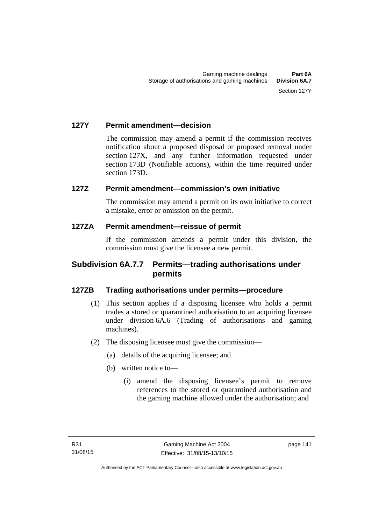## **127Y Permit amendment—decision**

The commission may amend a permit if the commission receives notification about a proposed disposal or proposed removal under section 127X, and any further information requested under section 173D (Notifiable actions), within the time required under section 173D.

## **127Z Permit amendment—commission's own initiative**

The commission may amend a permit on its own initiative to correct a mistake, error or omission on the permit.

#### **127ZA Permit amendment—reissue of permit**

If the commission amends a permit under this division, the commission must give the licensee a new permit.

## **Subdivision 6A.7.7 Permits—trading authorisations under permits**

## **127ZB Trading authorisations under permits—procedure**

- (1) This section applies if a disposing licensee who holds a permit trades a stored or quarantined authorisation to an acquiring licensee under division 6A.6 (Trading of authorisations and gaming machines).
- (2) The disposing licensee must give the commission—
	- (a) details of the acquiring licensee; and
	- (b) written notice to—
		- (i) amend the disposing licensee's permit to remove references to the stored or quarantined authorisation and the gaming machine allowed under the authorisation; and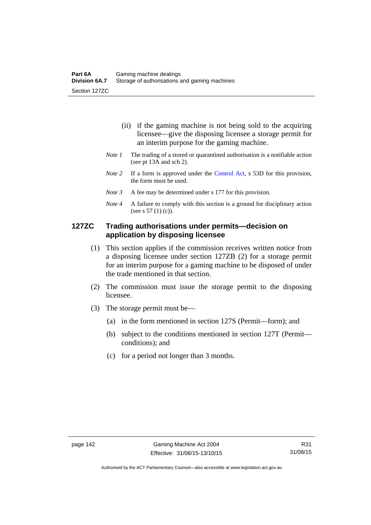- (ii) if the gaming machine is not being sold to the acquiring licensee—give the disposing licensee a storage permit for an interim purpose for the gaming machine.
- *Note 1* The trading of a stored or quarantined authorisation is a notifiable action (see pt 13A and sch 2).
- *Note 2* If a form is approved under the [Control Act,](http://www.legislation.act.gov.au/a/1999-46/default.asp) s 53D for this provision, the form must be used.
- *Note 3* A fee may be determined under s 177 for this provision.
- *Note 4* A failure to comply with this section is a ground for disciplinary action (see s 57 (1) (c)).

### **127ZC Trading authorisations under permits—decision on application by disposing licensee**

- (1) This section applies if the commission receives written notice from a disposing licensee under section 127ZB (2) for a storage permit for an interim purpose for a gaming machine to be disposed of under the trade mentioned in that section.
- (2) The commission must issue the storage permit to the disposing licensee.
- (3) The storage permit must be—
	- (a) in the form mentioned in section 127S (Permit—form); and
	- (b) subject to the conditions mentioned in section 127T (Permit conditions); and
	- (c) for a period not longer than 3 months.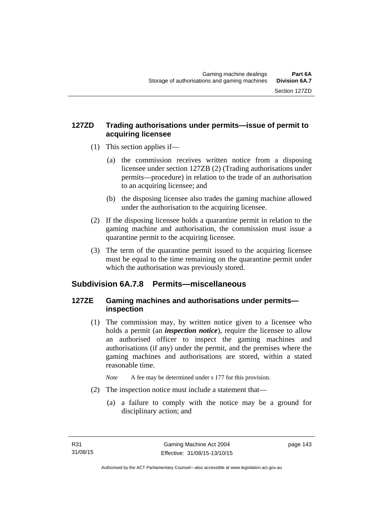## **127ZD Trading authorisations under permits—issue of permit to acquiring licensee**

- (1) This section applies if—
	- (a) the commission receives written notice from a disposing licensee under section 127ZB (2) (Trading authorisations under permits—procedure) in relation to the trade of an authorisation to an acquiring licensee; and
	- (b) the disposing licensee also trades the gaming machine allowed under the authorisation to the acquiring licensee.
- (2) If the disposing licensee holds a quarantine permit in relation to the gaming machine and authorisation, the commission must issue a quarantine permit to the acquiring licensee.
- (3) The term of the quarantine permit issued to the acquiring licensee must be equal to the time remaining on the quarantine permit under which the authorisation was previously stored.

# **Subdivision 6A.7.8 Permits—miscellaneous**

# **127ZE Gaming machines and authorisations under permits inspection**

 (1) The commission may, by written notice given to a licensee who holds a permit (an *inspection notice*), require the licensee to allow an authorised officer to inspect the gaming machines and authorisations (if any) under the permit, and the premises where the gaming machines and authorisations are stored, within a stated reasonable time.

*Note* A fee may be determined under s 177 for this provision.

- (2) The inspection notice must include a statement that—
	- (a) a failure to comply with the notice may be a ground for disciplinary action; and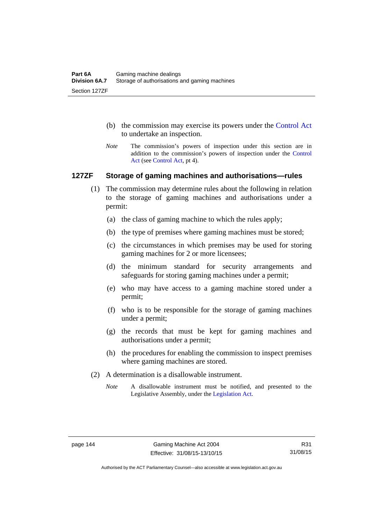- (b) the commission may exercise its powers under the [Control Act](http://www.legislation.act.gov.au/a/1999-46/default.asp) to undertake an inspection.
- *Note* The commission's powers of inspection under this section are in addition to the commission's powers of inspection under the [Control](http://www.legislation.act.gov.au/a/1999-46/default.asp)  [Act](http://www.legislation.act.gov.au/a/1999-46/default.asp) (see [Control Act](http://www.legislation.act.gov.au/a/1999-46/default.asp), pt 4).

#### **127ZF Storage of gaming machines and authorisations—rules**

- (1) The commission may determine rules about the following in relation to the storage of gaming machines and authorisations under a permit:
	- (a) the class of gaming machine to which the rules apply;
	- (b) the type of premises where gaming machines must be stored;
	- (c) the circumstances in which premises may be used for storing gaming machines for 2 or more licensees;
	- (d) the minimum standard for security arrangements and safeguards for storing gaming machines under a permit;
	- (e) who may have access to a gaming machine stored under a permit;
	- (f) who is to be responsible for the storage of gaming machines under a permit;
	- (g) the records that must be kept for gaming machines and authorisations under a permit;
	- (h) the procedures for enabling the commission to inspect premises where gaming machines are stored.
- (2) A determination is a disallowable instrument.
	- *Note* A disallowable instrument must be notified, and presented to the Legislative Assembly, under the [Legislation Act.](http://www.legislation.act.gov.au/a/2001-14)

Authorised by the ACT Parliamentary Counsel—also accessible at www.legislation.act.gov.au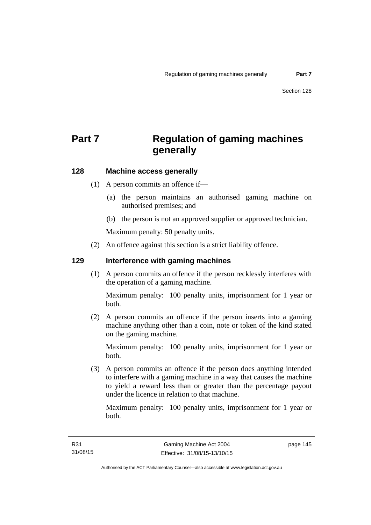# **Part 7 Regulation of gaming machines generally**

## **128 Machine access generally**

- (1) A person commits an offence if—
	- (a) the person maintains an authorised gaming machine on authorised premises; and
	- (b) the person is not an approved supplier or approved technician.

Maximum penalty: 50 penalty units.

(2) An offence against this section is a strict liability offence.

#### **129 Interference with gaming machines**

(1) A person commits an offence if the person recklessly interferes with the operation of a gaming machine.

Maximum penalty: 100 penalty units, imprisonment for 1 year or both.

 (2) A person commits an offence if the person inserts into a gaming machine anything other than a coin, note or token of the kind stated on the gaming machine.

Maximum penalty: 100 penalty units, imprisonment for 1 year or both.

 (3) A person commits an offence if the person does anything intended to interfere with a gaming machine in a way that causes the machine to yield a reward less than or greater than the percentage payout under the licence in relation to that machine.

Maximum penalty: 100 penalty units, imprisonment for 1 year or both.

page 145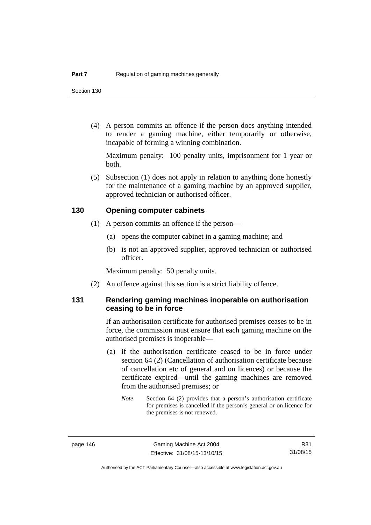(4) A person commits an offence if the person does anything intended to render a gaming machine, either temporarily or otherwise, incapable of forming a winning combination.

Maximum penalty: 100 penalty units, imprisonment for 1 year or both.

 (5) Subsection (1) does not apply in relation to anything done honestly for the maintenance of a gaming machine by an approved supplier, approved technician or authorised officer.

#### **130 Opening computer cabinets**

- (1) A person commits an offence if the person—
	- (a) opens the computer cabinet in a gaming machine; and
	- (b) is not an approved supplier, approved technician or authorised officer.

Maximum penalty: 50 penalty units.

(2) An offence against this section is a strict liability offence.

### **131 Rendering gaming machines inoperable on authorisation ceasing to be in force**

If an authorisation certificate for authorised premises ceases to be in force, the commission must ensure that each gaming machine on the authorised premises is inoperable—

- (a) if the authorisation certificate ceased to be in force under section 64 (2) (Cancellation of authorisation certificate because of cancellation etc of general and on licences) or because the certificate expired—until the gaming machines are removed from the authorised premises; or
	- *Note* Section 64 (2) provides that a person's authorisation certificate for premises is cancelled if the person's general or on licence for the premises is not renewed.

R31 31/08/15

Authorised by the ACT Parliamentary Counsel—also accessible at www.legislation.act.gov.au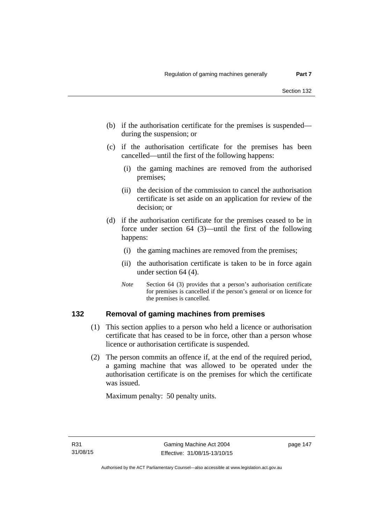- (b) if the authorisation certificate for the premises is suspended during the suspension; or
- (c) if the authorisation certificate for the premises has been cancelled—until the first of the following happens:
	- (i) the gaming machines are removed from the authorised premises;
	- (ii) the decision of the commission to cancel the authorisation certificate is set aside on an application for review of the decision; or
- (d) if the authorisation certificate for the premises ceased to be in force under section 64 (3)—until the first of the following happens:
	- (i) the gaming machines are removed from the premises;
	- (ii) the authorisation certificate is taken to be in force again under section 64 (4).
	- *Note* Section 64 (3) provides that a person's authorisation certificate for premises is cancelled if the person's general or on licence for the premises is cancelled.

#### **132 Removal of gaming machines from premises**

- (1) This section applies to a person who held a licence or authorisation certificate that has ceased to be in force, other than a person whose licence or authorisation certificate is suspended.
- (2) The person commits an offence if, at the end of the required period, a gaming machine that was allowed to be operated under the authorisation certificate is on the premises for which the certificate was issued.

Maximum penalty: 50 penalty units.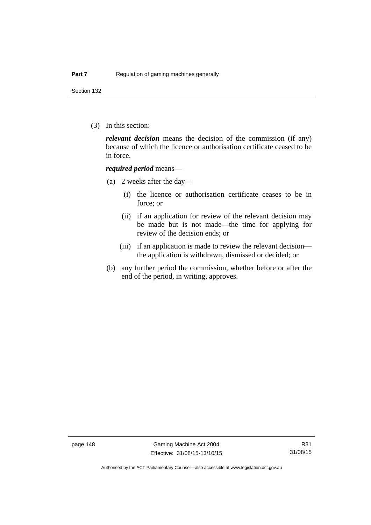Section 132

(3) In this section:

*relevant decision* means the decision of the commission (if any) because of which the licence or authorisation certificate ceased to be in force.

#### *required period* means—

- (a) 2 weeks after the day—
	- (i) the licence or authorisation certificate ceases to be in force; or
	- (ii) if an application for review of the relevant decision may be made but is not made—the time for applying for review of the decision ends; or
	- (iii) if an application is made to review the relevant decision the application is withdrawn, dismissed or decided; or
- (b) any further period the commission, whether before or after the end of the period, in writing, approves.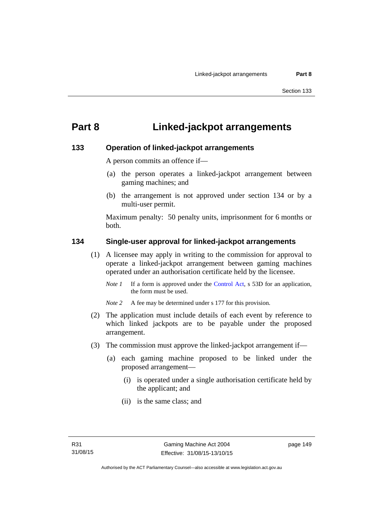# **Part 8 Linked-jackpot arrangements**

#### **133 Operation of linked-jackpot arrangements**

A person commits an offence if—

- (a) the person operates a linked-jackpot arrangement between gaming machines; and
- (b) the arrangement is not approved under section 134 or by a multi-user permit.

Maximum penalty: 50 penalty units, imprisonment for 6 months or both.

#### **134 Single-user approval for linked-jackpot arrangements**

- (1) A licensee may apply in writing to the commission for approval to operate a linked-jackpot arrangement between gaming machines operated under an authorisation certificate held by the licensee.
	- *Note 1* If a form is approved under the [Control Act,](http://www.legislation.act.gov.au/a/1999-46) s 53D for an application, the form must be used.
	- *Note 2* A fee may be determined under s 177 for this provision.
- (2) The application must include details of each event by reference to which linked jackpots are to be payable under the proposed arrangement.
- (3) The commission must approve the linked-jackpot arrangement if—
	- (a) each gaming machine proposed to be linked under the proposed arrangement—
		- (i) is operated under a single authorisation certificate held by the applicant; and
		- (ii) is the same class; and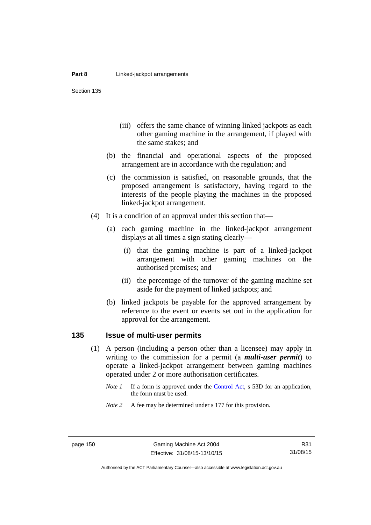Section 135

- (iii) offers the same chance of winning linked jackpots as each other gaming machine in the arrangement, if played with the same stakes; and
- (b) the financial and operational aspects of the proposed arrangement are in accordance with the regulation; and
- (c) the commission is satisfied, on reasonable grounds, that the proposed arrangement is satisfactory, having regard to the interests of the people playing the machines in the proposed linked-jackpot arrangement.
- (4) It is a condition of an approval under this section that—
	- (a) each gaming machine in the linked-jackpot arrangement displays at all times a sign stating clearly—
		- (i) that the gaming machine is part of a linked-jackpot arrangement with other gaming machines on the authorised premises; and
		- (ii) the percentage of the turnover of the gaming machine set aside for the payment of linked jackpots; and
	- (b) linked jackpots be payable for the approved arrangement by reference to the event or events set out in the application for approval for the arrangement.

## **135 Issue of multi-user permits**

- (1) A person (including a person other than a licensee) may apply in writing to the commission for a permit (a *multi-user permit*) to operate a linked-jackpot arrangement between gaming machines operated under 2 or more authorisation certificates.
	- *Note 1* If a form is approved under the [Control Act,](http://www.legislation.act.gov.au/a/1999-46) s 53D for an application, the form must be used.
	- *Note* 2 A fee may be determined under s 177 for this provision.

R31 31/08/15

Authorised by the ACT Parliamentary Counsel—also accessible at www.legislation.act.gov.au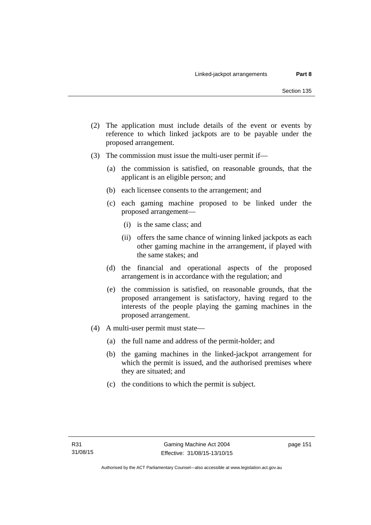- (2) The application must include details of the event or events by reference to which linked jackpots are to be payable under the proposed arrangement.
- (3) The commission must issue the multi-user permit if—
	- (a) the commission is satisfied, on reasonable grounds, that the applicant is an eligible person; and
	- (b) each licensee consents to the arrangement; and
	- (c) each gaming machine proposed to be linked under the proposed arrangement—
		- (i) is the same class; and
		- (ii) offers the same chance of winning linked jackpots as each other gaming machine in the arrangement, if played with the same stakes; and
	- (d) the financial and operational aspects of the proposed arrangement is in accordance with the regulation; and
	- (e) the commission is satisfied, on reasonable grounds, that the proposed arrangement is satisfactory, having regard to the interests of the people playing the gaming machines in the proposed arrangement.
- (4) A multi-user permit must state—
	- (a) the full name and address of the permit-holder; and
	- (b) the gaming machines in the linked-jackpot arrangement for which the permit is issued, and the authorised premises where they are situated; and
	- (c) the conditions to which the permit is subject.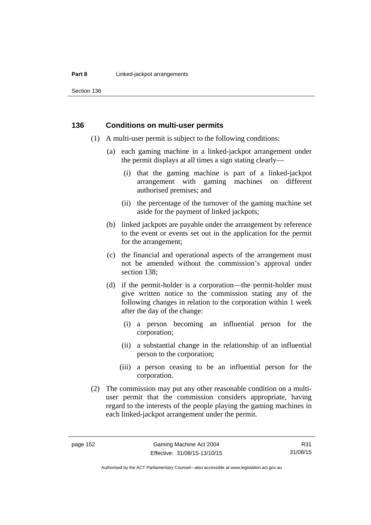#### **Part 8 Linked-jackpot arrangements**

Section 136

#### **136 Conditions on multi-user permits**

- (1) A multi-user permit is subject to the following conditions:
	- (a) each gaming machine in a linked-jackpot arrangement under the permit displays at all times a sign stating clearly—
		- (i) that the gaming machine is part of a linked-jackpot arrangement with gaming machines on different authorised premises; and
		- (ii) the percentage of the turnover of the gaming machine set aside for the payment of linked jackpots;
	- (b) linked jackpots are payable under the arrangement by reference to the event or events set out in the application for the permit for the arrangement;
	- (c) the financial and operational aspects of the arrangement must not be amended without the commission's approval under section 138;
	- (d) if the permit-holder is a corporation—the permit-holder must give written notice to the commission stating any of the following changes in relation to the corporation within 1 week after the day of the change:
		- (i) a person becoming an influential person for the corporation;
		- (ii) a substantial change in the relationship of an influential person to the corporation;
		- (iii) a person ceasing to be an influential person for the corporation.
- (2) The commission may put any other reasonable condition on a multiuser permit that the commission considers appropriate, having regard to the interests of the people playing the gaming machines in each linked-jackpot arrangement under the permit.

R31 31/08/15

Authorised by the ACT Parliamentary Counsel—also accessible at www.legislation.act.gov.au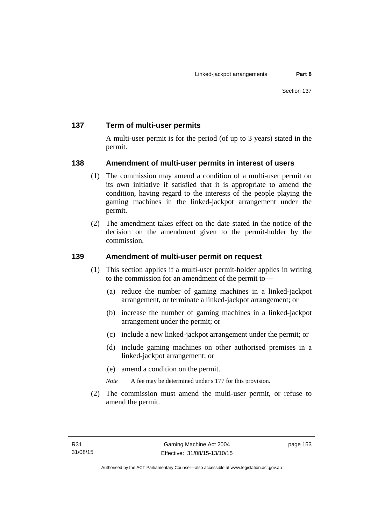## **137 Term of multi-user permits**

A multi-user permit is for the period (of up to 3 years) stated in the permit.

## **138 Amendment of multi-user permits in interest of users**

- (1) The commission may amend a condition of a multi-user permit on its own initiative if satisfied that it is appropriate to amend the condition, having regard to the interests of the people playing the gaming machines in the linked-jackpot arrangement under the permit.
- (2) The amendment takes effect on the date stated in the notice of the decision on the amendment given to the permit-holder by the commission.

## **139 Amendment of multi-user permit on request**

- (1) This section applies if a multi-user permit-holder applies in writing to the commission for an amendment of the permit to—
	- (a) reduce the number of gaming machines in a linked-jackpot arrangement, or terminate a linked-jackpot arrangement; or
	- (b) increase the number of gaming machines in a linked-jackpot arrangement under the permit; or
	- (c) include a new linked-jackpot arrangement under the permit; or
	- (d) include gaming machines on other authorised premises in a linked-jackpot arrangement; or
	- (e) amend a condition on the permit.
	- *Note* A fee may be determined under s 177 for this provision.
- (2) The commission must amend the multi-user permit, or refuse to amend the permit.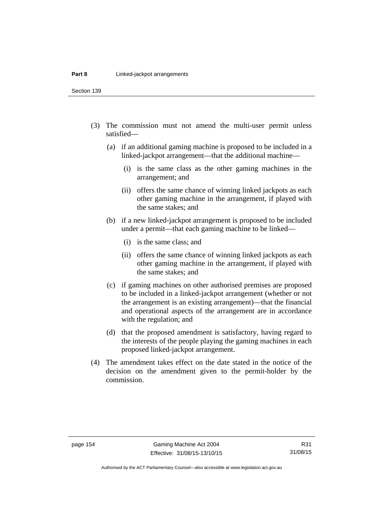Section 139

- (3) The commission must not amend the multi-user permit unless satisfied—
	- (a) if an additional gaming machine is proposed to be included in a linked-jackpot arrangement—that the additional machine—
		- (i) is the same class as the other gaming machines in the arrangement; and
		- (ii) offers the same chance of winning linked jackpots as each other gaming machine in the arrangement, if played with the same stakes; and
	- (b) if a new linked-jackpot arrangement is proposed to be included under a permit—that each gaming machine to be linked—
		- (i) is the same class; and
		- (ii) offers the same chance of winning linked jackpots as each other gaming machine in the arrangement, if played with the same stakes; and
	- (c) if gaming machines on other authorised premises are proposed to be included in a linked-jackpot arrangement (whether or not the arrangement is an existing arrangement)—that the financial and operational aspects of the arrangement are in accordance with the regulation; and
	- (d) that the proposed amendment is satisfactory, having regard to the interests of the people playing the gaming machines in each proposed linked-jackpot arrangement.
- (4) The amendment takes effect on the date stated in the notice of the decision on the amendment given to the permit-holder by the commission.

Authorised by the ACT Parliamentary Counsel—also accessible at www.legislation.act.gov.au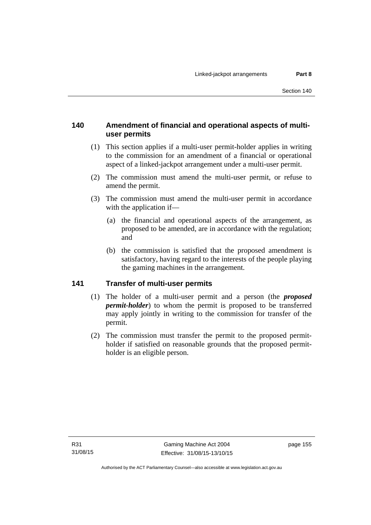## **140 Amendment of financial and operational aspects of multiuser permits**

- (1) This section applies if a multi-user permit-holder applies in writing to the commission for an amendment of a financial or operational aspect of a linked-jackpot arrangement under a multi-user permit.
- (2) The commission must amend the multi-user permit, or refuse to amend the permit.
- (3) The commission must amend the multi-user permit in accordance with the application if—
	- (a) the financial and operational aspects of the arrangement, as proposed to be amended, are in accordance with the regulation; and
	- (b) the commission is satisfied that the proposed amendment is satisfactory, having regard to the interests of the people playing the gaming machines in the arrangement.

## **141 Transfer of multi-user permits**

- (1) The holder of a multi-user permit and a person (the *proposed permit-holder*) to whom the permit is proposed to be transferred may apply jointly in writing to the commission for transfer of the permit.
- (2) The commission must transfer the permit to the proposed permitholder if satisfied on reasonable grounds that the proposed permitholder is an eligible person.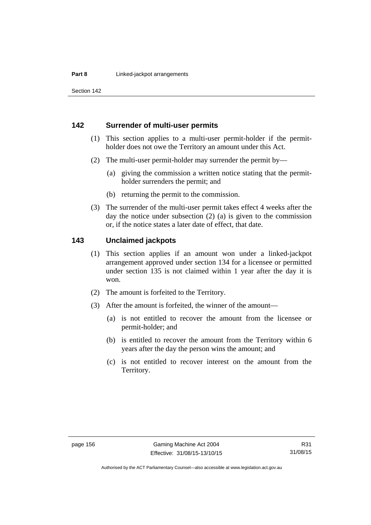Section 142

#### **142 Surrender of multi-user permits**

- (1) This section applies to a multi-user permit-holder if the permitholder does not owe the Territory an amount under this Act.
- (2) The multi-user permit-holder may surrender the permit by—
	- (a) giving the commission a written notice stating that the permitholder surrenders the permit; and
	- (b) returning the permit to the commission.
- (3) The surrender of the multi-user permit takes effect 4 weeks after the day the notice under subsection (2) (a) is given to the commission or, if the notice states a later date of effect, that date.

#### **143 Unclaimed jackpots**

- (1) This section applies if an amount won under a linked-jackpot arrangement approved under section 134 for a licensee or permitted under section 135 is not claimed within 1 year after the day it is won.
- (2) The amount is forfeited to the Territory.
- (3) After the amount is forfeited, the winner of the amount—
	- (a) is not entitled to recover the amount from the licensee or permit-holder; and
	- (b) is entitled to recover the amount from the Territory within 6 years after the day the person wins the amount; and
	- (c) is not entitled to recover interest on the amount from the Territory.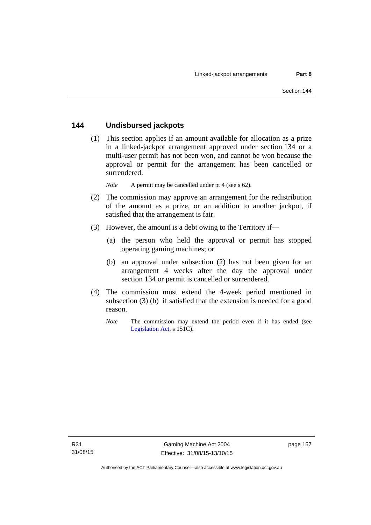## **144 Undisbursed jackpots**

 (1) This section applies if an amount available for allocation as a prize in a linked-jackpot arrangement approved under section 134 or a multi-user permit has not been won, and cannot be won because the approval or permit for the arrangement has been cancelled or surrendered.

*Note* A permit may be cancelled under pt 4 (see s 62).

- (2) The commission may approve an arrangement for the redistribution of the amount as a prize, or an addition to another jackpot, if satisfied that the arrangement is fair.
- (3) However, the amount is a debt owing to the Territory if—
	- (a) the person who held the approval or permit has stopped operating gaming machines; or
	- (b) an approval under subsection (2) has not been given for an arrangement 4 weeks after the day the approval under section 134 or permit is cancelled or surrendered.
- (4) The commission must extend the 4-week period mentioned in subsection (3) (b) if satisfied that the extension is needed for a good reason.
	- *Note* The commission may extend the period even if it has ended (see [Legislation Act,](http://www.legislation.act.gov.au/a/2001-14) s 151C).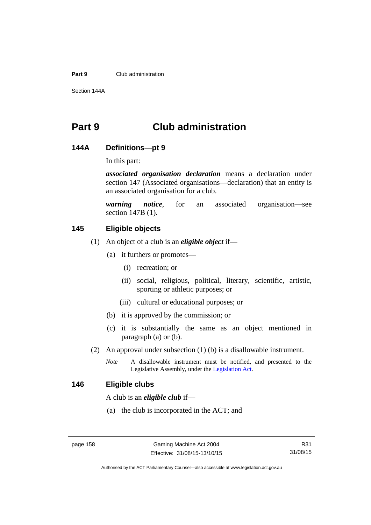#### **Part 9** Club administration

Section 144A

# **Part 9 Club administration**

#### **144A Definitions—pt 9**

In this part:

*associated organisation declaration* means a declaration under section 147 (Associated organisations—declaration) that an entity is an associated organisation for a club.

*warning notice*, for an associated organisation—see section 147B (1).

## **145 Eligible objects**

- (1) An object of a club is an *eligible object* if—
	- (a) it furthers or promotes—
		- (i) recreation; or
		- (ii) social, religious, political, literary, scientific, artistic, sporting or athletic purposes; or
		- (iii) cultural or educational purposes; or
	- (b) it is approved by the commission; or
	- (c) it is substantially the same as an object mentioned in paragraph (a) or (b).
- (2) An approval under subsection (1) (b) is a disallowable instrument.
	- *Note* A disallowable instrument must be notified, and presented to the Legislative Assembly, under the [Legislation Act.](http://www.legislation.act.gov.au/a/2001-14)

#### **146 Eligible clubs**

A club is an *eligible club* if—

(a) the club is incorporated in the ACT; and

Authorised by the ACT Parliamentary Counsel—also accessible at www.legislation.act.gov.au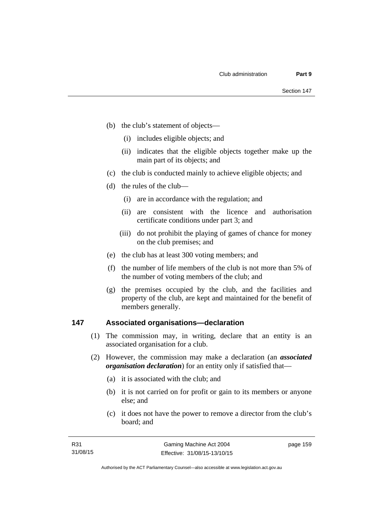- (b) the club's statement of objects—
	- (i) includes eligible objects; and
	- (ii) indicates that the eligible objects together make up the main part of its objects; and
- (c) the club is conducted mainly to achieve eligible objects; and
- (d) the rules of the club—
	- (i) are in accordance with the regulation; and
	- (ii) are consistent with the licence and authorisation certificate conditions under part 3; and
	- (iii) do not prohibit the playing of games of chance for money on the club premises; and
- (e) the club has at least 300 voting members; and
- (f) the number of life members of the club is not more than 5% of the number of voting members of the club; and
- (g) the premises occupied by the club, and the facilities and property of the club, are kept and maintained for the benefit of members generally.

#### **147 Associated organisations—declaration**

- (1) The commission may, in writing, declare that an entity is an associated organisation for a club.
- (2) However, the commission may make a declaration (an *associated organisation declaration*) for an entity only if satisfied that—
	- (a) it is associated with the club; and
	- (b) it is not carried on for profit or gain to its members or anyone else; and
	- (c) it does not have the power to remove a director from the club's board; and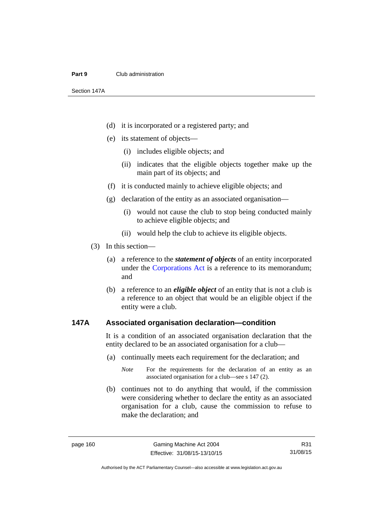#### **Part 9** Club administration

Section 147A

- (d) it is incorporated or a registered party; and
- (e) its statement of objects—
	- (i) includes eligible objects; and
	- (ii) indicates that the eligible objects together make up the main part of its objects; and
- (f) it is conducted mainly to achieve eligible objects; and
- (g) declaration of the entity as an associated organisation—
	- (i) would not cause the club to stop being conducted mainly to achieve eligible objects; and
	- (ii) would help the club to achieve its eligible objects.
- (3) In this section—
	- (a) a reference to the *statement of objects* of an entity incorporated under the [Corporations Act](http://www.comlaw.gov.au/Series/C2004A00818) is a reference to its memorandum; and
	- (b) a reference to an *eligible object* of an entity that is not a club is a reference to an object that would be an eligible object if the entity were a club.

#### **147A Associated organisation declaration—condition**

It is a condition of an associated organisation declaration that the entity declared to be an associated organisation for a club—

- (a) continually meets each requirement for the declaration; and
	- *Note* For the requirements for the declaration of an entity as an associated organisation for a club—see s 147 (2).
- (b) continues not to do anything that would, if the commission were considering whether to declare the entity as an associated organisation for a club, cause the commission to refuse to make the declaration; and

R31 31/08/15

Authorised by the ACT Parliamentary Counsel—also accessible at www.legislation.act.gov.au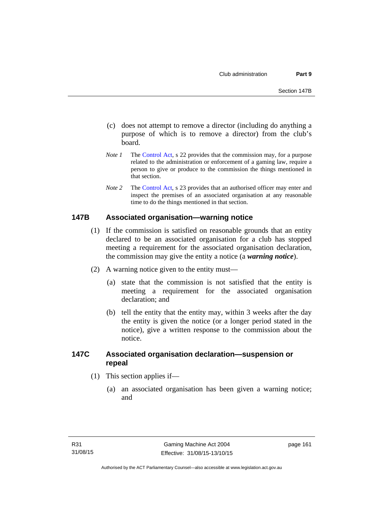- (c) does not attempt to remove a director (including do anything a purpose of which is to remove a director) from the club's board.
- *Note 1* The [Control Act,](http://www.legislation.act.gov.au/a/1999-46) s 22 provides that the commission may, for a purpose related to the administration or enforcement of a gaming law, require a person to give or produce to the commission the things mentioned in that section.
- *Note 2* The [Control Act](http://www.legislation.act.gov.au/a/1999-46), s 23 provides that an authorised officer may enter and inspect the premises of an associated organisation at any reasonable time to do the things mentioned in that section.

#### **147B Associated organisation—warning notice**

- (1) If the commission is satisfied on reasonable grounds that an entity declared to be an associated organisation for a club has stopped meeting a requirement for the associated organisation declaration, the commission may give the entity a notice (a *warning notice*).
- (2) A warning notice given to the entity must—
	- (a) state that the commission is not satisfied that the entity is meeting a requirement for the associated organisation declaration; and
	- (b) tell the entity that the entity may, within 3 weeks after the day the entity is given the notice (or a longer period stated in the notice), give a written response to the commission about the notice.

## **147C Associated organisation declaration—suspension or repeal**

- (1) This section applies if—
	- (a) an associated organisation has been given a warning notice; and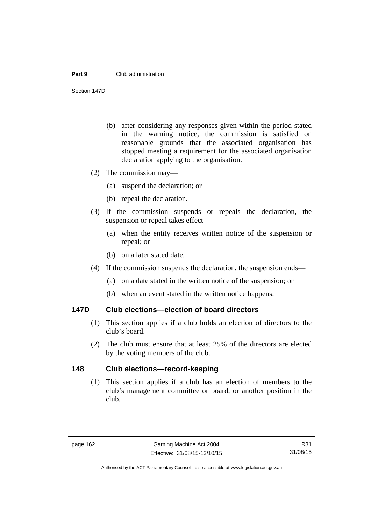#### **Part 9** Club administration

Section 147D

- (b) after considering any responses given within the period stated in the warning notice, the commission is satisfied on reasonable grounds that the associated organisation has stopped meeting a requirement for the associated organisation declaration applying to the organisation.
- (2) The commission may—
	- (a) suspend the declaration; or
	- (b) repeal the declaration.
- (3) If the commission suspends or repeals the declaration, the suspension or repeal takes effect—
	- (a) when the entity receives written notice of the suspension or repeal; or
	- (b) on a later stated date.
- (4) If the commission suspends the declaration, the suspension ends—
	- (a) on a date stated in the written notice of the suspension; or
	- (b) when an event stated in the written notice happens.

#### **147D Club elections—election of board directors**

- (1) This section applies if a club holds an election of directors to the club's board.
- (2) The club must ensure that at least 25% of the directors are elected by the voting members of the club.

#### **148 Club elections—record-keeping**

(1) This section applies if a club has an election of members to the club's management committee or board, or another position in the club.

Authorised by the ACT Parliamentary Counsel—also accessible at www.legislation.act.gov.au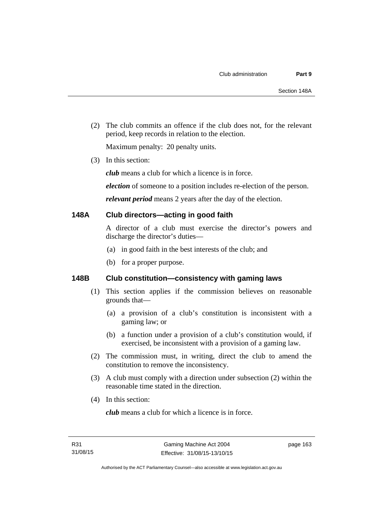(2) The club commits an offence if the club does not, for the relevant period, keep records in relation to the election.

Maximum penalty: 20 penalty units.

(3) In this section:

*club* means a club for which a licence is in force.

*election* of someone to a position includes re-election of the person.

*relevant period* means 2 years after the day of the election.

#### **148A Club directors—acting in good faith**

A director of a club must exercise the director's powers and discharge the director's duties—

- (a) in good faith in the best interests of the club; and
- (b) for a proper purpose.

## **148B Club constitution—consistency with gaming laws**

- (1) This section applies if the commission believes on reasonable grounds that—
	- (a) a provision of a club's constitution is inconsistent with a gaming law; or
	- (b) a function under a provision of a club's constitution would, if exercised, be inconsistent with a provision of a gaming law.
- (2) The commission must, in writing, direct the club to amend the constitution to remove the inconsistency.
- (3) A club must comply with a direction under subsection (2) within the reasonable time stated in the direction.
- (4) In this section:

*club* means a club for which a licence is in force.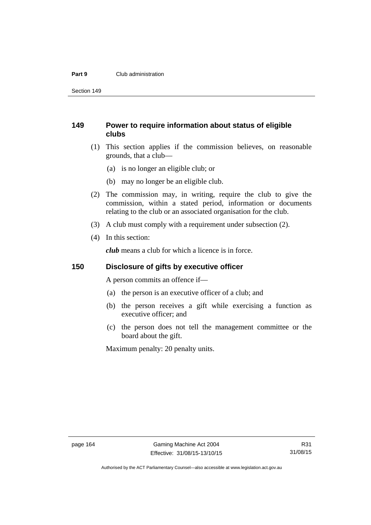#### **Part 9** Club administration

Section 149

## **149 Power to require information about status of eligible clubs**

- (1) This section applies if the commission believes, on reasonable grounds, that a club—
	- (a) is no longer an eligible club; or
	- (b) may no longer be an eligible club.
- (2) The commission may, in writing, require the club to give the commission, within a stated period, information or documents relating to the club or an associated organisation for the club.
- (3) A club must comply with a requirement under subsection (2).
- (4) In this section:

*club* means a club for which a licence is in force.

#### **150 Disclosure of gifts by executive officer**

A person commits an offence if—

- (a) the person is an executive officer of a club; and
- (b) the person receives a gift while exercising a function as executive officer; and
- (c) the person does not tell the management committee or the board about the gift.

Maximum penalty: 20 penalty units.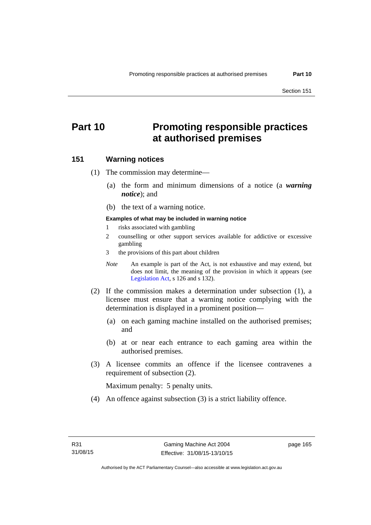# **Part 10 Promoting responsible practices at authorised premises**

#### **151 Warning notices**

(1) The commission may determine—

- (a) the form and minimum dimensions of a notice (a *warning notice*); and
- (b) the text of a warning notice.

#### **Examples of what may be included in warning notice**

- 1 risks associated with gambling
- 2 counselling or other support services available for addictive or excessive gambling
- 3 the provisions of this part about children
- *Note* An example is part of the Act, is not exhaustive and may extend, but does not limit, the meaning of the provision in which it appears (see [Legislation Act,](http://www.legislation.act.gov.au/a/2001-14) s 126 and s 132).
- (2) If the commission makes a determination under subsection (1), a licensee must ensure that a warning notice complying with the determination is displayed in a prominent position—
	- (a) on each gaming machine installed on the authorised premises; and
	- (b) at or near each entrance to each gaming area within the authorised premises.
- (3) A licensee commits an offence if the licensee contravenes a requirement of subsection (2).

Maximum penalty: 5 penalty units.

(4) An offence against subsection (3) is a strict liability offence.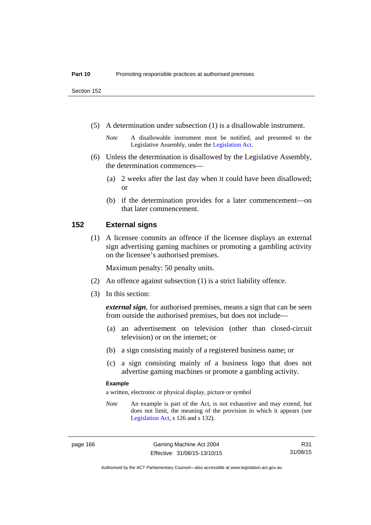Section 152

(5) A determination under subsection (1) is a disallowable instrument.

- (6) Unless the determination is disallowed by the Legislative Assembly, the determination commences—
	- (a) 2 weeks after the last day when it could have been disallowed; or
	- (b) if the determination provides for a later commencement—on that later commencement.

#### **152 External signs**

(1) A licensee commits an offence if the licensee displays an external sign advertising gaming machines or promoting a gambling activity on the licensee's authorised premises.

Maximum penalty: 50 penalty units.

- (2) An offence against subsection (1) is a strict liability offence.
- (3) In this section:

*external sign*, for authorised premises, means a sign that can be seen from outside the authorised premises, but does not include—

- (a) an advertisement on television (other than closed-circuit television) or on the internet; or
- (b) a sign consisting mainly of a registered business name; or
- (c) a sign consisting mainly of a business logo that does not advertise gaming machines or promote a gambling activity.

#### **Example**

a written, electronic or physical display, picture or symbol

*Note* An example is part of the Act, is not exhaustive and may extend, but does not limit, the meaning of the provision in which it appears (see [Legislation Act,](http://www.legislation.act.gov.au/a/2001-14) s 126 and s 132).

page 166 Gaming Machine Act 2004 Effective: 31/08/15-13/10/15

R31 31/08/15

Authorised by the ACT Parliamentary Counsel—also accessible at www.legislation.act.gov.au

*Note* A disallowable instrument must be notified, and presented to the Legislative Assembly, under the [Legislation Act.](http://www.legislation.act.gov.au/a/2001-14)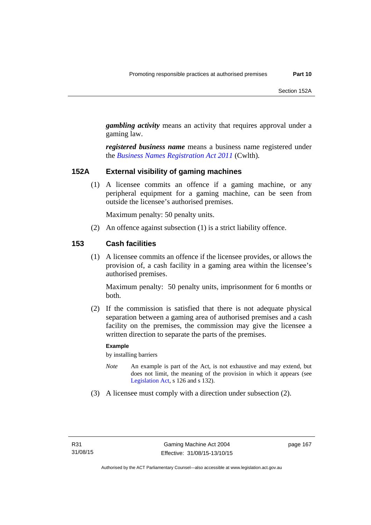*gambling activity* means an activity that requires approval under a gaming law.

*registered business name* means a business name registered under the *[Business Names Registration Act 2011](http://www.comlaw.gov.au/Series/C2011A00126)* (Cwlth)*.*

#### **152A External visibility of gaming machines**

(1) A licensee commits an offence if a gaming machine, or any peripheral equipment for a gaming machine, can be seen from outside the licensee's authorised premises.

Maximum penalty: 50 penalty units.

(2) An offence against subsection (1) is a strict liability offence.

#### **153 Cash facilities**

(1) A licensee commits an offence if the licensee provides, or allows the provision of, a cash facility in a gaming area within the licensee's authorised premises.

Maximum penalty: 50 penalty units, imprisonment for 6 months or both.

 (2) If the commission is satisfied that there is not adequate physical separation between a gaming area of authorised premises and a cash facility on the premises, the commission may give the licensee a written direction to separate the parts of the premises.

#### **Example**

by installing barriers

- *Note* An example is part of the Act, is not exhaustive and may extend, but does not limit, the meaning of the provision in which it appears (see [Legislation Act,](http://www.legislation.act.gov.au/a/2001-14) s 126 and s 132).
- (3) A licensee must comply with a direction under subsection (2).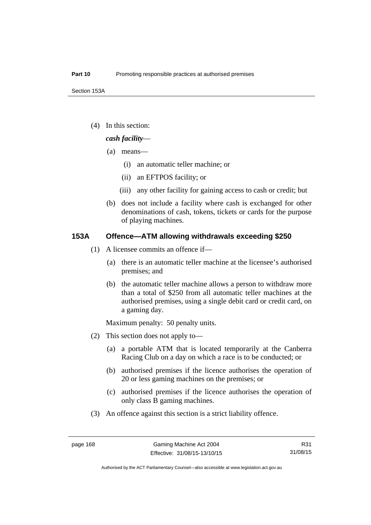(4) In this section:

#### *cash facility*—

- (a) means—
	- (i) an automatic teller machine; or
	- (ii) an EFTPOS facility; or
	- (iii) any other facility for gaining access to cash or credit; but
- (b) does not include a facility where cash is exchanged for other denominations of cash, tokens, tickets or cards for the purpose of playing machines.

### **153A Offence—ATM allowing withdrawals exceeding \$250**

- (1) A licensee commits an offence if—
	- (a) there is an automatic teller machine at the licensee's authorised premises; and
	- (b) the automatic teller machine allows a person to withdraw more than a total of \$250 from all automatic teller machines at the authorised premises, using a single debit card or credit card, on a gaming day.

Maximum penalty: 50 penalty units.

- (2) This section does not apply to—
	- (a) a portable ATM that is located temporarily at the Canberra Racing Club on a day on which a race is to be conducted; or
	- (b) authorised premises if the licence authorises the operation of 20 or less gaming machines on the premises; or
	- (c) authorised premises if the licence authorises the operation of only class B gaming machines.
- (3) An offence against this section is a strict liability offence.

R31 31/08/15

Authorised by the ACT Parliamentary Counsel—also accessible at www.legislation.act.gov.au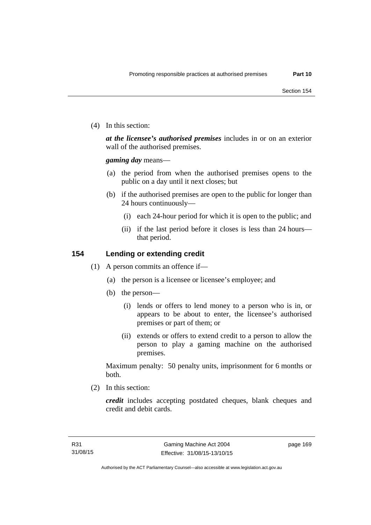(4) In this section:

*at the licensee's authorised premises* includes in or on an exterior wall of the authorised premises.

*gaming day* means—

- (a) the period from when the authorised premises opens to the public on a day until it next closes; but
- (b) if the authorised premises are open to the public for longer than 24 hours continuously—
	- (i) each 24-hour period for which it is open to the public; and
	- (ii) if the last period before it closes is less than 24 hours that period.

## **154 Lending or extending credit**

- (1) A person commits an offence if—
	- (a) the person is a licensee or licensee's employee; and
	- (b) the person—
		- (i) lends or offers to lend money to a person who is in, or appears to be about to enter, the licensee's authorised premises or part of them; or
		- (ii) extends or offers to extend credit to a person to allow the person to play a gaming machine on the authorised premises.

Maximum penalty: 50 penalty units, imprisonment for 6 months or both.

(2) In this section:

*credit* includes accepting postdated cheques, blank cheques and credit and debit cards.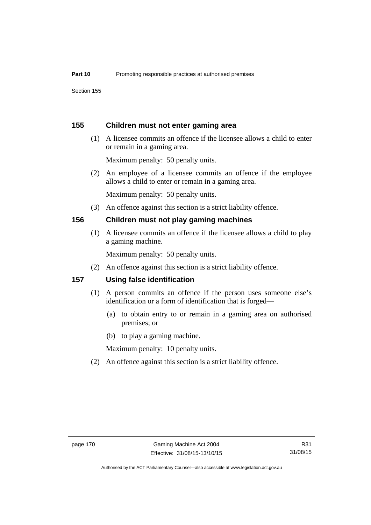Section 155

#### **155 Children must not enter gaming area**

 (1) A licensee commits an offence if the licensee allows a child to enter or remain in a gaming area.

Maximum penalty: 50 penalty units.

 (2) An employee of a licensee commits an offence if the employee allows a child to enter or remain in a gaming area.

Maximum penalty: 50 penalty units.

(3) An offence against this section is a strict liability offence.

#### **156 Children must not play gaming machines**

(1) A licensee commits an offence if the licensee allows a child to play a gaming machine.

Maximum penalty: 50 penalty units.

(2) An offence against this section is a strict liability offence.

#### **157 Using false identification**

- (1) A person commits an offence if the person uses someone else's identification or a form of identification that is forged—
	- (a) to obtain entry to or remain in a gaming area on authorised premises; or
	- (b) to play a gaming machine.

Maximum penalty: 10 penalty units.

(2) An offence against this section is a strict liability offence.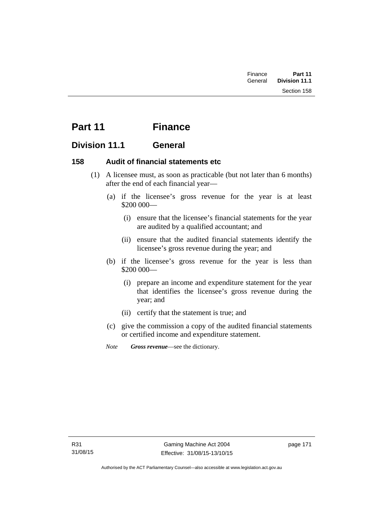| Finance | Part 11       |  |
|---------|---------------|--|
| General | Division 11.1 |  |
|         | Section 158   |  |

# **Part 11 Finance**

# **Division 11.1 General**

## **158 Audit of financial statements etc**

- (1) A licensee must, as soon as practicable (but not later than 6 months) after the end of each financial year—
	- (a) if the licensee's gross revenue for the year is at least \$200 000—
		- (i) ensure that the licensee's financial statements for the year are audited by a qualified accountant; and
		- (ii) ensure that the audited financial statements identify the licensee's gross revenue during the year; and
	- (b) if the licensee's gross revenue for the year is less than \$200 000—
		- (i) prepare an income and expenditure statement for the year that identifies the licensee's gross revenue during the year; and
		- (ii) certify that the statement is true; and
	- (c) give the commission a copy of the audited financial statements or certified income and expenditure statement.
	- *Note Gross revenue*—see the dictionary.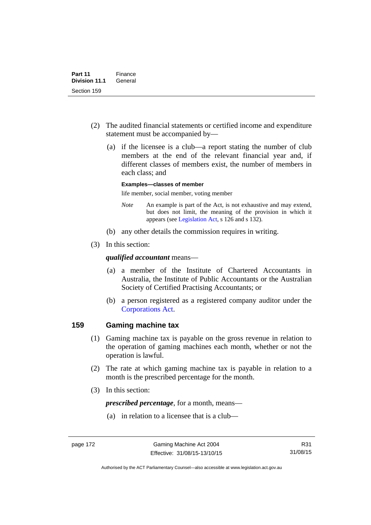- (2) The audited financial statements or certified income and expenditure statement must be accompanied by—
	- (a) if the licensee is a club—a report stating the number of club members at the end of the relevant financial year and, if different classes of members exist, the number of members in each class; and

#### **Examples—classes of member**

life member, social member, voting member

- *Note* An example is part of the Act, is not exhaustive and may extend, but does not limit, the meaning of the provision in which it appears (see [Legislation Act,](http://www.legislation.act.gov.au/a/2001-14) s 126 and s 132).
- (b) any other details the commission requires in writing.
- (3) In this section:

#### *qualified accountant* means—

- (a) a member of the Institute of Chartered Accountants in Australia, the Institute of Public Accountants or the Australian Society of Certified Practising Accountants; or
- (b) a person registered as a registered company auditor under the [Corporations Act.](http://www.comlaw.gov.au/Series/C2004A00818)

#### **159 Gaming machine tax**

- (1) Gaming machine tax is payable on the gross revenue in relation to the operation of gaming machines each month, whether or not the operation is lawful.
- (2) The rate at which gaming machine tax is payable in relation to a month is the prescribed percentage for the month.
- (3) In this section:

*prescribed percentage*, for a month, means—

(a) in relation to a licensee that is a club—

R31 31/08/15

Authorised by the ACT Parliamentary Counsel—also accessible at www.legislation.act.gov.au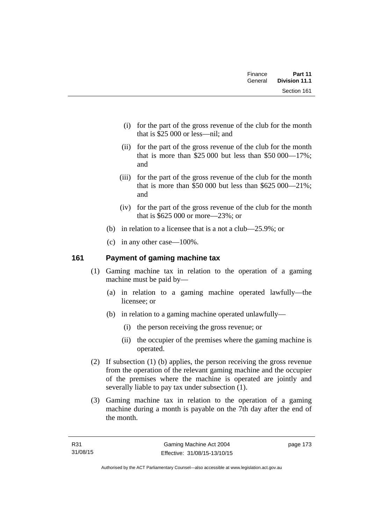| Finance | Part 11<br>General Division 11.1 |
|---------|----------------------------------|
|         | Section 161                      |

- (i) for the part of the gross revenue of the club for the month that is \$25 000 or less—nil; and
- (ii) for the part of the gross revenue of the club for the month that is more than \$25,000 but less than \$50,000  $-17\%$ ; and
- (iii) for the part of the gross revenue of the club for the month that is more than \$50,000 but less than \$625,000 — 21%; and
- (iv) for the part of the gross revenue of the club for the month that is \$625 000 or more—23%; or
- (b) in relation to a licensee that is a not a club—25.9%; or
- (c) in any other case—100%.

# **161 Payment of gaming machine tax**

- (1) Gaming machine tax in relation to the operation of a gaming machine must be paid by—
	- (a) in relation to a gaming machine operated lawfully—the licensee; or
	- (b) in relation to a gaming machine operated unlawfully—
		- (i) the person receiving the gross revenue; or
		- (ii) the occupier of the premises where the gaming machine is operated.
- (2) If subsection (1) (b) applies, the person receiving the gross revenue from the operation of the relevant gaming machine and the occupier of the premises where the machine is operated are jointly and severally liable to pay tax under subsection (1).
- (3) Gaming machine tax in relation to the operation of a gaming machine during a month is payable on the 7th day after the end of the month.

page 173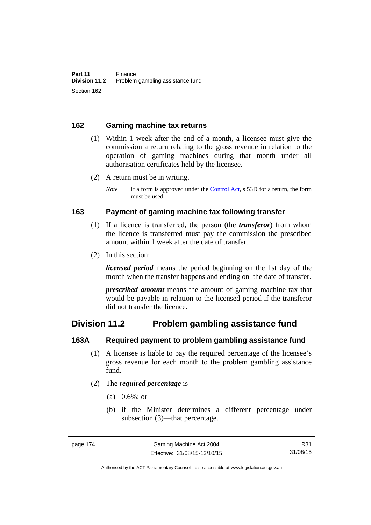#### **162 Gaming machine tax returns**

- (1) Within 1 week after the end of a month, a licensee must give the commission a return relating to the gross revenue in relation to the operation of gaming machines during that month under all authorisation certificates held by the licensee.
- (2) A return must be in writing.
	- *Note* If a form is approved under the [Control Act,](http://www.legislation.act.gov.au/a/1999-46) s 53D for a return, the form must be used.

#### **163 Payment of gaming machine tax following transfer**

- (1) If a licence is transferred, the person (the *transferor*) from whom the licence is transferred must pay the commission the prescribed amount within 1 week after the date of transfer.
- (2) In this section:

*licensed period* means the period beginning on the 1st day of the month when the transfer happens and ending on the date of transfer.

*prescribed amount* means the amount of gaming machine tax that would be payable in relation to the licensed period if the transferor did not transfer the licence.

# **Division 11.2 Problem gambling assistance fund**

#### **163A Required payment to problem gambling assistance fund**

- (1) A licensee is liable to pay the required percentage of the licensee's gross revenue for each month to the problem gambling assistance fund.
- (2) The *required percentage* is—
	- (a) 0.6%; or
	- (b) if the Minister determines a different percentage under subsection (3)—that percentage.

R31 31/08/15

Authorised by the ACT Parliamentary Counsel—also accessible at www.legislation.act.gov.au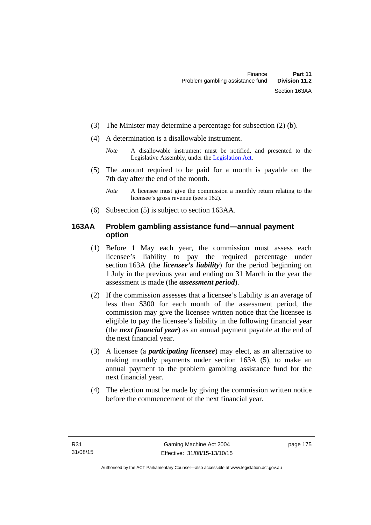- (3) The Minister may determine a percentage for subsection (2) (b).
- (4) A determination is a disallowable instrument.
	- *Note* A disallowable instrument must be notified, and presented to the Legislative Assembly, under the [Legislation Act.](http://www.legislation.act.gov.au/a/2001-14)
- (5) The amount required to be paid for a month is payable on the 7th day after the end of the month.
	- *Note* A licensee must give the commission a monthly return relating to the licensee's gross revenue (see s 162).
- (6) Subsection (5) is subject to section 163AA.

# **163AA Problem gambling assistance fund—annual payment option**

- (1) Before 1 May each year, the commission must assess each licensee's liability to pay the required percentage under section 163A (the *licensee's liability*) for the period beginning on 1 July in the previous year and ending on 31 March in the year the assessment is made (the *assessment period*).
- (2) If the commission assesses that a licensee's liability is an average of less than \$300 for each month of the assessment period, the commission may give the licensee written notice that the licensee is eligible to pay the licensee's liability in the following financial year (the *next financial year*) as an annual payment payable at the end of the next financial year.
- (3) A licensee (a *participating licensee*) may elect, as an alternative to making monthly payments under section 163A (5), to make an annual payment to the problem gambling assistance fund for the next financial year.
- (4) The election must be made by giving the commission written notice before the commencement of the next financial year.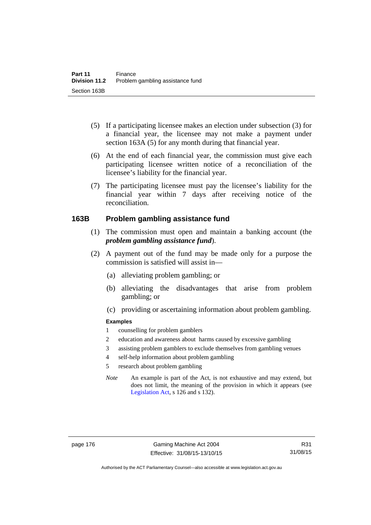- (5) If a participating licensee makes an election under subsection (3) for a financial year, the licensee may not make a payment under section 163A (5) for any month during that financial year.
- (6) At the end of each financial year, the commission must give each participating licensee written notice of a reconciliation of the licensee's liability for the financial year.
- (7) The participating licensee must pay the licensee's liability for the financial year within 7 days after receiving notice of the reconciliation.

#### **163B Problem gambling assistance fund**

- (1) The commission must open and maintain a banking account (the *problem gambling assistance fund*).
- (2) A payment out of the fund may be made only for a purpose the commission is satisfied will assist in—
	- (a) alleviating problem gambling; or
	- (b) alleviating the disadvantages that arise from problem gambling; or
	- (c) providing or ascertaining information about problem gambling.

#### **Examples**

- 1 counselling for problem gamblers
- 2 education and awareness about harms caused by excessive gambling
- 3 assisting problem gamblers to exclude themselves from gambling venues
- 4 self-help information about problem gambling
- 5 research about problem gambling
- *Note* An example is part of the Act, is not exhaustive and may extend, but does not limit, the meaning of the provision in which it appears (see [Legislation Act,](http://www.legislation.act.gov.au/a/2001-14) s 126 and s 132).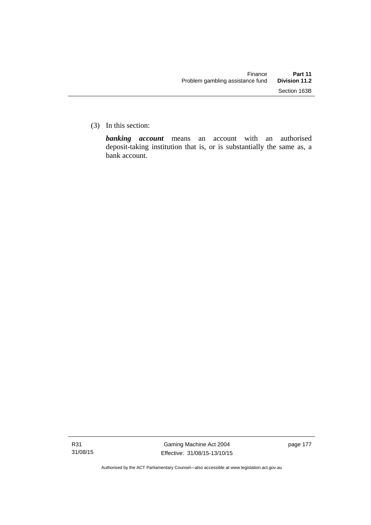(3) In this section:

*banking account* means an account with an authorised deposit-taking institution that is, or is substantially the same as, a bank account.

Authorised by the ACT Parliamentary Counsel—also accessible at www.legislation.act.gov.au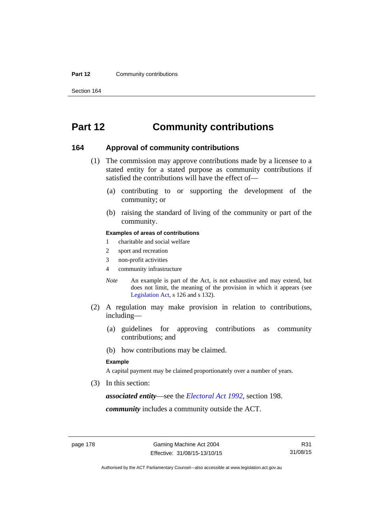#### **Part 12 Community contributions**

Section 164

# **Part 12 Community contributions**

#### **164 Approval of community contributions**

- (1) The commission may approve contributions made by a licensee to a stated entity for a stated purpose as community contributions if satisfied the contributions will have the effect of—
	- (a) contributing to or supporting the development of the community; or
	- (b) raising the standard of living of the community or part of the community.

#### **Examples of areas of contributions**

- 1 charitable and social welfare
- 2 sport and recreation
- 3 non-profit activities
- 4 community infrastructure
- *Note* An example is part of the Act, is not exhaustive and may extend, but does not limit, the meaning of the provision in which it appears (see [Legislation Act,](http://www.legislation.act.gov.au/a/2001-14) s 126 and s 132).
- (2) A regulation may make provision in relation to contributions, including—
	- (a) guidelines for approving contributions as community contributions; and
	- (b) how contributions may be claimed.

#### **Example**

A capital payment may be claimed proportionately over a number of years.

(3) In this section:

*associated entity*—see the *[Electoral Act 1992](http://www.legislation.act.gov.au/a/1992-71)*, section 198.

*community* includes a community outside the ACT.

Authorised by the ACT Parliamentary Counsel—also accessible at www.legislation.act.gov.au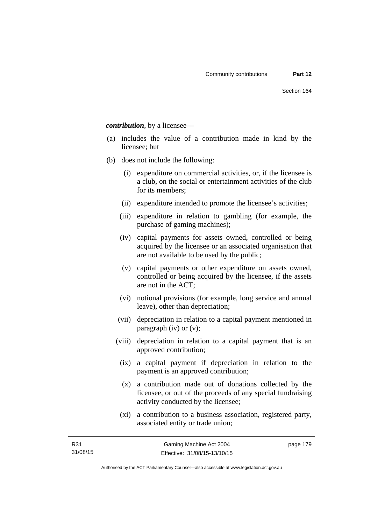*contribution*, by a licensee—

- (a) includes the value of a contribution made in kind by the licensee; but
- (b) does not include the following:
	- (i) expenditure on commercial activities, or, if the licensee is a club, on the social or entertainment activities of the club for its members;
	- (ii) expenditure intended to promote the licensee's activities;
	- (iii) expenditure in relation to gambling (for example, the purchase of gaming machines);
	- (iv) capital payments for assets owned, controlled or being acquired by the licensee or an associated organisation that are not available to be used by the public;
	- (v) capital payments or other expenditure on assets owned, controlled or being acquired by the licensee, if the assets are not in the ACT;
	- (vi) notional provisions (for example, long service and annual leave), other than depreciation;
	- (vii) depreciation in relation to a capital payment mentioned in paragraph (iv) or (v);
	- (viii) depreciation in relation to a capital payment that is an approved contribution;
		- (ix) a capital payment if depreciation in relation to the payment is an approved contribution;
		- (x) a contribution made out of donations collected by the licensee, or out of the proceeds of any special fundraising activity conducted by the licensee;
		- (xi) a contribution to a business association, registered party, associated entity or trade union;

page 179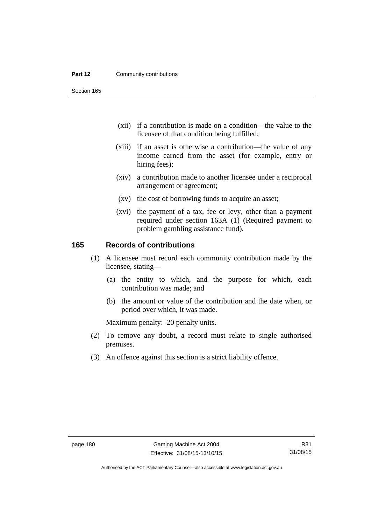#### **Part 12 Community contributions**

Section 165

- (xii) if a contribution is made on a condition—the value to the licensee of that condition being fulfilled;
- (xiii) if an asset is otherwise a contribution—the value of any income earned from the asset (for example, entry or hiring fees);
- (xiv) a contribution made to another licensee under a reciprocal arrangement or agreement;
- (xv) the cost of borrowing funds to acquire an asset;
- (xvi) the payment of a tax, fee or levy, other than a payment required under section 163A (1) (Required payment to problem gambling assistance fund).

#### **165 Records of contributions**

- (1) A licensee must record each community contribution made by the licensee, stating—
	- (a) the entity to which, and the purpose for which, each contribution was made; and
	- (b) the amount or value of the contribution and the date when, or period over which, it was made.

Maximum penalty: 20 penalty units.

- (2) To remove any doubt, a record must relate to single authorised premises.
- (3) An offence against this section is a strict liability offence.

Authorised by the ACT Parliamentary Counsel—also accessible at www.legislation.act.gov.au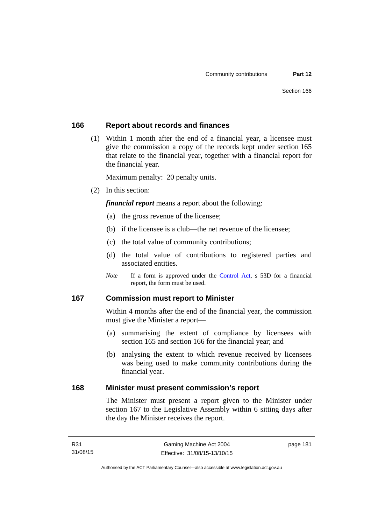#### **166 Report about records and finances**

 (1) Within 1 month after the end of a financial year, a licensee must give the commission a copy of the records kept under section 165 that relate to the financial year, together with a financial report for the financial year.

Maximum penalty: 20 penalty units.

(2) In this section:

*financial report* means a report about the following:

- (a) the gross revenue of the licensee;
- (b) if the licensee is a club—the net revenue of the licensee;
- (c) the total value of community contributions;
- (d) the total value of contributions to registered parties and associated entities.
- *Note* If a form is approved under the [Control Act](http://www.legislation.act.gov.au/a/1999-46), s 53D for a financial report, the form must be used.

#### **167 Commission must report to Minister**

Within 4 months after the end of the financial year, the commission must give the Minister a report—

- (a) summarising the extent of compliance by licensees with section 165 and section 166 for the financial year; and
- (b) analysing the extent to which revenue received by licensees was being used to make community contributions during the financial year.

#### **168 Minister must present commission's report**

The Minister must present a report given to the Minister under section 167 to the Legislative Assembly within 6 sitting days after the day the Minister receives the report.

page 181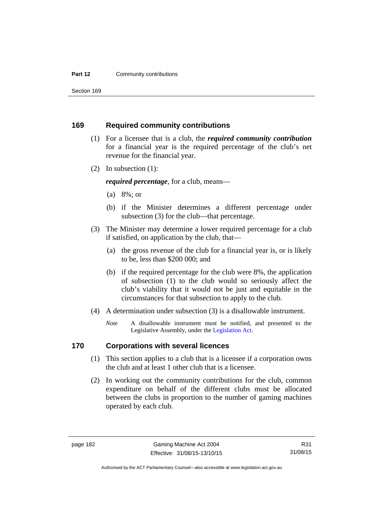#### **Part 12 Community contributions**

Section 169

#### **169 Required community contributions**

- (1) For a licensee that is a club, the *required community contribution* for a financial year is the required percentage of the club's net revenue for the financial year.
- (2) In subsection (1):

*required percentage*, for a club, means—

- (a) 8%; or
- (b) if the Minister determines a different percentage under subsection (3) for the club—that percentage.
- (3) The Minister may determine a lower required percentage for a club if satisfied, on application by the club, that—
	- (a) the gross revenue of the club for a financial year is, or is likely to be, less than \$200 000; and
	- (b) if the required percentage for the club were 8%, the application of subsection (1) to the club would so seriously affect the club's viability that it would not be just and equitable in the circumstances for that subsection to apply to the club.
- (4) A determination under subsection (3) is a disallowable instrument.
	- *Note* A disallowable instrument must be notified, and presented to the Legislative Assembly, under the [Legislation Act.](http://www.legislation.act.gov.au/a/2001-14)

# **170 Corporations with several licences**

- (1) This section applies to a club that is a licensee if a corporation owns the club and at least 1 other club that is a licensee.
- (2) In working out the community contributions for the club, common expenditure on behalf of the different clubs must be allocated between the clubs in proportion to the number of gaming machines operated by each club.

R31 31/08/15

Authorised by the ACT Parliamentary Counsel—also accessible at www.legislation.act.gov.au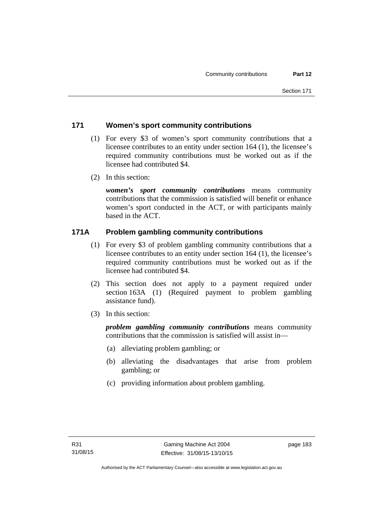# **171 Women's sport community contributions**

- (1) For every \$3 of women's sport community contributions that a licensee contributes to an entity under section 164 (1), the licensee's required community contributions must be worked out as if the licensee had contributed \$4.
- (2) In this section:

*women's sport community contributions* means community contributions that the commission is satisfied will benefit or enhance women's sport conducted in the ACT, or with participants mainly based in the ACT.

# **171A Problem gambling community contributions**

- (1) For every \$3 of problem gambling community contributions that a licensee contributes to an entity under section 164 (1), the licensee's required community contributions must be worked out as if the licensee had contributed \$4.
- (2) This section does not apply to a payment required under section 163A (1) (Required payment to problem gambling assistance fund).
- (3) In this section:

*problem gambling community contributions* means community contributions that the commission is satisfied will assist in—

- (a) alleviating problem gambling; or
- (b) alleviating the disadvantages that arise from problem gambling; or
- (c) providing information about problem gambling.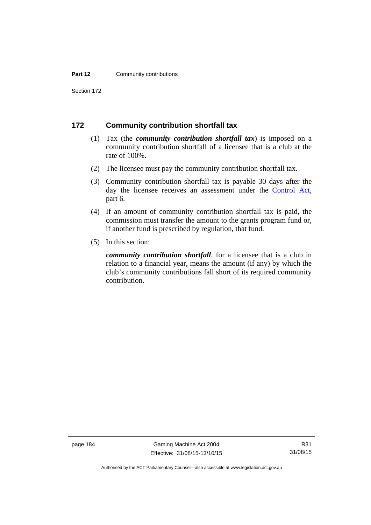#### **Part 12 Community contributions**

Section 172

#### **172 Community contribution shortfall tax**

- (1) Tax (the *community contribution shortfall tax*) is imposed on a community contribution shortfall of a licensee that is a club at the rate of 100%.
- (2) The licensee must pay the community contribution shortfall tax.
- (3) Community contribution shortfall tax is payable 30 days after the day the licensee receives an assessment under the [Control Act](http://www.legislation.act.gov.au/a/1999-46), part 6.
- (4) If an amount of community contribution shortfall tax is paid, the commission must transfer the amount to the grants program fund or, if another fund is prescribed by regulation, that fund.
- (5) In this section:

*community contribution shortfall*, for a licensee that is a club in relation to a financial year, means the amount (if any) by which the club's community contributions fall short of its required community contribution.

page 184 Gaming Machine Act 2004 Effective: 31/08/15-13/10/15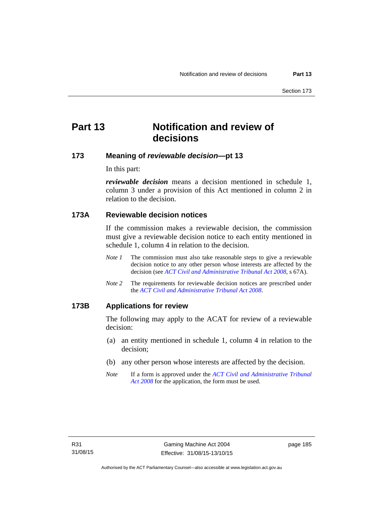# **Part 13 Notification and review of decisions**

# **173 Meaning of** *reviewable decision***—pt 13**

In this part:

*reviewable decision* means a decision mentioned in schedule 1, column 3 under a provision of this Act mentioned in column 2 in relation to the decision.

# **173A Reviewable decision notices**

If the commission makes a reviewable decision, the commission must give a reviewable decision notice to each entity mentioned in schedule 1, column 4 in relation to the decision.

- *Note 1* The commission must also take reasonable steps to give a reviewable decision notice to any other person whose interests are affected by the decision (see *[ACT Civil and Administrative Tribunal Act 2008](http://www.legislation.act.gov.au/a/2008-35)*, s 67A).
- *Note 2* The requirements for reviewable decision notices are prescribed under the *[ACT Civil and Administrative Tribunal Act 2008](http://www.legislation.act.gov.au/a/2008-35)*.

#### **173B Applications for review**

The following may apply to the ACAT for review of a reviewable decision:

- (a) an entity mentioned in schedule 1, column 4 in relation to the decision;
- (b) any other person whose interests are affected by the decision.
- *Note* If a form is approved under the *[ACT Civil and Administrative Tribunal](http://www.legislation.act.gov.au/a/2008-35)  [Act 2008](http://www.legislation.act.gov.au/a/2008-35)* for the application, the form must be used.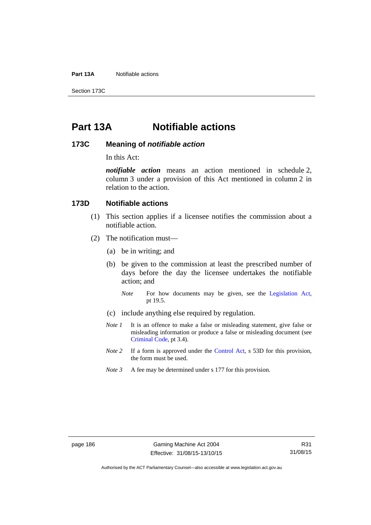**Part 13A** Notifiable actions

Section 173C

# **Part 13A Notifiable actions**

#### **173C Meaning of** *notifiable action*

In this Act:

*notifiable action* means an action mentioned in schedule 2, column 3 under a provision of this Act mentioned in column 2 in relation to the action.

#### **173D Notifiable actions**

- (1) This section applies if a licensee notifies the commission about a notifiable action.
- (2) The notification must—
	- (a) be in writing; and
	- (b) be given to the commission at least the prescribed number of days before the day the licensee undertakes the notifiable action; and
		- *Note* For how documents may be given, see the [Legislation Act,](http://www.legislation.act.gov.au/a/2001-14) pt 19.5.
	- (c) include anything else required by regulation.
	- *Note 1* It is an offence to make a false or misleading statement, give false or misleading information or produce a false or misleading document (see [Criminal Code](http://www.legislation.act.gov.au/a/2002-51), pt 3.4).
	- *Note 2* If a form is approved under the [Control Act,](http://www.legislation.act.gov.au/a/1999-46/default.asp) s 53D for this provision, the form must be used.
	- *Note 3* A fee may be determined under s 177 for this provision.

Authorised by the ACT Parliamentary Counsel—also accessible at www.legislation.act.gov.au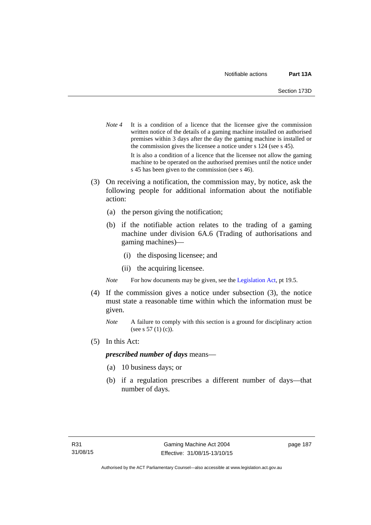- *Note* 4 It is a condition of a licence that the licensee give the commission written notice of the details of a gaming machine installed on authorised premises within 3 days after the day the gaming machine is installed or the commission gives the licensee a notice under s 124 (see s 45). It is also a condition of a licence that the licensee not allow the gaming machine to be operated on the authorised premises until the notice under s 45 has been given to the commission (see s 46).
- (3) On receiving a notification, the commission may, by notice, ask the following people for additional information about the notifiable action:
	- (a) the person giving the notification;
	- (b) if the notifiable action relates to the trading of a gaming machine under division 6A.6 (Trading of authorisations and gaming machines)—
		- (i) the disposing licensee; and
		- (ii) the acquiring licensee.

*Note* For how documents may be given, see the [Legislation Act,](http://www.legislation.act.gov.au/a/2001-14) pt 19.5.

- (4) If the commission gives a notice under subsection (3), the notice must state a reasonable time within which the information must be given.
	- *Note* A failure to comply with this section is a ground for disciplinary action (see s 57 (1) (c)).
- (5) In this Act:

#### *prescribed number of days* means—

- (a) 10 business days; or
- (b) if a regulation prescribes a different number of days—that number of days.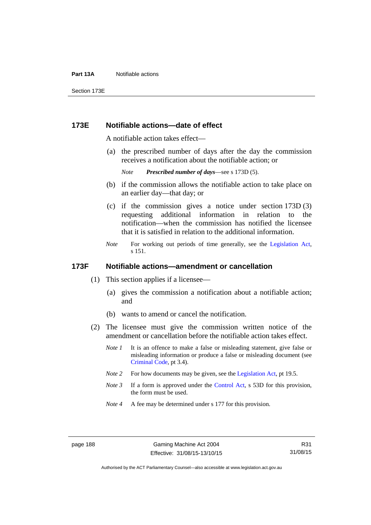#### **Part 13A** Notifiable actions

Section 173E

#### **173E Notifiable actions—date of effect**

A notifiable action takes effect—

 (a) the prescribed number of days after the day the commission receives a notification about the notifiable action; or

*Note Prescribed number of days*—see s 173D (5).

- (b) if the commission allows the notifiable action to take place on an earlier day—that day; or
- (c) if the commission gives a notice under section 173D (3) requesting additional information in relation to the notification—when the commission has notified the licensee that it is satisfied in relation to the additional information.
- *Note* For working out periods of time generally, see the [Legislation Act,](http://www.legislation.act.gov.au/a/2001-14) s 151.

#### **173F Notifiable actions—amendment or cancellation**

- (1) This section applies if a licensee—
	- (a) gives the commission a notification about a notifiable action; and
	- (b) wants to amend or cancel the notification.
- (2) The licensee must give the commission written notice of the amendment or cancellation before the notifiable action takes effect.
	- *Note 1* It is an offence to make a false or misleading statement, give false or misleading information or produce a false or misleading document (see [Criminal Code](http://www.legislation.act.gov.au/a/2002-51), pt 3.4).
	- *Note 2* For how documents may be given, see the [Legislation Act,](http://www.legislation.act.gov.au/a/2001-14) pt 19.5.
	- *Note 3* If a form is approved under the [Control Act,](http://www.legislation.act.gov.au/a/1999-46/default.asp) s 53D for this provision, the form must be used.
	- *Note 4* A fee may be determined under s 177 for this provision.

R31 31/08/15

Authorised by the ACT Parliamentary Counsel—also accessible at www.legislation.act.gov.au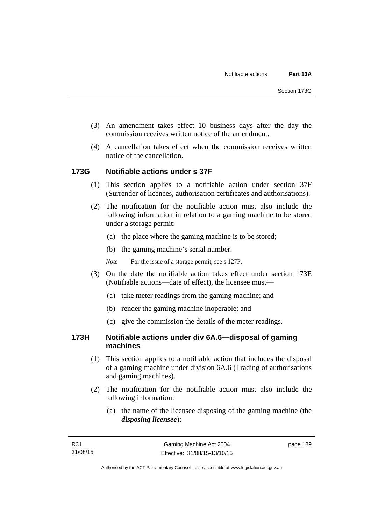- (3) An amendment takes effect 10 business days after the day the commission receives written notice of the amendment.
- (4) A cancellation takes effect when the commission receives written notice of the cancellation.

## **173G Notifiable actions under s 37F**

- (1) This section applies to a notifiable action under section 37F (Surrender of licences, authorisation certificates and authorisations).
- (2) The notification for the notifiable action must also include the following information in relation to a gaming machine to be stored under a storage permit:
	- (a) the place where the gaming machine is to be stored;
	- (b) the gaming machine's serial number.
	- *Note* For the issue of a storage permit, see s 127P.
- (3) On the date the notifiable action takes effect under section 173E (Notifiable actions—date of effect), the licensee must—
	- (a) take meter readings from the gaming machine; and
	- (b) render the gaming machine inoperable; and
	- (c) give the commission the details of the meter readings.

## **173H Notifiable actions under div 6A.6—disposal of gaming machines**

- (1) This section applies to a notifiable action that includes the disposal of a gaming machine under division 6A.6 (Trading of authorisations and gaming machines).
- (2) The notification for the notifiable action must also include the following information:
	- (a) the name of the licensee disposing of the gaming machine (the *disposing licensee*);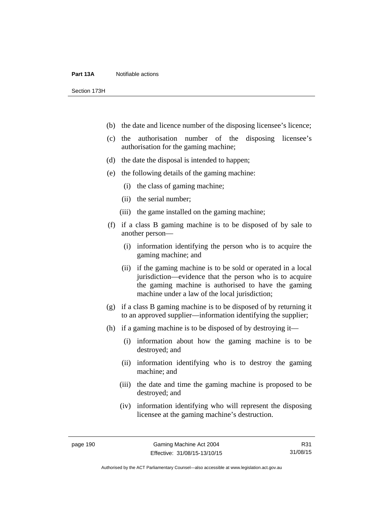#### **Part 13A** Notifiable actions

Section 173H

- (b) the date and licence number of the disposing licensee's licence;
- (c) the authorisation number of the disposing licensee's authorisation for the gaming machine;
- (d) the date the disposal is intended to happen;
- (e) the following details of the gaming machine:
	- (i) the class of gaming machine;
	- (ii) the serial number;
	- (iii) the game installed on the gaming machine;
- (f) if a class B gaming machine is to be disposed of by sale to another person—
	- (i) information identifying the person who is to acquire the gaming machine; and
	- (ii) if the gaming machine is to be sold or operated in a local jurisdiction—evidence that the person who is to acquire the gaming machine is authorised to have the gaming machine under a law of the local jurisdiction;
- (g) if a class B gaming machine is to be disposed of by returning it to an approved supplier—information identifying the supplier;
- (h) if a gaming machine is to be disposed of by destroying it—
	- (i) information about how the gaming machine is to be destroyed; and
	- (ii) information identifying who is to destroy the gaming machine; and
	- (iii) the date and time the gaming machine is proposed to be destroyed; and
	- (iv) information identifying who will represent the disposing licensee at the gaming machine's destruction.

R31 31/08/15

Authorised by the ACT Parliamentary Counsel—also accessible at www.legislation.act.gov.au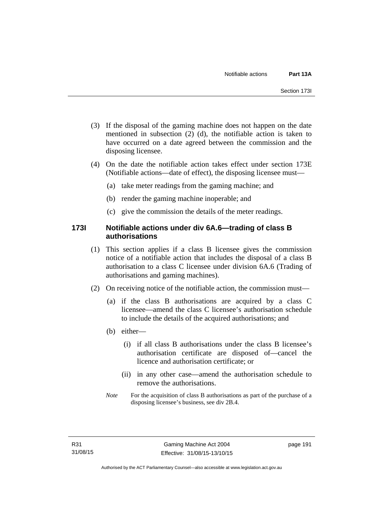- (3) If the disposal of the gaming machine does not happen on the date mentioned in subsection (2) (d), the notifiable action is taken to have occurred on a date agreed between the commission and the disposing licensee.
- (4) On the date the notifiable action takes effect under section 173E (Notifiable actions—date of effect), the disposing licensee must—
	- (a) take meter readings from the gaming machine; and
	- (b) render the gaming machine inoperable; and
	- (c) give the commission the details of the meter readings.

## **173I Notifiable actions under div 6A.6—trading of class B authorisations**

- (1) This section applies if a class B licensee gives the commission notice of a notifiable action that includes the disposal of a class B authorisation to a class C licensee under division 6A.6 (Trading of authorisations and gaming machines).
- (2) On receiving notice of the notifiable action, the commission must—
	- (a) if the class B authorisations are acquired by a class C licensee—amend the class C licensee's authorisation schedule to include the details of the acquired authorisations; and
	- (b) either—
		- (i) if all class B authorisations under the class B licensee's authorisation certificate are disposed of—cancel the licence and authorisation certificate; or
		- (ii) in any other case—amend the authorisation schedule to remove the authorisations.
	- *Note* For the acquisition of class B authorisations as part of the purchase of a disposing licensee's business, see div 2B.4.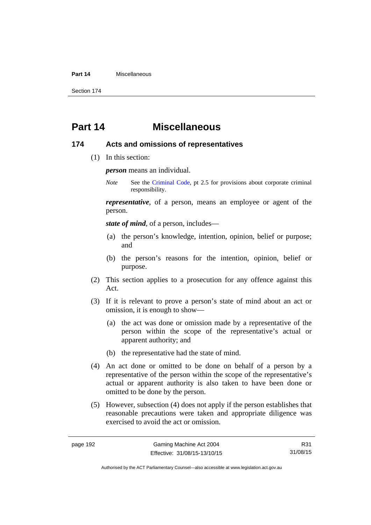#### **Part 14** Miscellaneous

Section 174

# **Part 14 Miscellaneous**

#### **174 Acts and omissions of representatives**

(1) In this section:

*person* means an individual.

*Note* See the [Criminal Code,](http://www.legislation.act.gov.au/a/2002-51) pt 2.5 for provisions about corporate criminal responsibility.

*representative*, of a person, means an employee or agent of the person.

*state of mind*, of a person, includes—

- (a) the person's knowledge, intention, opinion, belief or purpose; and
- (b) the person's reasons for the intention, opinion, belief or purpose.
- (2) This section applies to a prosecution for any offence against this Act.
- (3) If it is relevant to prove a person's state of mind about an act or omission, it is enough to show—
	- (a) the act was done or omission made by a representative of the person within the scope of the representative's actual or apparent authority; and
	- (b) the representative had the state of mind.
- (4) An act done or omitted to be done on behalf of a person by a representative of the person within the scope of the representative's actual or apparent authority is also taken to have been done or omitted to be done by the person.
- (5) However, subsection (4) does not apply if the person establishes that reasonable precautions were taken and appropriate diligence was exercised to avoid the act or omission.

R31 31/08/15

Authorised by the ACT Parliamentary Counsel—also accessible at www.legislation.act.gov.au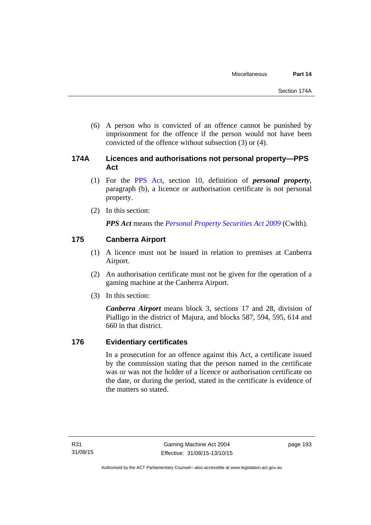(6) A person who is convicted of an offence cannot be punished by imprisonment for the offence if the person would not have been convicted of the offence without subsection (3) or (4).

# **174A Licences and authorisations not personal property—PPS Act**

- (1) For the [PPS Act,](http://www.comlaw.gov.au/Series/C2009A00130) section 10, definition of *personal property*, paragraph (b), a licence or authorisation certificate is not personal property.
- (2) In this section:

*PPS Act* means the *[Personal Property Securities Act 2009](http://www.comlaw.gov.au/Series/C2009A00130)* (Cwlth).

# **175 Canberra Airport**

- (1) A licence must not be issued in relation to premises at Canberra Airport.
- (2) An authorisation certificate must not be given for the operation of a gaming machine at the Canberra Airport.
- (3) In this section:

*Canberra Airport* means block 3, sections 17 and 28, division of Pialligo in the district of Majura, and blocks 587, 594, 595, 614 and 660 in that district.

# **176 Evidentiary certificates**

In a prosecution for an offence against this Act, a certificate issued by the commission stating that the person named in the certificate was or was not the holder of a licence or authorisation certificate on the date, or during the period, stated in the certificate is evidence of the matters so stated.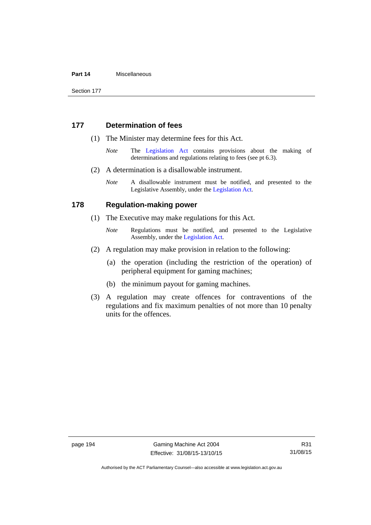#### **Part 14** Miscellaneous

Section 177

#### **177 Determination of fees**

- (1) The Minister may determine fees for this Act.
	- *Note* The [Legislation Act](http://www.legislation.act.gov.au/a/2001-14) contains provisions about the making of determinations and regulations relating to fees (see pt 6.3).
- (2) A determination is a disallowable instrument.
	- *Note* A disallowable instrument must be notified, and presented to the Legislative Assembly, under the [Legislation Act.](http://www.legislation.act.gov.au/a/2001-14)

#### **178 Regulation-making power**

- (1) The Executive may make regulations for this Act.
	- *Note* **Regulations** must be notified, and presented to the Legislative Assembly, under the [Legislation Act](http://www.legislation.act.gov.au/a/2001-14).
- (2) A regulation may make provision in relation to the following:
	- (a) the operation (including the restriction of the operation) of peripheral equipment for gaming machines;
	- (b) the minimum payout for gaming machines.
- (3) A regulation may create offences for contraventions of the regulations and fix maximum penalties of not more than 10 penalty units for the offences.

Authorised by the ACT Parliamentary Counsel—also accessible at www.legislation.act.gov.au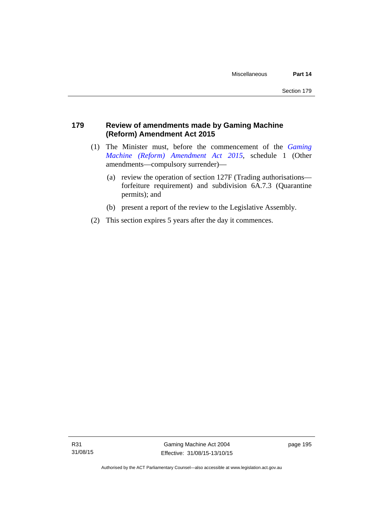# **179 Review of amendments made by Gaming Machine (Reform) Amendment Act 2015**

- (1) The Minister must, before the commencement of the *[Gaming](http://www.legislation.act.gov.au/a/2015-21/default.asp)  [Machine \(Reform\) Amendment Act 2015](http://www.legislation.act.gov.au/a/2015-21/default.asp)*, schedule 1 (Other amendments—compulsory surrender)—
	- (a) review the operation of section 127F (Trading authorisations forfeiture requirement) and subdivision 6A.7.3 (Quarantine permits); and
	- (b) present a report of the review to the Legislative Assembly.
- (2) This section expires 5 years after the day it commences.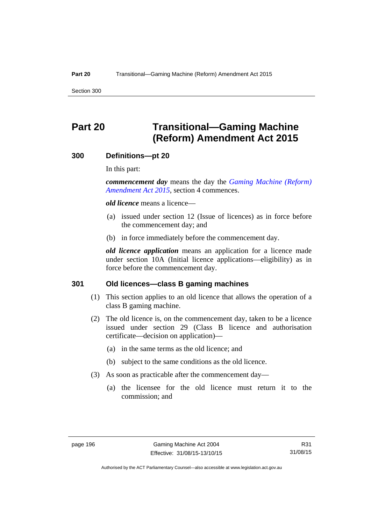Section 300

# **Part 20 Transitional—Gaming Machine (Reform) Amendment Act 2015**

#### **300 Definitions—pt 20**

In this part:

*commencement day* means the day the *[Gaming Machine \(Reform\)](http://www.legislation.act.gov.au/a/2015-21/default.asp)  [Amendment Act 2015](http://www.legislation.act.gov.au/a/2015-21/default.asp)*, section 4 commences.

*old licence* means a licence—

- (a) issued under section 12 (Issue of licences) as in force before the commencement day; and
- (b) in force immediately before the commencement day.

*old licence application* means an application for a licence made under section 10A (Initial licence applications—eligibility) as in force before the commencement day.

#### **301 Old licences—class B gaming machines**

- (1) This section applies to an old licence that allows the operation of a class B gaming machine.
- (2) The old licence is, on the commencement day, taken to be a licence issued under section 29 (Class B licence and authorisation certificate—decision on application)—
	- (a) in the same terms as the old licence; and
	- (b) subject to the same conditions as the old licence.
- (3) As soon as practicable after the commencement day—
	- (a) the licensee for the old licence must return it to the commission; and

R31 31/08/15

Authorised by the ACT Parliamentary Counsel—also accessible at www.legislation.act.gov.au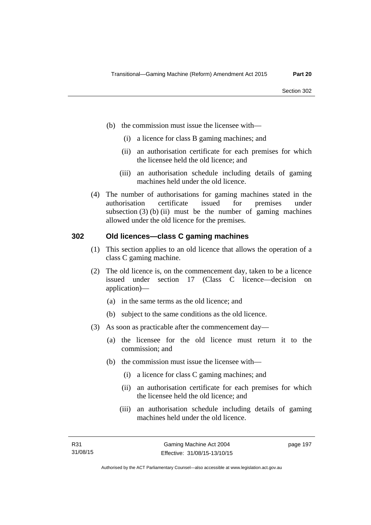- (b) the commission must issue the licensee with—
	- (i) a licence for class B gaming machines; and
	- (ii) an authorisation certificate for each premises for which the licensee held the old licence; and
	- (iii) an authorisation schedule including details of gaming machines held under the old licence.
- (4) The number of authorisations for gaming machines stated in the authorisation certificate issued for premises under subsection  $(3)$  (b) (ii) must be the number of gaming machines allowed under the old licence for the premises.

#### **302 Old licences—class C gaming machines**

- (1) This section applies to an old licence that allows the operation of a class C gaming machine.
- (2) The old licence is, on the commencement day, taken to be a licence issued under section 17 (Class C licence—decision on application)—
	- (a) in the same terms as the old licence; and
	- (b) subject to the same conditions as the old licence.
- (3) As soon as practicable after the commencement day—
	- (a) the licensee for the old licence must return it to the commission; and
	- (b) the commission must issue the licensee with—
		- (i) a licence for class C gaming machines; and
		- (ii) an authorisation certificate for each premises for which the licensee held the old licence; and
		- (iii) an authorisation schedule including details of gaming machines held under the old licence.

page 197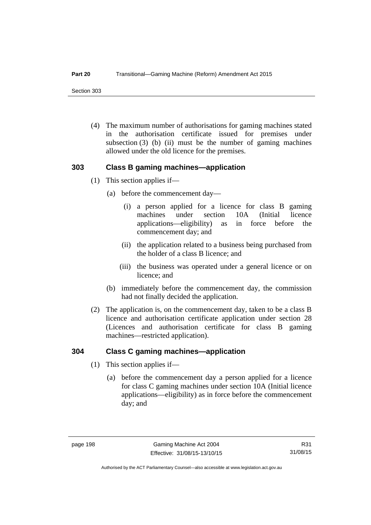Section 303

 (4) The maximum number of authorisations for gaming machines stated in the authorisation certificate issued for premises under subsection  $(3)$  (b) (ii) must be the number of gaming machines allowed under the old licence for the premises.

#### **303 Class B gaming machines—application**

- (1) This section applies if—
	- (a) before the commencement day—
		- (i) a person applied for a licence for class B gaming machines under section 10A (Initial licence applications—eligibility) as in force before the commencement day; and
		- (ii) the application related to a business being purchased from the holder of a class B licence; and
		- (iii) the business was operated under a general licence or on licence; and
	- (b) immediately before the commencement day, the commission had not finally decided the application.
- (2) The application is, on the commencement day, taken to be a class B licence and authorisation certificate application under section 28 (Licences and authorisation certificate for class B gaming machines—restricted application).

#### **304 Class C gaming machines—application**

- (1) This section applies if—
	- (a) before the commencement day a person applied for a licence for class C gaming machines under section 10A (Initial licence applications—eligibility) as in force before the commencement day; and

R31 31/08/15

Authorised by the ACT Parliamentary Counsel—also accessible at www.legislation.act.gov.au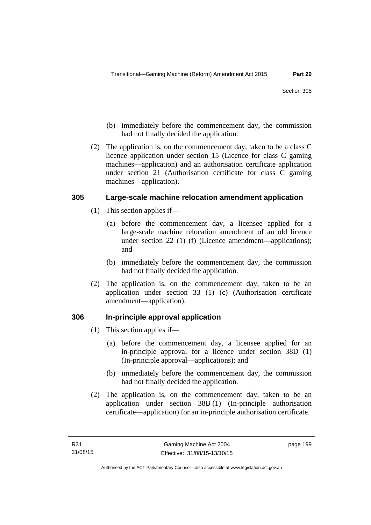- (b) immediately before the commencement day, the commission had not finally decided the application.
- (2) The application is, on the commencement day, taken to be a class C licence application under section 15 (Licence for class C gaming machines—application) and an authorisation certificate application under section 21 (Authorisation certificate for class C gaming machines—application).

#### **305 Large-scale machine relocation amendment application**

- (1) This section applies if—
	- (a) before the commencement day, a licensee applied for a large-scale machine relocation amendment of an old licence under section 22 (1) (f) (Licence amendment—applications); and
	- (b) immediately before the commencement day, the commission had not finally decided the application.
- (2) The application is, on the commencement day, taken to be an application under section 33 (1) (c) (Authorisation certificate amendment—application).

#### **306 In-principle approval application**

- (1) This section applies if—
	- (a) before the commencement day, a licensee applied for an in-principle approval for a licence under section 38D (1) (In-principle approval—applications); and
	- (b) immediately before the commencement day, the commission had not finally decided the application.
- (2) The application is, on the commencement day, taken to be an application under section 38B (1) (In-principle authorisation certificate—application) for an in-principle authorisation certificate.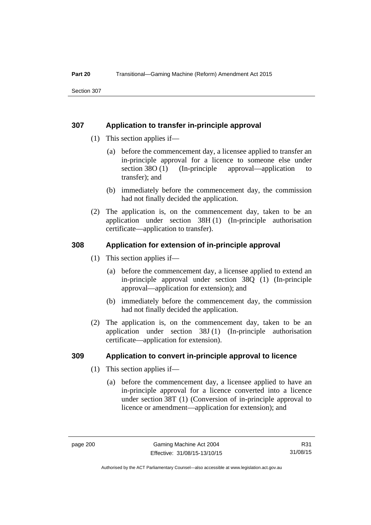#### **307 Application to transfer in-principle approval**

- (1) This section applies if—
	- (a) before the commencement day, a licensee applied to transfer an in-principle approval for a licence to someone else under section 38O (1) (In-principle approval—application to transfer); and
	- (b) immediately before the commencement day, the commission had not finally decided the application.
- (2) The application is, on the commencement day, taken to be an application under section 38H (1) (In-principle authorisation certificate—application to transfer).

#### **308 Application for extension of in-principle approval**

- (1) This section applies if—
	- (a) before the commencement day, a licensee applied to extend an in-principle approval under section 38Q (1) (In-principle approval—application for extension); and
	- (b) immediately before the commencement day, the commission had not finally decided the application.
- (2) The application is, on the commencement day, taken to be an application under section 38J (1) (In-principle authorisation certificate—application for extension).

#### **309 Application to convert in-principle approval to licence**

- (1) This section applies if—
	- (a) before the commencement day, a licensee applied to have an in-principle approval for a licence converted into a licence under section 38T (1) (Conversion of in-principle approval to licence or amendment—application for extension); and

Authorised by the ACT Parliamentary Counsel—also accessible at www.legislation.act.gov.au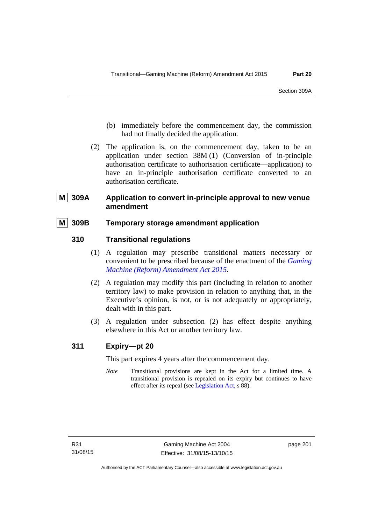- (b) immediately before the commencement day, the commission had not finally decided the application.
- (2) The application is, on the commencement day, taken to be an application under section 38M (1) (Conversion of in-principle authorisation certificate to authorisation certificate—application) to have an in-principle authorisation certificate converted to an authorisation certificate.

# **809A** Application to convert in-principle approval to new venue **amendment**

# **M 309B Temporary storage amendment application**

# **310 Transitional regulations**

- (1) A regulation may prescribe transitional matters necessary or convenient to be prescribed because of the enactment of the *[Gaming](http://www.legislation.act.gov.au/a/2015-21/default.asp)  [Machine \(Reform\) Amendment Act 2015](http://www.legislation.act.gov.au/a/2015-21/default.asp)*.
- (2) A regulation may modify this part (including in relation to another territory law) to make provision in relation to anything that, in the Executive's opinion, is not, or is not adequately or appropriately, dealt with in this part.
- (3) A regulation under subsection (2) has effect despite anything elsewhere in this Act or another territory law.

# **311 Expiry—pt 20**

This part expires 4 years after the commencement day.

*Note* Transitional provisions are kept in the Act for a limited time. A transitional provision is repealed on its expiry but continues to have effect after its repeal (see [Legislation Act,](http://www.legislation.act.gov.au/a/2001-14) s 88).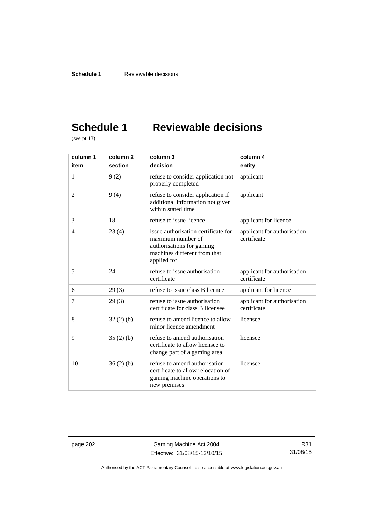# **Schedule 1 Reviewable decisions**

(see pt 13)

| column 1       | column <sub>2</sub> | column 3                                                                                                                             | column 4                                   |
|----------------|---------------------|--------------------------------------------------------------------------------------------------------------------------------------|--------------------------------------------|
| item           | section             | decision                                                                                                                             | entity                                     |
| 1              | 9(2)                | refuse to consider application not<br>properly completed                                                                             | applicant                                  |
| $\overline{2}$ | 9(4)                | refuse to consider application if<br>additional information not given<br>within stated time                                          | applicant                                  |
| 3              | 18                  | refuse to issue licence                                                                                                              | applicant for licence                      |
| 4              | 23(4)               | issue authorisation certificate for<br>maximum number of<br>authorisations for gaming<br>machines different from that<br>applied for | applicant for authorisation<br>certificate |
| 5              | 24                  | refuse to issue authorisation<br>certificate                                                                                         | applicant for authorisation<br>certificate |
| 6              | 29(3)               | refuse to issue class B licence                                                                                                      | applicant for licence                      |
| 7              | 29(3)               | refuse to issue authorisation<br>certificate for class B licensee                                                                    | applicant for authorisation<br>certificate |
| 8              | 32(2)(b)            | refuse to amend licence to allow<br>minor licence amendment                                                                          | licensee                                   |
| 9              | 35(2)(b)            | refuse to amend authorisation<br>certificate to allow licensee to<br>change part of a gaming area                                    | licensee                                   |
| 10             | 36(2)(b)            | refuse to amend authorisation<br>certificate to allow relocation of<br>gaming machine operations to<br>new premises                  | licensee                                   |

page 202 Gaming Machine Act 2004 Effective: 31/08/15-13/10/15

R31 31/08/15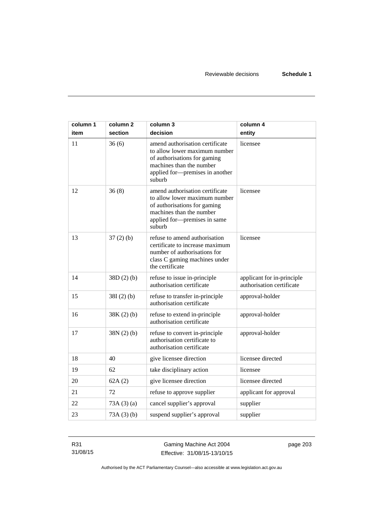| column 1 | column <sub>2</sub> | column 3                                                                                                                                                                  | column 4                                                |
|----------|---------------------|---------------------------------------------------------------------------------------------------------------------------------------------------------------------------|---------------------------------------------------------|
| item     | section             | decision                                                                                                                                                                  | entity                                                  |
| 11       | 36(6)               | amend authorisation certificate<br>to allow lower maximum number<br>of authorisations for gaming<br>machines than the number<br>applied for-premises in another<br>suburb | licensee                                                |
| 12       | 36(8)               | amend authorisation certificate<br>to allow lower maximum number<br>of authorisations for gaming<br>machines than the number<br>applied for-premises in same<br>suburb    | licensee                                                |
| 13       | 37(2)(b)            | refuse to amend authorisation<br>certificate to increase maximum<br>number of authorisations for<br>class C gaming machines under<br>the certificate                      | licensee                                                |
| 14       | 38D(2)(b)           | refuse to issue in-principle<br>authorisation certificate                                                                                                                 | applicant for in-principle<br>authorisation certificate |
| 15       | $38I(2)$ (b)        | refuse to transfer in-principle<br>authorisation certificate                                                                                                              | approval-holder                                         |
| 16       | $38K(2)$ (b)        | refuse to extend in-principle<br>authorisation certificate                                                                                                                | approval-holder                                         |
| 17       | 38N(2)(b)           | refuse to convert in-principle<br>authorisation certificate to<br>authorisation certificate                                                                               | approval-holder                                         |
| 18       | 40                  | give licensee direction                                                                                                                                                   | licensee directed                                       |
| 19       | 62                  | take disciplinary action                                                                                                                                                  | licensee                                                |
| 20       | 62A(2)              | give licensee direction                                                                                                                                                   | licensee directed                                       |
| 21       | 72                  | refuse to approve supplier                                                                                                                                                | applicant for approval                                  |
| 22       | 73A(3)(a)           | cancel supplier's approval                                                                                                                                                | supplier                                                |
| 23       | 73A(3)(b)           | suspend supplier's approval                                                                                                                                               | supplier                                                |

R31 31/08/15

Gaming Machine Act 2004 Effective: 31/08/15-13/10/15 page 203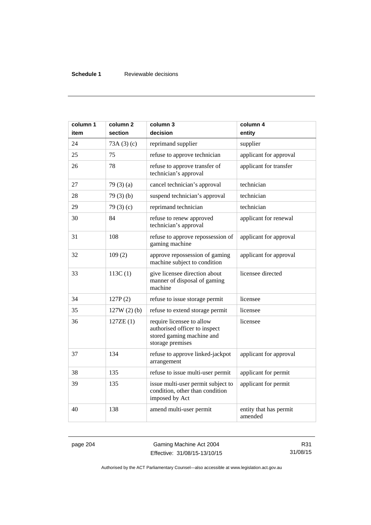# **Schedule 1** Reviewable decisions

| column 1<br>item | column 2<br>section | column 3<br>decision                                                                                        | column 4<br>entity                |
|------------------|---------------------|-------------------------------------------------------------------------------------------------------------|-----------------------------------|
| 24               | 73A(3)(c)           | reprimand supplier                                                                                          | supplier                          |
| 25               | 75                  | refuse to approve technician                                                                                | applicant for approval            |
| 26               | 78                  | refuse to approve transfer of<br>technician's approval                                                      | applicant for transfer            |
| 27               | 79 $(3)(a)$         | cancel technician's approval                                                                                | technician                        |
| 28               | 79(3)(b)            | suspend technician's approval                                                                               | technician                        |
| 29               | 79 $(3)(c)$         | reprimand technician                                                                                        | technician                        |
| 30               | 84                  | refuse to renew approved<br>technician's approval                                                           | applicant for renewal             |
| 31               | 108                 | refuse to approve repossession of<br>gaming machine                                                         | applicant for approval            |
| 32               | 109(2)              | approve repossession of gaming<br>machine subject to condition                                              | applicant for approval            |
| 33               | 113C(1)             | give licensee direction about<br>manner of disposal of gaming<br>machine                                    | licensee directed                 |
| 34               | 127P(2)             | refuse to issue storage permit                                                                              | licensee                          |
| 35               | $127W(2)$ (b)       | refuse to extend storage permit                                                                             | licensee                          |
| 36               | 127ZE(1)            | require licensee to allow<br>authorised officer to inspect<br>stored gaming machine and<br>storage premises | licensee                          |
| 37               | 134                 | refuse to approve linked-jackpot<br>arrangement                                                             | applicant for approval            |
| 38               | 135                 | refuse to issue multi-user permit                                                                           | applicant for permit              |
| 39               | 135                 | issue multi-user permit subject to<br>condition, other than condition<br>imposed by Act                     | applicant for permit              |
| 40               | 138                 | amend multi-user permit                                                                                     | entity that has permit<br>amended |

page 204 Gaming Machine Act 2004 Effective: 31/08/15-13/10/15

R31 31/08/15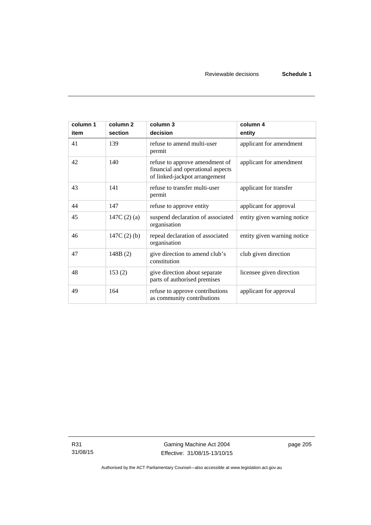| column 1<br>item | column <sub>2</sub><br>section | column 3<br>decision                                                                                 | column 4<br>entity          |
|------------------|--------------------------------|------------------------------------------------------------------------------------------------------|-----------------------------|
| 41               | 139                            | refuse to amend multi-user<br>permit                                                                 | applicant for amendment     |
| 42               | 140                            | refuse to approve amendment of<br>financial and operational aspects<br>of linked-jackpot arrangement | applicant for amendment     |
| 43               | 141                            | refuse to transfer multi-user<br>permit                                                              | applicant for transfer      |
| 44               | 147                            | refuse to approve entity                                                                             | applicant for approval      |
| 45               | 147C $(2)$ $(a)$               | suspend declaration of associated<br>organisation                                                    | entity given warning notice |
| 46               | 147C $(2)$ $(b)$               | repeal declaration of associated<br>organisation                                                     | entity given warning notice |
| 47               | 148B(2)                        | give direction to amend club's<br>constitution                                                       | club given direction        |
| 48               | 153(2)                         | give direction about separate<br>parts of authorised premises                                        | licensee given direction    |
| 49               | 164                            | refuse to approve contributions<br>as community contributions                                        | applicant for approval      |

R31 31/08/15 page 205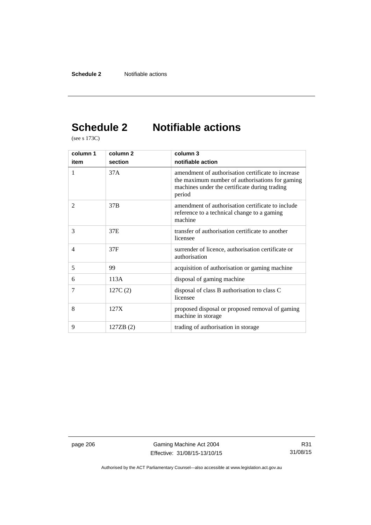# **Schedule 2 Notifiable actions**

(see s 173C)

| column 1       | column <sub>2</sub> | column 3                                                                                                                                                         |
|----------------|---------------------|------------------------------------------------------------------------------------------------------------------------------------------------------------------|
| item           | section             | notifiable action                                                                                                                                                |
| 1              | 37 A                | amendment of authorisation certificate to increase<br>the maximum number of authorisations for gaming<br>machines under the certificate during trading<br>period |
| $\overline{2}$ | 37B                 | amendment of authorisation certificate to include<br>reference to a technical change to a gaming<br>machine                                                      |
| 3              | 37E                 | transfer of authorisation certificate to another<br>licensee                                                                                                     |
| $\overline{4}$ | 37F                 | surrender of licence, authorisation certificate or<br>authorisation                                                                                              |
| 5              | 99                  | acquisition of authorisation or gaming machine                                                                                                                   |
| 6              | 113A                | disposal of gaming machine                                                                                                                                       |
| 7              | 127C(2)             | disposal of class B authorisation to class C<br>licensee                                                                                                         |
| 8              | 127X                | proposed disposal or proposed removal of gaming<br>machine in storage.                                                                                           |
| 9              | 127ZB (2)           | trading of authorisation in storage                                                                                                                              |

page 206 Gaming Machine Act 2004 Effective: 31/08/15-13/10/15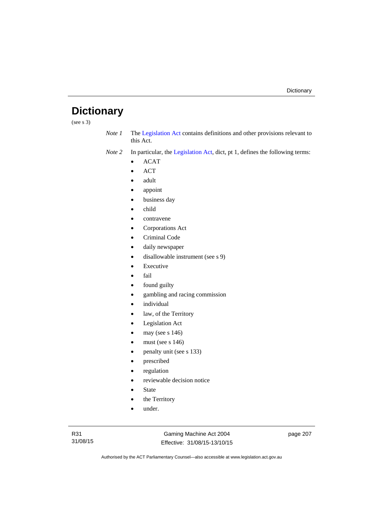# **Dictionary**

(see s 3)

*Note 1* The [Legislation Act](http://www.legislation.act.gov.au/a/2001-14) contains definitions and other provisions relevant to this Act.

*Note 2* In particular, the [Legislation Act,](http://www.legislation.act.gov.au/a/2001-14) dict, pt 1, defines the following terms:

- ACAT
- ACT
- adult
- appoint
- business day
- child
- contravene
- Corporations Act
- Criminal Code
- daily newspaper
- disallowable instrument (see s 9)
- Executive
- fail
- found guilty
- gambling and racing commission
- individual
- law, of the Territory
- Legislation Act
- may (see s 146)
- must (see s 146)
- penalty unit (see s 133)
- prescribed
- regulation
- reviewable decision notice
- State
- the Territory
- under.

Gaming Machine Act 2004 Effective: 31/08/15-13/10/15 page 207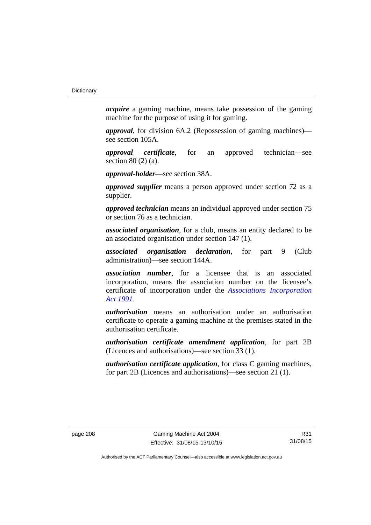*acquire* a gaming machine, means take possession of the gaming machine for the purpose of using it for gaming.

*approval*, for division 6A.2 (Repossession of gaming machines) see section 105A.

*approval certificate*, for an approved technician—see section 80 (2) (a).

*approval-holder*—see section 38A.

*approved supplier* means a person approved under section 72 as a supplier.

*approved technician* means an individual approved under section 75 or section 76 as a technician.

*associated organisation*, for a club, means an entity declared to be an associated organisation under section 147 (1).

*associated organisation declaration*, for part 9 (Club administration)—see section 144A.

*association number*, for a licensee that is an associated incorporation, means the association number on the licensee's certificate of incorporation under the *[Associations Incorporation](http://www.legislation.act.gov.au/a/1991-46)  [Act 1991](http://www.legislation.act.gov.au/a/1991-46)*.

*authorisation* means an authorisation under an authorisation certificate to operate a gaming machine at the premises stated in the authorisation certificate.

*authorisation certificate amendment application*, for part 2B (Licences and authorisations)—see section 33 (1).

*authorisation certificate application*, for class C gaming machines, for part 2B (Licences and authorisations)—see section 21 (1).

R31 31/08/15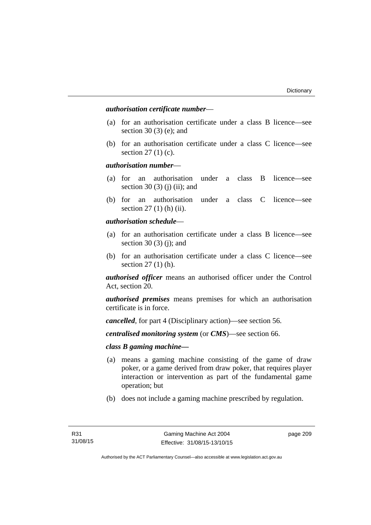# *authorisation certificate number*—

- (a) for an authorisation certificate under a class B licence—see section 30 (3) (e); and
- (b) for an authorisation certificate under a class C licence—see section 27 (1) (c).

## *authorisation number*—

- (a) for an authorisation under a class B licence—see section 30 (3) (j) (ii); and
- (b) for an authorisation under a class C licence—see section 27 (1) (h) (ii).

# *authorisation schedule*—

- (a) for an authorisation certificate under a class B licence—see section 30 $(3)$  $(i)$ ; and
- (b) for an authorisation certificate under a class C licence—see section 27 (1) (h).

*authorised officer* means an authorised officer under the Control Act, section 20.

*authorised premises* means premises for which an authorisation certificate is in force.

*cancelled*, for part 4 (Disciplinary action)—see section 56.

*centralised monitoring system* (or *CMS*)—see section 66.

# *class B gaming machine—*

- (a) means a gaming machine consisting of the game of draw poker, or a game derived from draw poker, that requires player interaction or intervention as part of the fundamental game operation; but
- (b) does not include a gaming machine prescribed by regulation.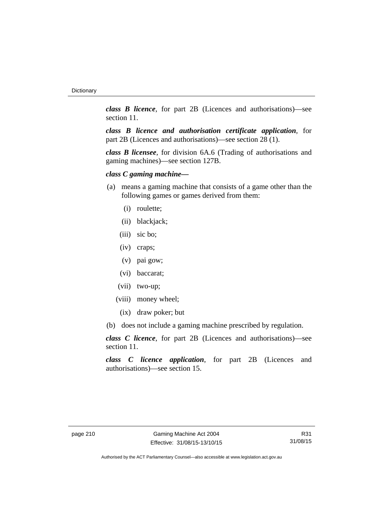*class B licence*, for part 2B (Licences and authorisations)—see section 11.

*class B licence and authorisation certificate application*, for part 2B (Licences and authorisations)—see section 28 (1).

*class B licensee*, for division 6A.6 (Trading of authorisations and gaming machines)—see section 127B.

# *class C gaming machine—*

- (a) means a gaming machine that consists of a game other than the following games or games derived from them:
	- (i) roulette;
	- (ii) blackjack;
	- (iii) sic bo;
	- (iv) craps;
	- (v) pai gow;
	- (vi) baccarat;
	- (vii) two-up;
	- (viii) money wheel;
		- (ix) draw poker; but
- (b) does not include a gaming machine prescribed by regulation.

*class C licence*, for part 2B (Licences and authorisations)—see section 11.

*class C licence application*, for part 2B (Licences and authorisations)—see section 15.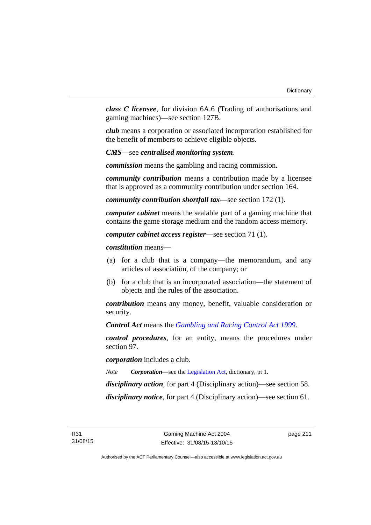*class C licensee*, for division 6A.6 (Trading of authorisations and gaming machines)—see section 127B.

*club* means a corporation or associated incorporation established for the benefit of members to achieve eligible objects.

*CMS*—see *centralised monitoring system*.

*commission* means the gambling and racing commission.

*community contribution* means a contribution made by a licensee that is approved as a community contribution under section 164.

*community contribution shortfall tax*—see section 172 (1).

*computer cabinet* means the sealable part of a gaming machine that contains the game storage medium and the random access memory.

*computer cabinet access register*—see section 71 (1).

*constitution* means—

- (a) for a club that is a company—the memorandum, and any articles of association, of the company; or
- (b) for a club that is an incorporated association—the statement of objects and the rules of the association.

*contribution* means any money, benefit, valuable consideration or security.

*Control Act* means the *[Gambling and Racing Control Act 1999](http://www.legislation.act.gov.au/a/1999-46)*.

*control procedures*, for an entity, means the procedures under section 97.

*corporation* includes a club.

*Note Corporation*—see the [Legislation Act,](http://www.legislation.act.gov.au/a/2001-14) dictionary, pt 1.

*disciplinary action*, for part 4 (Disciplinary action)—see section 58.

*disciplinary notice*, for part 4 (Disciplinary action)—see section 61.

page 211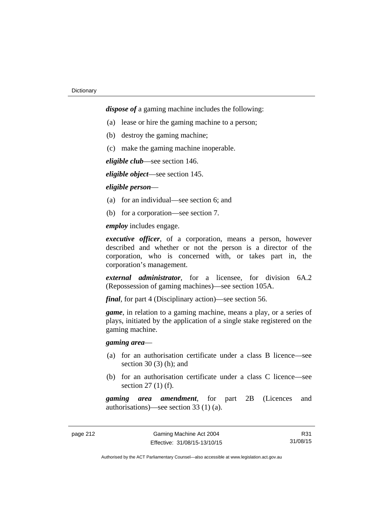*dispose of* a gaming machine includes the following:

- (a) lease or hire the gaming machine to a person;
- (b) destroy the gaming machine;
- (c) make the gaming machine inoperable.

*eligible club*—see section 146.

*eligible object*—see section 145.

## *eligible person*—

- (a) for an individual—see section 6; and
- (b) for a corporation—see section 7.

*employ* includes engage.

*executive officer*, of a corporation, means a person, however described and whether or not the person is a director of the corporation, who is concerned with, or takes part in, the corporation's management.

*external administrator*, for a licensee, for division 6A.2 (Repossession of gaming machines)—see section 105A.

*final*, for part 4 (Disciplinary action)—see section 56.

*game*, in relation to a gaming machine, means a play, or a series of plays, initiated by the application of a single stake registered on the gaming machine.

# *gaming area*—

- (a) for an authorisation certificate under a class B licence—see section  $30(3)$  (h); and
- (b) for an authorisation certificate under a class C licence—see section 27 (1) (f).

*gaming area amendment*, for part 2B (Licences and authorisations)—see section 33 (1) (a).

R31 31/08/15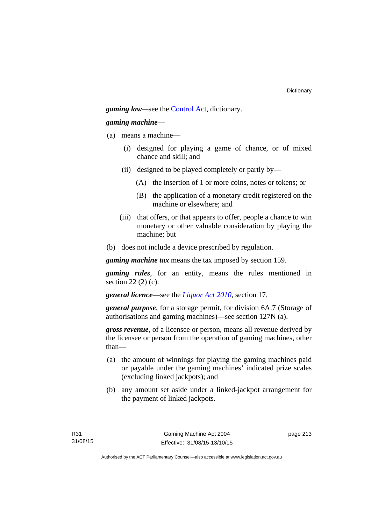*gaming law—*see the [Control Act](http://www.legislation.act.gov.au/a/1999-46/default.asp), dictionary.

# *gaming machine*—

- (a) means a machine—
	- (i) designed for playing a game of chance, or of mixed chance and skill; and
	- (ii) designed to be played completely or partly by—
		- (A) the insertion of 1 or more coins, notes or tokens; or
		- (B) the application of a monetary credit registered on the machine or elsewhere; and
	- (iii) that offers, or that appears to offer, people a chance to win monetary or other valuable consideration by playing the machine; but
- (b) does not include a device prescribed by regulation.

*gaming machine tax* means the tax imposed by section 159.

*gaming rules*, for an entity, means the rules mentioned in section 22 (2) (c).

*general licence*—see the *[Liquor Act 2010](http://www.legislation.act.gov.au/a/2010-35)*, section 17.

*general purpose*, for a storage permit, for division 6A.7 (Storage of authorisations and gaming machines)—see section 127N (a).

*gross revenue*, of a licensee or person, means all revenue derived by the licensee or person from the operation of gaming machines, other than—

- (a) the amount of winnings for playing the gaming machines paid or payable under the gaming machines' indicated prize scales (excluding linked jackpots); and
- (b) any amount set aside under a linked-jackpot arrangement for the payment of linked jackpots.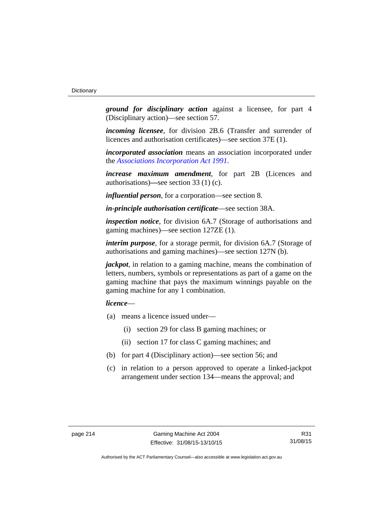*ground for disciplinary action* against a licensee, for part 4 (Disciplinary action)—see section 57.

*incoming licensee*, for division 2B.6 (Transfer and surrender of licences and authorisation certificates)—see section 37E (1).

*incorporated association* means an association incorporated under the *[Associations Incorporation Act 1991](http://www.legislation.act.gov.au/a/1991-46)*.

*increase maximum amendment*, for part 2B (Licences and authorisations)**—**see section 33 (1) (c).

*influential person*, for a corporation—see section 8.

*in-principle authorisation certificate*—see section 38A.

*inspection notice*, for division 6A.7 (Storage of authorisations and gaming machines)—see section 127ZE (1).

*interim purpose*, for a storage permit, for division 6A.7 (Storage of authorisations and gaming machines)—see section 127N (b).

*jackpot*, in relation to a gaming machine, means the combination of letters, numbers, symbols or representations as part of a game on the gaming machine that pays the maximum winnings payable on the gaming machine for any 1 combination.

# *licence*—

- (a) means a licence issued under—
	- (i) section 29 for class B gaming machines; or
	- (ii) section 17 for class C gaming machines; and
- (b) for part 4 (Disciplinary action)—see section 56; and
- (c) in relation to a person approved to operate a linked-jackpot arrangement under section 134—means the approval; and

R31 31/08/15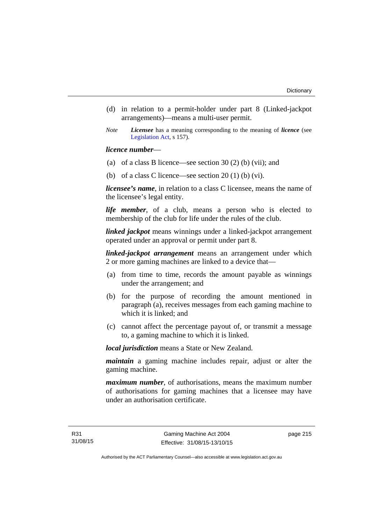- (d) in relation to a permit-holder under part 8 (Linked-jackpot arrangements)—means a multi-user permit.
- *Note Licensee* has a meaning corresponding to the meaning of *licence* (see [Legislation Act,](http://www.legislation.act.gov.au/a/2001-14) s 157).

# *licence number*—

- (a) of a class B licence—see section 30 (2) (b) (vii); and
- (b) of a class C licence—see section  $20(1)$  (b) (vi).

*licensee's name*, in relation to a class C licensee, means the name of the licensee's legal entity.

*life member*, of a club, means a person who is elected to membership of the club for life under the rules of the club.

*linked jackpot* means winnings under a linked-jackpot arrangement operated under an approval or permit under part 8.

*linked-jackpot arrangement* means an arrangement under which 2 or more gaming machines are linked to a device that—

- (a) from time to time, records the amount payable as winnings under the arrangement; and
- (b) for the purpose of recording the amount mentioned in paragraph (a), receives messages from each gaming machine to which it is linked; and
- (c) cannot affect the percentage payout of, or transmit a message to, a gaming machine to which it is linked.

*local jurisdiction* means a State or New Zealand.

*maintain* a gaming machine includes repair, adjust or alter the gaming machine.

*maximum number*, of authorisations, means the maximum number of authorisations for gaming machines that a licensee may have under an authorisation certificate.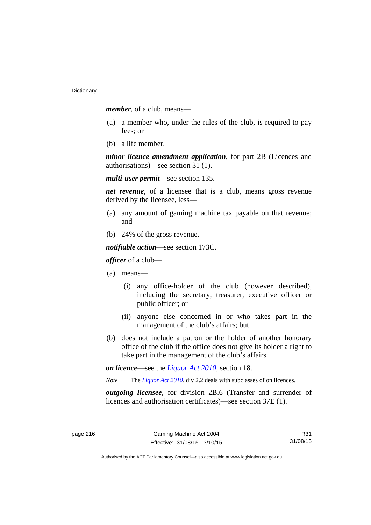*member*, of a club, means—

- (a) a member who, under the rules of the club, is required to pay fees; or
- (b) a life member.

*minor licence amendment application*, for part 2B (Licences and authorisations)—see section 31 (1).

*multi-user permit*—see section 135.

*net revenue*, of a licensee that is a club, means gross revenue derived by the licensee, less—

- (a) any amount of gaming machine tax payable on that revenue; and
- (b) 24% of the gross revenue.

*notifiable action*—see section 173C.

*officer* of a club—

- (a) means—
	- (i) any office-holder of the club (however described), including the secretary, treasurer, executive officer or public officer; or
	- (ii) anyone else concerned in or who takes part in the management of the club's affairs; but
- (b) does not include a patron or the holder of another honorary office of the club if the office does not give its holder a right to take part in the management of the club's affairs.

*on licence*—see the *[Liquor Act 2010](http://www.legislation.act.gov.au/a/2010-35)*, section 18.

*Note* The *[Liquor Act 2010](http://www.legislation.act.gov.au/a/2010-35)*, div 2.2 deals with subclasses of on licences.

*outgoing licensee*, for division 2B.6 (Transfer and surrender of licences and authorisation certificates)—see section 37E (1).

R31 31/08/15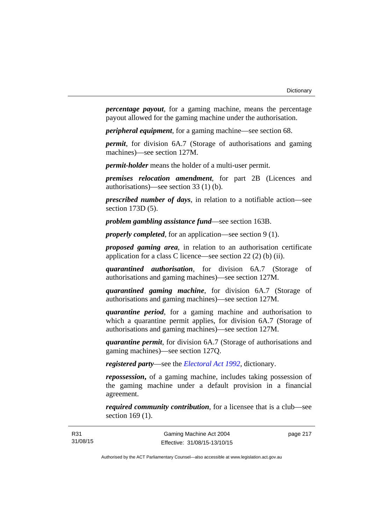*percentage payout*, for a gaming machine, means the percentage payout allowed for the gaming machine under the authorisation.

*peripheral equipment*, for a gaming machine—see section 68.

*permit*, for division 6A.7 (Storage of authorisations and gaming machines)—see section 127M.

*permit-holder* means the holder of a multi-user permit.

*premises relocation amendment*, for part 2B (Licences and authorisations)—see section 33 (1) (b).

*prescribed number of days*, in relation to a notifiable action—see section 173D (5).

*problem gambling assistance fund*—see section 163B.

*properly completed*, for an application—see section 9 (1).

*proposed gaming area*, in relation to an authorisation certificate application for a class C licence—see section 22 (2) (b) (ii).

*quarantined authorisation*, for division 6A.7 (Storage of authorisations and gaming machines)—see section 127M.

*quarantined gaming machine*, for division 6A.7 (Storage of authorisations and gaming machines)—see section 127M.

*quarantine period*, for a gaming machine and authorisation to which a quarantine permit applies, for division 6A.7 (Storage of authorisations and gaming machines)—see section 127M.

*quarantine permit*, for division 6A.7 (Storage of authorisations and gaming machines)—see section 127Q.

*registered party*—see the *[Electoral Act 1992](http://www.legislation.act.gov.au/a/1992-71)*, dictionary.

*repossession***,** of a gaming machine, includes taking possession of the gaming machine under a default provision in a financial agreement.

*required community contribution*, for a licensee that is a club—see section 169 (1).

page 217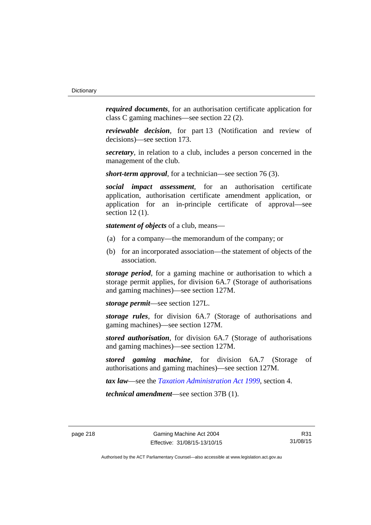*required documents*, for an authorisation certificate application for class C gaming machines—see section 22 (2).

*reviewable decision*, for part 13 (Notification and review of decisions)—see section 173.

*secretary*, in relation to a club, includes a person concerned in the management of the club.

*short-term approval*, for a technician—see section 76 (3).

*social impact assessment*, for an authorisation certificate application, authorisation certificate amendment application, or application for an in-principle certificate of approval—see section 12 (1).

*statement of objects* of a club, means—

- (a) for a company—the memorandum of the company; or
- (b) for an incorporated association—the statement of objects of the association.

*storage period*, for a gaming machine or authorisation to which a storage permit applies, for division 6A.7 (Storage of authorisations and gaming machines)—see section 127M.

*storage permit*—see section 127L.

*storage rules*, for division 6A.7 (Storage of authorisations and gaming machines)—see section 127M.

*stored authorisation*, for division 6A.7 (Storage of authorisations and gaming machines)—see section 127M.

*stored gaming machine*, for division 6A.7 (Storage of authorisations and gaming machines)—see section 127M.

*tax law*—see the *[Taxation Administration Act 1999](http://www.legislation.act.gov.au/a/1999-4)*, section 4.

*technical amendment*—see section 37B (1).

R31 31/08/15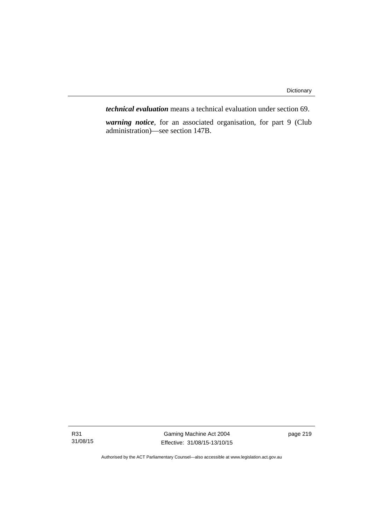*technical evaluation* means a technical evaluation under section 69.

*warning notice*, for an associated organisation, for part 9 (Club administration)—see section 147B.

R31 31/08/15

Gaming Machine Act 2004 Effective: 31/08/15-13/10/15 page 219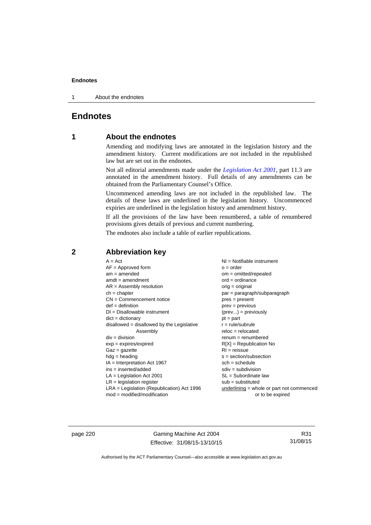1 About the endnotes

# **Endnotes**

# **1 About the endnotes**

Amending and modifying laws are annotated in the legislation history and the amendment history. Current modifications are not included in the republished law but are set out in the endnotes.

Not all editorial amendments made under the *[Legislation Act 2001](http://www.legislation.act.gov.au/a/2001-14)*, part 11.3 are annotated in the amendment history. Full details of any amendments can be obtained from the Parliamentary Counsel's Office.

Uncommenced amending laws are not included in the republished law. The details of these laws are underlined in the legislation history. Uncommenced expiries are underlined in the legislation history and amendment history.

If all the provisions of the law have been renumbered, a table of renumbered provisions gives details of previous and current numbering.

The endnotes also include a table of earlier republications.

# **2 Abbreviation key**

page 220 Gaming Machine Act 2004 Effective: 31/08/15-13/10/15

R31 31/08/15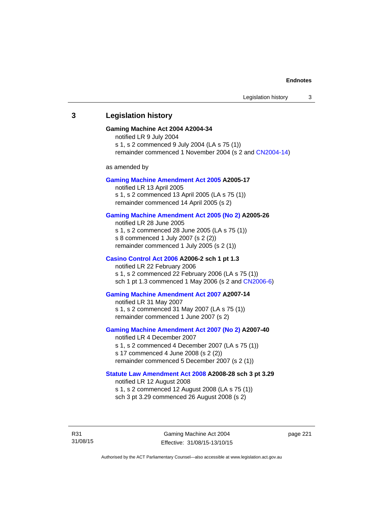# **3 Legislation history**

### **Gaming Machine Act 2004 A2004-34**

notified LR 9 July 2004 s 1, s 2 commenced 9 July 2004 (LA s 75 (1)) remainder commenced 1 November 2004 (s 2 and [CN2004-14](http://www.legislation.act.gov.au/cn/2004-14/default.asp))

as amended by

### **[Gaming Machine Amendment Act 2005](http://www.legislation.act.gov.au/a/2005-17) A2005-17**

notified LR 13 April 2005 s 1, s 2 commenced 13 April 2005 (LA s 75 (1)) remainder commenced 14 April 2005 (s 2)

### **[Gaming Machine Amendment Act 2005 \(No 2\)](http://www.legislation.act.gov.au/a/2005-26) A2005-26**

notified LR 28 June 2005 s 1, s 2 commenced 28 June 2005 (LA s 75 (1)) s 8 commenced 1 July 2007 (s 2 (2)) remainder commenced 1 July 2005 (s 2 (1))

### **[Casino Control Act 2006](http://www.legislation.act.gov.au/a/2006-2) A2006-2 sch 1 pt 1.3**

notified LR 22 February 2006 s 1, s 2 commenced 22 February 2006 (LA s 75 (1)) sch 1 pt 1.3 commenced 1 May 2006 (s 2 and [CN2006-6](http://www.legislation.act.gov.au/cn/2006-6/default.asp))

### **[Gaming Machine Amendment Act 2007](http://www.legislation.act.gov.au/a/2007-14) A2007-14**

notified LR 31 May 2007 s 1, s 2 commenced 31 May 2007 (LA s 75 (1)) remainder commenced 1 June 2007 (s 2)

### **[Gaming Machine Amendment Act 2007 \(No 2\)](http://www.legislation.act.gov.au/a/2007-40) A2007-40**

notified LR 4 December 2007 s 1, s 2 commenced 4 December 2007 (LA s 75 (1)) s 17 commenced 4 June 2008 (s 2 (2)) remainder commenced 5 December 2007 (s 2 (1))

### **[Statute Law Amendment Act 2008](http://www.legislation.act.gov.au/a/2008-28) A2008-28 sch 3 pt 3.29**

notified LR 12 August 2008 s 1, s 2 commenced 12 August 2008 (LA s 75 (1)) sch 3 pt 3.29 commenced 26 August 2008 (s 2)

R31 31/08/15 page 221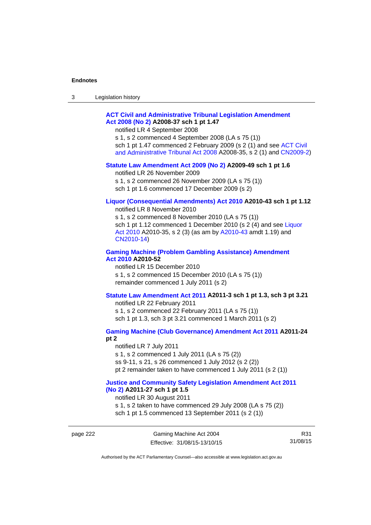| 3 | Legislation history |  |
|---|---------------------|--|
|---|---------------------|--|

# **[ACT Civil and Administrative Tribunal Legislation Amendment](http://www.legislation.act.gov.au/a/2008-37)  [Act 2008 \(No 2\)](http://www.legislation.act.gov.au/a/2008-37) A2008-37 sch 1 pt 1.47**

notified LR 4 September 2008

s 1, s 2 commenced 4 September 2008 (LA s 75 (1)) sch 1 pt 1.47 commenced 2 February 2009 (s 2 (1) and see [ACT Civil](http://www.legislation.act.gov.au/a/2008-35)  [and Administrative Tribunal Act 2008](http://www.legislation.act.gov.au/a/2008-35) A2008-35, s 2 (1) and [CN2009-2](http://www.legislation.act.gov.au/cn/2009-2/default.asp))

### **[Statute Law Amendment Act 2009 \(No 2\)](http://www.legislation.act.gov.au/a/2009-49) A2009-49 sch 1 pt 1.6**

notified LR 26 November 2009

s 1, s 2 commenced 26 November 2009 (LA s 75 (1))

sch 1 pt 1.6 commenced 17 December 2009 (s 2)

# **[Liquor \(Consequential Amendments\) Act 2010](http://www.legislation.act.gov.au/a/2010-43) A2010-43 sch 1 pt 1.12**

notified LR 8 November 2010

s 1, s 2 commenced 8 November 2010 (LA s 75 (1)) sch 1 pt 1.12 commenced 1 December 2010 (s 2 (4) and see Liquor [Act 2010](http://www.legislation.act.gov.au/a/2010-35) A2010-35, s 2 (3) (as am by [A2010-43](http://www.legislation.act.gov.au/a/2010-43) amdt 1.19) and [CN2010-14](http://www.legislation.act.gov.au/cn/2010-14/default.asp))

# **[Gaming Machine \(Problem Gambling Assistance\) Amendment](http://www.legislation.act.gov.au/a/2010-52)  [Act 2010](http://www.legislation.act.gov.au/a/2010-52) A2010-52**

notified LR 15 December 2010 s 1, s 2 commenced 15 December 2010 (LA s 75 (1)) remainder commenced 1 July 2011 (s 2)

# **[Statute Law Amendment Act 2011](http://www.legislation.act.gov.au/a/2011-3) A2011-3 sch 1 pt 1.3, sch 3 pt 3.21**

notified LR 22 February 2011 s 1, s 2 commenced 22 February 2011 (LA s 75 (1)) sch 1 pt 1.3, sch 3 pt 3.21 commenced 1 March 2011 (s 2)

# **[Gaming Machine \(Club Governance\) Amendment Act 2011](http://www.legislation.act.gov.au/a/2011-24) A2011-24**

**pt 2** 

notified LR 7 July 2011 s 1, s 2 commenced 1 July 2011 (LA s 75 (2)) ss 9-11, s 21, s 26 commenced 1 July 2012 (s 2 (2)) pt 2 remainder taken to have commenced 1 July 2011 (s 2 (1))

### **[Justice and Community Safety Legislation Amendment Act 2011](http://www.legislation.act.gov.au/a/2011-27)  [\(No 2\)](http://www.legislation.act.gov.au/a/2011-27) A2011-27 sch 1 pt 1.5**

notified LR 30 August 2011

s 1, s 2 taken to have commenced 29 July 2008 (LA s 75 (2)) sch 1 pt 1.5 commenced 13 September 2011 (s 2 (1))

page 222 Gaming Machine Act 2004 Effective: 31/08/15-13/10/15

R31 31/08/15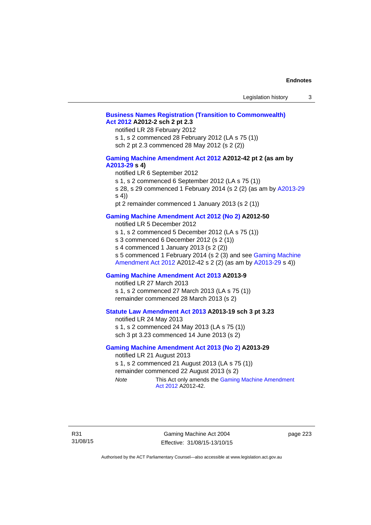# **[Business Names Registration \(Transition to Commonwealth\)](http://www.legislation.act.gov.au/a/2012-2)  [Act 2012](http://www.legislation.act.gov.au/a/2012-2) A2012-2 sch 2 pt 2.3**

notified LR 28 February 2012

s 1, s 2 commenced 28 February 2012 (LA s 75 (1)) sch 2 pt 2.3 commenced 28 May 2012 (s 2 (2))

# **[Gaming Machine Amendment Act 2012](http://www.legislation.act.gov.au/a/2012-42) A2012-42 pt 2 (as am by [A2013-29](http://www.legislation.act.gov.au/a/2013-29) s 4)**

notified LR 6 September 2012

s 1, s 2 commenced 6 September 2012 (LA s 75 (1))

s 28, s 29 commenced 1 February 2014 (s 2 (2) (as am by [A2013-29](http://www.legislation.act.gov.au/a/2013-29) s 4))

pt 2 remainder commenced 1 January 2013 (s 2 (1))

# **[Gaming Machine Amendment Act 2012 \(No 2\)](http://www.legislation.act.gov.au/a/2012-50/default.asp) A2012-50**

notified LR 5 December 2012

s 1, s 2 commenced 5 December 2012 (LA s 75 (1))

s 3 commenced 6 December 2012 (s 2 (1))

s 4 commenced 1 January 2013 (s 2 (2))

s 5 commenced 1 February 2014 (s 2 (3) and see [Gaming Machine](http://www.legislation.act.gov.au/a/2012-42)  [Amendment Act 2012](http://www.legislation.act.gov.au/a/2012-42) A2012-42 s 2 (2) (as am by [A2013-29](http://www.legislation.act.gov.au/a/2013-29) s 4))

# **[Gaming Machine Amendment Act 2013](http://www.legislation.act.gov.au/a/2013-9) A2013-9**

notified LR 27 March 2013

s 1, s 2 commenced 27 March 2013 (LA s 75 (1)) remainder commenced 28 March 2013 (s 2)

# **[Statute Law Amendment Act 2013](http://www.legislation.act.gov.au/a/2013-19) A2013-19 sch 3 pt 3.23**

notified LR 24 May 2013 s 1, s 2 commenced 24 May 2013 (LA s 75 (1)) sch 3 pt 3.23 commenced 14 June 2013 (s 2)

## **[Gaming Machine Amendment Act 2013 \(No 2\)](http://www.legislation.act.gov.au/a/2013-29) A2013-29**

notified LR 21 August 2013 s 1, s 2 commenced 21 August 2013 (LA s 75 (1)) remainder commenced 22 August 2013 (s 2) *Note* This Act only amends the Gaming Machine Amendment

[Act 2012](http://www.legislation.act.gov.au/a/2012-42) A2012-42.

Gaming Machine Act 2004 Effective: 31/08/15-13/10/15 page 223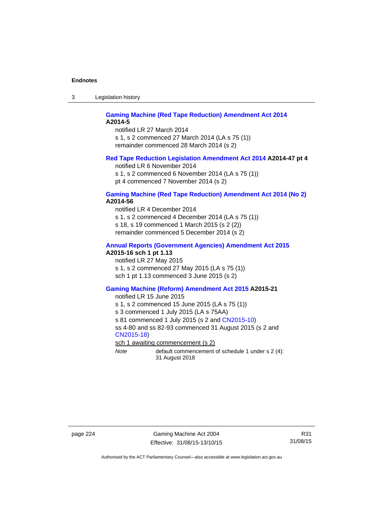3 Legislation history

### **[Gaming Machine \(Red Tape Reduction\) Amendment Act 2014](http://www.legislation.act.gov.au/a/2014-5) A2014-5**

notified LR 27 March 2014 s 1, s 2 commenced 27 March 2014 (LA s 75 (1)) remainder commenced 28 March 2014 (s 2)

# **[Red Tape Reduction Legislation Amendment Act 2014](http://www.legislation.act.gov.au/a/2014-47) A2014-47 pt 4**

notified LR 6 November 2014

s 1, s 2 commenced 6 November 2014 (LA s 75 (1)) pt 4 commenced 7 November 2014 (s 2)

### **[Gaming Machine \(Red Tape Reduction\) Amendment Act 2014 \(No 2\)](http://www.legislation.act.gov.au/a/2014-56) A2014-56**

notified LR 4 December 2014

s 1, s 2 commenced 4 December 2014 (LA s 75 (1))

s 18, s 19 commenced 1 March 2015 (s 2 (2))

remainder commenced 5 December 2014 (s 2)

# **[Annual Reports \(Government Agencies\) Amendment Act 2015](http://www.legislation.act.gov.au/a/2015-16)**

**A2015-16 sch 1 pt 1.13** 

notified LR 27 May 2015 s 1, s 2 commenced 27 May 2015 (LA s 75 (1)) sch 1 pt 1.13 commenced 3 June 2015 (s 2)

### **[Gaming Machine \(Reform\) Amendment Act 2015](http://www.legislation.act.gov.au/a/2015-21/default.asp) A2015-21**

notified LR 15 June 2015

s 1, s 2 commenced 15 June 2015 (LA s 75 (1))

s 3 commenced 1 July 2015 (LA s 75AA)

s 81 commenced 1 July 2015 (s 2 and [CN2015-10\)](http://www.legislation.act.gov.au/cn/2015-10/default.asp)

ss 4-80 and ss 82-93 commenced 31 August 2015 (s 2 and [CN2015-18](http://www.legislation.act.gov.au/cn/2015-18/default.asp))

sch 1 awaiting commencement (s 2)

*Note* default commencement of schedule 1 under s 2 (4): 31 August 2018

page 224 Gaming Machine Act 2004 Effective: 31/08/15-13/10/15

R31 31/08/15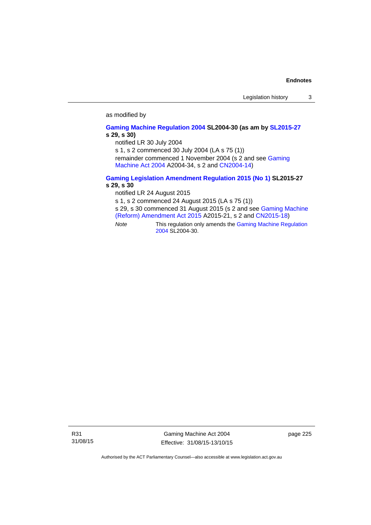# as modified by

### **[Gaming Machine Regulation 2004](http://www.legislation.act.gov.au/sl/2004-30/default.asp) SL2004-30 (as am by [SL2015-27](http://www.legislation.act.gov.au/sl/2015-27/default.asp) s 29, s 30)**

notified LR 30 July 2004

s 1, s 2 commenced 30 July 2004 (LA s 75 (1))

remainder commenced 1 November 2004 (s 2 and see [Gaming](http://www.legislation.act.gov.au/a/2004-34)  [Machine Act 2004](http://www.legislation.act.gov.au/a/2004-34) A2004-34, s 2 and [CN2004-14](http://www.legislation.act.gov.au/cn/2004-14/default.asp))

# **[Gaming Legislation Amendment Regulation 2015 \(No 1\)](http://www.legislation.act.gov.au/sl/2015-27/default.asp) SL2015-27 s 29, s 30**

notified LR 24 August 2015

s 1, s 2 commenced 24 August 2015 (LA s 75 (1))

s 29, s 30 commenced 31 August 2015 (s 2 and see [Gaming Machine](http://www.legislation.act.gov.au/a/2015-21/default.asp)  [\(Reform\) Amendment Act 2015](http://www.legislation.act.gov.au/a/2015-21/default.asp) A2015-21, s 2 and [CN2015-18\)](http://www.legislation.act.gov.au/cn/2015-18/default.asp)

*Note* This regulation only amends the [Gaming Machine Regulation](http://www.legislation.act.gov.au/sl/2004-30/default.asp)  [2004](http://www.legislation.act.gov.au/sl/2004-30/default.asp) SL2004-30.

R31 31/08/15

Gaming Machine Act 2004 Effective: 31/08/15-13/10/15 page 225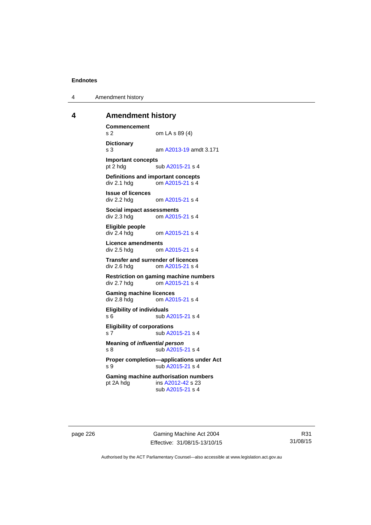4 Amendment history

# **4 Amendment history**

**Commencement**  s 2 om LA s 89 (4) **Dictionary**  s 3 am [A2013-19](http://www.legislation.act.gov.au/a/2013-19) amdt 3.171 **Important concepts**  pt 2 hdg sub [A2015-21](http://www.legislation.act.gov.au/a/2015-21) s 4 **Definitions and important concepts**  div 2.1 hdg om [A2015-21](http://www.legislation.act.gov.au/a/2015-21) s 4 **Issue of licences**  div 2.2 hdg om [A2015-21](http://www.legislation.act.gov.au/a/2015-21) s 4 **Social impact assessments**  div 2.3 hdg om [A2015-21](http://www.legislation.act.gov.au/a/2015-21) s 4 **Eligible people**  om [A2015-21](http://www.legislation.act.gov.au/a/2015-21) s 4 **Licence amendments**  div 2.5 hdg om [A2015-21](http://www.legislation.act.gov.au/a/2015-21) s 4 **Transfer and surrender of licences**  div 2.6 hdg om [A2015-21](http://www.legislation.act.gov.au/a/2015-21) s 4 **Restriction on gaming machine numbers**  div 2.7 hdg om [A2015-21](http://www.legislation.act.gov.au/a/2015-21) s 4 **Gaming machine licences**<br>div 2.8 hdg om A20 om [A2015-21](http://www.legislation.act.gov.au/a/2015-21) s 4 **Eligibility of individuals**  s 6 sub [A2015-21](http://www.legislation.act.gov.au/a/2015-21) s 4 **Eligibility of corporations**  s 7 sub [A2015-21](http://www.legislation.act.gov.au/a/2015-21) s 4 **Meaning of** *influential person* s 8 sub [A2015-21](http://www.legislation.act.gov.au/a/2015-21) s 4 **Proper completion—applications under Act**  s 9 sub [A2015-21](http://www.legislation.act.gov.au/a/2015-21) s 4 **Gaming machine authorisation numbers**  pt 2A hdg ins [A2012-42](http://www.legislation.act.gov.au/a/2012-42) s 23 sub [A2015-21](http://www.legislation.act.gov.au/a/2015-21) s 4

page 226 Gaming Machine Act 2004 Effective: 31/08/15-13/10/15

R31 31/08/15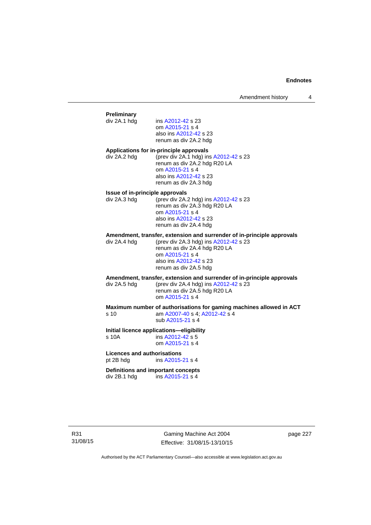# **Preliminary**  ins [A2012-42](http://www.legislation.act.gov.au/a/2012-42) s 23 om [A2015-21](http://www.legislation.act.gov.au/a/2015-21) s 4 also ins [A2012-42](http://www.legislation.act.gov.au/a/2012-42) s 23 renum as div 2A.2 hdg **Applications for in-principle approvals**  div 2A.2 hdg (prev div 2A.1 hdg) ins [A2012-42](http://www.legislation.act.gov.au/a/2012-42) s 23 renum as div 2A.2 hdg R20 LA om [A2015-21](http://www.legislation.act.gov.au/a/2015-21) s 4 also ins [A2012-42](http://www.legislation.act.gov.au/a/2012-42) s 23 renum as div 2A.3 hdg **Issue of in-principle approvals**  div 2A.3 hdg (prev div 2A.2 hdg) ins [A2012-42](http://www.legislation.act.gov.au/a/2012-42) s 23 renum as div 2A.3 hdg R20 LA om [A2015-21](http://www.legislation.act.gov.au/a/2015-21) s 4 also ins [A2012-42](http://www.legislation.act.gov.au/a/2012-42) s 23 renum as div 2A.4 hdg **Amendment, transfer, extension and surrender of in-principle approvals div 2A.4 hdg (prev div 2A.3 hdg) ins A2012-42 s 23** (prev div 2A.3 hdg) ins  $A2012-42$  s 23 renum as div 2A.4 hdg R20 LA om [A2015-21](http://www.legislation.act.gov.au/a/2015-21) s 4 also ins [A2012-42](http://www.legislation.act.gov.au/a/2012-42) s 23 renum as div 2A.5 hdg **Amendment, transfer, extension and surrender of in-principle approvals div 2A.5 hdd (prev div 2A.4 hdd) ins A2012-42 s 23** (prev div 2A.4 hdg) ins  $A2012-42$  s 23 renum as div 2A.5 hdg R20 LA om [A2015-21](http://www.legislation.act.gov.au/a/2015-21) s 4 **Maximum number of authorisations for gaming machines allowed in ACT**  s 10 am [A2007-40](http://www.legislation.act.gov.au/a/2007-40) s 4; [A2012-42](http://www.legislation.act.gov.au/a/2012-42) s 4 sub [A2015-21](http://www.legislation.act.gov.au/a/2015-21) s 4 **Initial licence applications—eligibility**  s 10A ins [A2012-42](http://www.legislation.act.gov.au/a/2012-42) s 5 om [A2015-21](http://www.legislation.act.gov.au/a/2015-21) s 4 **Licences and authorisations**  pt 2B hdg ins [A2015-21](http://www.legislation.act.gov.au/a/2015-21) s 4 **Definitions and important concepts**  div 2B.1 hdg ins [A2015-21](http://www.legislation.act.gov.au/a/2015-21) s 4

Gaming Machine Act 2004 Effective: 31/08/15-13/10/15 page 227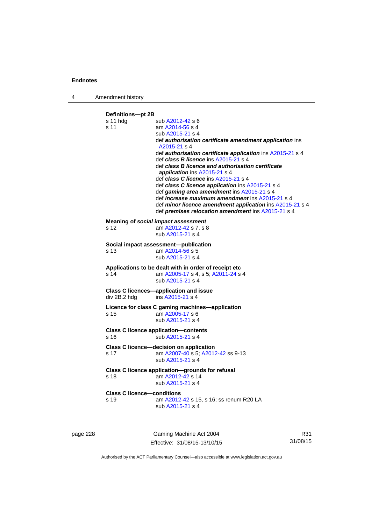4 Amendment history

**Definitions—pt 2B**  s 11 hdg sub [A2012-42](http://www.legislation.act.gov.au/a/2012-42) s 6 s 11 am [A2014-56](http://www.legislation.act.gov.au/a/2014-56) s 4 sub [A2015-21](http://www.legislation.act.gov.au/a/2015-21) s 4 def *authorisation certificate amendment application* ins [A2015-21](http://www.legislation.act.gov.au/a/2015-21) s 4 def *authorisation certificate application* ins [A2015-21](http://www.legislation.act.gov.au/a/2015-21) s 4 def *class B licence* ins [A2015-21](http://www.legislation.act.gov.au/a/2015-21) s 4 def *class B licence and authorisation certificate application* ins [A2015-21](http://www.legislation.act.gov.au/a/2015-21) s 4 def *class C licence* ins [A2015-21](http://www.legislation.act.gov.au/a/2015-21) s 4 def *class C licence application* ins [A2015-21](http://www.legislation.act.gov.au/a/2015-21) s 4 def *gaming area amendment* ins [A2015-21](http://www.legislation.act.gov.au/a/2015-21) s 4 def *increase maximum amendment* ins [A2015-21](http://www.legislation.act.gov.au/a/2015-21) s 4 def *minor licence amendment application* ins [A2015-21](http://www.legislation.act.gov.au/a/2015-21) s 4 def *premises relocation amendment* ins [A2015-21](http://www.legislation.act.gov.au/a/2015-21) s 4 **Meaning of** *social impact assessment*<br>s 12 am  $\frac{\text{A2012-42}}{\text{s}}$  7, s 8 am [A2012-42](http://www.legislation.act.gov.au/a/2012-42) s 7, s 8 sub [A2015-21](http://www.legislation.act.gov.au/a/2015-21) s 4 **Social impact assessment—publication**  s 13 am [A2014-56](http://www.legislation.act.gov.au/a/2014-56) s 5 sub [A2015-21](http://www.legislation.act.gov.au/a/2015-21) s 4 **Applications to be dealt with in order of receipt etc**  s 14 am [A2005-17](http://www.legislation.act.gov.au/a/2005-17) s 4, s 5; [A2011-24](http://www.legislation.act.gov.au/a/2011-24) s 4 sub [A2015-21](http://www.legislation.act.gov.au/a/2015-21) s 4 **Class C licences—application and issue**  div 2B.2 hdg ins [A2015-21](http://www.legislation.act.gov.au/a/2015-21) s 4 **Licence for class C gaming machines—application**  s 15 am [A2005-17](http://www.legislation.act.gov.au/a/2005-17) s 6 sub [A2015-21](http://www.legislation.act.gov.au/a/2015-21) s 4 **Class C licence application—contents**  s 16 sub [A2015-21](http://www.legislation.act.gov.au/a/2015-21) s 4 **Class C licence—decision on application**  s 17 am [A2007-40](http://www.legislation.act.gov.au/a/2007-40) s 5; [A2012-42](http://www.legislation.act.gov.au/a/2012-42) ss 9-13 sub [A2015-21](http://www.legislation.act.gov.au/a/2015-21) s 4 **Class C licence application—grounds for refusal**  s 18 am [A2012-42](http://www.legislation.act.gov.au/a/2012-42) s 14 sub [A2015-21](http://www.legislation.act.gov.au/a/2015-21) s 4 **Class C licence—conditions**  s 19 am [A2012-42](http://www.legislation.act.gov.au/a/2012-42) s 15, s 16; ss renum R20 LA sub [A2015-21](http://www.legislation.act.gov.au/a/2015-21) s 4

page 228 Gaming Machine Act 2004 Effective: 31/08/15-13/10/15

R31 31/08/15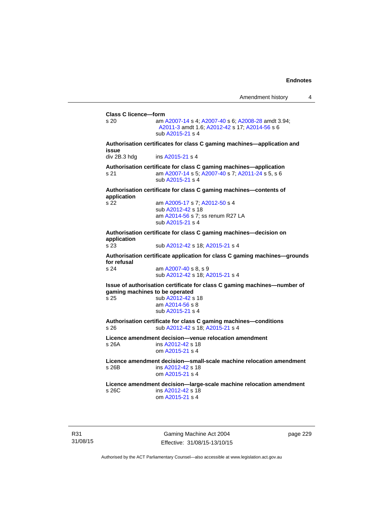**Class C licence—form**  s 20 am [A2007-14](http://www.legislation.act.gov.au/a/2007-14) s 4; [A2007-40](http://www.legislation.act.gov.au/a/2007-40) s 6; [A2008-28](http://www.legislation.act.gov.au/a/2008-28) amdt 3.94; [A2011-3](http://www.legislation.act.gov.au/a/2011-3) amdt 1.6; [A2012-42](http://www.legislation.act.gov.au/a/2012-42) s 17; [A2014-56](http://www.legislation.act.gov.au/a/2014-56) s 6 sub [A2015-21](http://www.legislation.act.gov.au/a/2015-21) s 4 **Authorisation certificates for class C gaming machines—application and issue**  div 2B.3 hdg ins [A2015-21](http://www.legislation.act.gov.au/a/2015-21) s 4 **Authorisation certificate for class C gaming machines—application**  s 21 am [A2007-14](http://www.legislation.act.gov.au/a/2007-14) s 5; [A2007-40](http://www.legislation.act.gov.au/a/2007-40) s 7; [A2011-24](http://www.legislation.act.gov.au/a/2011-24) s 5, s 6 sub [A2015-21](http://www.legislation.act.gov.au/a/2015-21) s 4 **Authorisation certificate for class C gaming machines—contents of application**  s 22 am [A2005-17](http://www.legislation.act.gov.au/a/2005-17) s 7; [A2012-50](http://www.legislation.act.gov.au/a/2012-50/default.asp) s 4 sub [A2012-42](http://www.legislation.act.gov.au/a/2012-42) s 18 am [A2014-56](http://www.legislation.act.gov.au/a/2014-56) s 7; ss renum R27 LA sub [A2015-21](http://www.legislation.act.gov.au/a/2015-21) s 4 **Authorisation certificate for class C gaming machines—decision on application**  s 23 sub [A2012-42](http://www.legislation.act.gov.au/a/2012-42) s 18; [A2015-21](http://www.legislation.act.gov.au/a/2015-21) s 4 **Authorisation certificate application for class C gaming machines—grounds for refusal**  am [A2007-40](http://www.legislation.act.gov.au/a/2007-40) s 8, s 9 sub [A2012-42](http://www.legislation.act.gov.au/a/2012-42) s 18; [A2015-21](http://www.legislation.act.gov.au/a/2015-21) s 4 **Issue of authorisation certificate for class C gaming machines—number of gaming machines to be operated**<br>s 25 **b** A2012-42 **s** sub [A2012-42](http://www.legislation.act.gov.au/a/2012-42) s 18 am [A2014-56](http://www.legislation.act.gov.au/a/2014-56) s 8 sub [A2015-21](http://www.legislation.act.gov.au/a/2015-21) s 4 **Authorisation certificate for class C gaming machines—conditions**  s 26 sub [A2012-42](http://www.legislation.act.gov.au/a/2012-42) s 18; [A2015-21](http://www.legislation.act.gov.au/a/2015-21) s 4 **Licence amendment decision—venue relocation amendment**  s 26A ins [A2012-42](http://www.legislation.act.gov.au/a/2012-42) s 18 om [A2015-21](http://www.legislation.act.gov.au/a/2015-21) s 4 **Licence amendment decision—small-scale machine relocation amendment**  s 26B ins [A2012-42](http://www.legislation.act.gov.au/a/2012-42) s 18 om [A2015-21](http://www.legislation.act.gov.au/a/2015-21) s 4 **Licence amendment decision—large-scale machine relocation amendment**  s 26C ins [A2012-42](http://www.legislation.act.gov.au/a/2012-42) s 18 om [A2015-21](http://www.legislation.act.gov.au/a/2015-21) s 4

R31 31/08/15

Gaming Machine Act 2004 Effective: 31/08/15-13/10/15 page 229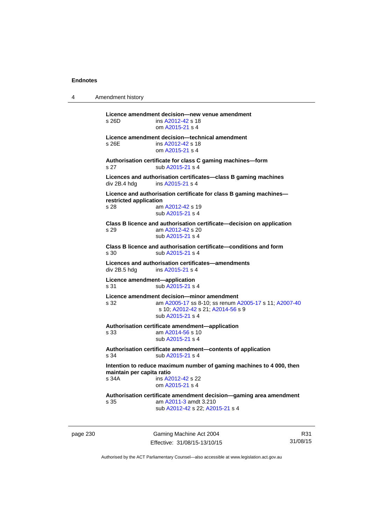4 Amendment history **Licence amendment decision—new venue amendment**  s 26D ins [A2012-42](http://www.legislation.act.gov.au/a/2012-42) s 18 om [A2015-21](http://www.legislation.act.gov.au/a/2015-21) s 4 **Licence amendment decision—technical amendment**  s 26E ins [A2012-42](http://www.legislation.act.gov.au/a/2012-42) s 18 om [A2015-21](http://www.legislation.act.gov.au/a/2015-21) s 4 **Authorisation certificate for class C gaming machines—form**  s 27 sub [A2015-21](http://www.legislation.act.gov.au/a/2015-21) s 4 **Licences and authorisation certificates—class B gaming machines**  div 2B.4 hdg ins [A2015-21](http://www.legislation.act.gov.au/a/2015-21) s 4 **Licence and authorisation certificate for class B gaming machines restricted application**  s 28 am [A2012-42](http://www.legislation.act.gov.au/a/2012-42) s 19 sub [A2015-21](http://www.legislation.act.gov.au/a/2015-21) s 4 **Class B licence and authorisation certificate—decision on application**  s 29 am [A2012-42](http://www.legislation.act.gov.au/a/2012-42) s 20 sub [A2015-21](http://www.legislation.act.gov.au/a/2015-21) s 4 **Class B licence and authorisation certificate—conditions and form**  s 30 sub [A2015-21](http://www.legislation.act.gov.au/a/2015-21) s 4 **Licences and authorisation certificates—amendments**  ins [A2015-21](http://www.legislation.act.gov.au/a/2015-21) s 4 **Licence amendment—application**  s 31 sub [A2015-21](http://www.legislation.act.gov.au/a/2015-21) s 4 **Licence amendment decision—minor amendment**  s 32 am [A2005-17](http://www.legislation.act.gov.au/a/2005-17) ss 8-10; ss renum [A2005-17](http://www.legislation.act.gov.au/a/2005-17) s 11; [A2007-40](http://www.legislation.act.gov.au/a/2007-40) s 10; [A2012-42](http://www.legislation.act.gov.au/a/2012-42) s 21; [A2014-56](http://www.legislation.act.gov.au/a/2014-56) s 9 sub [A2015-21](http://www.legislation.act.gov.au/a/2015-21) s 4 **Authorisation certificate amendment—application**  s 33 am [A2014-56](http://www.legislation.act.gov.au/a/2014-56) s 10 sub [A2015-21](http://www.legislation.act.gov.au/a/2015-21) s 4 **Authorisation certificate amendment—contents of application**  s 34 sub [A2015-21](http://www.legislation.act.gov.au/a/2015-21) s 4 **Intention to reduce maximum number of gaming machines to 4 000, then maintain per capita ratio**<br>s 34A **ins A2** ins [A2012-42](http://www.legislation.act.gov.au/a/2012-42) s 22 om [A2015-21](http://www.legislation.act.gov.au/a/2015-21) s 4 **Authorisation certificate amendment decision—gaming area amendment**  s 35 am [A2011-3](http://www.legislation.act.gov.au/a/2011-3) amdt 3.210 sub [A2012-42](http://www.legislation.act.gov.au/a/2012-42) s 22; [A2015-21](http://www.legislation.act.gov.au/a/2015-21) s 4

page 230 Gaming Machine Act 2004 Effective: 31/08/15-13/10/15

R31 31/08/15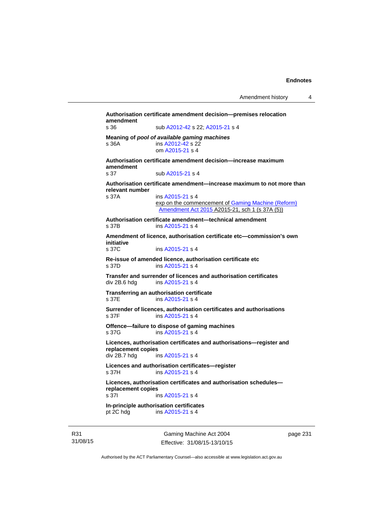**Authorisation certificate amendment decision—premises relocation amendment**  s 36 sub [A2012-42](http://www.legislation.act.gov.au/a/2012-42) s 22; [A2015-21](http://www.legislation.act.gov.au/a/2015-21) s 4 **Meaning of** *pool of available gaming machines* s 36A ins [A2012-42](http://www.legislation.act.gov.au/a/2012-42) s 22 om [A2015-21](http://www.legislation.act.gov.au/a/2015-21) s 4 **Authorisation certificate amendment decision—increase maximum amendment**  sub [A2015-21](http://www.legislation.act.gov.au/a/2015-21) s 4 **Authorisation certificate amendment—increase maximum to not more than relevant number**  ins [A2015-21](http://www.legislation.act.gov.au/a/2015-21) s 4 exp on the commencement of Gaming Machine (Reform) [Amendment Act 2015](http://www.legislation.act.gov.au/a/2015-21/default.asp) A2015-21, sch 1 (s 37A (5)) **Authorisation certificate amendment—technical amendment**  s 37B ins [A2015-21](http://www.legislation.act.gov.au/a/2015-21) s 4 **Amendment of licence, authorisation certificate etc—commission's own initiative**  ins [A2015-21](http://www.legislation.act.gov.au/a/2015-21) s 4 **Re-issue of amended licence, authorisation certificate etc**  s 37D ins [A2015-21](http://www.legislation.act.gov.au/a/2015-21) s 4 **Transfer and surrender of licences and authorisation certificates**  div 2B.6 hdg ins [A2015-21](http://www.legislation.act.gov.au/a/2015-21) s 4 **Transferring an authorisation certificate**  s 37E ins [A2015-21](http://www.legislation.act.gov.au/a/2015-21) s 4 **Surrender of licences, authorisation certificates and authorisations**  s 37F ins [A2015-21](http://www.legislation.act.gov.au/a/2015-21) s 4 **Offence—failure to dispose of gaming machines**  s 37G ins [A2015-21](http://www.legislation.act.gov.au/a/2015-21) s 4 **Licences, authorisation certificates and authorisations—register and replacement copies**  div 2B.7 hdg ins [A2015-21](http://www.legislation.act.gov.au/a/2015-21) s 4 **Licences and authorisation certificates—register**  s 37H ins [A2015-21](http://www.legislation.act.gov.au/a/2015-21) s 4 **Licences, authorisation certificates and authorisation schedules replacement copies**  s 37I ins [A2015-21](http://www.legislation.act.gov.au/a/2015-21) s 4 **In-principle authorisation certificates**  pt 2C hdg ins [A2015-21](http://www.legislation.act.gov.au/a/2015-21) s 4

R31 31/08/15

Gaming Machine Act 2004 Effective: 31/08/15-13/10/15 page 231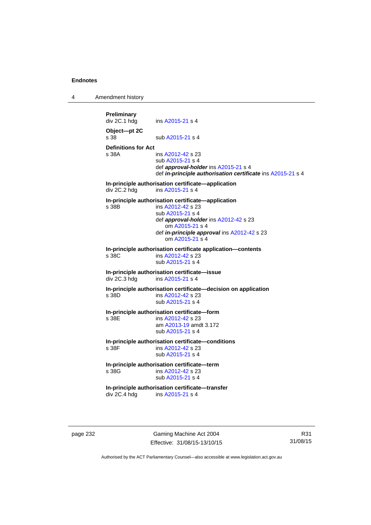4 Amendment history

**Preliminary**  ins [A2015-21](http://www.legislation.act.gov.au/a/2015-21) s 4 **Object—pt 2C**  s 38 sub [A2015-21](http://www.legislation.act.gov.au/a/2015-21) s 4 **Definitions for Act**  ins [A2012-42](http://www.legislation.act.gov.au/a/2012-42) s 23 sub [A2015-21](http://www.legislation.act.gov.au/a/2015-21) s 4 def *approval-holder* ins [A2015-21](http://www.legislation.act.gov.au/a/2015-21) s 4 def *in-principle authorisation certificate* ins [A2015-21](http://www.legislation.act.gov.au/a/2015-21) s 4 **In-principle authorisation certificate—application**  div 2C.2 hdg ins [A2015-21](http://www.legislation.act.gov.au/a/2015-21) s 4 **In-principle authorisation certificate—application**  s 38B ins [A2012-42](http://www.legislation.act.gov.au/a/2012-42) s 23 sub [A2015-21](http://www.legislation.act.gov.au/a/2015-21) s 4 def *approval-holder* ins [A2012-42](http://www.legislation.act.gov.au/a/2012-42) s 23 om [A2015-21](http://www.legislation.act.gov.au/a/2015-21) s 4 def *in-principle approval* ins [A2012-42](http://www.legislation.act.gov.au/a/2012-42) s 23 om [A2015-21](http://www.legislation.act.gov.au/a/2015-21) s 4 **In-principle authorisation certificate application—contents**  ins [A2012-42](http://www.legislation.act.gov.au/a/2012-42) s 23 sub [A2015-21](http://www.legislation.act.gov.au/a/2015-21) s 4 **In-principle authorisation certificate—issue**  div 2C.3 hdg ins [A2015-21](http://www.legislation.act.gov.au/a/2015-21) s 4 **In-principle authorisation certificate—decision on application**  s 38D ins [A2012-42](http://www.legislation.act.gov.au/a/2012-42) s 23 sub [A2015-21](http://www.legislation.act.gov.au/a/2015-21) s 4 **In-principle authorisation certificate—form**  ins [A2012-42](http://www.legislation.act.gov.au/a/2012-42) s 23 am [A2013-19](http://www.legislation.act.gov.au/a/2013-19) amdt 3.172 sub [A2015-21](http://www.legislation.act.gov.au/a/2015-21) s 4 **In-principle authorisation certificate—conditions**  s 38F ins [A2012-42](http://www.legislation.act.gov.au/a/2012-42) s 23 sub [A2015-21](http://www.legislation.act.gov.au/a/2015-21) s 4 **In-principle authorisation certificate—term**  ins [A2012-42](http://www.legislation.act.gov.au/a/2012-42) s 23 sub [A2015-21](http://www.legislation.act.gov.au/a/2015-21) s 4 **In-principle authorisation certificate—transfer**<br>div 2C.4 hdg ins A2015-21 s 4 ins [A2015-21](http://www.legislation.act.gov.au/a/2015-21) s 4

page 232 Gaming Machine Act 2004 Effective: 31/08/15-13/10/15

R31 31/08/15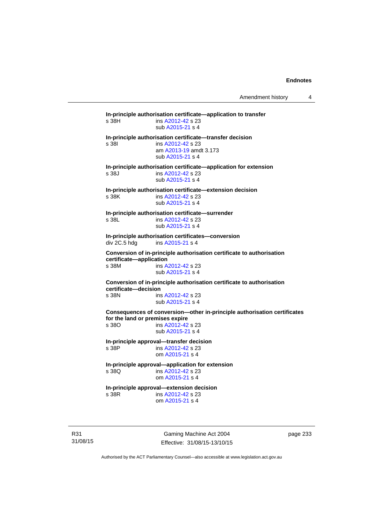**In-principle authorisation certificate—application to transfer**  s 38H ins [A2012-42](http://www.legislation.act.gov.au/a/2012-42) s 23 sub [A2015-21](http://www.legislation.act.gov.au/a/2015-21) s 4 **In-principle authorisation certificate—transfer decision**  s 38I ins [A2012-42](http://www.legislation.act.gov.au/a/2012-42) s 23 am [A2013-19](http://www.legislation.act.gov.au/a/2013-19) amdt 3.173 sub [A2015-21](http://www.legislation.act.gov.au/a/2015-21) s 4 **In-principle authorisation certificate—application for extension**  s 38J ins [A2012-42](http://www.legislation.act.gov.au/a/2012-42) s 23 sub [A2015-21](http://www.legislation.act.gov.au/a/2015-21) s 4 **In-principle authorisation certificate—extension decision**  s 38K ins [A2012-42](http://www.legislation.act.gov.au/a/2012-42) s 23 sub [A2015-21](http://www.legislation.act.gov.au/a/2015-21) s 4 **In-principle authorisation certificate—surrender**  s 38L ins [A2012-42](http://www.legislation.act.gov.au/a/2012-42) s 23 sub [A2015-21](http://www.legislation.act.gov.au/a/2015-21) s 4 **In-principle authorisation certificates—conversion**  div 2C.5 hdg ins [A2015-21](http://www.legislation.act.gov.au/a/2015-21) s 4 **Conversion of in-principle authorisation certificate to authorisation certificate—application**  s 38M ins [A2012-42](http://www.legislation.act.gov.au/a/2012-42) s 23 sub [A2015-21](http://www.legislation.act.gov.au/a/2015-21) s 4 **Conversion of in-principle authorisation certificate to authorisation certificate—decision**  s 38N ins [A2012-42](http://www.legislation.act.gov.au/a/2012-42) s 23 sub [A2015-21](http://www.legislation.act.gov.au/a/2015-21) s 4 **Consequences of conversion—other in-principle authorisation certificates for the land or premises expire**  s 38O ins [A2012-42](http://www.legislation.act.gov.au/a/2012-42) s 23 sub [A2015-21](http://www.legislation.act.gov.au/a/2015-21) s 4 **In-principle approval—transfer decision**  s 38P ins [A2012-42](http://www.legislation.act.gov.au/a/2012-42) s 23 om [A2015-21](http://www.legislation.act.gov.au/a/2015-21) s 4 **In-principle approval—application for extension**  ins [A2012-42](http://www.legislation.act.gov.au/a/2012-42) s 23 om [A2015-21](http://www.legislation.act.gov.au/a/2015-21) s 4 **In-principle approval—extension decision**  s 38R ins [A2012-42](http://www.legislation.act.gov.au/a/2012-42) s 23 om [A2015-21](http://www.legislation.act.gov.au/a/2015-21) s 4

R31 31/08/15

Gaming Machine Act 2004 Effective: 31/08/15-13/10/15 page 233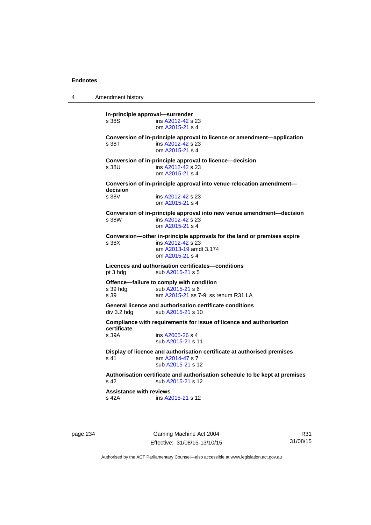4 Amendment history **In-principle approval—surrender**  s 38S ins [A2012-42](http://www.legislation.act.gov.au/a/2012-42) s 23 om [A2015-21](http://www.legislation.act.gov.au/a/2015-21) s 4 **Conversion of in-principle approval to licence or amendment—application**  s 38T ins [A2012-42](http://www.legislation.act.gov.au/a/2012-42) s 23 om [A2015-21](http://www.legislation.act.gov.au/a/2015-21) s 4 **Conversion of in-principle approval to licence—decision**  s 38U ins [A2012-42](http://www.legislation.act.gov.au/a/2012-42) s 23 om [A2015-21](http://www.legislation.act.gov.au/a/2015-21) s 4 **Conversion of in-principle approval into venue relocation amendment decision**  ins [A2012-42](http://www.legislation.act.gov.au/a/2012-42) s 23 om [A2015-21](http://www.legislation.act.gov.au/a/2015-21) s 4 **Conversion of in-principle approval into new venue amendment—decision**  s 38W ins [A2012-42](http://www.legislation.act.gov.au/a/2012-42) s 23 om [A2015-21](http://www.legislation.act.gov.au/a/2015-21) s 4 **Conversion—other in-principle approvals for the land or premises expire**  s 38X ins [A2012-42](http://www.legislation.act.gov.au/a/2012-42) s 23 am [A2013-19](http://www.legislation.act.gov.au/a/2013-19) amdt 3.174 om [A2015-21](http://www.legislation.act.gov.au/a/2015-21) s 4 **Licences and authorisation certificates—conditions**  pt 3 hdg sub [A2015-21](http://www.legislation.act.gov.au/a/2015-21) s 5 **Offence—failure to comply with condition**<br>s 39 hdg sub A2015-21 s 6 sub [A2015-21](http://www.legislation.act.gov.au/a/2015-21) s 6 s 39 am [A2015-21](http://www.legislation.act.gov.au/a/2015-21) ss 7-9; ss renum R31 LA **General licence and authorisation certificate conditions**  div 3.2 hdg sub [A2015-21](http://www.legislation.act.gov.au/a/2015-21) s 10 **Compliance with requirements for issue of licence and authorisation certificate**  s 39A ins [A2005-26](http://www.legislation.act.gov.au/a/2005-26) s 4 sub [A2015-21](http://www.legislation.act.gov.au/a/2015-21) s 11 **Display of licence and authorisation certificate at authorised premises**  s 41 am [A2014-47](http://www.legislation.act.gov.au/a/2014-47) s 7 sub [A2015-21](http://www.legislation.act.gov.au/a/2015-21) s 12 **Authorisation certificate and authorisation schedule to be kept at premises**  s 42 sub [A2015-21](http://www.legislation.act.gov.au/a/2015-21) s 12 **Assistance with reviews**  s 42A ins [A2015-21](http://www.legislation.act.gov.au/a/2015-21) s 12

page 234 Gaming Machine Act 2004 Effective: 31/08/15-13/10/15

R31 31/08/15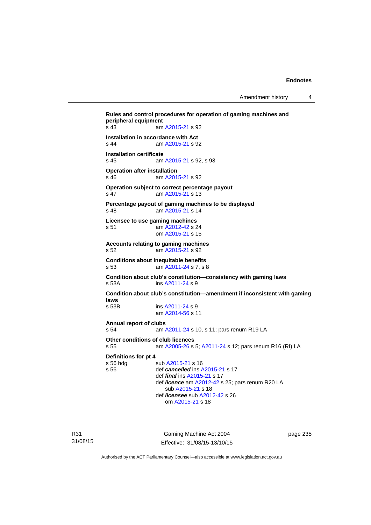Amendment history 4

```
Rules and control procedures for operation of gaming machines and 
peripheral equipment 
s 43 am A2015-21 s 92 
Installation in accordance with Act 
s 44 am A2015-21 s 92 
Installation certificate 
s 45 am A2015-21 s 92, s 93 
Operation after installation 
s 46 am A2015-21 s 92 
Operation subject to correct percentage payout 
s 47 am A2015-21 s 13 
Percentage payout of gaming machines to be displayed 
s 48 am A2015-21 s 14 
Licensee to use gaming machines 
s 51 am A2012-42 s 24 
                 om A2015-21 s 15 
Accounts relating to gaming machines 
s 52 am A2015-21 s 92 
Conditions about inequitable benefits 
s 53 am A2011-24 s 7, s 8 
Condition about club's constitution—consistency with gaming laws 
s 53A ins A2011-24 s 9
Condition about club's constitution—amendment if inconsistent with gaming 
laws 
                A2011-24 s 9 am A2014-56 s 11 
Annual report of clubs 
s 54 am A2011-24 s 10, s 11; pars renum R19 LA 
Other conditions of club licences 
s 55 am A2005-26 s 5; A2011-24 s 12; pars renum R16 (RI) LA 
Definitions for pt 4 
A2015-21 s 16
s 56 def cancelled ins A2015-21 s 17 
                 def final ins A2015-21 s 17 
                 def licence am A2012-42 s 25; pars renum R20 LA 
                    sub A2015-21 s 18 
                 def licensee sub A2012-42 s 26 
                    om A2015-21 s 18
```
R31 31/08/15

Gaming Machine Act 2004 Effective: 31/08/15-13/10/15 page 235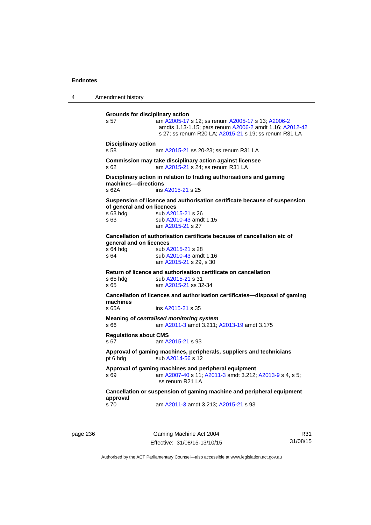4 Amendment history **Grounds for disciplinary action**  s 57 am [A2005-17](http://www.legislation.act.gov.au/a/2005-17) s 12; ss renum [A2005-17](http://www.legislation.act.gov.au/a/2005-17) s 13; [A2006-2](http://www.legislation.act.gov.au/a/2006-2) amdts 1.13-1.15; pars renum [A2006-2](http://www.legislation.act.gov.au/a/2006-2) amdt 1.16; [A2012-42](http://www.legislation.act.gov.au/a/2012-42) s 27; ss renum R20 LA; [A2015-21](http://www.legislation.act.gov.au/a/2015-21) s 19; ss renum R31 LA **Disciplinary action**  am [A2015-21](http://www.legislation.act.gov.au/a/2015-21) ss 20-23; ss renum R31 LA **Commission may take disciplinary action against licensee**  s 62 am [A2015-21](http://www.legislation.act.gov.au/a/2015-21) s 24; ss renum R31 LA **Disciplinary action in relation to trading authorisations and gaming machines—directions**  s 62A ins [A2015-21](http://www.legislation.act.gov.au/a/2015-21) s 25 **Suspension of licence and authorisation certificate because of suspension of general and on licences**  s 63 hdg sub [A2015-21](http://www.legislation.act.gov.au/a/2015-21) s 26 s 63 **Sub A2010-43** amdt 1.15 am [A2015-21](http://www.legislation.act.gov.au/a/2015-21) s 27 **Cancellation of authorisation certificate because of cancellation etc of general and on licences**<br>s 64 hda sub A s 64 hdg sub [A2015-21](http://www.legislation.act.gov.au/a/2015-21) s 28<br>s 64 sub A2010-43 amd sub [A2010-43](http://www.legislation.act.gov.au/a/2010-43) amdt 1.16 am [A2015-21](http://www.legislation.act.gov.au/a/2015-21) s 29, s 30 **Return of licence and authorisation certificate on cancellation**  s 65 hdg sub [A2015-21](http://www.legislation.act.gov.au/a/2015-21) s 31 s 65 am [A2015-21](http://www.legislation.act.gov.au/a/2015-21) ss 32-34 **Cancellation of licences and authorisation certificates—disposal of gaming machines**  s 65A ins [A2015-21](http://www.legislation.act.gov.au/a/2015-21) s 35 **Meaning of** *centralised monitoring system* s 66 am [A2011-3](http://www.legislation.act.gov.au/a/2011-3) amdt 3.211; [A2013-19](http://www.legislation.act.gov.au/a/2013-19) amdt 3.175 **Regulations about CMS**  s 67 am [A2015-21](http://www.legislation.act.gov.au/a/2015-21) s 93 **Approval of gaming machines, peripherals, suppliers and technicians**  pt 6 hdg sub [A2014-56](http://www.legislation.act.gov.au/a/2014-56) s 12 **Approval of gaming machines and peripheral equipment**  s 69 am [A2007-40](http://www.legislation.act.gov.au/a/2007-40) s 11; [A2011-3](http://www.legislation.act.gov.au/a/2011-3) amdt 3.212; [A2013-9](http://www.legislation.act.gov.au/a/2013-9) s 4, s 5; ss renum R21 LA **Cancellation or suspension of gaming machine and peripheral equipment approval**  s 70 am [A2011-3](http://www.legislation.act.gov.au/a/2011-3) amdt 3.213; [A2015-21](http://www.legislation.act.gov.au/a/2015-21) s 93

page 236 Gaming Machine Act 2004 Effective: 31/08/15-13/10/15

R31 31/08/15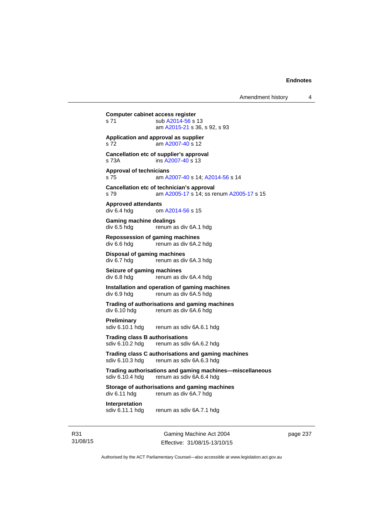Gaming Machine Act 2004 **Computer cabinet access register**  s 71 sub [A2014-56](http://www.legislation.act.gov.au/a/2014-56) s 13 am [A2015-21](http://www.legislation.act.gov.au/a/2015-21) s 36, s 92, s 93 **Application and approval as supplier**  s 72 am [A2007-40](http://www.legislation.act.gov.au/a/2007-40) s 12 **Cancellation etc of supplier's approval**  s 73A ins [A2007-40](http://www.legislation.act.gov.au/a/2007-40) s 13 **Approval of technicians**  s 75 am [A2007-40](http://www.legislation.act.gov.au/a/2007-40) s 14; [A2014-56](http://www.legislation.act.gov.au/a/2014-56) s 14 **Cancellation etc of technician's approval**  s 79 am [A2005-17](http://www.legislation.act.gov.au/a/2005-17) s 14; ss renum [A2005-17](http://www.legislation.act.gov.au/a/2005-17) s 15 **Approved attendants**  div 6.4 hdg om [A2014-56](http://www.legislation.act.gov.au/a/2014-56) s 15 **Gaming machine dealings**  div 6.5 hdg renum as div 6A.1 hdg **Repossession of gaming machines**  div 6.6 hdg renum as div 6A.2 hdg **Disposal of gaming machines**  div 6.7 hdg renum as div 6A.3 hdg **Seizure of gaming machines**<br>div 6.8 hdg renum as d renum as div 6A.4 hdg **Installation and operation of gaming machines**  div 6.9 hdg renum as div 6A.5 hdg **Trading of authorisations and gaming machines**  renum as div 6A.6 hdg **Preliminary**  sdiv 6.10.1 hdg renum as sdiv 6A.6.1 hdg **Trading class B authorisations**  sdiv 6.10.2 hdg renum as sdiv 6A.6.2 hdg **Trading class C authorisations and gaming machines**  sdiv 6.10.3 hdg renum as sdiv 6A.6.3 hdg **Trading authorisations and gaming machines—miscellaneous**  sdiv 6.10.4 hdg renum as sdiv 6A.6.4 hdg **Storage of authorisations and gaming machines**  div 6.11 hdg renum as div 6A.7 hdg **Interpretation**  sdiv 6.11.1 hdg renum as sdiv 6A.7.1 hdg

R31 31/08/15

Effective: 31/08/15-13/10/15

page 237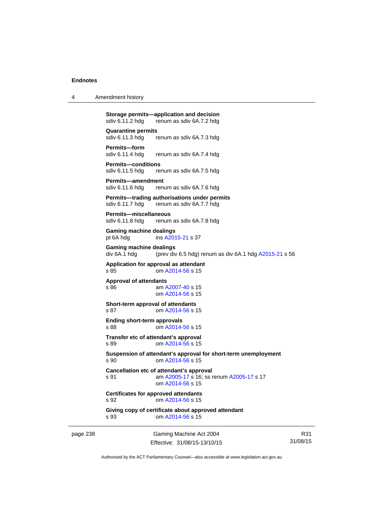| 4 | Amendment history |
|---|-------------------|
|---|-------------------|

**Storage permits—application and decision**<br>sdiv 6.11.2 hdg renum as sdiv 6A.7.2 hdg sdiv 6.11.2 hdg renum as sdiv 6A.7.2 hdg

**Quarantine permits**  sdiv 6.11.3 hdg renum as sdiv 6A.7.3 hdg

**Permits—form**  renum as sdiv 6A.7.4 hdg

**Permits—conditions**  sdiv 6.11.5 hdg renum as sdiv 6A.7.5 hdg

**Permits—amendment**  sdiv 6.11.6 hdg renum as sdiv 6A.7.6 hdg

**Permits—trading authorisations under permits**  sdiv 6.11.7 hdg renum as sdiv 6A.7.7 hdg

**Permits—miscellaneous**  sdiv 6.11.8 hdg renum as sdiv 6A.7.8 hdg

**Gaming machine dealings**  pt 6A hdg ins [A2015-21](http://www.legislation.act.gov.au/a/2015-21) s 37

**Gaming machine dealings**  div 6A.1 hdg (prev div 6.5 hdg) renum as div 6A.1 hdg [A2015-21](http://www.legislation.act.gov.au/a/2015-21) s 56

**Application for approval as attendant**  s 85 om [A2014-56](http://www.legislation.act.gov.au/a/2014-56) s 15

**Approval of attendants** 

s 86 am [A2007-40](http://www.legislation.act.gov.au/a/2007-40) s 15 om [A2014-56](http://www.legislation.act.gov.au/a/2014-56) s 15

**Short-term approval of attendants**  s 87 **cm [A2014-56](http://www.legislation.act.gov.au/a/2014-56) s 15** 

**Ending short-term approvals**  s 88 om [A2014-56](http://www.legislation.act.gov.au/a/2014-56) s 15

**Transfer etc of attendant's approval**  s 89 om [A2014-56](http://www.legislation.act.gov.au/a/2014-56) s 15

**Suspension of attendant's approval for short-term unemployment**  s 90 om [A2014-56](http://www.legislation.act.gov.au/a/2014-56) s 15

**Cancellation etc of attendant's approval**  s 91 am [A2005-17](http://www.legislation.act.gov.au/a/2005-17) s 16; ss renum [A2005-17](http://www.legislation.act.gov.au/a/2005-17) s 17 om [A2014-56](http://www.legislation.act.gov.au/a/2014-56) s 15

**Certificates for approved attendants**  s 92 om [A2014-56](http://www.legislation.act.gov.au/a/2014-56) s 15

**Giving copy of certificate about approved attendant**  s 93 om [A2014-56](http://www.legislation.act.gov.au/a/2014-56) s 15

page 238 Gaming Machine Act 2004 Effective: 31/08/15-13/10/15

R31 31/08/15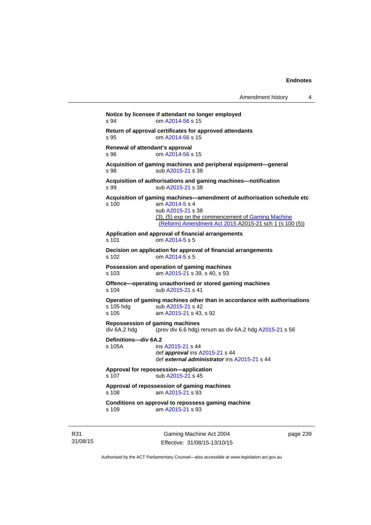```
Notice by licensee if attendant no longer employed 
s 94 om A2014-56 s 15 
Return of approval certificates for approved attendants 
s 95 om A2014-56 s 15 
Renewal of attendant's approval 
s 96 om A2014-56 s 15 
Acquisition of gaming machines and peripheral equipment—general 
A2015-21 s 38
Acquisition of authorisations and gaming machines—notification 
A2015-21 s 38
Acquisition of gaming machines—amendment of authorisation schedule etc 
s 100 am A2014-5 s 4 
                sub A2015-21 s 38 
               (3), (5) exp on the commencement of Gaming Machine 
                (Reform) Amendment Act 2015 A2015-21 sch 1 (s 100 (5))
Application and approval of financial arrangements 
s 101 om A2014-5 s 5 
Decision on application for approval of financial arrangements 
s 102 om A2014-5 s 5 
Possession and operation of gaming machines 
s 103 am A2015-21 s 39, s 40, s 93 
Offence—operating unauthorised or stored gaming machines 
A2015-21 s 41
Operation of gaming machines other than in accordance with authorisations 
A2015-21 s 42
s 105 am A2015-21 s 43, s 92 
Repossession of gaming machines 
div 6A.2 hdg (prev div 6.6 hdg) renum as div 6A.2 hdg A2015-21 s 56 
Definitions—div 6A.2 
s 105A ins A2015-21 s 44 
                def approval ins A2015-21 s 44 
                def external administrator ins A2015-21 s 44 
Approval for repossession—application 
A2015-21 s 45
Approval of repossession of gaming machines 
s 108 am A2015-21 s 93 
Conditions on approval to repossess gaming machine 
s 109 am A2015-21 s 93
```
R31 31/08/15

Gaming Machine Act 2004 Effective: 31/08/15-13/10/15 page 239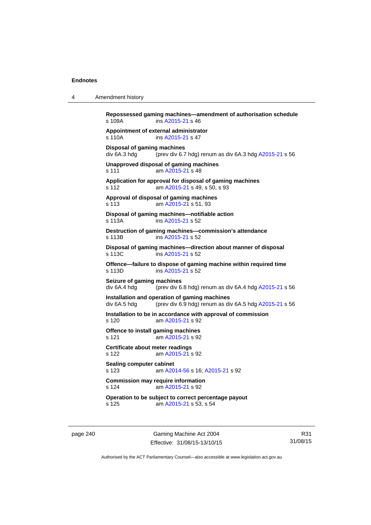4 Amendment history

| s 109A                                      | ins A2015-21 s 46                                                                                       |
|---------------------------------------------|---------------------------------------------------------------------------------------------------------|
| s 110A                                      | Appointment of external administrator<br>ins A2015-21 s 47                                              |
| Disposal of gaming machines<br>div 6A.3 hdg | (prev div 6.7 hdg) renum as div 6A.3 hdg A2015-21 s 56                                                  |
| s 111                                       | Unapproved disposal of gaming machines<br>am A2015-21 s 48                                              |
| s 112                                       | Application for approval for disposal of gaming machines<br>am A2015-21 s 49, s 50, s 93                |
| s 113                                       | Approval of disposal of gaming machines<br>am A2015-21 s 51, 93                                         |
| s 113A                                      | Disposal of gaming machines-notifiable action<br>ins A2015-21 s 52                                      |
| s 113B                                      | Destruction of gaming machines-commission's attendance<br>ins A2015-21 s 52                             |
| s 113C                                      | Disposal of gaming machines-direction about manner of disposal<br>ins A2015-21 s 52                     |
| s 113D                                      | Offence-failure to dispose of gaming machine within required time<br>ins A2015-21 s 52                  |
| Seizure of gaming machines<br>div 6A.4 hdg  | (prev div 6.8 hdg) renum as div 6A.4 hdg $A2015-21$ s 56                                                |
| div 6A.5 hdg                                | Installation and operation of gaming machines<br>(prev div 6.9 hdg) renum as div 6A.5 hdg A2015-21 s 56 |
| s 120                                       | Installation to be in accordance with approval of commission<br>am A2015-21 s 92                        |
| s 121                                       | Offence to install gaming machines<br>am A2015-21 s 92                                                  |
| Certificate about meter readings<br>s 122   | am A2015-21 s 92                                                                                        |
| <b>Sealing computer cabinet</b><br>s 123    | am A2014-56 s 16; A2015-21 s 92                                                                         |
| s 124                                       | <b>Commission may require information</b><br>am A2015-21 s 92                                           |
| s 125                                       | Operation to be subject to correct percentage payout<br>am A2015-21 s 53, s 54                          |

page 240 Gaming Machine Act 2004 Effective: 31/08/15-13/10/15

R31 31/08/15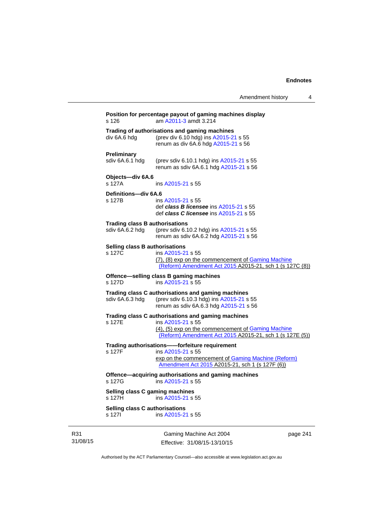|                                                          | Amendment history                                                                                                                                                                         | 4        |
|----------------------------------------------------------|-------------------------------------------------------------------------------------------------------------------------------------------------------------------------------------------|----------|
| s 126                                                    | Position for percentage payout of gaming machines display<br>am A2011-3 amdt 3.214                                                                                                        |          |
| div 6A.6 hdg                                             | Trading of authorisations and gaming machines<br>(prev div 6.10 hdg) ins A2015-21 s 55<br>renum as div 6A.6 hdg A2015-21 s 56                                                             |          |
| <b>Preliminary</b><br>sdiv 6A.6.1 hdg                    | (prev sdiv 6.10.1 hdg) ins A2015-21 s 55<br>renum as sdiv 6A.6.1 hdg A2015-21 s 56                                                                                                        |          |
| Objects-div 6A.6<br>s 127A                               | ins A2015-21 s 55                                                                                                                                                                         |          |
| Definitions-div 6A.6<br>s 127B                           | ins A2015-21 s 55<br>def class B licensee ins A2015-21 s 55<br>def class C licensee ins A2015-21 s 55                                                                                     |          |
| <b>Trading class B authorisations</b><br>sdiv 6A.6.2 hdg | (prev sdiv 6.10.2 hdg) ins A2015-21 s 55<br>renum as sdiv 6A.6.2 hdg A2015-21 s 56                                                                                                        |          |
| Selling class B authorisations<br>s 127C                 | ins A2015-21 s 55<br>(7), (8) exp on the commencement of Gaming Machine<br>(Reform) Amendment Act 2015 A2015-21, sch 1 (s 127C (8))                                                       |          |
| s 127D                                                   | Offence-selling class B gaming machines<br>ins A2015-21 s 55                                                                                                                              |          |
| sdiv 6A.6.3 hdg                                          | Trading class C authorisations and gaming machines<br>(prev sdiv 6.10.3 hdg) ins A2015-21 s 55<br>renum as sdiv 6A.6.3 hdg A2015-21 s 56                                                  |          |
| s 127E                                                   | Trading class C authorisations and gaming machines<br>ins A2015-21 s 55<br>(4), (5) exp on the commencement of Gaming Machine<br>(Reform) Amendment Act 2015 A2015-21, sch 1 (s 127E (5)) |          |
| s 127F                                                   | Trading authorisations--forfeiture requirement<br>ins A2015-21 s 55<br>exp on the commencement of Gaming Machine (Reform)<br>Amendment Act 2015 A2015-21, sch 1 (s 127F (6))              |          |
| s 127G                                                   | Offence-acquiring authorisations and gaming machines<br>ins A2015-21 s 55                                                                                                                 |          |
| s 127H                                                   | Selling class C gaming machines<br>ins A2015-21 s 55                                                                                                                                      |          |
| Selling class C authorisations<br>s 127l                 | ins A2015-21 s 55                                                                                                                                                                         |          |
|                                                          | Gaming Machine Act 2004                                                                                                                                                                   | nage 241 |

R31 31/08/15

Gaming Machine Act 2004 Effective: 31/08/15-13/10/15 page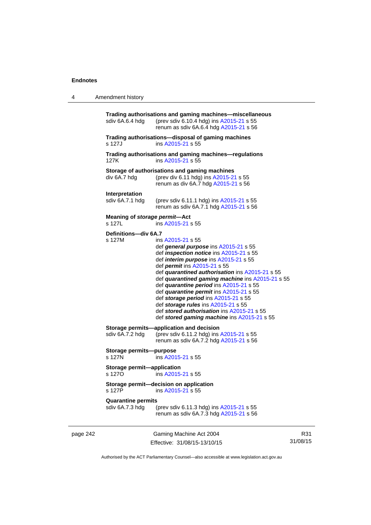# 4 Amendment history

|          | sdiv 6A.6.4 hdg                              | Trading authorisations and gaming machines-miscellaneous<br>(prev sdiv 6.10.4 hdg) ins A2015-21 s 55<br>renum as sdiv 6A.6.4 hdg A2015-21 s 56                                                                                                                                                                                                                                                                                                                                                                                                                               |
|----------|----------------------------------------------|------------------------------------------------------------------------------------------------------------------------------------------------------------------------------------------------------------------------------------------------------------------------------------------------------------------------------------------------------------------------------------------------------------------------------------------------------------------------------------------------------------------------------------------------------------------------------|
|          | s 127J                                       | Trading authorisations—disposal of gaming machines<br>ins A2015-21 s 55                                                                                                                                                                                                                                                                                                                                                                                                                                                                                                      |
|          | 127K                                         | Trading authorisations and gaming machines-regulations<br>ins A2015-21 s 55                                                                                                                                                                                                                                                                                                                                                                                                                                                                                                  |
|          | div 6A.7 hdg                                 | Storage of authorisations and gaming machines<br>(prev div 6.11 hdg) ins A2015-21 s 55<br>renum as div 6A.7 hdg A2015-21 s 56                                                                                                                                                                                                                                                                                                                                                                                                                                                |
|          | Interpretation<br>sdiv 6A.7.1 hdg            | (prev sdiv 6.11.1 hdg) ins A2015-21 s 55<br>renum as sdiv 6A.7.1 hdg A2015-21 s 56                                                                                                                                                                                                                                                                                                                                                                                                                                                                                           |
|          | Meaning of storage permit-Act<br>s 127L      | ins A2015-21 s 55                                                                                                                                                                                                                                                                                                                                                                                                                                                                                                                                                            |
|          | Definitions-div 6A.7<br>s 127M               | ins A2015-21 s 55<br>def general purpose ins A2015-21 s 55<br>def <i>inspection notice</i> ins A2015-21 s 55<br>def <i>interim purpose</i> ins A2015-21 s 55<br>def <i>permit</i> ins A2015-21 s 55<br>def quarantined authorisation ins A2015-21 s 55<br>def quarantined gaming machine ins A2015-21 s 55<br>def quarantine period ins A2015-21 s 55<br>def quarantine permit ins A2015-21 s 55<br>def storage period ins A2015-21 s 55<br>def storage rules ins A2015-21 s 55<br>def stored authorisation ins A2015-21 s 55<br>def stored gaming machine ins A2015-21 s 55 |
|          | sdiv 6A.7.2 hdg                              | Storage permits-application and decision<br>(prev sdiv 6.11.2 hdg) ins A2015-21 s 55<br>renum as sdiv 6A.7.2 hdg A2015-21 s 56                                                                                                                                                                                                                                                                                                                                                                                                                                               |
|          | Storage permits--purpose<br>s 127N           | ins A2015-21 s 55                                                                                                                                                                                                                                                                                                                                                                                                                                                                                                                                                            |
|          | Storage permit-application<br>s 1270         | ins A2015-21 s 55                                                                                                                                                                                                                                                                                                                                                                                                                                                                                                                                                            |
|          | s 127P                                       | Storage permit-decision on application<br>ins A2015-21 s 55                                                                                                                                                                                                                                                                                                                                                                                                                                                                                                                  |
|          | <b>Quarantine permits</b><br>sdiv 6A.7.3 hdg | (prev sdiv 6.11.3 hdg) ins A2015-21 s 55<br>renum as sdiv 6A.7.3 hdg A2015-21 s 56                                                                                                                                                                                                                                                                                                                                                                                                                                                                                           |
| page 242 |                                              | Gaming Machine Act 2004                                                                                                                                                                                                                                                                                                                                                                                                                                                                                                                                                      |

Effective: 31/08/15-13/10/15

R31 31/08/15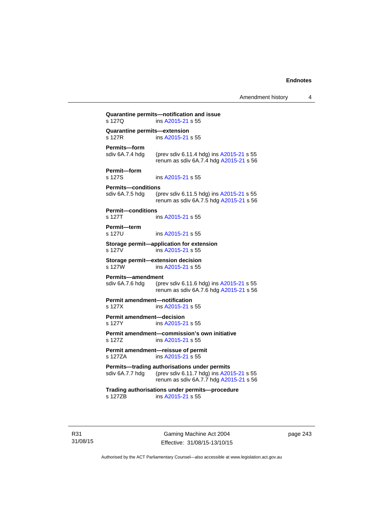Amendment history 4

|                                                | Quarantine permits-notification and issue                                                                                          |
|------------------------------------------------|------------------------------------------------------------------------------------------------------------------------------------|
| s 127Q                                         | ins A2015-21 s 55                                                                                                                  |
| <b>Quarantine permits-extension</b><br>s 127R  | ins A2015-21 s 55                                                                                                                  |
| Permits-form<br>sdiv 6A.7.4 hdg                | (prev sdiv 6.11.4 hdg) ins A2015-21 s 55<br>renum as sdiv 6A.7.4 hdg A2015-21 s 56                                                 |
| Permit-form<br>s 127S                          | ins A2015-21 s 55                                                                                                                  |
| <b>Permits-conditions</b><br>sdiv 6A.7.5 hdg   | (prev sdiv 6.11.5 hdg) ins A2015-21 s 55<br>renum as sdiv 6A.7.5 hdg A2015-21 s 56                                                 |
| <b>Permit-conditions</b><br>s 127T             | ins A2015-21 s 55                                                                                                                  |
| Permit-term<br>s 127U                          | ins A2015-21 s 55                                                                                                                  |
| s 127V                                         | Storage permit-application for extension<br>ins A2015-21 s 55                                                                      |
| s 127W                                         | Storage permit-extension decision<br>ins A2015-21 s 55                                                                             |
| <b>Permits-amendment</b><br>sdiv 6A.7.6 hdg    | (prev sdiv 6.11.6 hdg) ins A2015-21 s 55<br>renum as sdiv 6A.7.6 hdg A2015-21 s 56                                                 |
| <b>Permit amendment-notification</b><br>s 127X | ins A2015-21 s 55                                                                                                                  |
| <b>Permit amendment-decision</b><br>s 127Y     | ins A2015-21 s 55                                                                                                                  |
| s 127Z                                         | Permit amendment-commission's own initiative<br>ins A2015-21 s 55                                                                  |
| s 127ZA                                        | Permit amendment-reissue of permit<br>ins A2015-21 s 55                                                                            |
| sdiv 6A.7.7 hdg                                | Permits-trading authorisations under permits<br>(prev sdiv 6.11.7 hdg) ins A2015-21 s 55<br>renum as sdiv 6A.7.7 hdg A2015-21 s 56 |
| s 127ZB                                        | Trading authorisations under permits-procedure<br>ins A2015-21 s 55                                                                |
|                                                |                                                                                                                                    |

R31 31/08/15

Gaming Machine Act 2004 Effective: 31/08/15-13/10/15 page 243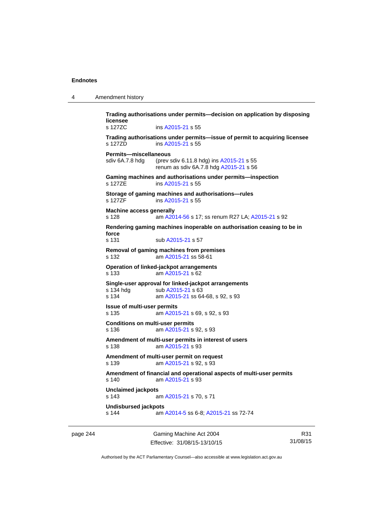| $\boldsymbol{\Lambda}$ | Amendment history |
|------------------------|-------------------|
|------------------------|-------------------|

**Trading authorisations under permits—decision on application by disposing licensee**  s 127ZC ins [A2015-21](http://www.legislation.act.gov.au/a/2015-21) s 55 **Trading authorisations under permits—issue of permit to acquiring licensee**  s 127ZD ins [A2015-21](http://www.legislation.act.gov.au/a/2015-21) s 55 **Permits—miscellaneous**  sdiv 6A.7.8 hdg (prev sdiv 6.11.8 hdg) ins [A2015-21](http://www.legislation.act.gov.au/a/2015-21) s 55 renum as sdiv 6A.7.8 hdg [A2015-21](http://www.legislation.act.gov.au/a/2015-21) s 56 **Gaming machines and authorisations under permits—inspection**  s 127ZE ins [A2015-21](http://www.legislation.act.gov.au/a/2015-21) s 55 **Storage of gaming machines and authorisations—rules**  s 127ZF ins [A2015-21](http://www.legislation.act.gov.au/a/2015-21) s 55 **Machine access generally**  s 128 am [A2014-56](http://www.legislation.act.gov.au/a/2014-56) s 17; ss renum R27 LA; [A2015-21](http://www.legislation.act.gov.au/a/2015-21) s 92 **Rendering gaming machines inoperable on authorisation ceasing to be in force**  s 131 sub [A2015-21](http://www.legislation.act.gov.au/a/2015-21) s 57 **Removal of gaming machines from premises**  s 132 am [A2015-21](http://www.legislation.act.gov.au/a/2015-21) ss 58-61 **Operation of linked-jackpot arrangements**  s 133 am [A2015-21](http://www.legislation.act.gov.au/a/2015-21) s 62 **Single-user approval for linked-jackpot arrangements**  s 134 hdg sub [A2015-21](http://www.legislation.act.gov.au/a/2015-21) s 63 s 134 am [A2015-21](http://www.legislation.act.gov.au/a/2015-21) ss 64-68, s 92, s 93 **Issue of multi-user permits**  s 135 am [A2015-21](http://www.legislation.act.gov.au/a/2015-21) s 69, s 92, s 93 **Conditions on multi-user permits**  s 136 am [A2015-21](http://www.legislation.act.gov.au/a/2015-21) s 92, s 93 **Amendment of multi-user permits in interest of users**  s 138 am [A2015-21](http://www.legislation.act.gov.au/a/2015-21) s 93 **Amendment of multi-user permit on request**  s 139 am [A2015-21](http://www.legislation.act.gov.au/a/2015-21) s 92, s 93 **Amendment of financial and operational aspects of multi-user permits**  s 140 am [A2015-21](http://www.legislation.act.gov.au/a/2015-21) s 93 **Unclaimed jackpots**  s 143 am [A2015-21](http://www.legislation.act.gov.au/a/2015-21) s 70, s 71 **Undisbursed jackpots**  s 144 am [A2014-5](http://www.legislation.act.gov.au/a/2014-5) ss 6-8; [A2015-21](http://www.legislation.act.gov.au/a/2015-21) ss 72-74

page 244 Gaming Machine Act 2004 Effective: 31/08/15-13/10/15

R31 31/08/15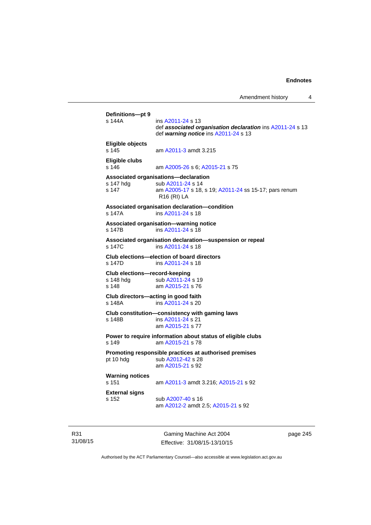```
Definitions—pt 9 
                A2011-24 s 13
                 def associated organisation declaration ins A2011-24 s 13 
                 def warning notice ins A2011-24 s 13 
Eligible objects 
s 145 am A2011-3 amdt 3.215 
Eligible clubs 
s 146 am A2005-26 s 6; A2015-21 s 75 
Associated organisations—declaration 
A2011-24 s 14
s 147 am A2005-17 s 18, s 19; A2011-24 ss 15-17; pars renum 
                R16 (RI) LA 
Associated organisation declaration—condition 
s 147A ins A2011-24 s 18 
Associated organisation—warning notice 
s 147B ins A2011-24 s 18 
Associated organisation declaration—suspension or repeal 
s 147C ins A2011-24 s 18 
Club elections—election of board directors 
               A2011-24 s 18
Club elections—record-keeping 
A2011-24 s 19
s 148 am A2015-21 s 76 
Club directors—acting in good faith 
               ins A2011-24 s 20
Club constitution—consistency with gaming laws 
s 148B ins A2011-24 s 21 
                am A2015-21 s 77 
Power to require information about status of eligible clubs 
s 149 am A2015-21 s 78 
Promoting responsible practices at authorised premises 
A2012-42 s 28
                am A2015-21 s 92 
Warning notices 
s 151 am A2011-3 amdt 3.216; A2015-21 s 92 
External signs 
s 152 sub A2007-40 s 16 
                 am A2012-2 amdt 2.5; A2015-21 s 92
```
R31 31/08/15

Gaming Machine Act 2004 Effective: 31/08/15-13/10/15 page 245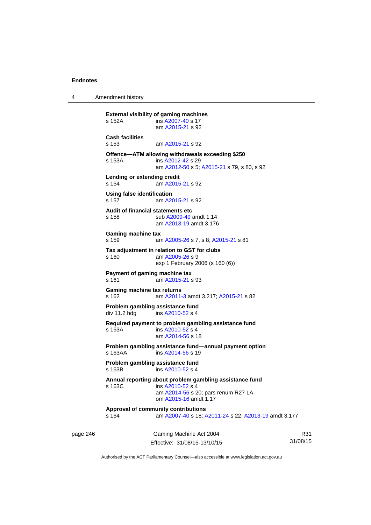4 Amendment history

```
page 246 Gaming Machine Act 2004 
                                                                       31/08/15 
          External visibility of gaming machines 
          s 152A ins A2007-40 s 17 
                            am A2015-21 s 92 
           Cash facilities 
          s 153 am A2015-21 s 92 
           Offence—ATM allowing withdrawals exceeding $250 
          s 153A ins A2012-42 s 29 
                            am A2012-50 s 5; A2015-21 s 79, s 80, s 92
          Lending or extending credit 
          s 154 am A2015-21 s 92 
          Using false identification 
          s 157 am A2015-21 s 92 
           Audit of financial statements etc 
          s 158 sub A2009-49 amdt 1.14 
                            am A2013-19 amdt 3.176
          Gaming machine tax 
          s 159 am A2005-26 s 7, s 8; A2015-21 s 81 
          Tax adjustment in relation to GST for clubs 
          s 160 am A2005-26 s 9 
                           exp 1 February 2006 (s 160 (6)) 
          Payment of gaming machine tax 
          s 161 am A2015-21 s 93 
          Gaming machine tax returns 
          s 162 am A2011-3 amdt 3.217; A2015-21 s 82 
          Problem gambling assistance fund 
          A2010-52 s 4
          Required payment to problem gambling assistance fund 
          s 163A ins A2010-52 s 4
                            am A2014-56 s 18 
          Problem gambling assistance fund—annual payment option s 163AA ins A2014-56 s 19
                            A2014-56 s 19
          Problem gambling assistance fund 
          s 163B ins A2010-52 s 4
          Annual reporting about problem gambling assistance fund 
          s 163C ins A2010-52 s 4
                            am A2014-56 s 20; pars renum R27 LA 
                            om A2015-16 amdt 1.17
           Approval of community contributions 
          s 164 am A2007-40 s 18; A2011-24 s 22; A2013-19 amdt 3.177
```
R31

Authorised by the ACT Parliamentary Counsel—also accessible at www.legislation.act.gov.au

Effective: 31/08/15-13/10/15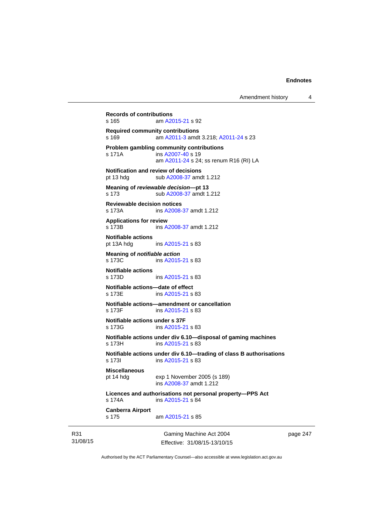```
31/08/15 
                             Gaming Machine Act 2004 
                            Effective: 31/08/15-13/10/15 
                                                                     page 247 
          Records of contributions 
          s 165 am A2015-21 s 92 
          Required community contributions 
          s 169 am A2011-3 amdt 3.218; A2011-24 s 23 
          Problem gambling community contributions 
           A2007-40 s 19
                           am A2011-24 s 24; ss renum R16 (RI) LA
          Notification and review of decisions 
          pt 13 hdg sub A2008-37 amdt 1.212 
          Meaning of reviewable decision—pt 13 
          s 173 sub A2008-37 amdt 1.212 
          Reviewable decision notices 
          s 173A ins A2008-37 amdt 1.212 
          Applications for review 
          s 173B ins A2008-37 amdt 1.212 
          Notifiable actions 
          pt 13A hdg ins A2015-21 s 83 
          Meaning of notifiable action
          A2015-21 s 83
          Notifiable actions 
                          A2015-21 s 83
          Notifiable actions—date of effect 
           A2015-21 s 83
          Notifiable actions—amendment or cancellation 
                           A2015-21 s 83
          Notifiable actions under s 37F 
          s 173G ins A2015-21 s 83 
          Notifiable actions under div 6.10—disposal of gaming machines 
          s 173H ins A2015-21 s 83 
          Notifiable actions under div 6.10—trading of class B authorisations 
           A2015-21 s 83
          Miscellaneous 
          pt 14 hdg exp 1 November 2005 (s 189) 
                           ins A2008-37 amdt 1.212 
          Licences and authorisations not personal property—PPS Act 
          s 174A ins A2015-21 s 84 
          Canberra Airport 
          s 175 am A2015-21 s 85
```
Authorised by the ACT Parliamentary Counsel—also accessible at www.legislation.act.gov.au

R31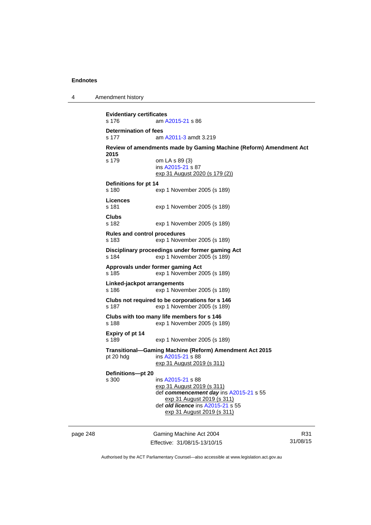4 Amendment history

**Evidentiary certificates**  s 176 am [A2015-21](http://www.legislation.act.gov.au/a/2015-21) s 86 **Determination of fees**  s 177 am [A2011-3](http://www.legislation.act.gov.au/a/2011-3) amdt 3.219 **Review of amendments made by Gaming Machine (Reform) Amendment Act 2015**  s 179 om LA s 89 (3) ins [A2015-21](http://www.legislation.act.gov.au/a/2015-21) s 87 exp 31 August 2020 (s 179 (2)) **Definitions for pt 14**  s 180 exp 1 November 2005 (s 189) **Licences**  s 181 exp 1 November 2005 (s 189) **Clubs**  s 182 exp 1 November 2005 (s 189) **Rules and control procedures**  s 183 exp 1 November 2005 (s 189) **Disciplinary proceedings under former gaming Act**  s 184 exp 1 November 2005 (s 189) **Approvals under former gaming Act**  s 185 exp 1 November 2005 (s 189) **Linked-jackpot arrangements**  s 186 exp 1 November 2005 (s 189) **Clubs not required to be corporations for s 146**  s 187 exp 1 November 2005 (s 189) **Clubs with too many life members for s 146**  s 188 exp 1 November 2005 (s 189) **Expiry of pt 14**  s 189 exp 1 November 2005 (s 189) **Transitional—Gaming Machine (Reform) Amendment Act 2015**  pt 20 hdg ins [A2015-21](http://www.legislation.act.gov.au/a/2015-21) s 88 exp 31 August 2019 (s 311) **Definitions—pt 20**  s 300 ins [A2015-21](http://www.legislation.act.gov.au/a/2015-21) s 88 exp 31 August 2019 (s 311) def *commencement day* ins [A2015-21](http://www.legislation.act.gov.au/a/2015-21) s 55 exp 31 August 2019 (s 311) def *old licence* ins [A2015-21](http://www.legislation.act.gov.au/a/2015-21) s 55 exp 31 August 2019 (s 311)

page 248 Gaming Machine Act 2004 Effective: 31/08/15-13/10/15

R31 31/08/15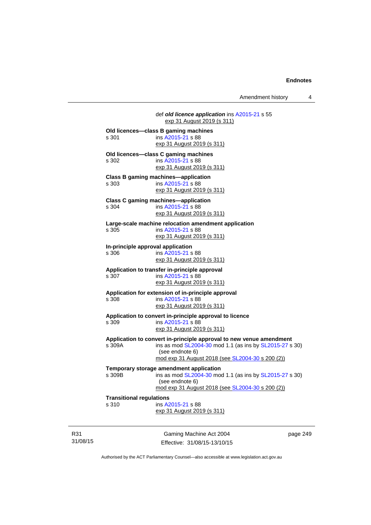Amendment history 4

|                                   | def old licence application ins A2015-21 s 55<br>exp 31 August 2019 (s 311) |
|-----------------------------------|-----------------------------------------------------------------------------|
|                                   | Old licences-class B gaming machines                                        |
| s 301                             | ins A2015-21 s 88                                                           |
|                                   | exp 31 August 2019 (s 311)                                                  |
|                                   | Old licences—class C gaming machines                                        |
| s 302                             | ins A2015-21 s 88                                                           |
|                                   | exp 31 August 2019 (s 311)                                                  |
|                                   | <b>Class B gaming machines-application</b>                                  |
| s 303                             | ins A2015-21 s 88                                                           |
|                                   | exp 31 August 2019 (s 311)                                                  |
|                                   | <b>Class C gaming machines-application</b>                                  |
| s 304                             | ins A2015-21 s 88                                                           |
|                                   | exp 31 August 2019 (s 311)                                                  |
|                                   | Large-scale machine relocation amendment application                        |
| s 305                             | ins A2015-21 s 88                                                           |
|                                   | exp 31 August 2019 (s 311)                                                  |
| In-principle approval application |                                                                             |
| s 306                             | ins A2015-21 s 88                                                           |
|                                   | exp 31 August 2019 (s 311)                                                  |
|                                   | Application to transfer in-principle approval                               |
| s 307                             | ins A2015-21 s 88                                                           |
|                                   | <u>exp 31 August 2019 (s 311)</u>                                           |
|                                   | Application for extension of in-principle approval                          |
| s 308                             | ins A2015-21 s 88                                                           |
|                                   | exp 31 August 2019 (s 311)                                                  |
|                                   | Application to convert in-principle approval to licence                     |
| s 309                             | ins A2015-21 s 88                                                           |
|                                   | exp 31 August 2019 (s 311)                                                  |
|                                   | Application to convert in-principle approval to new venue amendment         |
| s 309A                            | ins as mod SL2004-30 mod 1.1 (as ins by SL2015-27 s 30)                     |
|                                   | (see endnote 6)                                                             |
|                                   | mod exp 31 August 2018 (see SL2004-30 s 200 (2))                            |
|                                   | Temporary storage amendment application                                     |
| s 309B                            | ins as mod SL2004-30 mod 1.1 (as ins by SL2015-27 s 30)                     |
|                                   | (see endnote 6)                                                             |
|                                   | mod exp 31 August 2018 (see SL2004-30 s 200 (2))                            |
| <b>Transitional regulations</b>   |                                                                             |
| s 310                             | ins A2015-21 s 88                                                           |
|                                   | exp 31 August 2019 (s 311)                                                  |
|                                   |                                                                             |
|                                   |                                                                             |

R31 31/08/15

Gaming Machine Act 2004 Effective: 31/08/15-13/10/15 page 249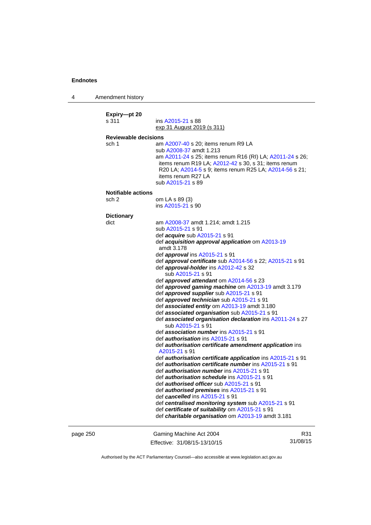4 Amendment history

| Expiry-pt 20<br>s 311<br><b>Reviewable decisions</b><br>sch 1 | ins A2015-21 s 88<br>exp 31 August 2019 (s 311)<br>am A2007-40 s 20; items renum R9 LA<br>sub A2008-37 amdt 1.213<br>am A2011-24 s 25; items renum R16 (RI) LA; A2011-24 s 26;<br>items renum R19 LA; A2012-42 s 30, s 31; items renum |          |
|---------------------------------------------------------------|----------------------------------------------------------------------------------------------------------------------------------------------------------------------------------------------------------------------------------------|----------|
|                                                               | R20 LA; A2014-5 s 9; items renum R25 LA; A2014-56 s 21;<br>items renum R27 LA<br>sub A2015-21 s 89                                                                                                                                     |          |
| <b>Notifiable actions</b>                                     |                                                                                                                                                                                                                                        |          |
| sch 2                                                         | om LA s 89 (3)<br>ins A2015-21 s 90                                                                                                                                                                                                    |          |
| <b>Dictionary</b>                                             |                                                                                                                                                                                                                                        |          |
| dict                                                          | am A2008-37 amdt 1.214; amdt 1.215                                                                                                                                                                                                     |          |
|                                                               | sub A2015-21 s 91                                                                                                                                                                                                                      |          |
|                                                               | def acquire sub A2015-21 s 91                                                                                                                                                                                                          |          |
|                                                               | def acquisition approval application om A2013-19                                                                                                                                                                                       |          |
|                                                               | amdt 3.178                                                                                                                                                                                                                             |          |
|                                                               | def <i>approval</i> ins A2015-21 s 91<br>def approval certificate sub A2014-56 s 22; A2015-21 s 91                                                                                                                                     |          |
|                                                               | def approval-holder ins A2012-42 s 32                                                                                                                                                                                                  |          |
|                                                               | sub A2015-21 s 91                                                                                                                                                                                                                      |          |
|                                                               | def approved attendant om A2014-56 s 23                                                                                                                                                                                                |          |
|                                                               | def approved gaming machine om A2013-19 amdt 3.179                                                                                                                                                                                     |          |
|                                                               | def <i>approved supplier</i> sub A2015-21 s 91                                                                                                                                                                                         |          |
|                                                               | def approved technician sub A2015-21 s 91                                                                                                                                                                                              |          |
|                                                               | def associated entity om A2013-19 amdt 3.180                                                                                                                                                                                           |          |
|                                                               | def associated organisation sub A2015-21 s 91                                                                                                                                                                                          |          |
|                                                               | def associated organisation declaration ins A2011-24 s 27                                                                                                                                                                              |          |
|                                                               | sub A2015-21 s 91<br>def association number ins A2015-21 s 91                                                                                                                                                                          |          |
|                                                               | def <i>authorisation</i> ins A2015-21 s 91                                                                                                                                                                                             |          |
|                                                               | def authorisation certificate amendment application ins                                                                                                                                                                                |          |
|                                                               | A2015-21 s 91                                                                                                                                                                                                                          |          |
|                                                               | def <i>authorisation certificate application</i> ins A2015-21 s 91                                                                                                                                                                     |          |
|                                                               | def <i>authorisation certificate number</i> ins A2015-21 s 91                                                                                                                                                                          |          |
|                                                               | def <i>authorisation number</i> ins A2015-21 s 91                                                                                                                                                                                      |          |
|                                                               | def <i>authorisation schedule</i> ins A2015-21 s 91                                                                                                                                                                                    |          |
|                                                               | def authorised officer sub A2015-21 s 91                                                                                                                                                                                               |          |
|                                                               | def <i>authorised premises</i> ins A2015-21 s 91                                                                                                                                                                                       |          |
|                                                               | def cancelled ins A2015-21 s 91                                                                                                                                                                                                        |          |
|                                                               | def centralised monitoring system sub A2015-21 s 91<br>def certificate of suitability om A2015-21 s 91                                                                                                                                 |          |
|                                                               | def charitable organisation om A2013-19 amdt 3.181                                                                                                                                                                                     |          |
| page 250                                                      | Gaming Machine Act 2004                                                                                                                                                                                                                | R31      |
|                                                               | Effective: 31/08/15-13/10/15                                                                                                                                                                                                           | 31/08/15 |

Effective: 31/08/15-13/10/15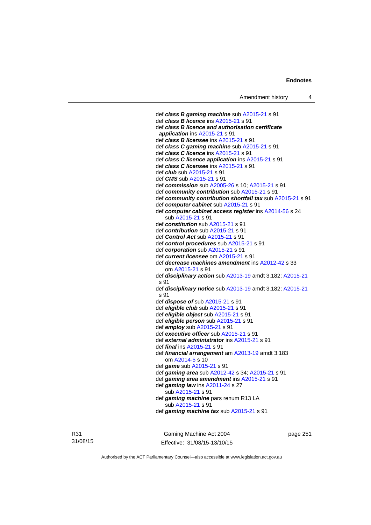def *class B gaming machine* sub [A2015-21](http://www.legislation.act.gov.au/a/2015-21) s 91 def *class B licence* ins [A2015-21](http://www.legislation.act.gov.au/a/2015-21) s 91 def *class B licence and authorisation certificate application* ins [A2015-21](http://www.legislation.act.gov.au/a/2015-21) s 91 def *class B licensee* ins [A2015-21](http://www.legislation.act.gov.au/a/2015-21) s 91 def *class C gaming machine* sub [A2015-21](http://www.legislation.act.gov.au/a/2015-21) s 91 def *class C licence* ins [A2015-21](http://www.legislation.act.gov.au/a/2015-21) s 91 def *class C licence application* ins [A2015-21](http://www.legislation.act.gov.au/a/2015-21) s 91 def *class C licensee* ins [A2015-21](http://www.legislation.act.gov.au/a/2015-21) s 91 def *club* sub [A2015-21](http://www.legislation.act.gov.au/a/2015-21) s 91 def *CMS* sub [A2015-21](http://www.legislation.act.gov.au/a/2015-21) s 91 def *commission* sub [A2005-26](http://www.legislation.act.gov.au/a/2005-26) s 10; [A2015-21](http://www.legislation.act.gov.au/a/2015-21) s 91 def *community contribution* sub [A2015-21](http://www.legislation.act.gov.au/a/2015-21) s 91 def *community contribution shortfall tax* sub [A2015-21](http://www.legislation.act.gov.au/a/2015-21) s 91 def *computer cabinet* sub [A2015-21](http://www.legislation.act.gov.au/a/2015-21) s 91 def *computer cabinet access register* ins [A2014-56](http://www.legislation.act.gov.au/a/2014-56) s 24 sub [A2015-21](http://www.legislation.act.gov.au/a/2015-21) s 91 def *constitution* sub [A2015-21](http://www.legislation.act.gov.au/a/2015-21) s 91 def *contribution* sub [A2015-21](http://www.legislation.act.gov.au/a/2015-21) s 91 def *Control Act* sub [A2015-21](http://www.legislation.act.gov.au/a/2015-21) s 91 def *control procedures* sub [A2015-21](http://www.legislation.act.gov.au/a/2015-21) s 91 def *corporation* sub [A2015-21](http://www.legislation.act.gov.au/a/2015-21) s 91 def *current licensee* om [A2015-21](http://www.legislation.act.gov.au/a/2015-21) s 91 def *decrease machines amendment* ins [A2012-42](http://www.legislation.act.gov.au/a/2012-42) s 33 om [A2015-21](http://www.legislation.act.gov.au/a/2015-21) s 91 def *disciplinary action* sub [A2013-19](http://www.legislation.act.gov.au/a/2013-19) amdt 3.182; [A2015-21](http://www.legislation.act.gov.au/a/2015-21) s 91 def *disciplinary notice* sub [A2013-19](http://www.legislation.act.gov.au/a/2013-19) amdt 3.182; [A2015-21](http://www.legislation.act.gov.au/a/2015-21) s 91 def *dispose of* sub [A2015-21](http://www.legislation.act.gov.au/a/2015-21) s 91 def *eligible club* sub [A2015-21](http://www.legislation.act.gov.au/a/2015-21) s 91 def *eligible object* sub [A2015-21](http://www.legislation.act.gov.au/a/2015-21) s 91 def *eligible person* sub [A2015-21](http://www.legislation.act.gov.au/a/2015-21) s 91 def *employ* sub [A2015-21](http://www.legislation.act.gov.au/a/2015-21) s 91 def *executive officer* sub [A2015-21](http://www.legislation.act.gov.au/a/2015-21) s 91 def *external administrator* ins [A2015-21](http://www.legislation.act.gov.au/a/2015-21) s 91 def *final* ins [A2015-21](http://www.legislation.act.gov.au/a/2015-21) s 91 def *financial arrangement* am [A2013-19](http://www.legislation.act.gov.au/a/2013-19) amdt 3.183 om [A2014-5](http://www.legislation.act.gov.au/a/2014-5) s 10 def *game* sub [A2015-21](http://www.legislation.act.gov.au/a/2015-21) s 91 def *gaming area* sub [A2012-42](http://www.legislation.act.gov.au/a/2012-42) s 34; [A2015-21](http://www.legislation.act.gov.au/a/2015-21) s 91 def *gaming area amendment* ins [A2015-21](http://www.legislation.act.gov.au/a/2015-21) s 91 def *gaming law* ins [A2011-24](http://www.legislation.act.gov.au/a/2011-24) s 27 sub [A2015-21](http://www.legislation.act.gov.au/a/2015-21) s 91 def *gaming machine* pars renum R13 LA sub [A2015-21](http://www.legislation.act.gov.au/a/2015-21) s 91 def *gaming machine tax* sub [A2015-21](http://www.legislation.act.gov.au/a/2015-21) s 91

R31 31/08/15

Gaming Machine Act 2004 Effective: 31/08/15-13/10/15 page 251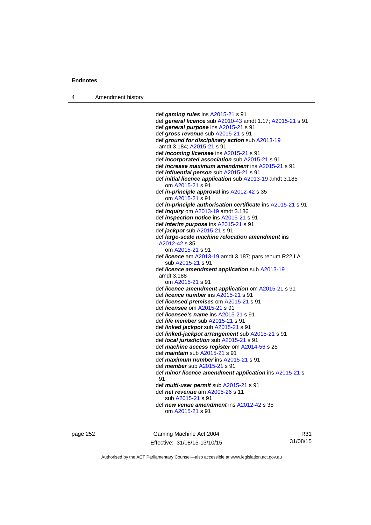4 Amendment history

 def *gaming rules* ins [A2015-21](http://www.legislation.act.gov.au/a/2015-21) s 91 def *general licence* sub [A2010-43](http://www.legislation.act.gov.au/a/2010-43) amdt 1.17; [A2015-21](http://www.legislation.act.gov.au/a/2015-21) s 91 def *general purpose* ins [A2015-21](http://www.legislation.act.gov.au/a/2015-21) s 91 def *gross revenue* sub [A2015-21](http://www.legislation.act.gov.au/a/2015-21) s 91 def *ground for disciplinary action* sub [A2013-19](http://www.legislation.act.gov.au/a/2013-19) amdt 3.184; [A2015-21](http://www.legislation.act.gov.au/a/2015-21) s 91 def *incoming licensee* ins [A2015-21](http://www.legislation.act.gov.au/a/2015-21) s 91 def *incorporated association* sub [A2015-21](http://www.legislation.act.gov.au/a/2015-21) s 91 def *increase maximum amendment* ins [A2015-21](http://www.legislation.act.gov.au/a/2015-21) s 91 def *influential person* sub [A2015-21](http://www.legislation.act.gov.au/a/2015-21) s 91 def *initial licence application* sub [A2013-19](http://www.legislation.act.gov.au/a/2013-19) amdt 3.185 om [A2015-21](http://www.legislation.act.gov.au/a/2015-21) s 91 def *in-principle approval* ins [A2012-42](http://www.legislation.act.gov.au/a/2012-42) s 35 om [A2015-21](http://www.legislation.act.gov.au/a/2015-21) s 91 def *in-principle authorisation certificate* ins [A2015-21](http://www.legislation.act.gov.au/a/2015-21) s 91 def *inquiry* om [A2013-19](http://www.legislation.act.gov.au/a/2013-19) amdt 3.186 def *inspection notice* ins [A2015-21](http://www.legislation.act.gov.au/a/2015-21) s 91 def *interim purpose* ins [A2015-21](http://www.legislation.act.gov.au/a/2015-21) s 91 def *jackpot* sub [A2015-21](http://www.legislation.act.gov.au/a/2015-21) s 91 def *large-scale machine relocation amendment* ins [A2012-42](http://www.legislation.act.gov.au/a/2012-42) s 35 om [A2015-21](http://www.legislation.act.gov.au/a/2015-21) s 91 def *licence* am [A2013-19](http://www.legislation.act.gov.au/a/2013-19) amdt 3.187; pars renum R22 LA sub [A2015-21](http://www.legislation.act.gov.au/a/2015-21) s 91 def *licence amendment application* sub [A2013-19](http://www.legislation.act.gov.au/a/2013-19) amdt 3.188 om [A2015-21](http://www.legislation.act.gov.au/a/2015-21) s 91 def *licence amendment application* om [A2015-21](http://www.legislation.act.gov.au/a/2015-21) s 91 def *licence number* ins [A2015-21](http://www.legislation.act.gov.au/a/2015-21) s 91 def *licensed premises* om [A2015-21](http://www.legislation.act.gov.au/a/2015-21) s 91 def *licensee* om [A2015-21](http://www.legislation.act.gov.au/a/2015-21) s 91 def *licensee's name* ins [A2015-21](http://www.legislation.act.gov.au/a/2015-21) s 91 def *life member* sub [A2015-21](http://www.legislation.act.gov.au/a/2015-21) s 91 def *linked jackpot* sub [A2015-21](http://www.legislation.act.gov.au/a/2015-21) s 91 def *linked-jackpot arrangement* sub [A2015-21](http://www.legislation.act.gov.au/a/2015-21) s 91 def *local jurisdiction* sub [A2015-21](http://www.legislation.act.gov.au/a/2015-21) s 91 def *machine access register* om [A2014-56](http://www.legislation.act.gov.au/a/2014-56) s 25 def *maintain* sub [A2015-21](http://www.legislation.act.gov.au/a/2015-21) s 91 def *maximum number* ins [A2015-21](http://www.legislation.act.gov.au/a/2015-21) s 91 def *member* sub [A2015-21](http://www.legislation.act.gov.au/a/2015-21) s 91 def *minor licence amendment application* ins [A2015-21](http://www.legislation.act.gov.au/a/2015-21) s 91 def *multi-user permit* sub [A2015-21](http://www.legislation.act.gov.au/a/2015-21) s 91 def *net revenue* am [A2005-26](http://www.legislation.act.gov.au/a/2005-26) s 11 sub [A2015-21](http://www.legislation.act.gov.au/a/2015-21) s 91 def *new venue amendment* ins [A2012-42](http://www.legislation.act.gov.au/a/2012-42) s 35 om [A2015-21](http://www.legislation.act.gov.au/a/2015-21) s 91

page 252 Gaming Machine Act 2004 Effective: 31/08/15-13/10/15

R31 31/08/15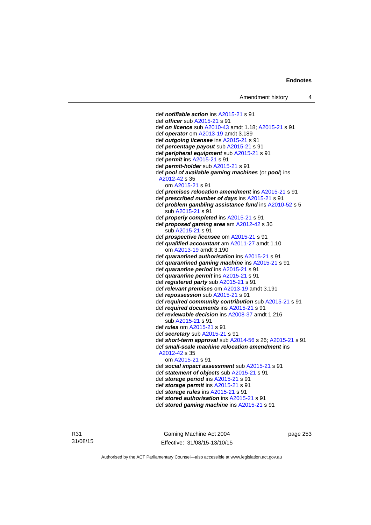def *notifiable action* ins [A2015-21](http://www.legislation.act.gov.au/a/2015-21) s 91 def *officer* sub [A2015-21](http://www.legislation.act.gov.au/a/2015-21) s 91 def *on licence* sub [A2010-43](http://www.legislation.act.gov.au/a/2010-43) amdt 1.18; [A2015-21](http://www.legislation.act.gov.au/a/2015-21) s 91 def *operator* om [A2013-19](http://www.legislation.act.gov.au/a/2013-19) amdt 3.189 def *outgoing licensee* ins [A2015-21](http://www.legislation.act.gov.au/a/2015-21) s 91 def *percentage payout* sub [A2015-21](http://www.legislation.act.gov.au/a/2015-21) s 91 def *peripheral equipment* sub [A2015-21](http://www.legislation.act.gov.au/a/2015-21) s 91 def *permit* ins [A2015-21](http://www.legislation.act.gov.au/a/2015-21) s 91 def *permit-holder* sub [A2015-21](http://www.legislation.act.gov.au/a/2015-21) s 91 def *pool of available gaming machines* (or *pool*) ins [A2012-42](http://www.legislation.act.gov.au/a/2012-42) s 35 om [A2015-21](http://www.legislation.act.gov.au/a/2015-21) s 91 def *premises relocation amendment* ins [A2015-21](http://www.legislation.act.gov.au/a/2015-21) s 91 def *prescribed number of days* ins [A2015-21](http://www.legislation.act.gov.au/a/2015-21) s 91 def *problem gambling assistance fund* ins [A2010-52](http://www.legislation.act.gov.au/a/2010-52) s 5 sub [A2015-21](http://www.legislation.act.gov.au/a/2015-21) s 91 def *properly completed* ins [A2015-21](http://www.legislation.act.gov.au/a/2015-21) s 91 def *proposed gaming area* am [A2012-42](http://www.legislation.act.gov.au/a/2012-42) s 36 sub [A2015-21](http://www.legislation.act.gov.au/a/2015-21) s 91 def *prospective licensee* om [A2015-21](http://www.legislation.act.gov.au/a/2015-21) s 91 def *qualified accountant* am [A2011-27](http://www.legislation.act.gov.au/a/2011-27) amdt 1.10 om [A2013-19](http://www.legislation.act.gov.au/a/2013-19) amdt 3.190 def *quarantined authorisation* ins [A2015-21](http://www.legislation.act.gov.au/a/2015-21) s 91 def *quarantined gaming machine* ins [A2015-21](http://www.legislation.act.gov.au/a/2015-21) s 91 def *quarantine period* ins [A2015-21](http://www.legislation.act.gov.au/a/2015-21) s 91 def *quarantine permit* ins [A2015-21](http://www.legislation.act.gov.au/a/2015-21) s 91 def *registered party* sub [A2015-21](http://www.legislation.act.gov.au/a/2015-21) s 91 def *relevant premises* om [A2013-19](http://www.legislation.act.gov.au/a/2013-19) amdt 3.191 def *repossession* sub [A2015-21](http://www.legislation.act.gov.au/a/2015-21) s 91 def *required community contribution* sub [A2015-21](http://www.legislation.act.gov.au/a/2015-21) s 91 def *required documents* ins [A2015-21](http://www.legislation.act.gov.au/a/2015-21) s 91 def *reviewable decision* ins [A2008-37](http://www.legislation.act.gov.au/a/2008-37) amdt 1.216 sub [A2015-21](http://www.legislation.act.gov.au/a/2015-21) s 91 def *rules* om [A2015-21](http://www.legislation.act.gov.au/a/2015-21) s 91 def *secretary* sub [A2015-21](http://www.legislation.act.gov.au/a/2015-21) s 91 def *short-term approval* sub [A2014-56](http://www.legislation.act.gov.au/a/2014-56) s 26; [A2015-21](http://www.legislation.act.gov.au/a/2015-21) s 91 def *small-scale machine relocation amendment* ins [A2012-42](http://www.legislation.act.gov.au/a/2012-42) s 35 om [A2015-21](http://www.legislation.act.gov.au/a/2015-21) s 91 def *social impact assessment* sub [A2015-21](http://www.legislation.act.gov.au/a/2015-21) s 91 def *statement of objects* sub [A2015-21](http://www.legislation.act.gov.au/a/2015-21) s 91 def *storage period* ins [A2015-21](http://www.legislation.act.gov.au/a/2015-21) s 91 def *storage permit* ins [A2015-21](http://www.legislation.act.gov.au/a/2015-21) s 91 def *storage rules* ins [A2015-21](http://www.legislation.act.gov.au/a/2015-21) s 91 def *stored authorisation* ins [A2015-21](http://www.legislation.act.gov.au/a/2015-21) s 91 def *stored gaming machine* ins [A2015-21](http://www.legislation.act.gov.au/a/2015-21) s 91

R31 31/08/15

Gaming Machine Act 2004 Effective: 31/08/15-13/10/15 page 253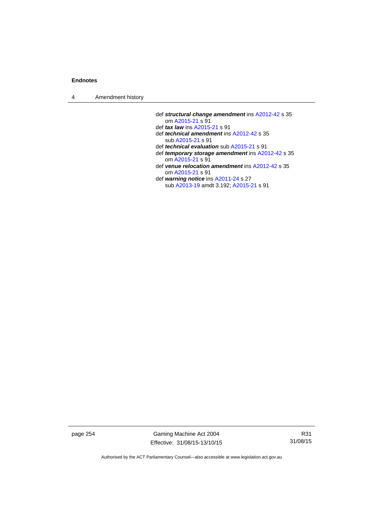4 Amendment history

- def *structural change amendment* ins [A2012-42](http://www.legislation.act.gov.au/a/2012-42) s 35 om [A2015-21](http://www.legislation.act.gov.au/a/2015-21) s 91
- def *tax law* ins [A2015-21](http://www.legislation.act.gov.au/a/2015-21) s 91
- def *technical amendment* ins [A2012-42](http://www.legislation.act.gov.au/a/2012-42) s 35 sub [A2015-21](http://www.legislation.act.gov.au/a/2015-21) s 91
- def *technical evaluation* sub [A2015-21](http://www.legislation.act.gov.au/a/2015-21) s 91
- def *temporary storage amendment* ins [A2012-42](http://www.legislation.act.gov.au/a/2012-42) s 35 om [A2015-21](http://www.legislation.act.gov.au/a/2015-21) s 91
- def *venue relocation amendment* ins [A2012-42](http://www.legislation.act.gov.au/a/2012-42) s 35 om [A2015-21](http://www.legislation.act.gov.au/a/2015-21) s 91
- def *warning notice* ins [A2011-24](http://www.legislation.act.gov.au/a/2011-24) s 27 sub [A2013-19](http://www.legislation.act.gov.au/a/2013-19) amdt 3.192; [A2015-21](http://www.legislation.act.gov.au/a/2015-21) s 91

page 254 Gaming Machine Act 2004 Effective: 31/08/15-13/10/15

R31 31/08/15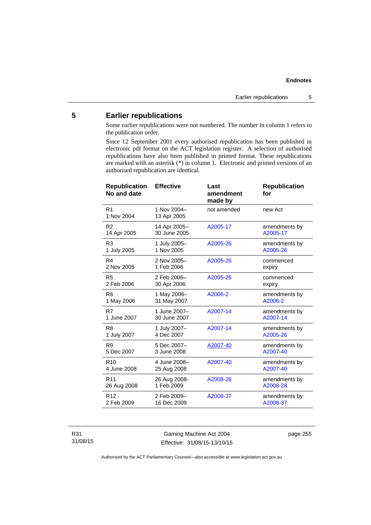# **5 Earlier republications**

Some earlier republications were not numbered. The number in column 1 refers to the publication order.

Since 12 September 2001 every authorised republication has been published in electronic pdf format on the ACT legislation register. A selection of authorised republications have also been published in printed format. These republications are marked with an asterisk (\*) in column 1. Electronic and printed versions of an authorised republication are identical.

| <b>Effective</b>             | Last<br>amendment<br>made by | <b>Republication</b><br>for |
|------------------------------|------------------------------|-----------------------------|
| 1 Nov 2004-<br>13 Apr 2005   | not amended                  | new Act                     |
| 14 Apr 2005-<br>30 June 2005 | A2005-17                     | amendments by<br>A2005-17   |
| 1 July 2005-<br>1 Nov 2005   | A2005-26                     | amendments by<br>A2005-26   |
| 2 Nov 2005-<br>1 Feb 2006    | A2005-26                     | commenced<br>expiry         |
| 2 Feb 2006-<br>30 Apr 2006   | A2005-26                     | commenced<br>expiry         |
| 1 May 2006-<br>31 May 2007   | A2006-2                      | amendments by<br>A2006-2    |
| 1 June 2007-<br>30 June 2007 | A2007-14                     | amendments by<br>A2007-14   |
| 1 July 2007-<br>4 Dec 2007   | A2007-14                     | amendments by<br>A2005-26   |
| 5 Dec 2007-<br>3 June 2008   | A2007-40                     | amendments by<br>A2007-40   |
| 4 June 2008-<br>25 Aug 2008  | A2007-40                     | amendments by<br>A2007-40   |
| 26 Aug 2008-<br>1 Feb 2009   | A2008-28                     | amendments by<br>A2008-28   |
| 2 Feb 2009-<br>16 Dec 2009   | A2008-37                     | amendments by<br>A2008-37   |
|                              |                              |                             |

R31 31/08/15

Gaming Machine Act 2004 Effective: 31/08/15-13/10/15 page 255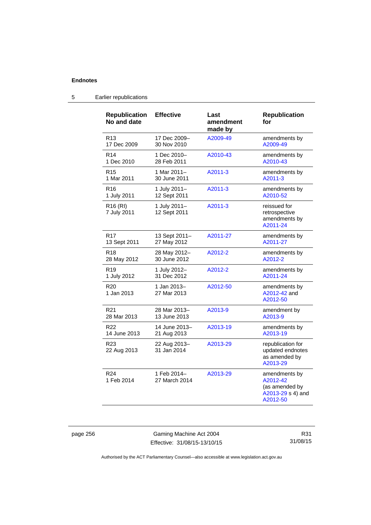| <b>Republication</b><br>No and date | <b>Effective</b>             | Last<br>amendment<br>made by | <b>Republication</b><br>for                                                  |
|-------------------------------------|------------------------------|------------------------------|------------------------------------------------------------------------------|
| R13                                 | 17 Dec 2009-                 | A2009-49                     | amendments by                                                                |
| 17 Dec 2009                         | 30 Nov 2010                  |                              | A2009-49                                                                     |
| R <sub>14</sub>                     | 1 Dec 2010-                  | A2010-43                     | amendments by                                                                |
| 1 Dec 2010                          | 28 Feb 2011                  |                              | A2010-43                                                                     |
| R <sub>15</sub>                     | 1 Mar 2011-                  | A2011-3                      | amendments by                                                                |
| 1 Mar 2011                          | 30 June 2011                 |                              | A2011-3                                                                      |
| R <sub>16</sub>                     | 1 July 2011-                 | A2011-3                      | amendments by                                                                |
| 1 July 2011                         | 12 Sept 2011                 |                              | A2010-52                                                                     |
| R <sub>16</sub> (RI)<br>7 July 2011 | 1 July 2011-<br>12 Sept 2011 | A2011-3                      | reissued for<br>retrospective<br>amendments by<br>A2011-24                   |
| R <sub>17</sub>                     | 13 Sept 2011-                | A2011-27                     | amendments by                                                                |
| 13 Sept 2011                        | 27 May 2012                  |                              | A2011-27                                                                     |
| R <sub>18</sub>                     | 28 May 2012-                 | A2012-2                      | amendments by                                                                |
| 28 May 2012                         | 30 June 2012                 |                              | A2012-2                                                                      |
| R <sub>19</sub>                     | 1 July 2012-                 | A2012-2                      | amendments by                                                                |
| 1 July 2012                         | 31 Dec 2012                  |                              | A2011-24                                                                     |
| R <sub>20</sub><br>1 Jan 2013       | 1 Jan 2013-<br>27 Mar 2013   | A2012-50                     | amendments by<br>A2012-42 and<br>A2012-50                                    |
| R21                                 | 28 Mar 2013-                 | A2013-9                      | amendment by                                                                 |
| 28 Mar 2013                         | 13 June 2013                 |                              | A2013-9                                                                      |
| R <sub>22</sub>                     | 14 June 2013-                | A2013-19                     | amendments by                                                                |
| 14 June 2013                        | 21 Aug 2013                  |                              | A2013-19                                                                     |
| R <sub>23</sub><br>22 Aug 2013      | 22 Aug 2013-<br>31 Jan 2014  | A2013-29                     | republication for<br>updated endnotes<br>as amended by<br>A2013-29           |
| R <sub>24</sub><br>1 Feb 2014       | 1 Feb 2014-<br>27 March 2014 | A2013-29                     | amendments by<br>A2012-42<br>(as amended by<br>A2013-29 s 4) and<br>A2012-50 |

# 5 Earlier republications

page 256 Gaming Machine Act 2004 Effective: 31/08/15-13/10/15

R31 31/08/15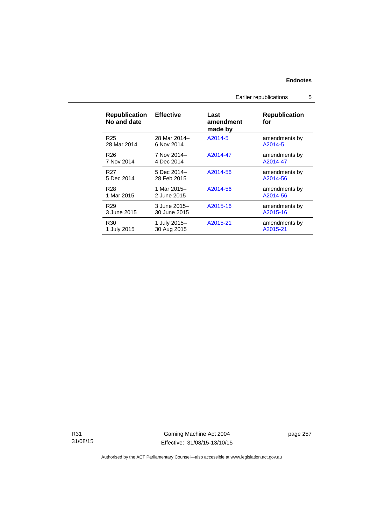Earlier republications 5

| <b>Republication</b><br>No and date | <b>Effective</b> | Last<br>amendment<br>made by | <b>Republication</b><br>for |
|-------------------------------------|------------------|------------------------------|-----------------------------|
| R <sub>25</sub>                     | 28 Mar 2014-     | A2014-5                      | amendments by               |
| 28 Mar 2014                         | 6 Nov 2014       |                              | A2014-5                     |
| R <sub>26</sub>                     | 7 Nov 2014-      | A2014-47                     | amendments by               |
| 7 Nov 2014                          | 4 Dec 2014       |                              | A2014-47                    |
| R <sub>27</sub>                     | 5 Dec 2014-      | A2014-56                     | amendments by               |
| 5 Dec 2014                          | 28 Feb 2015      |                              | A2014-56                    |
| R <sub>28</sub>                     | 1 Mar 2015-      | A2014-56                     | amendments by               |
| 1 Mar 2015                          | 2 June 2015      |                              | A2014-56                    |
| R <sub>29</sub>                     | 3 June 2015-     | A2015-16                     | amendments by               |
| 3 June 2015                         | 30 June 2015     |                              | A2015-16                    |
| R30                                 | 1 July 2015-     | A2015-21                     | amendments by               |
| 1 July 2015                         | 30 Aug 2015      |                              | A2015-21                    |

R31 31/08/15

Gaming Machine Act 2004 Effective: 31/08/15-13/10/15 page 257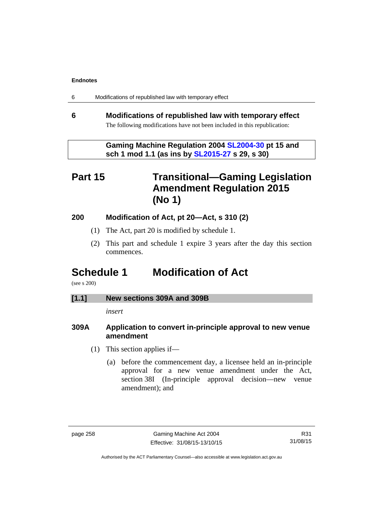| 6 | Modifications of republished law with temporary effect |  |  |
|---|--------------------------------------------------------|--|--|
|---|--------------------------------------------------------|--|--|

# **6 Modifications of republished law with temporary effect**  The following modifications have not been included in this republication:

 **Gaming Machine Regulation 2004 [SL2004-30](http://www.legislation.act.gov.au/sl/2004-30/default.asp) pt 15 and sch 1 mod 1.1 (as ins by [SL2015-27](http://www.legislation.act.gov.au/sl/2015-27/default.asp) s 29, s 30)** 

# **Part 15 Transitional—Gaming Legislation Amendment Regulation 2015 (No 1)**

# **200 Modification of Act, pt 20—Act, s 310 (2)**

- (1) The Act, part 20 is modified by schedule 1.
- (2) This part and schedule 1 expire 3 years after the day this section commences.

# **Schedule 1 Modification of Act**

(see s 200)

# **[1.1] New sections 309A and 309B**

*insert* 

# **309A Application to convert in-principle approval to new venue amendment**

- (1) This section applies if—
	- (a) before the commencement day, a licensee held an in-principle approval for a new venue amendment under the Act, section 38I (In-principle approval decision—new venue amendment); and

R31 31/08/15